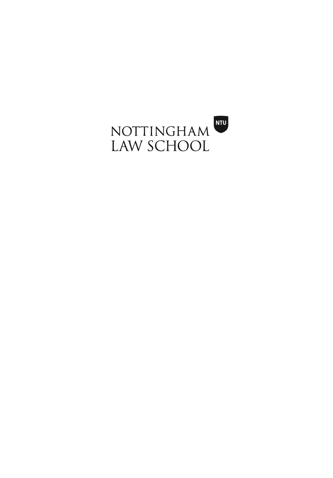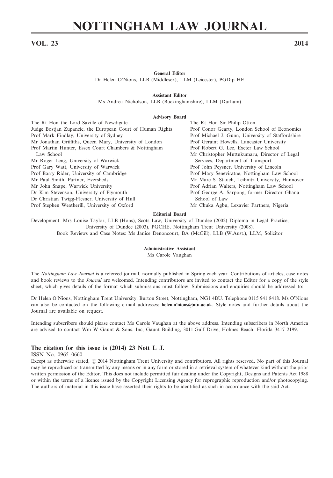# **NOTTINGHAM LAW JOURNAL**

# **VOL. 23 2014**

**General Editor**

Dr Helen O'Nions, LLB (Middlesex), LLM (Leicester), PGDip HE

**Assistant Editor**

Ms Andrea Nicholson, LLB (Buckinghamshire), LLM (Durham)

#### **Advisory Board**

| The Rt Hon the Lord Saville of Newdigate                   | The Rt Hon Sir Philip Otton                       |
|------------------------------------------------------------|---------------------------------------------------|
| Judge Bostjan Zupancic, the European Court of Human Rights | Prof Conor Gearty, London School of Economics     |
| Prof Mark Findlay, University of Sydney                    | Prof Michael J. Gunn, University of Staffordshire |
| Mr Jonathan Griffiths, Queen Mary, University of London    | Prof Geraint Howells, Lancaster University        |
| Prof Martin Hunter, Essex Court Chambers & Nottingham      | Prof Robert G. Lee, Exeter Law School             |
| Law School                                                 | Mr Christopher Muttukumaru, Director of Legal     |
| Mr Roger Leng, University of Warwick                       | Services, Department of Transport                 |
| Prof Gary Watt, University of Warwick                      | Prof John Peysner, University of Lincoln          |
| Prof Barry Rider, University of Cambridge                  | Prof Mary Seneviratne, Nottingham Law School      |
| Mr Paul Smith, Partner, Eversheds                          | Mr Marc S. Stauch, Leibnitz University, Hannover  |
| Mr John Snape, Warwick University                          | Prof Adrian Walters, Nottingham Law School        |
| Dr Kim Stevenson, University of Plymouth                   | Prof George A. Sarpong, former Director Ghana     |
| Dr Christian Twigg-Flesner, University of Hull             | School of Law                                     |
| Prof Stephen Weatherill, University of Oxford              | Mr Chuka Agbu, Lexavier Partners, Nigeria         |
|                                                            |                                                   |

#### **Editorial Board**

Development: Mrs Louise Taylor, LLB (Hons), Scots Law, University of Dundee (2002) Diploma in Legal Practice, University of Dundee (2003), PGCHE, Nottingham Trent University (2008). Book Reviews and Case Notes: Ms Janice Denoncourt, BA (McGill), LLB (W.Aust.), LLM, Solicitor

#### **Administrative Assistant**

Ms Carole Vaughan

The *Nottingham Law Journal* is a refereed journal, normally published in Spring each year. Contributions of articles, case notes and book reviews to the *Journal* are welcomed. Intending contributors are invited to contact the Editor for a copy of the style sheet, which gives details of the format which submissions must follow. Submissions and enquiries should be addressed to:

Dr Helen O'Nions, Nottingham Trent University, Burton Street, Nottingham, NG1 4BU. Telephone 0115 941 8418. Ms O'Nions can also be contacted on the following e-mail addresses: **helen.o'nions@ntu.ac.uk**. Style notes and further details about the Journal are available on request.

Intending subscribers should please contact Ms Carole Vaughan at the above address. Intending subscribers in North America are advised to contact Wm W Gaunt & Sons. Inc, Gaunt Building, 3011 Gulf Drive, Holmes Beach, Florida 3417 2199.

#### **The citation for this issue is (2014) 23 Nott L J.**

ISSN No. 0965–0660

Except as otherwise stated,  $@$  2014 Nottingham Trent University and contributors. All rights reserved. No part of this Journal may be reproduced or transmitted by any means or in any form or stored in a retrieval system of whatever kind without the prior written permission of the Editor. This does not include permitted fair dealing under the Copyright, Designs and Patents Act 1988 or within the terms of a licence issued by the Copyright Licensing Agency for reprographic reproduction and/or photocopying. The authors of material in this issue have asserted their rights to be identified as such in accordance with the said Act.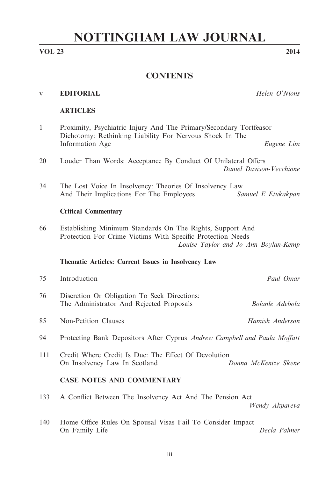# **NOTTINGHAM LAW JOURNAL**

# **VOL 23 2014**

# **CONTENTS**

| <b>EDITORIAL</b> | Helen O'Nions |
|------------------|---------------|
|------------------|---------------|

# **ARTICLES**

1 Proximity, Psychiatric Injury And The Primary/Secondary Tortfeasor Dichotomy: Rethinking Liability For Nervous Shock In The Information Age *Eugene Lim* 20 Louder Than Words: Acceptance By Conduct Of Unilateral Offers *Daniel Davison-Vecchione* 34 The Lost Voice In Insolvency: Theories Of Insolvency Law And Their Implications For The Employees *Samuel E Etukakpan* **Critical Commentary** 66 Establishing Minimum Standards On The Rights, Support And Protection For Crime Victims With Specific Protection Needs *Louise Taylor and Jo Ann Boylan-Kemp* **Thematic Articles: Current Issues in Insolvency Law** 75 Introduction *Paul Omar* 76 Discretion Or Obligation To Seek Directions: The Administrator And Rejected Proposals *Bolanle Adebola* 85 Non-Petition Clauses *Hamish Anderson* 94 Protecting Bank Depositors After Cyprus *Andrew Campbell and Paula Moffatt* 111 Credit Where Credit Is Due: The Effect Of Devolution On Insolvency Law In Scotland *Donna McKenize Skene* **CASE NOTES AND COMMENTARY** 133 A Conflict Between The Insolvency Act And The Pension Act *Wendy Akpareva* 140 Home Office Rules On Spousal Visas Fail To Consider Impact On Family Life *Decla Palmer*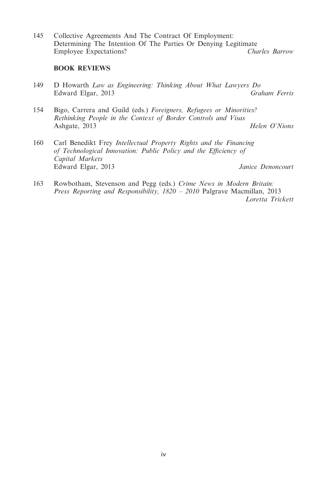145 Collective Agreements And The Contract Of Employment: Determining The Intention Of The Parties Or Denying Legitimate Employee Expectations? *Charles Barrow*

# **BOOK REVIEWS**

- 149 D Howarth *Law as Engineering: Thinking About What Lawyers Do* Edward Elgar, 2013
- 154 Bigo, Carrera and Guild (eds.) *Foreigners, Refugees or Minorities? Rethinking People in the Context of Border Controls and Visas* Ashgate, 2013 *Helen O'Nions*
- 160 Carl Benedikt Frey *Intellectual Property Rights and the Financing of Technological Innovation: Public Policy and the Efficiency of Capital Markets* Edward Elgar, 2013 *Janice Denoncourt*
- 163 Rowbotham, Stevenson and Pegg (eds.) *Crime News in Modern Britain: Press Reporting and Responsibility, 1820 – 2010* Palgrave Macmillan, 2013 *Loretta Trickett*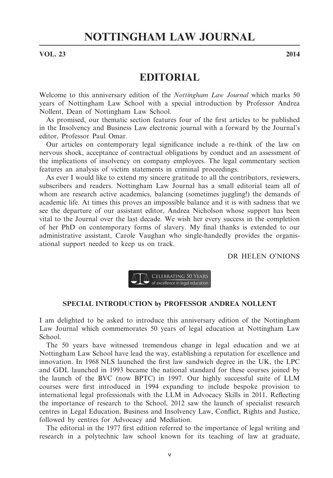# **VOL. 23** 2014

# **EDITORIAL**

Welcome to this anniversary edition of the *Nottingham Law Journal* which marks 50 years of Nottingham Law School with a special introduction by Professor Andrea Nollent, Dean of Nottingham Law School.

As promised, our thematic section features four of the first articles to be published in the Insolvency and Business Law electronic journal with a forward by the Journal's editor, Professor Paul Omar.

Our articles on contemporary legal significance include a re-think of the law on nervous shock, acceptance of contractual obligations by conduct and an assessment of the implications of insolvency on company employees. The legal commentary section features an analysis of victim statements in criminal proceedings.

As ever I would like to extend my sincere gratitude to all the contributors, reviewers, subscribers and readers. Nottingham Law Journal has a small editorial team all of whom are research active academics, balancing (sometimes juggling!) the demands of academic life. At times this proves an impossible balance and it is with sadness that we see the departure of our assistant editor, Andrea Nicholson whose support has been vital to the Journal over the last decade. We wish her every success in the completion of her PhD on contemporary forms of slavery. My final thanks is extended to our administrative assistant, Carole Vaughan who single-handedly provides the organisational support needed to keep us on track.

DR HELEN O'NIONS



# **SPECIAL INTRODUCTION by PROFESSOR ANDREA NOLLENT**

I am delighted to be asked to introduce this anniversary edition of the Nottingham Law Journal which commemorates 50 years of legal education at Nottingham Law School.

The 50 years have witnessed tremendous change in legal education and we at Nottingham Law School have lead the way, establishing a reputation for excellence and innovation. In 1968 NLS launched the first law sandwich degree in the UK, the LPC and GDL launched in 1993 became the national standard for these courses joined by the launch of the BVC (now BPTC) in 1997. Our highly successful suite of LLM courses were first introduced in 1994 expanding to include bespoke provision to international legal professionals with the LLM in Advocacy Skills in 2011. Reflecting the importance of research to the School, 2012 saw the launch of specialist research centres in Legal Education, Business and Insolvency Law, Conflict, Rights and Justice, followed by centres for Advocacy and Mediation.

The editorial in the 1977 first edition referred to the importance of legal writing and research in a polytechnic law school known for its teaching of law at graduate,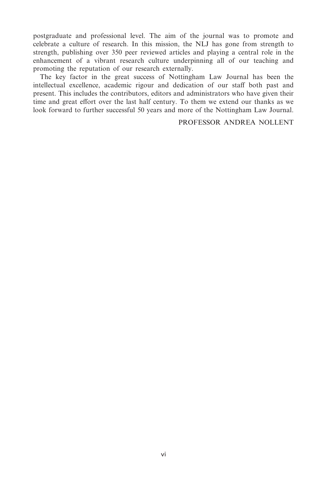postgraduate and professional level. The aim of the journal was to promote and celebrate a culture of research. In this mission, the NLJ has gone from strength to strength, publishing over 350 peer reviewed articles and playing a central role in the enhancement of a vibrant research culture underpinning all of our teaching and promoting the reputation of our research externally.

The key factor in the great success of Nottingham Law Journal has been the intellectual excellence, academic rigour and dedication of our staff both past and present. This includes the contributors, editors and administrators who have given their time and great effort over the last half century. To them we extend our thanks as we look forward to further successful 50 years and more of the Nottingham Law Journal.

# PROFESSOR ANDREA NOLLENT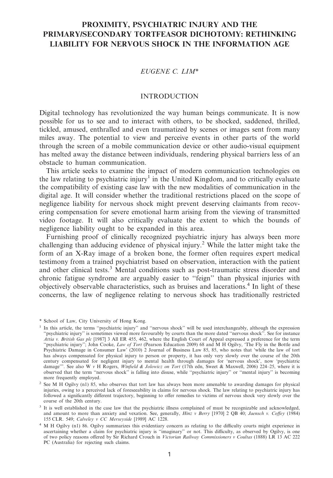# **PROXIMITY, PSYCHIATRIC INJURY AND THE PRIMARY/SECONDARY TORTFEASOR DICHOTOMY: RETHINKING LIABILITY FOR NERVOUS SHOCK IN THE INFORMATION AGE**

# *EUGENE C. LIM*\*

# INTRODUCTION

Digital technology has revolutionized the way human beings communicate. It is now possible for us to see and to interact with others, to be shocked, saddened, thrilled, tickled, amused, enthralled and even traumatized by scenes or images sent from many miles away. The potential to view and perceive events in other parts of the world through the screen of a mobile communication device or other audio-visual equipment has melted away the distance between individuals, rendering physical barriers less of an obstacle to human communication.

This article seeks to examine the impact of modern communication technologies on the law relating to psychiatric injury<sup>1</sup> in the United Kingdom, and to critically evaluate the compatibility of existing case law with the new modalities of communication in the digital age. It will consider whether the traditional restrictions placed on the scope of negligence liability for nervous shock might prevent deserving claimants from recovering compensation for severe emotional harm arising from the viewing of transmitted video footage. It will also critically evaluate the extent to which the bounds of negligence liability ought to be expanded in this area.

Furnishing proof of clinically recognized psychiatric injury has always been more challenging than adducing evidence of physical injury.2 While the latter might take the form of an X-Ray image of a broken bone, the former often requires expert medical testimony from a trained psychiatrist based on observation, interaction with the patient and other clinical tests.<sup>3</sup> Mental conditions such as post-traumatic stress disorder and chronic fatigue syndrome are arguably easier to ''feign'' than physical injuries with objectively observable characteristics, such as bruises and lacerations.4 In light of these concerns, the law of negligence relating to nervous shock has traditionally restricted

<sup>\*</sup> School of Law, City University of Hong Kong.

<sup>&</sup>lt;sup>1</sup> In this article, the terms "psychiatric injury" and "nervous shock" will be used interchangeably, although the expression ''psychiatric injury'' is sometimes viewed more favourably by courts than the more dated ''nervous shock''. See for instance *Attia v. British Gas plc* [1987] 3 All ER 455, 462, where the English Court of Appeal expressed a preference for the term "psychiatric injury"; John Cooke, *Law of Tort* (Pearson Education 2009) 68 and M H Ogilvy, 'The Fly in the Bottle and<br>Psychiatric Damage in Consumer Law' (2010) 2 Journal of Business Law 85, 85, who notes that 'while the has always compensated for physical injury to person or property, it has only very slowly over the course of the 20th century compensated for negligent injury to mental health through damages for 'nervous shock', now 'psychiatric damage'". See also W  $\nu$  H Rogers, *Winfield & Jolowicz on Tort* (17th edn, Sweet & Maxwell, 2006) 224–25, w damage'''. See also W *v* H Rogers, *Winfield & Jolowicz on Tort* (17th edn, Sweet & Maxwell, 2006) 224–25, where it is observed that the term ''nervous shock'' is falling into disuse, while ''psychiatric injury'' or ''mental injury'' is becoming more frequently employed.

<sup>&</sup>lt;sup>2</sup> See M H Ogilvy (n1) 85, who observes that tort law has always been more amenable to awarding damages for physical injuries, owing to a perceived lack of foreseeability in claims for nervous shock. The law relating to psychiatric injury has followed a significantly different trajectory, beginning to offer remedies to victims of nervous shock very slowly over the course of the 20th century.

<sup>3</sup> It is well established in the case law that the psychiatric illness complained of must be recognizable and acknowledged, and amount to more than anxiety and vexation. See, generally, *Hinz v Berry* [1970] 2 QB 40; *Jaensch v. Coffey* (1984) 155 CLR. 549; *Calveley v CC Merseyside* [1989] AC 1228.

<sup>4</sup> M H Ogilvy (n1) 86. Ogilvy summarizes this evidentiary concern as relating to the difficulty courts might experience in ascertaining whether a claim for psychiatric injury is ''imaginary'' or not. This difficulty, as observed by Ogilvy, is one of two policy reasons offered by Sir Richard Crouch in *Victorian Railway Commissioners v Coultas* (1888) LR 13 AC 222 PC (Australia) for rejecting such claims.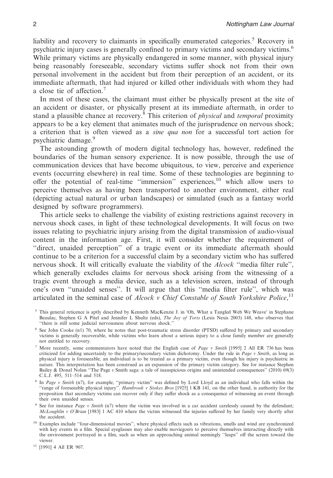liability and recovery to claimants in specifically enumerated categories.<sup>5</sup> Recovery in psychiatric injury cases is generally confined to primary victims and secondary victims.6 While primary victims are physically endangered in some manner, with physical injury being reasonably foreseeable, secondary victims suffer shock not from their own personal involvement in the accident but from their perception of an accident, or its immediate aftermath, that had injured or killed other individuals with whom they had a close tie of affection.<sup>7</sup>

In most of these cases, the claimant must either be physically present at the site of an accident or disaster, or physically present at its immediate aftermath, in order to stand a plausible chance at recovery.8 This criterion of *physical* and *temporal* proximity appears to be a key element that animates much of the jurisprudence on nervous shock; a criterion that is often viewed as a *sine qua non* for a successful tort action for psychiatric damage.9

The astounding growth of modern digital technology has, however, redefined the boundaries of the human sensory experience. It is now possible, through the use of communication devices that have become ubiquitous, to view, perceive and experience events (occurring elsewhere) in real time. Some of these technologies are beginning to offer the potential of real-time ''immersion'' experiences,10 which allow users to perceive themselves as having been transported to another environment, either real (depicting actual natural or urban landscapes) or simulated (such as a fantasy world designed by software programmers).

This article seeks to challenge the viability of existing restrictions against recovery in nervous shock cases, in light of these technological developments. It will focus on two issues relating to psychiatric injury arising from the digital transmission of audio-visual content in the information age. First, it will consider whether the requirement of "direct, unaided perception" of a tragic event or its immediate aftermath should continue to be a criterion for a successful claim by a secondary victim who has suffered nervous shock. It will critically evaluate the viability of the *Alcock* ''media filter rule'', which generally excludes claims for nervous shock arising from the witnessing of a tragic event through a media device, such as a television screen, instead of through one's own ''unaided senses''. It will argue that this ''media filter rule'', which was articulated in the seminal case of *Alcock v Chief Constable of South Yorkshire Police*, 11

<sup>5</sup> This general reticence is aptly described by Kenneth MacKenzie J. in 'Oh, What a Tangled Web We Weave' in Stephane Beaulac, Stephen G A Pitel and Jennifer L Shultz (eds), *The Joy of Torts* (Lexis Nexis 2003) 148, who observes that ''there is still some judicial nervousness about nervous shock.''

<sup>6</sup> See John Cooke (n1) 70, where he notes that post-traumatic stress disorder (PTSD) suffered by primary and secondary victims is generally recoverable, while victims who learn about a serious injury to a close family member are generally not entitled to recovery.

<sup>7</sup> More recently, some commentators have noted that the English case of *Page v Smith* [1995] 2 All ER 736 has been criticized for adding uncertainly to the primary/secondary victim dichotomy. Under the rule in *Page v Smith*, as long as physical injury is foreseeable, an individual is to be treated as a primary victim, even though his injury is psychiatric in nature. This interpretation has been construed as an expansion of the primary victim category. See for instance Stephen Bailey & Donal Nolan ''The Page *v* Smith saga: a tale of inauspicious origins and unintended consequences'' (2010) 69(3) C.L.J. 495, 511–514 and 518.

<sup>&</sup>lt;sup>8</sup> In *Page v Smith* (n7), for example, "primary victim" was defined by Lord Lloyd as an individual who falls within the "range of foreseeable physical injury". *Hambrook v Stokes Bros* [1925] 1 KB 141, on the other hand proposition that secondary victims can recover only if they suffer shock as a consequence of witnessing an event through their own unaided senses.

<sup>9</sup> See for instance *Page v Smith* (n7) where the victim was involved in a car accident carelessly caused by the defendant; *McLoughlin v O'Brian* [1983] 1 AC 410 where the victim witnessed the injuries suffered by her family very shortly after the accident.

<sup>10</sup> Examples include ''four-dimensional movies'', where physical effects such as vibrations, smells and wind are synchronized with key events in a film. Special eyeglasses may also enable moviegoers to perceive themselves interacting directly with the environment portrayed in a film, such as when an approaching animal seemingly ''leaps'' off the screen toward the viewer.

<sup>11</sup> [1991] 4 All ER 907.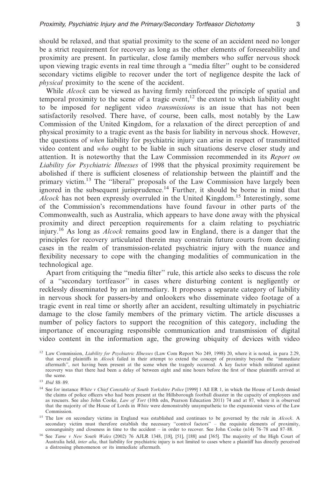should be relaxed, and that spatial proximity to the scene of an accident need no longer be a strict requirement for recovery as long as the other elements of foreseeability and proximity are present. In particular, close family members who suffer nervous shock upon viewing tragic events in real time through a ''media filter'' ought to be considered secondary victims eligible to recover under the tort of negligence despite the lack of *physical* proximity to the scene of the accident.

While *Alcock* can be viewed as having firmly reinforced the principle of spatial and temporal proximity to the scene of a tragic event, $12$  the extent to which liability ought to be imposed for negligent video *transmissions* is an issue that has not been satisfactorily resolved. There have, of course, been calls, most notably by the Law Commission of the United Kingdom, for a relaxation of the direct perception of and physical proximity to a tragic event as the basis for liability in nervous shock. However, the questions of *when* liability for psychiatric injury can arise in respect of transmitted video content and *who* ought to be liable in such situations deserve closer study and attention. It is noteworthy that the Law Commission recommended in its *Report on Liability for Psychiatric Illnesses* of 1998 that the physical proximity requirement be abolished if there is sufficient closeness of relationship between the plaintiff and the primary victim.<sup>13</sup> The ''liberal'' proposals of the Law Commission have largely been ignored in the subsequent jurisprudence.14 Further, it should be borne in mind that *Alcock* has not been expressly overruled in the United Kingdom.15 Interestingly, some of the Commission's recommendations have found favour in other parts of the Commonwealth, such as Australia, which appears to have done away with the physical proximity and direct perception requirements for a claim relating to psychiatric injury.<sup>16</sup> As long as *Alcock* remains good law in England, there is a danger that the principles for recovery articulated therein may constrain future courts from deciding cases in the realm of transmission-related psychiatric injury with the nuance and flexibility necessary to cope with the changing modalities of communication in the technological age.

Apart from critiquing the ''media filter'' rule, this article also seeks to discuss the role of a ''secondary tortfeasor'' in cases where disturbing content is negligently or recklessly disseminated by an intermediary. It proposes a separate category of liability in nervous shock for passers-by and onlookers who disseminate video footage of a tragic event in real time or shortly after an accident, resulting ultimately in psychiatric damage to the close family members of the primary victim. The article discusses a number of policy factors to support the recognition of this category, including the importance of encouraging responsible communication and transmission of digital video content in the information age, the growing ubiquity of devices with video

<sup>12</sup> Law Commission, *Liability for Psychiatric Illnesses* (Law Com Report No 249, 1998) 20, where it is noted, in para 2.29, that several plaintiffs in *Alcock* failed in their attempt to extend the concept of proximity beyond the ''immediate aftermath'', not having been present at the scene when the tragedy occurred. A key factor which militated against recovery was that there had been a delay of between eight and nine hours before the first of these plaintiffs arrived at the scene.

<sup>13</sup> *Ibid* 88–89.

<sup>14</sup> See for instance *White v Chief Constable of South Yorkshire Police* [1999] 1 All ER 1, in which the House of Lords denied the claims of police officers who had been present at the Hillsborough football disaster in the capacity of employees and as rescuers. See also John Cooke, *Law of Tort* (10th edn, Pearson Education 2011) 74 and at 87, where it is observed that the majority of the House of Lords in *White* were demonstrably unsympathetic to the expansionist views of the Law Commission.

<sup>15</sup> The law on secondary victims in England was established and continues to be governed by the rule in *Alcock*. A secondary victim must therefore establish the necessary ''control factors'' – the requisite elements of proximity, consanguinity and closeness in time to the accident – in order to recover. See John Cooke (n14) 76–78 and 87–88.

<sup>16</sup> See *Tame v New South Wales* (2002) 76 AJLR 1348, [18], [51], [188] and [365]. The majority of the High Court of Australia held, *inter alia*, that liability for psychiatric injury is not limited to cases where a plaintiff has directly perceived a distressing phenomenon or its immediate aftermath.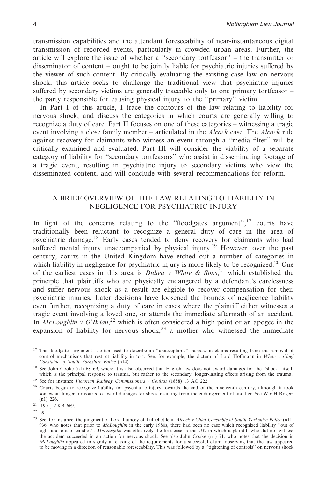transmission capabilities and the attendant foreseeability of near-instantaneous digital transmission of recorded events, particularly in crowded urban areas. Further, the article will explore the issue of whether a ''secondary tortfeasor'' – the transmitter or disseminator of content – ought to be jointly liable for psychiatric injuries suffered by the viewer of such content. By critically evaluating the existing case law on nervous shock, this article seeks to challenge the traditional view that psychiatric injuries suffered by secondary victims are generally traceable only to one primary tortfeasor – the party responsible for causing physical injury to the ''primary'' victim.

In Part I of this article, I trace the contours of the law relating to liability for nervous shock, and discuss the categories in which courts are generally willing to recognize a duty of care. Part II focuses on one of these categories – witnessing a tragic event involving a close family member – articulated in the *Alcock* case. The *Alcock* rule against recovery for claimants who witness an event through a ''media filter'' will be critically examined and evaluated. Part III will consider the viability of a separate category of liability for ''secondary tortfeasors'' who assist in disseminating footage of a tragic event, resulting in psychiatric injury to secondary victims who view the disseminated content, and will conclude with several recommendations for reform.

# A BRIEF OVERVIEW OF THE LAW RELATING TO LIABILITY IN NEGLIGENCE FOR PSYCHIATRIC INJURY

In light of the concerns relating to the "floodgates argument", $17$  courts have traditionally been reluctant to recognize a general duty of care in the area of psychiatric damage.<sup>18</sup> Early cases tended to deny recovery for claimants who had suffered mental injury unaccompanied by physical injury.<sup>19</sup> However, over the past century, courts in the United Kingdom have etched out a number of categories in which liability in negligence for psychiatric injury is more likely to be recognized.<sup>20</sup> One of the earliest cases in this area is *Dulieu v White & Sons*, <sup>21</sup> which established the principle that plaintiffs who are physically endangered by a defendant's carelessness and suffer nervous shock as a result are eligible to recover compensation for their psychiatric injuries. Later decisions have loosened the bounds of negligence liability even further, recognizing a duty of care in cases where the plaintiff either witnesses a tragic event involving a loved one, or attends the immediate aftermath of an accident. In *McLoughlin v O'Brian*, <sup>22</sup> which is often considered a high point or an apogee in the expansion of liability for nervous shock,<sup>23</sup> a mother who witnessed the immediate

<sup>17</sup> The floodgates argument is often used to describe an "unacceptable" increase in claims resulting from the removal of control mechanisms that restrict liability in tort. See, for example, the dictum of Lord Hoffmann i *Constable of South Yorkshire Police* (n14).

<sup>18</sup> See John Cooke (n1) 68-69, where it is also observed that English law does not award damages for the "shock" itself, which is the principal response to trauma, but rather to the secondary, longer-lasting effects arising from the trauma. <sup>19</sup> See for instance *Victorian Railway Commissioners v Coultas* (1888) 13 AC 222.

<sup>20</sup> Courts began to recognize liability for psychiatric injury towards the end of the nineteenth century, although it took somewhat longer for courts to award damages for shock resulting from the endangerment of another. See W *v* H Rogers

(n1) 226.

<sup>21</sup> [1901] 2 KB 669.

 $22$  n9.

<sup>23</sup> See, for instance, the judgment of Lord Jauncey of Tullichettle in *Alcock v Chief Constable of South Yorkshire Police* (n11) 936, who notes that prior to *McLoughlin* in the early 1980s, there had been no case which recognized liability ''out of sight and out of earshot''. *McLoughlin* was effectively the first case in the UK in which a plaintiff who did not witness the accident succeeded in an action for nervous shock. See also John Cooke (n1) 71, who notes that the decision in *McLoughlin* appeared to signify a relaxing of the requirements for a successful claim, observing that the law appeared to be moving in a direction of reasonable foreseeability. This was followed by a ''tightening of controls'' on nervous shock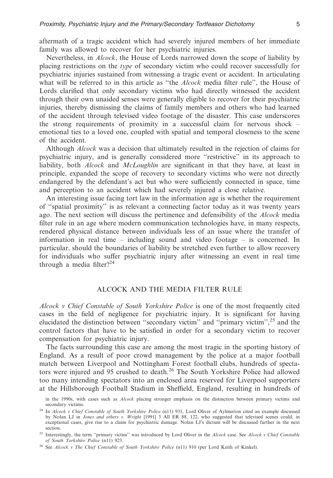aftermath of a tragic accident which had severely injured members of her immediate family was allowed to recover for her psychiatric injuries.

Nevertheless, in *Alcock*, the House of Lords narrowed down the scope of liability by placing restrictions on the *type* of secondary victim who could recover successfully for psychiatric injuries sustained from witnessing a tragic event or accident. In articulating what will be referred to in this article as ''the *Alcock* media filter rule'', the House of Lords clarified that only secondary victims who had directly witnessed the accident through their own unaided senses were generally eligible to recover for their psychiatric injuries, thereby dismissing the claims of family members and others who had learned of the accident through televised video footage of the disaster. This case underscores the strong requirements of proximity in a successful claim for nervous shock – emotional ties to a loved one, coupled with spatial and temporal closeness to the scene of the accident.

Although *Alcock* was a decision that ultimately resulted in the rejection of claims for psychiatric injury, and is generally considered more ''restrictive'' in its approach to liability, both *Alcock* and *McLoughlin* are significant in that they have, at least in principle, expanded the scope of recovery to secondary victims who were not directly endangered by the defendant's act but who were sufficiently connected in space, time and perception to an accident which had severely injured a close relative.

An interesting issue facing tort law in the information age is whether the requirement of ''spatial proximity'' is as relevant a connecting factor today as it was twenty years ago. The next section will discuss the pertinence and defensibility of the *Alcock* media filter rule in an age where modern communication technologies have, in many respects, rendered physical distance between individuals less of an issue where the transfer of information in real time – including sound and video footage – is concerned. In particular, should the boundaries of liability be stretched even further to allow recovery for individuals who suffer psychiatric injury after witnessing an event in real time through a media filter? $^{24}$ 

# ALCOCK AND THE MEDIA FILTER RULE

*Alcock v Chief Constable of South Yorkshire Police* is one of the most frequently cited cases in the field of negligence for psychiatric injury. It is significant for having elucidated the distinction between ''secondary victim'' and ''primary victim'',25 and the control factors that have to be satisfied in order for a secondary victim to recover compensation for psychiatric injury.

The facts surrounding this case are among the most tragic in the sporting history of England. As a result of poor crowd management by the police at a major football match between Liverpool and Nottingham Forest football clubs, hundreds of spectators were injured and 95 crushed to death.<sup>26</sup> The South Yorkshire Police had allowed too many intending spectators into an enclosed area reserved for Liverpool supporters at the Hillsborough Football Stadium in Sheffield, England, resulting in hundreds of

in the 1990s, with cases such as *Alcock* placing stronger emphasis on the distinction between primary victims and secondary victims.

<sup>24</sup> In *Alcock v Chief Constable of South Yorkshire Police* (n11) 931, Lord Oliver of Aylmerton cited an example discussed by Nolan LJ in *Jones and others v. Wright* [1991] 3 All ER 88, 122, who suggested that televised scenes could, in exceptional cases, give rise to a claim for psychiatric damage. Nolan LJ's dictum will be discussed further in the next section.

<sup>25</sup> Interestingly, the term ''primary victim'' was introduced by Lord Oliver in the *Alcock* case. See *Alcock v Chief Constable of South Yorkshire Police* (n11) 923.

<sup>26</sup> See *Alcock v The Chief Constable of South Yorkshire Police* (n11) 910 (per Lord Keith of Kinkel).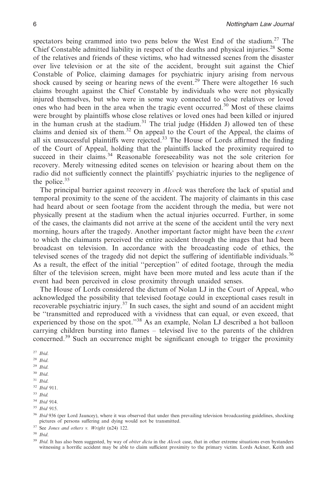spectators being crammed into two pens below the West End of the stadium.<sup>27</sup> The Chief Constable admitted liability in respect of the deaths and physical injuries.<sup>28</sup> Some of the relatives and friends of these victims, who had witnessed scenes from the disaster over live television or at the site of the accident, brought suit against the Chief Constable of Police, claiming damages for psychiatric injury arising from nervous shock caused by seeing or hearing news of the event.<sup>29</sup> There were altogether 16 such claims brought against the Chief Constable by individuals who were not physically injured themselves, but who were in some way connected to close relatives or loved ones who had been in the area when the tragic event occurred.<sup>30</sup> Most of these claims were brought by plaintiffs whose close relatives or loved ones had been killed or injured in the human crush at the stadium.<sup>31</sup> The trial judge (Hidden J) allowed ten of these claims and denied six of them.<sup>32</sup> On appeal to the Court of the Appeal, the claims of all six unsuccessful plaintiffs were rejected.<sup>33</sup> The House of Lords affirmed the finding of the Court of Appeal, holding that the plaintiffs lacked the proximity required to succeed in their claims.<sup>34</sup> Reasonable foreseeability was not the sole criterion for recovery. Merely witnessing edited scenes on television or hearing about them on the radio did not sufficiently connect the plaintiffs' psychiatric injuries to the negligence of the police.<sup>35</sup>

The principal barrier against recovery in *Alcock* was therefore the lack of spatial and temporal proximity to the scene of the accident. The majority of claimants in this case had heard about or seen footage from the accident through the media, but were not physically present at the stadium when the actual injuries occurred. Further, in some of the cases, the claimants did not arrive at the scene of the accident until the very next morning, hours after the tragedy. Another important factor might have been the *extent* to which the claimants perceived the entire accident through the images that had been broadcast on television. In accordance with the broadcasting code of ethics, the televised scenes of the tragedy did not depict the suffering of identifiable individuals.<sup>36</sup> As a result, the effect of the initial ''perception'' of edited footage, through the media filter of the television screen, might have been more muted and less acute than if the event had been perceived in close proximity through unaided senses.

The House of Lords considered the dictum of Nolan LJ in the Court of Appeal, who acknowledged the possibility that televised footage could in exceptional cases result in recoverable psychiatric injury. $37$  In such cases, the sight and sound of an accident might be ''transmitted and reproduced with a vividness that can equal, or even exceed, that experienced by those on the spot."<sup>38</sup> As an example, Nolan LJ described a hot balloon carrying children bursting into flames – televised live to the parents of the children concerned.39 Such an occurrence might be significant enough to trigger the proximity

- <sup>33</sup> *Ibid.*
- 
- <sup>34</sup> *Ibid* 914. <sup>35</sup> *Ibid* 915.

<sup>36</sup> *Ibid* 936 (per Lord Jauncey), where it was observed that under then prevailing television broadcasting guidelines, shocking pictures of persons suffering and dying would not be transmitted.

<sup>37</sup> See *Jones and others v. Wright* (n24) 122.

<sup>38</sup> *Ibid*.

<sup>39</sup> *Ibid*. It has also been suggested, by way of *obiter dicta* in the *Alcock* case, that in other extreme situations even bystanders witnessing a horrific accident may be able to claim sufficient proximity to the primary victim. Lords Ackner, Keith and

<sup>27</sup> *Ibid*.

<sup>28</sup> *Ibid*.

<sup>29</sup> *Ibid*.

<sup>30</sup> *Ibid*.

<sup>31</sup> *Ibid*. <sup>32</sup> *Ibid* 911.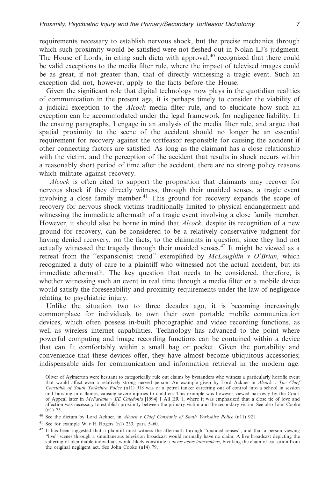requirements necessary to establish nervous shock, but the precise mechanics through which such proximity would be satisfied were not fleshed out in Nolan LJ's judgment. The House of Lords, in citing such dicta with approval,<sup>40</sup> recognized that there could be valid exceptions to the media filter rule, where the impact of televised images could be as great, if not greater than, that of directly witnessing a tragic event. Such an exception did not, however, apply to the facts before the House.

Given the significant role that digital technology now plays in the quotidian realities of communication in the present age, it is perhaps timely to consider the viability of a judicial exception to the *Alcock* media filter rule, and to elucidate how such an exception can be accommodated under the legal framework for negligence liability. In the ensuing paragraphs, I engage in an analysis of the media filter rule, and argue that spatial proximity to the scene of the accident should no longer be an essential requirement for recovery against the tortfeasor responsible for causing the accident if other connecting factors are satisfied. As long as the claimant has a close relationship with the victim, and the perception of the accident that results in shock occurs within a reasonably short period of time after the accident, there are no strong policy reasons which militate against recovery.

*Alcock* is often cited to support the proposition that claimants may recover for nervous shock if they directly witness, through their unaided senses, a tragic event involving a close family member.<sup>41</sup> This ground for recovery expands the scope of recovery for nervous shock victims traditionally limited to physical endangerment and witnessing the immediate aftermath of a tragic event involving a close family member. However, it should also be borne in mind that *Alcock*, despite its recognition of a new ground for recovery, can be considered to be a relatively conservative judgment for having denied recovery, on the facts, to the claimants in question, since they had not actually witnessed the tragedy through their unaided senses.<sup>42</sup> It might be viewed as a retreat from the ''expansionist trend'' exemplified by *McLoughlin v O'Brian*, which recognized a duty of care to a plaintiff who witnessed not the actual accident, but its immediate aftermath. The key question that needs to be considered, therefore, is whether witnessing such an event in real time through a media filter or a mobile device would satisfy the foreseeability and proximity requirements under the law of negligence relating to psychiatric injury.

Unlike the situation two to three decades ago, it is becoming increasingly commonplace for individuals to own their own portable mobile communication devices, which often possess in-built photographic and video recording functions, as well as wireless internet capabilities. Technology has advanced to the point where powerful computing and image recording functions can be contained within a device that can fit comfortably within a small bag or pocket. Given the portability and convenience that these devices offer, they have almost become ubiquitous accessories; indispensable aids for communication and information retrieval in the modern age.

Oliver of Aylmerton were hesitant to categorically rule out claims by bystanders who witness a particularly horrific event that would affect even a relatively strong nerved person. An example given by Lord Ackner in *Alcock v The Chief Constable of South Yorkshire Police* (n11) 918 was of a petrol tanker careering out of control into a school in session and bursting into flames, causing severe injuries to children. This example was however viewed narrowly by the Court of Appeal later in *McFarlane v EE Caledonia* [1994] 1 All ER 1, where it was emphasized that a close tie of love and affection was necessary to establish proximity between the primary victim and the secondary victim. See also John Cooke (n1) 75.

<sup>40</sup> See the dictum by Lord Ackner, in *Alcock v Chief Constable of South Yorkshire Police* (n11) 921.

<sup>41</sup> See for example W *v* H Rogers (n1) 233, para 5–60.

<sup>42</sup> It has been suggested that a plaintiff must witness the aftermath through "unaided senses", and that a person viewing ''live'' scenes through a simultaneous television broadcast would normally have no claim. A live broadcast depicting the suffering of identifiable individuals would likely constitute a *novus actus interveniens*, breaking the chain of causation from the original negligent act. See John Cooke (n14) 79.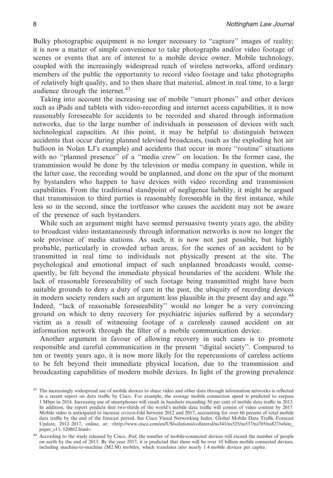Bulky photographic equipment is no longer necessary to ''capture'' images of reality; it is now a matter of simple convenience to take photographs and/or video footage of scenes or events that are of interest to a mobile device owner. Mobile technology, coupled with the increasingly widespread reach of wireless networks, afford ordinary members of the public the opportunity to record video footage and take photographs of relatively high quality, and to then share that material, almost in real time, to a large audience through the internet.<sup>43</sup>

Taking into account the increasing use of mobile ''smart phones'' and other devices such as iPads and tablets with video-recording and internet access capabilities, it is now reasonably foreseeable for accidents to be recorded and shared through information networks, due to the large number of individuals in possession of devices with such technological capacities. At this point, it may be helpful to distinguish between accidents that occur during planned televised broadcasts, (such as the exploding hot air balloon in Nolan LJ's example) and accidents that occur in more ''routine'' situations with no ''planned presence'' of a ''media crew'' on location. In the former case, the transmission would be done by the television or media company in question, while in the latter case, the recording would be unplanned, and done on the spur of the moment by bystanders who happen to have devices with video recording and transmission capabilities. From the traditional standpoint of negligence liability, it might be argued that transmission to third parties is reasonably foreseeable in the first instance, while less so in the second, since the tortfeasor who causes the accident may not be aware of the presence of such bystanders.

While such an argument might have seemed persuasive twenty years ago, the ability to broadcast video instantaneously through information networks is now no longer the sole province of media stations. As such, it is now not just possible, but highly probable, particularly in crowded urban areas, for the scenes of an accident to be transmitted in real time to individuals not physically present at the site. The psychological and emotional impact of such unplanned broadcasts would, consequently, be felt beyond the immediate physical boundaries of the accident. While the lack of reasonable foreseeability of such footage being transmitted might have been suitable grounds to deny a duty of care in the past, the ubiquity of recording devices in modern society renders such an argument less plausible in the present day and age.<sup>44</sup> Indeed, ''lack of reasonable foreseeability'' would no longer be a very convincing ground on which to deny recovery for psychiatric injuries suffered by a secondary victim as a result of witnessing footage of a carelessly caused accident on an information network through the filter of a mobile communication device.

Another argument in favour of allowing recovery in such cases is to promote responsible and careful communication in the present ''digital society''. Compared to ten or twenty years ago, it is now more likely for the repercussions of careless actions to be felt beyond their immediate physical location, due to the transmission and broadcasting capabilities of modern mobile devices. In light of the growing prevalence

<sup>&</sup>lt;sup>43</sup> The increasingly widespread use of mobile devices to share video and other data through information networks is reflected in a recent report on data traffic by Cisco. For example, the average mobile connection speed is predicted to surpass 1 Mbps in 2014. Increasing use of smartphones will result in handsets exceeding 50 per cent of mobile data traffic in 2013. In addition, the report predicts that two-thirds of the world's mobile data traffic will consist of video content by 2017. Mobile video is anticipated to increase *sixteen*-fold between 2012 and 2017, accounting for over 66 percent of total mobile data traffic by the end of the forecast period. See Cisco Visual Networking Index: Global Mobile Data Traffic Forecast Update, 2012–2017, online, at: <http://www.cisco.com/en/US/solutions/collateral/ns341/ns525/ns537/ns705/ns827/white\_ paper\_c11–520862.html>.

<sup>44</sup> According to the study released by Cisco, *Ibid*, the number of mobile-connected devices will exceed the number of people on earth by the end of 2013. By the year 2017, it is predicted that there will be over 10 billion mobile connected devices, including machine-to-machine (M2 M) mobiles, which translates into nearly 1.4 mobile devices per capita.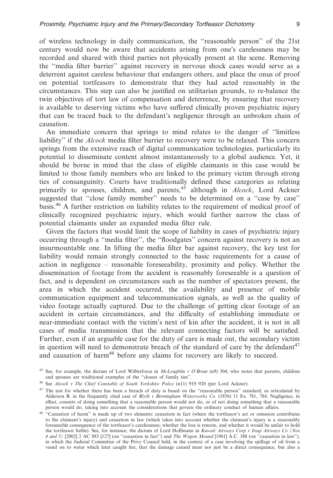of wireless technology in daily communication, the ''reasonable person'' of the 21st century would now be aware that accidents arising from one's carelessness may be recorded and shared with third parties not physically present at the scene. Removing the ''media filter barrier'' against recovery in nervous shock cases would serve as a deterrent against careless behaviour that endangers others, and place the onus of proof on potential tortfeasors to demonstrate that they had acted reasonably in the circumstances. This step can also be justified on utilitarian grounds, to re-balance the twin objectives of tort law of compensation and deterrence, by ensuring that recovery is available to deserving victims who have suffered clinically proven psychiatric injury that can be traced back to the defendant's negligence through an unbroken chain of causation.

An immediate concern that springs to mind relates to the danger of ''limitless liability'' if the *Alcock* media filter barrier to recovery were to be relaxed. This concern springs from the extensive reach of digital communication technologies, particularly its potential to disseminate content almost instantaneously to a global audience. Yet, it should be borne in mind that the class of eligible claimants in this case would be limited to those family members who are linked to the primary victim through strong ties of consanguinity. Courts have traditionally defined these categories as relating primarily to spouses, children, and parents,<sup>45</sup> although in *Alcock*, Lord Ackner suggested that ''close family member'' needs to be determined on a ''case by case'' basis.<sup>46</sup> A further restriction on liability relates to the requirement of medical proof of clinically recognized psychiatric injury, which would further narrow the class of potential claimants under an expanded media filter rule.

Given the factors that would limit the scope of liability in cases of psychiatric injury occurring through a ''media filter'', the ''floodgates'' concern against recovery is not an insurmountable one. In lifting the media filter bar against recovery, the key test for liability would remain strongly connected to the basic requirements for a cause of action in negligence – reasonable foreseeability, proximity and policy. Whether the dissemination of footage from the accident is reasonably foreseeable is a question of fact, and is dependent on circumstances such as the number of spectators present, the area in which the accident occurred, the availability and presence of mobile communication equipment and telecommunication signals, as well as the quality of video footage actually captured. Due to the challenge of getting clear footage of an accident in certain circumstances, and the difficulty of establishing immediate or near-immediate contact with the victim's next of kin after the accident, it is not in all cases of media transmission that the relevant connecting factors will be satisfied. Further, even if an arguable case for the duty of care is made out, the secondary victim in question will need to demonstrate breach of the standard of care by the defendant  $47$ and causation of harm<sup>48</sup> before any claims for recovery are likely to succeed.

<sup>45</sup> See, for example, the dictum of Lord Wilberforce in *McLoughlin v O'Brian* (n9) 304, who notes that parents, children and spouses are traditional examples of the ''closest of family ties''.

<sup>46</sup> See *Alcock v The Chief Constable of South Yorkshire Police* (n11) 919–920 (per Lord Ackner).

<sup>&</sup>lt;sup>47</sup> The test for whether there has been a breach of duty is based on the "reasonable person" standard, as articulated by Alderson B. in the frequently cited case of *Blyth v Birmingham Waterworks Co.* (1856) 11 Ex. 781, 784. Negligence, in effect, consists of doing something that a reasonable person would not do, or of not doing something that a reasonable person would do, taking into account the considerations that govern the ordinary conduct of human affairs.

<sup>&</sup>lt;sup>48</sup> "Causation of harm" is made up of two elements: causation in fact (where the tortfeasor's act or omission contributes to the claimant's injury) and causation in law (which takes into account whether the claimant's injury is a reasonably foreseeable consequence of the tortfeasor's carelessness; whether the loss is remote, and whether it would be unfair to hold the tortfeasor liable). See, for instance, the dictum of Lord Hoffmann in *Kuwait Airways Corp v Iraqi Airways Co (Nos 4 and 5)* [2002] 2 AC 883 [127] (on ''causation in fact'') and *The Wagon Mound* [1961] A.C. 388 (on ''causation in law''), in which the Judicial Committee of the Privy Council held, in the context of a case involving the spillage of oil from a vessel on to water which later caught fire, that the damage caused must not just be a direct consequence, but also a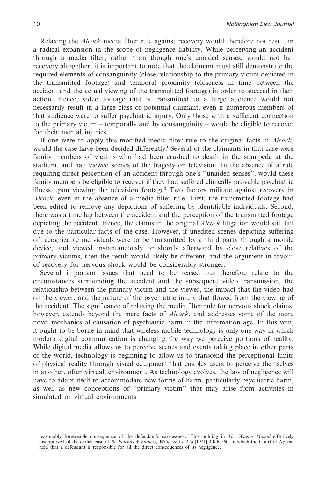Relaxing the *Alcock* media filter rule against recovery would therefore not result in a radical expansion in the scope of negligence liability. While perceiving an accident through a media filter, rather than though one's unaided senses, would not bar recovery altogether, it is important to note that the claimant must still demonstrate the required elements of consanguinity (close relationship to the primary victim depicted in the transmitted footage) and temporal proximity (closeness in time between the accident and the actual viewing of the transmitted footage) in order to succeed in their action. Hence, video footage that is transmitted to a large audience would not necessarily result in a large class of potential claimant, even if numerous members of that audience were to suffer psychiatric injury. Only those with a sufficient connection to the primary victim – temporally and by consanguinity – would be eligible to recover for their mental injuries.

If one were to apply this modified media filter rule to the original facts in *Alcock*, would the case have been decided differently? Several of the claimants in that case were family members of victims who had been crushed to death in the stampede at the stadium, and had viewed scenes of the tragedy on television. In the absence of a rule requiring direct perception of an accident through one's ''unaided senses'', would these family members be eligible to recover if they had suffered clinically provable psychiatric illness upon viewing the television footage? Two factors militate against recovery in *Alcock*, even in the absence of a media filter rule. First, the transmitted footage had been edited to remove any depictions of suffering by identifiable individuals. Second, there was a time lag between the accident and the perception of the transmitted footage depicting the accident. Hence, the claims in the original *Alcock* litigation would still fail due to the particular facts of the case. However, if unedited scenes depicting suffering of recognizable individuals were to be transmitted by a third party through a mobile device, and viewed instantaneously or shortly afterward by close relatives of the primary victims, then the result would likely be different, and the argument in favour of recovery for nervous shock would be considerably stronger.

Several important issues that need to be teased out therefore relate to the circumstances surrounding the accident and the subsequent video transmission, the relationship between the primary victim and the viewer, the impact that the video had on the viewer, and the nature of the psychiatric injury that flowed from the viewing of the accident. The significance of relaxing the media filter rule for nervous shock claims, however, extends beyond the mere facts of *Alcock*, and addresses some of the more novel mechanics of causation of psychiatric harm in the information age. In this vein, it ought to be borne in mind that wireless mobile technology is only one way in which modern digital communication is changing the way we perceive portions of reality. While digital media allows us to perceive scenes and events taking place in other parts of the world, technology is beginning to allow us to transcend the perceptional limits of physical reality through visual equipment that enables users to perceive themselves in another, often virtual, environment. As technology evolves, the law of negligence will have to adapt itself to accommodate new forms of harm, particularly psychiatric harm, as well as new conceptions of ''primary victim'' that may arise from activities in simulated or virtual environments.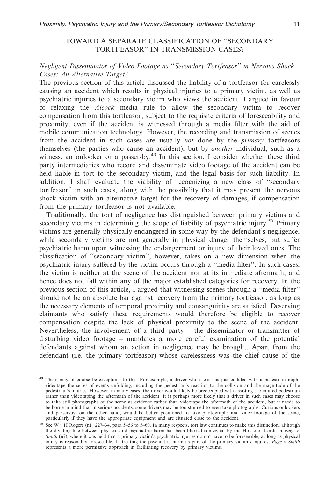# TOWARD A SEPARATE CLASSIFICATION OF ''SECONDARY TORTFEASOR'' IN TRANSMISSION CASES?

# *Negligent Disseminator of Video Footage as ''Secondary Tortfeasor'' in Nervous Shock Cases: An Alternative Target?*

The previous section of this article discussed the liability of a tortfeasor for carelessly causing an accident which results in physical injuries to a primary victim, as well as psychiatric injuries to a secondary victim who views the accident. I argued in favour of relaxing the *Alcock* media rule to allow the secondary victim to recover compensation from this tortfeasor, subject to the requisite criteria of foreseeability and proximity, even if the accident is witnessed through a media filter with the aid of mobile communication technology. However, the recording and transmission of scenes from the accident in such cases are usually *not* done by the *primary* tortfeasors themselves (the parties who cause an accident), but by *another* individual, such as a witness, an onlooker or a passer-by.<sup>49</sup> In this section, I consider whether these third party intermediaries who record and disseminate video footage of the accident can be held liable in tort to the secondary victim, and the legal basis for such liability. In addition, I shall evaluate the viability of recognizing a new class of ''secondary tortfeasor'' in such cases, along with the possibility that it may present the nervous shock victim with an alternative target for the recovery of damages, if compensation from the primary tortfeasor is not available.

Traditionally, the tort of negligence has distinguished between primary victims and secondary victims in determining the scope of liability of psychiatric injury.<sup>50</sup> Primary victims are generally physically endangered in some way by the defendant's negligence, while secondary victims are not generally in physical danger themselves, but suffer psychiatric harm upon witnessing the endangerment or injury of their loved ones. The classification of ''secondary victim'', however, takes on a new dimension when the psychiatric injury suffered by the victim occurs through a ''media filter''. In such cases, the victim is neither at the scene of the accident nor at its immediate aftermath, and hence does not fall within any of the major established categories for recovery. In the previous section of this article, I argued that witnessing scenes through a ''media filter'' should not be an absolute bar against recovery from the primary tortfeasor, as long as the necessary elements of temporal proximity and consanguinity are satisfied. Deserving claimants who satisfy these requirements would therefore be eligible to recover compensation despite the lack of physical proximity to the scene of the accident. Nevertheless, the involvement of a third party – the disseminator or transmitter of disturbing video footage – mandates a more careful examination of the potential defendants against whom an action in negligence may be brought. Apart from the defendant (i.e. the primary tortfeasor) whose carelessness was the chief cause of the

<sup>&</sup>lt;sup>49</sup> There may of course be exceptions to this. For example, a driver whose car has just collided with a pedestrian might videotape the series of events unfolding, including the pedestrian's reaction to the collision and the magnitude of the pedestrian's injuries. However, in many cases, the driver would likely be preoccupied with assisting the injured pedestrian rather than videotaping the aftermath of the accident. It is perhaps more likely that a driver in such cases may choose to take still photographs of the scene as evidence rather than videotape the aftermath of the accident, but it needs to be borne in mind that in serious accidents, some drivers may be too stunned to even take photographs. Curious onlookers and passersby, on the other hand, would be better positioned to take photographs and video-footage of the scene, particularly if they have the appropriate equipment and are situated close to the accident.

<sup>50</sup> See W *v* H Rogers (n1) 227–34, para 5–56 to 5–60. In many respects, tort law continues to make this distinction, although the dividing line between physical and psychiatric harm has been blurred somewhat by the House of Lords in *Page v. Smith* (n7), where it was held that a primary victim's psychiatric injuries do not have to be foreseeable, as long as physical injury is reasonably foreseeable. In treating the psychiatric harm as part of the primary victim's injuries, *Page v Smith* represents a more permissive approach in facilitating recovery by primary victims.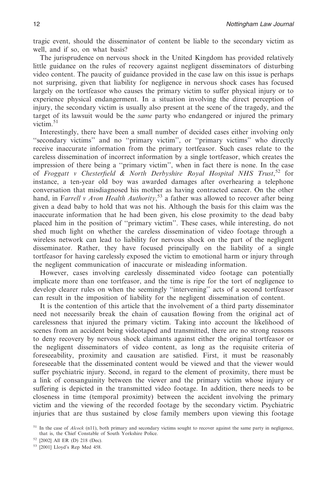tragic event, should the disseminator of content be liable to the secondary victim as well, and if so, on what basis?

The jurisprudence on nervous shock in the United Kingdom has provided relatively little guidance on the rules of recovery against negligent disseminators of disturbing video content. The paucity of guidance provided in the case law on this issue is perhaps not surprising, given that liability for negligence in nervous shock cases has focused largely on the tortfeasor who causes the primary victim to suffer physical injury or to experience physical endangerment. In a situation involving the direct perception of injury, the secondary victim is usually also present at the scene of the tragedy, and the target of its lawsuit would be the *same* party who endangered or injured the primary victim. $51$ 

Interestingly, there have been a small number of decided cases either involving only ''secondary victims'' and no ''primary victim'', or ''primary victims'' who directly receive inaccurate information from the primary tortfeasor. Such cases relate to the careless dissemination of incorrect information by a single tortfeasor, which creates the impression of there being a ''primary victim'', when in fact there is none. In the case of Froggatt v Chesterfield & North Derbyshire Royal Hospital NHS Trust,<sup>52</sup> for instance, a ten-year old boy was awarded damages after overhearing a telephone conversation that misdiagnosed his mother as having contracted cancer. On the other hand, in F*arrell v Avon Health Authority*, <sup>53</sup> a father was allowed to recover after being given a dead baby to hold that was not his. Although the basis for this claim was the inaccurate information that he had been given, his close proximity to the dead baby placed him in the position of ''primary victim''. These cases, while interesting, do not shed much light on whether the careless dissemination of video footage through a wireless network can lead to liability for nervous shock on the part of the negligent disseminator. Rather, they have focused principally on the liability of a single tortfeasor for having carelessly exposed the victim to emotional harm or injury through the negligent communication of inaccurate or misleading information.

However, cases involving carelessly disseminated video footage can potentially implicate more than one tortfeasor, and the time is ripe for the tort of negligence to develop clearer rules on when the seemingly ''intervening'' acts of a second tortfeasor can result in the imposition of liability for the negligent dissemination of content.

It is the contention of this article that the involvement of a third party disseminator need not necessarily break the chain of causation flowing from the original act of carelessness that injured the primary victim. Taking into account the likelihood of scenes from an accident being videotaped and transmitted, there are no strong reasons to deny recovery by nervous shock claimants against either the original tortfeasor or the negligent disseminators of video content, as long as the requisite criteria of foreseeability, proximity and causation are satisfied. First, it must be reasonably foreseeable that the disseminated content would be viewed and that the viewer would suffer psychiatric injury. Second, in regard to the element of proximity, there must be a link of consanguinity between the viewer and the primary victim whose injury or suffering is depicted in the transmitted video footage. In addition, there needs to be closeness in time (temporal proximity) between the accident involving the primary victim and the viewing of the recorded footage by the secondary victim. Psychiatric injuries that are thus sustained by close family members upon viewing this footage

<sup>51</sup> In the case of *Alcock* (n11), both primary and secondary victims sought to recover against the same party in negligence, that is, the Chief Constable of South Yorkshire Police.

<sup>52</sup> [2002] All ER (D) 218 (Dec).

<sup>53</sup> [2001] Lloyd's Rep Med 458.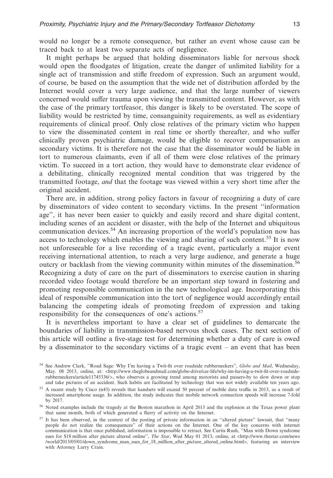would no longer be a remote consequence, but rather an event whose cause can be traced back to at least two separate acts of negligence.

It might perhaps be argued that holding disseminators liable for nervous shock would open the floodgates of litigation, create the danger of unlimited liability for a single act of transmission and stifle freedom of expression. Such an argument would, of course, be based on the assumption that the wide net of distribution afforded by the Internet would cover a very large audience, and that the large number of viewers concerned would suffer trauma upon viewing the transmitted content. However, as with the case of the primary tortfeasor, this danger is likely to be overstated. The scope of liability would be restricted by time, consanguinity requirements, as well as evidentiary requirements of clinical proof. Only close relatives of the primary victim who happen to view the disseminated content in real time or shortly thereafter, and who suffer clinically proven psychiatric damage, would be eligible to recover compensation as secondary victims. It is therefore not the case that the disseminator would be liable in tort to numerous claimants, even if all of them were close relatives of the primary victim. To succeed in a tort action, they would have to demonstrate clear evidence of a debilitating, clinically recognized mental condition that was triggered by the transmitted footage, *and* that the footage was viewed within a very short time after the original accident.

There are, in addition, strong policy factors in favour of recognizing a duty of care by disseminators of video content to secondary victims. In the present ''information age'', it has never been easier to quickly and easily record and share digital content, including scenes of an accident or disaster, with the help of the Internet and ubiquitous communication devices.<sup>54</sup> An increasing proportion of the world's population now has access to technology which enables the viewing and sharing of such content.<sup>55</sup> It is now not unforeseeable for a live recording of a tragic event, particularly a major event receiving international attention, to reach a very large audience, and generate a huge outcry or backlash from the viewing community within minutes of the dissemination.<sup>56</sup> Recognizing a duty of care on the part of disseminators to exercise caution in sharing recorded video footage would therefore be an important step toward in fostering and promoting responsible communication in the new technological age. Incorporating this ideal of responsible communication into the tort of negligence would accordingly entail balancing the competing ideals of promoting freedom of expression and taking responsibility for the consequences of one's actions.<sup>57</sup>

It is nevertheless important to have a clear set of guidelines to demarcate the boundaries of liability in transmission-based nervous shock cases. The next section of this article will outline a five-stage test for determining whether a duty of care is owed by a disseminator to the secondary victims of a tragic event – an event that has been

<sup>54</sup> See Andrew Clark, ''Road Sage: Why I'm having a Twit-fit over roadside rubberneckers'', *Globe and Mail*, Wednesday, May. 08 2013, online, at: <http://www.theglobeandmail.com/globe-drive/car-life/why-im-having-a-twit-fit-over-roadsiderubberneckers/article11745336/>, who observes a growing trend among motorists and passers-by to slow down or stop and take pictures of an accident. Such habits are facilitated by technology that was not widely available ten years ago.

<sup>55</sup> A recent study by Cisco (n43) reveals that handsets will exceed 50 percent of mobile data traffic in 2013, as a result of increased smartphone usage. In addition, the study indicates that mobile network connection speeds will increase 7-fold by 2017.

<sup>56</sup> Noted examples include the tragedy at the Boston marathon in April 2013 and the explosion at the Texas power plant that same month, both of which generated a flurry of activity on the Internet.

<sup>57</sup> It has been observed, in the context of the posting of private information in an ''altered picture'' lawsuit, that ''many people do not realize the consequences'' of their actions on the Internet. One of the key concerns with internet communication is that once published, information is impossible to retract. See Curtis Rush, ''Man with Down syndrome sues for \$18 million after picture altered online'', *The Star*, Wed May 01 2013, online, at <http://www.thestar.com/news /world/2013/05/01/down\_syndrome\_man\_sues\_for\_18\_million\_after\_picture\_altered\_online.html>, featuring an interview with Attorney Larry Crain.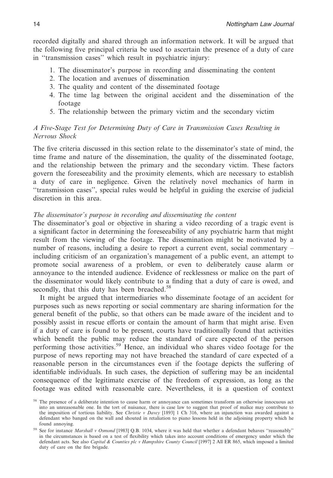recorded digitally and shared through an information network. It will be argued that the following five principal criteria be used to ascertain the presence of a duty of care in ''transmission cases'' which result in psychiatric injury:

- 1. The disseminator's purpose in recording and disseminating the content
- 2. The location and avenues of dissemination
- 3. The quality and content of the disseminated footage
- 4. The time lag between the original accident and the dissemination of the footage
- 5. The relationship between the primary victim and the secondary victim

# *A Five-Stage Test for Determining Duty of Care in Transmission Cases Resulting in Nervous Shock*

The five criteria discussed in this section relate to the disseminator's state of mind, the time frame and nature of the dissemination, the quality of the disseminated footage, and the relationship between the primary and the secondary victim. These factors govern the foreseeability and the proximity elements, which are necessary to establish a duty of care in negligence. Given the relatively novel mechanics of harm in ''transmission cases'', special rules would be helpful in guiding the exercise of judicial discretion in this area.

### *The disseminator's purpose in recording and disseminating the content*

The disseminator's goal or objective in sharing a video recording of a tragic event is a significant factor in determining the foreseeability of any psychiatric harm that might result from the viewing of the footage. The dissemination might be motivated by a number of reasons, including a desire to report a current event, social commentary – including criticism of an organization's management of a public event, an attempt to promote social awareness of a problem, or even to deliberately cause alarm or annoyance to the intended audience. Evidence of recklessness or malice on the part of the disseminator would likely contribute to a finding that a duty of care is owed, and secondly, that this duty has been breached.<sup>58</sup>

It might be argued that intermediaries who disseminate footage of an accident for purposes such as news reporting or social commentary are sharing information for the general benefit of the public, so that others can be made aware of the incident and to possibly assist in rescue efforts or contain the amount of harm that might arise. Even if a duty of care is found to be present, courts have traditionally found that activities which benefit the public may reduce the standard of care expected of the person performing those activities.<sup>59</sup> Hence, an individual who shares video footage for the purpose of news reporting may not have breached the standard of care expected of a reasonable person in the circumstances even if the footage depicts the suffering of identifiable individuals. In such cases, the depiction of suffering may be an incidental consequence of the legitimate exercise of the freedom of expression, as long as the footage was edited with reasonable care. Nevertheless, it is a question of context

<sup>&</sup>lt;sup>58</sup> The presence of a deliberate intention to cause harm or annoyance can sometimes transform an otherwise innocuous act into an unreasonable one. In the tort of nuisance, there is case law to suggest that proof of malice may contribute to the imposition of tortious liability. See *Christie v Davey* [1893] 1 Ch 316, where an injunction was awarded against a defendant who banged on the wall and shouted in retaliation to piano lessons held in the adjoining property which he found annoying.

<sup>59</sup> See for instance *Marshall v Osmond* [1983] Q.B. 1034, where it was held that whether a defendant behaves ''reasonably'' in the circumstances is based on a test of flexibility which takes into account conditions of emergency under which the defendant acts. See also *Capital & Counties plc v Hampshire County Council* [1997] 2 All ER 865, which imposed a limited duty of care on the fire brigade.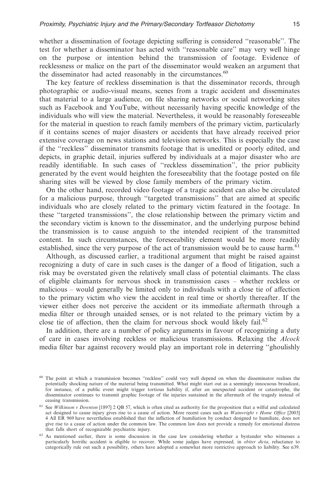whether a dissemination of footage depicting suffering is considered ''reasonable''. The test for whether a disseminator has acted with ''reasonable care'' may very well hinge on the purpose or intention behind the transmission of footage. Evidence of recklessness or malice on the part of the disseminator would weaken an argument that the disseminator had acted reasonably in the circumstances.<sup>60</sup>

The key feature of reckless dissemination is that the disseminator records, through photographic or audio-visual means, scenes from a tragic accident and disseminates that material to a large audience, on file sharing networks or social networking sites such as Facebook and YouTube, without necessarily having specific knowledge of the individuals who will view the material. Nevertheless, it would be reasonably foreseeable for the material in question to reach family members of the primary victim, particularly if it contains scenes of major disasters or accidents that have already received prior extensive coverage on news stations and television networks. This is especially the case if the ''reckless'' disseminator transmits footage that is unedited or poorly edited, and depicts, in graphic detail, injuries suffered by individuals at a major disaster who are readily identifiable. In such cases of ''reckless dissemination'', the prior publicity generated by the event would heighten the foreseeability that the footage posted on file sharing sites will be viewed by close family members of the primary victim.

On the other hand, recorded video footage of a tragic accident can also be circulated for a malicious purpose, through ''targeted transmissions'' that are aimed at specific individuals who are closely related to the primary victim featured in the footage. In these ''targeted transmissions'', the close relationship between the primary victim and the secondary victim is known to the disseminator, and the underlying purpose behind the transmission is to cause anguish to the intended recipient of the transmitted content. In such circumstances, the foreseeability element would be more readily established, since the very purpose of the act of transmission would be to cause harm.<sup>61</sup>

Although, as discussed earlier, a traditional argument that might be raised against recognizing a duty of care in such cases is the danger of a flood of litigation, such a risk may be overstated given the relatively small class of potential claimants. The class of eligible claimants for nervous shock in transmission cases – whether reckless or malicious – would generally be limited only to individuals with a close tie of affection to the primary victim who view the accident in real time or shortly thereafter. If the viewer either does not perceive the accident or its immediate aftermath through a media filter or through unaided senses, or is not related to the primary victim by a close tie of affection, then the claim for nervous shock would likely fail.<sup>62</sup>

In addition, there are a number of policy arguments in favour of recognizing a duty of care in cases involving reckless or malicious transmissions. Relaxing the *Alcock* media filter bar against recovery would play an important role in deterring ''ghoulishly

<sup>60</sup> The point at which a transmission becomes ''reckless'' could very well depend on when the disseminator realises the potentially shocking nature of the material being transmitted. What might start out as a seemingly innocuous broadcast, for instance, of a public event might trigger tortious liability if, after an unexpected accident or catastrophe, the disseminator continues to transmit graphic footage of the injuries sustained in the aftermath of the tragedy instead of ceasing transmission.

<sup>61</sup> See *Wilkinson v Downton* [1897] 2 QB 57, which is often cited as authority for the proposition that a wilful and calculated act designed to cause injury gives rise to a cause of action. More recent cases such as *Wainwright v Home Office* [2003] 4 All ER 969 have nevertheless established that the infliction of humiliation by conduct designed to humiliate, does not give rise to a cause of action under the common law. The common law does not provide a remedy for emotional distress that falls short of recognizable psychiatric injury.

<sup>&</sup>lt;sup>62</sup> As mentioned earlier, there is some discussion in the case law considering whether a bystander who witnesses a particularly horrific accident is eligible to recover. While some judges have expressed*,* in *obiter dicta*, reluctance to categorically rule out such a possibility, others have adopted a somewhat more restrictive approach to liability. See n39.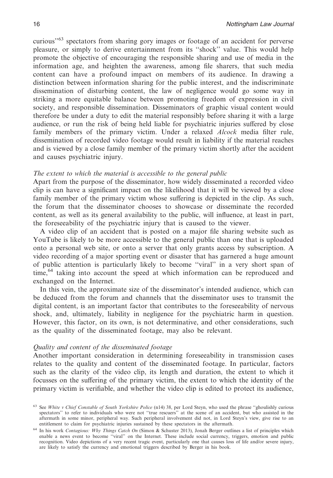curious''63 spectators from sharing gory images or footage of an accident for perverse pleasure, or simply to derive entertainment from its ''shock'' value. This would help promote the objective of encouraging the responsible sharing and use of media in the information age, and heighten the awareness, among file sharers, that such media content can have a profound impact on members of its audience. In drawing a distinction between information sharing for the public interest, and the indiscriminate dissemination of disturbing content, the law of negligence would go some way in striking a more equitable balance between promoting freedom of expression in civil society, and responsible dissemination. Disseminators of graphic visual content would therefore be under a duty to edit the material responsibly before sharing it with a large audience, or run the risk of being held liable for psychiatric injuries suffered by close family members of the primary victim. Under a relaxed *Alcock* media filter rule, dissemination of recorded video footage would result in liability if the material reaches and is viewed by a close family member of the primary victim shortly after the accident and causes psychiatric injury.

# *The extent to which the material is accessible to the general public*

Apart from the purpose of the disseminator, how widely disseminated a recorded video clip is can have a significant impact on the likelihood that it will be viewed by a close family member of the primary victim whose suffering is depicted in the clip. As such, the forum that the disseminator chooses to showcase or disseminate the recorded content, as well as its general availability to the public, will influence, at least in part, the foreseeability of the psychiatric injury that is caused to the viewer.

A video clip of an accident that is posted on a major file sharing website such as YouTube is likely to be more accessible to the general public than one that is uploaded onto a personal web site, or onto a server that only grants access by subscription. A video recording of a major sporting event or disaster that has garnered a huge amount of public attention is particularly likely to become ''viral'' in a very short span of time,<sup>64</sup> taking into account the speed at which information can be reproduced and exchanged on the Internet.

In this vein, the approximate size of the disseminator's intended audience, which can be deduced from the forum and channels that the disseminator uses to transmit the digital content, is an important factor that contributes to the foreseeability of nervous shock, and, ultimately, liability in negligence for the psychiatric harm in question. However, this factor, on its own, is not determinative, and other considerations, such as the quality of the disseminated footage, may also be relevant.

# *Quality and content of the disseminated footage*

Another important consideration in determining foreseeability in transmission cases relates to the quality and content of the disseminated footage. In particular, factors such as the clarity of the video clip, its length and duration, the extent to which it focusses on the suffering of the primary victim, the extent to which the identity of the primary victim is verifiable, and whether the video clip is edited to protect its audience,

<sup>63</sup> See *White v Chief Constable of South Yorkshire Police* (n14) 38, per Lord Steyn, who used the phrase ''ghoulishly curious spectators'' to refer to individuals who were not ''true rescuers'' at the scene of an accident, but who assisted in the aftermath in some minor, peripheral way. Such peripheral involvement did not, in Lord Steyn's view, give rise to an entitlement to claim for psychiatric injuries sustained by these spectators in the aftermath.

<sup>64</sup> In his work *Contagious: Why Things Catch On* (Simon & Schuster 2013), Jonah Berger outlines a list of principles which enable a news event to become ''viral'' on the Internet. These include social currency, triggers, emotion and public recognition. Video depictions of a very recent tragic event, particularly one that causes loss of life and/or severe injury, are likely to satisfy the currency and emotional triggers described by Berger in his book.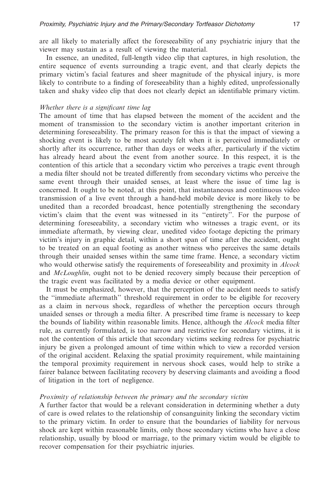are all likely to materially affect the foreseeability of any psychiatric injury that the viewer may sustain as a result of viewing the material.

In essence, an unedited, full-length video clip that captures, in high resolution, the entire sequence of events surrounding a tragic event, and that clearly depicts the primary victim's facial features and sheer magnitude of the physical injury, is more likely to contribute to a finding of foreseeability than a highly edited, unprofessionally taken and shaky video clip that does not clearly depict an identifiable primary victim.

#### *Whether there is a significant time lag*

The amount of time that has elapsed between the moment of the accident and the moment of transmission to the secondary victim is another important criterion in determining foreseeability. The primary reason for this is that the impact of viewing a shocking event is likely to be most acutely felt when it is perceived immediately or shortly after its occurrence, rather than days or weeks after, particularly if the victim has already heard about the event from another source. In this respect, it is the contention of this article that a secondary victim who perceives a tragic event through a media filter should not be treated differently from secondary victims who perceive the same event through their unaided senses, at least where the issue of time lag is concerned. It ought to be noted, at this point, that instantaneous and continuous video transmission of a live event through a hand-held mobile device is more likely to be unedited than a recorded broadcast, hence potentially strengthening the secondary victim's claim that the event was witnessed in its ''entirety''. For the purpose of determining foreseeability, a secondary victim who witnesses a tragic event, or its immediate aftermath, by viewing clear, unedited video footage depicting the primary victim's injury in graphic detail, within a short span of time after the accident, ought to be treated on an equal footing as another witness who perceives the same details through their unaided senses within the same time frame. Hence, a secondary victim who would otherwise satisfy the requirements of foreseeability and proximity in *Alcock* and *McLoughlin*, ought not to be denied recovery simply because their perception of the tragic event was facilitated by a media device or other equipment.

It must be emphasized, however, that the perception of the accident needs to satisfy the ''immediate aftermath'' threshold requirement in order to be eligible for recovery as a claim in nervous shock, regardless of whether the perception occurs through unaided senses or through a media filter. A prescribed time frame is necessary to keep the bounds of liability within reasonable limits. Hence, although the *Alcock* media filter rule, as currently formulated, is too narrow and restrictive for secondary victims, it is not the contention of this article that secondary victims seeking redress for psychiatric injury be given a prolonged amount of time within which to view a recorded version of the original accident. Relaxing the spatial proximity requirement, while maintaining the temporal proximity requirement in nervous shock cases, would help to strike a fairer balance between facilitating recovery by deserving claimants and avoiding a flood of litigation in the tort of negligence.

#### *Proximity of relationship between the primary and the secondary victim*

A further factor that would be a relevant consideration in determining whether a duty of care is owed relates to the relationship of consanguinity linking the secondary victim to the primary victim. In order to ensure that the boundaries of liability for nervous shock are kept within reasonable limits, only those secondary victims who have a close relationship, usually by blood or marriage, to the primary victim would be eligible to recover compensation for their psychiatric injuries.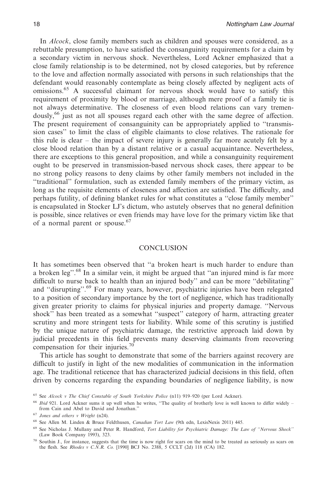In *Alcock*, close family members such as children and spouses were considered, as a rebuttable presumption, to have satisfied the consanguinity requirements for a claim by a secondary victim in nervous shock. Nevertheless, Lord Ackner emphasized that a close family relationship is to be determined, not by closed categories, but by reference to the love and affection normally associated with persons in such relationships that the defendant would reasonably contemplate as being closely affected by negligent acts of omissions.<sup>65</sup> A successful claimant for nervous shock would have to satisfy this requirement of proximity by blood or marriage, although mere proof of a family tie is not always determinative. The closeness of even blood relations can vary tremendously,<sup>66</sup> just as not all spouses regard each other with the same degree of affection. The present requirement of consanguinity can be appropriately applied to ''transmission cases'' to limit the class of eligible claimants to close relatives. The rationale for this rule is clear – the impact of severe injury is generally far more acutely felt by a close blood relation than by a distant relative or a casual acquaintance. Nevertheless, there are exceptions to this general proposition, and while a consanguinity requirement ought to be preserved in transmission-based nervous shock cases, there appear to be no strong policy reasons to deny claims by other family members not included in the ''traditional'' formulation, such as extended family members of the primary victim, as long as the requisite elements of closeness and affection are satisfied. The difficulty, and perhaps futility, of defining blanket rules for what constitutes a ''close family member'' is encapsulated in Stocker LJ's dictum, who astutely observes that no general definition is possible, since relatives or even friends may have love for the primary victim like that of a normal parent or spouse.<sup>67</sup>

# **CONCLUSION**

It has sometimes been observed that ''a broken heart is much harder to endure than a broken leg''.68 In a similar vein, it might be argued that ''an injured mind is far more difficult to nurse back to health than an injured body'' and can be more ''debilitating'' and "disrupting".<sup>69</sup> For many years, however, psychiatric injuries have been relegated to a position of secondary importance by the tort of negligence, which has traditionally given greater priority to claims for physical injuries and property damage. ''Nervous shock'' has been treated as a somewhat ''suspect'' category of harm, attracting greater scrutiny and more stringent tests for liability. While some of this scrutiny is justified by the unique nature of psychiatric damage, the restrictive approach laid down by judicial precedents in this field prevents many deserving claimants from recovering compensation for their injuries.<sup>70</sup>

This article has sought to demonstrate that some of the barriers against recovery are difficult to justify in light of the new modalities of communication in the information age. The traditional reticence that has characterized judicial decisions in this field, often driven by concerns regarding the expanding boundaries of negligence liability, is now

<sup>65</sup> See *Alcock v The Chief Constable of South Yorkshire Police* (n11) 919–920 (per Lord Ackner).

<sup>&</sup>lt;sup>66</sup> *Ibid* 921. Lord Ackner sums it up well when he writes, "The quality of brotherly love is well known to differ widely – from Cain and Abel to David and Jonathan.''

<sup>67</sup> *Jones and others v Wright* (n24).

<sup>68</sup> See Allen M. Linden & Bruce Feldthusen, *Canadian Tort Law* (9th edn, LexisNexis 2011) 445.

<sup>69</sup> See Nicholas J. Mullany and Peter R. Handford, *Tort Liability for Psychiatric Damage: The Law of ''Nervous Shock''* (Law Book Company 1993), 323.

<sup>70</sup> Southin J., for instance, suggests that the time is now right for scars on the mind to be treated as seriously as scars on the flesh. See *Rhodes v C.N.R. Co.* [1990] BCJ No. 2388, 5 CCLT (2d) 118 (CA) 182.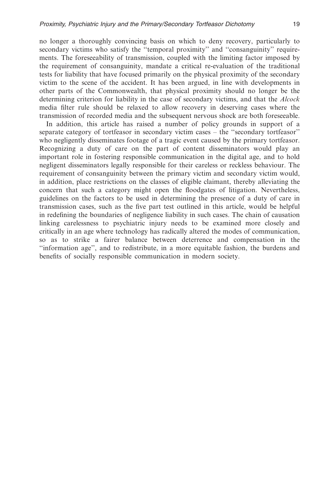no longer a thoroughly convincing basis on which to deny recovery, particularly to secondary victims who satisfy the ''temporal proximity'' and ''consanguinity'' requirements. The foreseeability of transmission, coupled with the limiting factor imposed by the requirement of consanguinity, mandate a critical re-evaluation of the traditional tests for liability that have focused primarily on the physical proximity of the secondary victim to the scene of the accident. It has been argued, in line with developments in other parts of the Commonwealth, that physical proximity should no longer be the determining criterion for liability in the case of secondary victims, and that the *Alcock* media filter rule should be relaxed to allow recovery in deserving cases where the transmission of recorded media and the subsequent nervous shock are both foreseeable.

In addition, this article has raised a number of policy grounds in support of a separate category of tortfeasor in secondary victim cases – the ''secondary tortfeasor'' who negligently disseminates footage of a tragic event caused by the primary tortfeasor. Recognizing a duty of care on the part of content disseminators would play an important role in fostering responsible communication in the digital age, and to hold negligent disseminators legally responsible for their careless or reckless behaviour. The requirement of consanguinity between the primary victim and secondary victim would, in addition, place restrictions on the classes of eligible claimant, thereby alleviating the concern that such a category might open the floodgates of litigation. Nevertheless, guidelines on the factors to be used in determining the presence of a duty of care in transmission cases, such as the five part test outlined in this article, would be helpful in redefining the boundaries of negligence liability in such cases. The chain of causation linking carelessness to psychiatric injury needs to be examined more closely and critically in an age where technology has radically altered the modes of communication, so as to strike a fairer balance between deterrence and compensation in the ''information age'', and to redistribute, in a more equitable fashion, the burdens and benefits of socially responsible communication in modern society.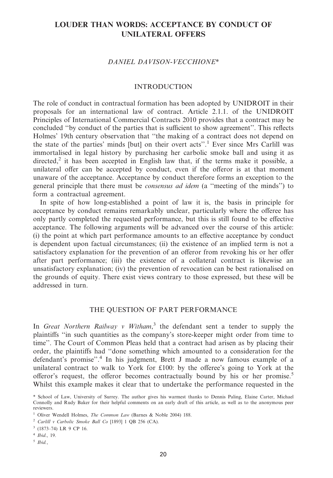# **LOUDER THAN WORDS: ACCEPTANCE BY CONDUCT OF UNILATERAL OFFERS**

### *DANIEL DAVISON-VECCHIONE\**

# INTRODUCTION

The role of conduct in contractual formation has been adopted by UNIDROIT in their proposals for an international law of contract. Article 2.1.1. of the UNIDROIT Principles of International Commercial Contracts 2010 provides that a contract may be concluded ''by conduct of the parties that is sufficient to show agreement''. This reflects Holmes' 19th century observation that ''the making of a contract does not depend on the state of the parties' minds [but] on their overt acts''.1 Ever since Mrs Carlill was immortalised in legal history by purchasing her carbolic smoke ball and using it as directed, $2$  it has been accepted in English law that, if the terms make it possible, a unilateral offer can be accepted by conduct, even if the offeror is at that moment unaware of the acceptance. Acceptance by conduct therefore forms an exception to the general principle that there must be *consensus ad idem* (a ''meeting of the minds'') to form a contractual agreement.

In spite of how long-established a point of law it is, the basis in principle for acceptance by conduct remains remarkably unclear, particularly where the offeree has only partly completed the requested performance, but this is still found to be effective acceptance. The following arguments will be advanced over the course of this article: (i) the point at which part performance amounts to an effective acceptance by conduct is dependent upon factual circumstances; (ii) the existence of an implied term is not a satisfactory explanation for the prevention of an offeror from revoking his or her offer after part performance; (iii) the existence of a collateral contract is likewise an unsatisfactory explanation; (iv) the prevention of revocation can be best rationalised on the grounds of equity. There exist views contrary to those expressed, but these will be addressed in turn.

#### THE QUESTION OF PART PERFORMANCE

In *Great Northern Railway v Witham*, <sup>3</sup> the defendant sent a tender to supply the plaintiffs ''in such quantities as the company's store-keeper might order from time to time''. The Court of Common Pleas held that a contract had arisen as by placing their order, the plaintiffs had ''done something which amounted to a consideration for the defendant's promise''.<sup>4</sup> In his judgment, Brett J made a now famous example of a unilateral contract to walk to York for £100: by the offeree's going to York at the offeror's request, the offeror becomes contractually bound by his or her promise.<sup>5</sup> Whilst this example makes it clear that to undertake the performance requested in the

<sup>5</sup> *Ibid.*,

<sup>\*</sup> School of Law, University of Surrey. The author gives his warmest thanks to Dennis Paling, Elaine Carter, Michael Connolly and Rudy Baker for their helpful comments on an early draft of this article, as well as to the anonymous peer reviewers.

<sup>1</sup> Oliver Wendell Holmes, *The Common Law* (Barnes & Noble 2004) 188.

<sup>2</sup> *Carlill v Carbolic Smoke Ball Co* [1893] 1 QB 256 (CA).

<sup>3</sup> (1873–74) LR 9 CP 16.

<sup>4</sup> *Ibid*., 19.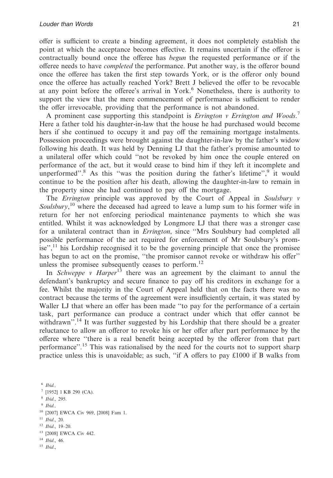offer is sufficient to create a binding agreement, it does not completely establish the point at which the acceptance becomes effective. It remains uncertain if the offeror is contractually bound once the offeree has *begun* the requested performance or if the offeree needs to have *completed* the performance. Put another way, is the offeror bound once the offeree has taken the first step towards York, or is the offeror only bound once the offeree has actually reached York? Brett J believed the offer to be revocable at any point before the offeree's arrival in York.<sup>6</sup> Nonetheless, there is authority to support the view that the mere commencement of performance is sufficient to render the offer irrevocable, providing that the performance is not abandoned.

A prominent case supporting this standpoint is *Errington v Errington and Woods*. 7 Here a father told his daughter-in-law that the house he had purchased would become hers if she continued to occupy it and pay off the remaining mortgage instalments. Possession proceedings were brought against the daughter-in-law by the father's widow following his death. It was held by Denning LJ that the father's promise amounted to a unilateral offer which could ''not be revoked by him once the couple entered on performance of the act, but it would cease to bind him if they left it incomplete and unperformed".<sup>8</sup> As this "was the position during the father's lifetime", $9$  it would continue to be the position after his death, allowing the daughter-in-law to remain in the property since she had continued to pay off the mortgage.

The *Errington* principle was approved by the Court of Appeal in *Soulsbury v* Soulsbury,<sup>10</sup> where the deceased had agreed to leave a lump sum to his former wife in return for her not enforcing periodical maintenance payments to which she was entitled. Whilst it was acknowledged by Longmore LJ that there was a stronger case for a unilateral contract than in *Errington*, since ''Mrs Soulsbury had completed all possible performance of the act required for enforcement of Mr Soulsbury's promise",<sup>11</sup> his Lordship recognised it to be the governing principle that once the promisee has begun to act on the promise, "the promisor cannot revoke or withdraw his offer" unless the promisee subsequently ceases to perform.<sup>12</sup>

In *Schweppe v Harper*<sup>13</sup> there was an agreement by the claimant to annul the defendant's bankruptcy and secure finance to pay off his creditors in exchange for a fee. Whilst the majority in the Court of Appeal held that on the facts there was no contract because the terms of the agreement were insufficiently certain, it was stated by Waller LJ that where an offer has been made "to pay for the performance of a certain task, part performance can produce a contract under which that offer cannot be withdrawn".<sup>14</sup> It was further suggested by his Lordship that there should be a greater reluctance to allow an offeror to revoke his or her offer after part performance by the offeree where ''there is a real benefit being accepted by the offeror from that part performance''.15 This was rationalised by the need for the courts not to support sharp practice unless this is unavoidable; as such, ''if A offers to pay £1000 if B walks from

<sup>6</sup> *Ibid.,* [1952] 1 KB 290 (CA). *Ibid*., 295. <sup>9</sup> *Ibid.,* [2007] EWCA Civ 969, [2008] Fam 1. *Ibid*., 20. *Ibid*., 19–20. [2008] EWCA Civ 442.

<sup>14</sup> *Ibid*., 46.

<sup>15</sup> *Ibid*.,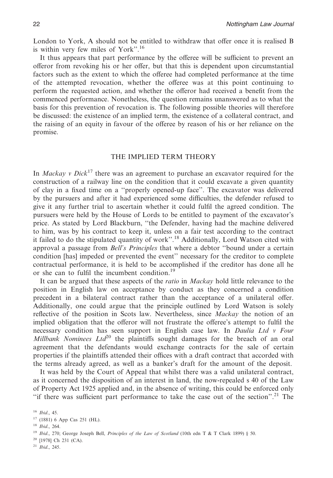London to York, A should not be entitled to withdraw that offer once it is realised B is within very few miles of York''.16

It thus appears that part performance by the offeree will be sufficient to prevent an offeror from revoking his or her offer, but that this is dependent upon circumstantial factors such as the extent to which the offeree had completed performance at the time of the attempted revocation, whether the offeree was at this point continuing to perform the requested action, and whether the offeror had received a benefit from the commenced performance. Nonetheless, the question remains unanswered as to what the basis for this prevention of revocation is. The following possible theories will therefore be discussed: the existence of an implied term, the existence of a collateral contract, and the raising of an equity in favour of the offeree by reason of his or her reliance on the promise.

### THE IMPLIED TERM THEORY

In *Mackay v Dick*<sup>17</sup> there was an agreement to purchase an excavator required for the construction of a railway line on the condition that it could excavate a given quantity of clay in a fixed time on a ''properly opened-up face''. The excavator was delivered by the pursuers and after it had experienced some difficulties, the defender refused to give it any further trial to ascertain whether it could fulfil the agreed condition. The pursuers were held by the House of Lords to be entitled to payment of the excavator's price. As stated by Lord Blackburn, ''the Defender, having had the machine delivered to him, was by his contract to keep it, unless on a fair test according to the contract it failed to do the stipulated quantity of work''.18 Additionally, Lord Watson cited with approval a passage from *Bell's Principles* that where a debtor ''bound under a certain condition [has] impeded or prevented the event'' necessary for the creditor to complete contractual performance, it is held to be accomplished if the creditor has done all he or she can to fulfil the incumbent condition.<sup>19</sup>

It can be argued that these aspects of the *ratio* in *Mackay* hold little relevance to the position in English law on acceptance by conduct as they concerned a condition precedent in a bilateral contract rather than the acceptance of a unilateral offer. Additionally, one could argue that the principle outlined by Lord Watson is solely reflective of the position in Scots law. Nevertheless, since *Mackay* the notion of an implied obligation that the offeror will not frustrate the offeree's attempt to fulfil the necessary condition has seen support in English case law. In *Daulia Ltd v Four Millbank Nominees Ltd*<sup>20</sup> the plaintiffs sought damages for the breach of an oral agreement that the defendants would exchange contracts for the sale of certain properties if the plaintiffs attended their offices with a draft contract that accorded with the terms already agreed, as well as a banker's draft for the amount of the deposit.

It was held by the Court of Appeal that whilst there was a valid unilateral contract, as it concerned the disposition of an interest in land, the now-repealed s 40 of the Law of Property Act 1925 applied and, in the absence of writing, this could be enforced only "if there was sufficient part performance to take the case out of the section".<sup>21</sup> The

<sup>16</sup> *Ibid*., 45.

<sup>17</sup> (1881) 6 App Cas 251 (HL).

<sup>18</sup> *Ibid*., 264.

<sup>19</sup> *Ibid*., 270; George Joseph Bell, *Principles of the Law of Scotland* (10th ednT&T Clark 1899) § 50.

<sup>20</sup> [1978] Ch 231 (CA).

<sup>21</sup> *Ibid*., 245.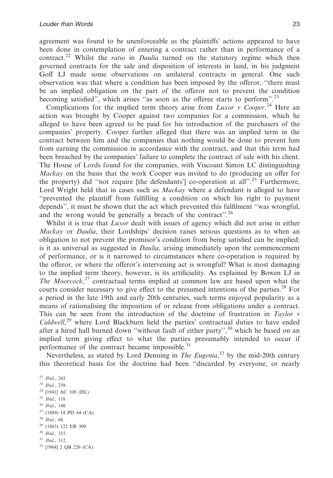agreement was found to be unenforceable as the plaintiffs' actions appeared to have been done in contemplation of entering a contract rather than in performance of a contract.22 Whilst the *ratio* in *Daulia* turned on the statutory regime which then governed contracts for the sale and disposition of interests in land, in his judgment Goff LJ made some observations on unilateral contracts in general. One such observation was that where a condition has been imposed by the offeror, ''there must be an implied obligation on the part of the offeror not to prevent the condition becoming satisfied'', which arises ''as soon as the offeree starts to perform''.23

Complications for the implied term theory arise from *Luxor v Cooper*. <sup>24</sup> Here an action was brought by Cooper against two companies for a commission, which he alleged to have been agreed to be paid for his introduction of the purchasers of the companies' property. Cooper further alleged that there was an implied term in the contract between him and the companies that nothing would be done to prevent him from earning the commission in accordance with the contract, and that this term had been breached by the companies' failure to complete the contract of sale with his client. The House of Lords found for the companies, with Viscount Simon LC distinguishing *Mackay* on the basis that the work Cooper was invited to do (producing an offer for the property) did "not require [the defendants'] co-operation at all".<sup>25</sup> Furthermore, Lord Wright held that in cases such as *Mackay* where a defendant is alleged to have ''prevented the plaintiff from fulfilling a condition on which his right to payment depends'', it must be shown that the act which prevented this fulfilment ''was wrongful, and the wrong would be generally a breach of the contract".<sup>26</sup>

Whilst it is true that *Luxor* dealt with issues of agency which did not arise in either *Mackay* or *Daulia*, their Lordships' decision raises serious questions as to when an obligation to not prevent the promisor's condition from being satisfied can be implied: is it as universal as suggested in *Daulia*, arising immediately upon the commencement of performance, or is it narrowed to circumstances where co-operation is required by the offeror, or where the offeror's intervening act is wrongful? What is most damaging to the implied term theory, however, is its artificiality. As explained by Bowen LJ in *The Moorcock*, <sup>27</sup> contractual terms implied at common law are based upon what the courts consider necessary to give effect to the presumed intentions of the parties.<sup>28</sup> For a period in the late 19th and early 20th centuries, such terms enjoyed popularity as a means of rationalising the imposition of or release from obligations under a contract. This can be seen from the introduction of the doctrine of frustration in *Taylor v Caldwell*, <sup>29</sup> where Lord Blackburn held the parties' contractual duties to have ended after a hired hall burned down "without fault of either party",<sup>30</sup> which he based on an implied term giving effect to what the parties presumably intended to occur if performance of the contract became impossible. $31$ 

Nevertheless, as stated by Lord Denning in *The Eugenia*, <sup>32</sup> by the mid-20th century this theoretical basis for the doctrine had been ''discarded by everyone, or nearly

 *Ibid*., 243. *Ibid*., 239. <sup>24</sup> [1941] AC 108 (HL). *Ibid*., 118. *Ibid*., 148. (1889) 14 PD 64 (CA). *Ibid*., 68. (1863) 122 ER 309. *Ibid*., 315. *Ibid*., 312. [1964] 2 QB 226 (CA).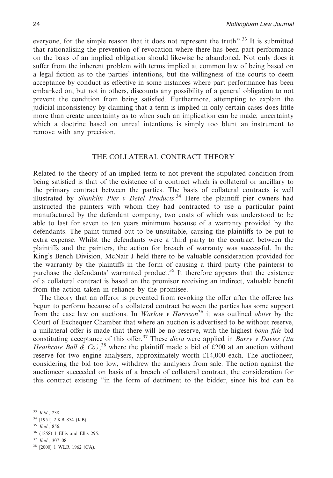everyone, for the simple reason that it does not represent the truth".<sup>33</sup> It is submitted that rationalising the prevention of revocation where there has been part performance on the basis of an implied obligation should likewise be abandoned. Not only does it suffer from the inherent problem with terms implied at common law of being based on a legal fiction as to the parties' intentions, but the willingness of the courts to deem acceptance by conduct as effective in some instances where part performance has been embarked on, but not in others, discounts any possibility of a general obligation to not prevent the condition from being satisfied. Furthermore, attempting to explain the judicial inconsistency by claiming that a term is implied in only certain cases does little more than create uncertainty as to when such an implication can be made; uncertainty which a doctrine based on unreal intentions is simply too blunt an instrument to remove with any precision.

# THE COLLATERAL CONTRACT THEORY

Related to the theory of an implied term to not prevent the stipulated condition from being satisfied is that of the existence of a contract which is collateral or ancillary to the primary contract between the parties. The basis of collateral contracts is well illustrated by *Shanklin Pier v Detel Products*. <sup>34</sup> Here the plaintiff pier owners had instructed the painters with whom they had contracted to use a particular paint manufactured by the defendant company, two coats of which was understood to be able to last for seven to ten years minimum because of a warranty provided by the defendants. The paint turned out to be unsuitable, causing the plaintiffs to be put to extra expense. Whilst the defendants were a third party to the contract between the plaintiffs and the painters, the action for breach of warranty was successful. In the King's Bench Division, McNair J held there to be valuable consideration provided for the warranty by the plaintiffs in the form of causing a third party (the painters) to purchase the defendants' warranted product.<sup>35</sup> It therefore appears that the existence of a collateral contract is based on the promisor receiving an indirect, valuable benefit from the action taken in reliance by the promisee.

The theory that an offeror is prevented from revoking the offer after the offeree has begun to perform because of a collateral contract between the parties has some support from the case law on auctions. In *Warlow v Harrison*<sup>36</sup> it was outlined *obiter* by the Court of Exchequer Chamber that where an auction is advertised to be without reserve, a unilateral offer is made that there will be no reserve, with the highest *bona fide* bid constituting acceptance of this offer.37 These *dicta* were applied in *Barry v Davies (t/a Heathcote Ball & Co)*<sup>38</sup>, where the plaintiff made a bid of £200 at an auction without reserve for two engine analysers, approximately worth £14,000 each. The auctioneer, considering the bid too low, withdrew the analysers from sale. The action against the auctioneer succeeded on basis of a breach of collateral contract, the consideration for this contract existing ''in the form of detriment to the bidder, since his bid can be

- <sup>34</sup> [1951] 2 KB 854 (KB).
- <sup>35</sup> *Ibid*., 856.
- <sup>36</sup> (1858) 1 Ellis and Ellis 295.
- <sup>37</sup> *Ibid*., 307–08.
- <sup>38</sup> [2000] 1 WLR 1962 (CA).

<sup>33</sup> *Ibid*., 238.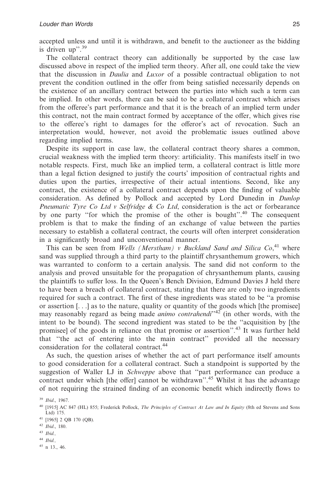accepted unless and until it is withdrawn, and benefit to the auctioneer as the bidding is driven up".<sup>39</sup>

The collateral contract theory can additionally be supported by the case law discussed above in respect of the implied term theory. After all, one could take the view that the discussion in *Daulia* and *Luxor* of a possible contractual obligation to not prevent the condition outlined in the offer from being satisfied necessarily depends on the existence of an ancillary contract between the parties into which such a term can be implied. In other words, there can be said to be a collateral contract which arises from the offeree's part performance and that it is the breach of an implied term under this contract, not the main contract formed by acceptance of the offer, which gives rise to the offeree's right to damages for the offeror's act of revocation. Such an interpretation would, however, not avoid the problematic issues outlined above regarding implied terms.

Despite its support in case law, the collateral contract theory shares a common, crucial weakness with the implied term theory: artificiality. This manifests itself in two notable respects. First, much like an implied term, a collateral contract is little more than a legal fiction designed to justify the courts' imposition of contractual rights and duties upon the parties, irrespective of their actual intentions. Second, like any contract, the existence of a collateral contract depends upon the finding of valuable consideration. As defined by Pollock and accepted by Lord Dunedin in *Dunlop Pneumatic Tyre Co Ltd v Selfridge & Co Ltd*, consideration is the act or forbearance by one party ''for which the promise of the other is bought''.40 The consequent problem is that to make the finding of an exchange of value between the parties necessary to establish a collateral contract, the courts will often interpret consideration in a significantly broad and unconventional manner.

This can be seen from *Wells (Merstham) v Buckland Sand and Silica Co*, <sup>41</sup> where sand was supplied through a third party to the plaintiff chrysanthemum growers, which was warranted to conform to a certain analysis. The sand did not conform to the analysis and proved unsuitable for the propagation of chrysanthemum plants, causing the plaintiffs to suffer loss. In the Queen's Bench Division, Edmund Davies J held there to have been a breach of collateral contract, stating that there are only two ingredients required for such a contract. The first of these ingredients was stated to be ''a promise or assertion  $[\ldots]$  as to the nature, quality or quantity of the goods which [the promisee] may reasonably regard as being made *animo contrahendi*<sup>142</sup> (in other words, with the intent to be bound). The second ingredient was stated to be the ''acquisition by [the promisee] of the goods in reliance on that promise or assertion''.43 It was further held that ''the act of entering into the main contract'' provided all the necessary consideration for the collateral contract.<sup>44</sup>

As such, the question arises of whether the act of part performance itself amounts to good consideration for a collateral contract. Such a standpoint is supported by the suggestion of Waller LJ in *Schweppe* above that ''part performance can produce a contract under which [the offer] cannot be withdrawn<sup>", 45</sup> Whilst it has the advantage of not requiring the strained finding of an economic benefit which indirectly flows to

- <sup>42</sup> *Ibid*., 180.
- <sup>43</sup> *Ibid.,*
- <sup>44</sup> *Ibid.,*

<sup>39</sup> *Ibid*., 1967.

<sup>40</sup> [1915] AC 847 (HL) 855; Frederick Pollock, *The Principles of Contract At Law and In Equity* (8th ed Stevens and Sons Ltd) 175.

<sup>41</sup> [1965] 2 QB 170 (QB).

<sup>45</sup> n 13., 46.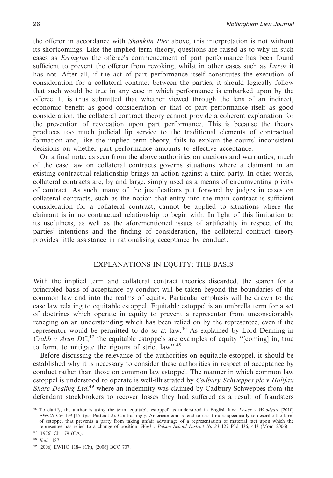the offeror in accordance with *Shanklin Pier* above, this interpretation is not without its shortcomings. Like the implied term theory, questions are raised as to why in such cases as *Errington* the offeree's commencement of part performance has been found sufficient to prevent the offeror from revoking, whilst in other cases such as *Luxor* it has not. After all, if the act of part performance itself constitutes the execution of consideration for a collateral contract between the parties, it should logically follow that such would be true in any case in which performance is embarked upon by the offeree. It is thus submitted that whether viewed through the lens of an indirect, economic benefit as good consideration or that of part performance itself as good consideration, the collateral contract theory cannot provide a coherent explanation for the prevention of revocation upon part performance. This is because the theory produces too much judicial lip service to the traditional elements of contractual formation and, like the implied term theory, fails to explain the courts' inconsistent decisions on whether part performance amounts to effective acceptance.

On a final note, as seen from the above authorities on auctions and warranties, much of the case law on collateral contracts governs situations where a claimant in an existing contractual relationship brings an action against a third party. In other words, collateral contracts are, by and large, simply used as a means of circumventing privity of contract. As such, many of the justifications put forward by judges in cases on collateral contracts, such as the notion that entry into the main contract is sufficient consideration for a collateral contract, cannot be applied to situations where the claimant is in no contractual relationship to begin with. In light of this limitation to its usefulness, as well as the aforementioned issues of artificiality in respect of the parties' intentions and the finding of consideration, the collateral contract theory provides little assistance in rationalising acceptance by conduct.

# EXPLANATIONS IN EQUITY: THE BASIS

With the implied term and collateral contract theories discarded, the search for a principled basis of acceptance by conduct will be taken beyond the boundaries of the common law and into the realms of equity. Particular emphasis will be drawn to the case law relating to equitable estoppel. Equitable estoppel is an umbrella term for a set of doctrines which operate in equity to prevent a representor from unconscionably reneging on an understanding which has been relied on by the representee, even if the representor would be permitted to do so at law.46 As explained by Lord Denning in *Crabb v Arun DC*<sup>47</sup> the equitable estoppels are examples of equity "[coming] in, true to form, to mitigate the rigours of strict  $law$ <sup>2,48</sup>

Before discussing the relevance of the authorities on equitable estoppel, it should be established why it is necessary to consider these authorities in respect of acceptance by conduct rather than those on common law estoppel. The manner in which common law estoppel is understood to operate is well-illustrated by *Cadbury Schweppes plc v Halifax* Share Dealing Ltd,<sup>49</sup> where an indemnity was claimed by Cadbury Schweppes from the defendant stockbrokers to recover losses they had suffered as a result of fraudsters

<sup>46</sup> To clarify, the author is using the term 'equitable estoppel' as understood in English law: *Lester v Woodgate* [2010] EWCA Civ 199 [25] (per Patten LJ). Contrastingly, American courts tend to use it more specifically to describe the form of estoppel that prevents a party from taking unfair advantage of a representation of material fact upon which the representee has relied to a change of position: *Wurl v Polson School District No 23* 127 P3d 436, 443 (Mont 2006).

<sup>47</sup> [1976] Ch 179 (CA).

<sup>48</sup> *Ibid*., 187.

<sup>49</sup> [2006] EWHC 1184 (Ch), [2006] BCC 707.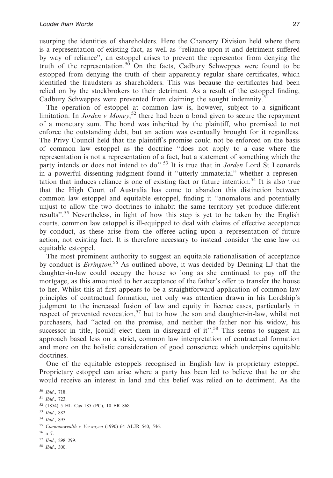usurping the identities of shareholders. Here the Chancery Division held where there is a representation of existing fact, as well as ''reliance upon it and detriment suffered by way of reliance'', an estoppel arises to prevent the representor from denying the truth of the representation.<sup>50</sup> On the facts, Cadbury Schweppes were found to be estopped from denying the truth of their apparently regular share certificates, which identified the fraudsters as shareholders. This was because the certificates had been relied on by the stockbrokers to their detriment. As a result of the estoppel finding, Cadbury Schweppes were prevented from claiming the sought indemnity.<sup>51</sup>

The operation of estoppel at common law is, however, subject to a significant limitation. In *Jorden v Money*, <sup>52</sup> there had been a bond given to secure the repayment of a monetary sum. The bond was inherited by the plaintiff, who promised to not enforce the outstanding debt, but an action was eventually brought for it regardless. The Privy Council held that the plaintiff's promise could not be enforced on the basis of common law estoppel as the doctrine ''does not apply to a case where the representation is not a representation of a fact, but a statement of something which the party intends or does not intend to do''.53 It is true that in *Jorden* Lord St Leonards in a powerful dissenting judgment found it ''utterly immaterial'' whether a representation that induces reliance is one of existing fact or future intention.<sup>54</sup> It is also true that the High Court of Australia has come to abandon this distinction between common law estoppel and equitable estoppel, finding it ''anomalous and potentially unjust to allow the two doctrines to inhabit the same territory yet produce different results".<sup>55</sup> Nevertheless, in light of how this step is yet to be taken by the English courts, common law estoppel is ill-equipped to deal with claims of effective acceptance by conduct, as these arise from the offeree acting upon a representation of future action, not existing fact. It is therefore necessary to instead consider the case law on equitable estoppel.

The most prominent authority to suggest an equitable rationalisation of acceptance by conduct is *Errington*. <sup>56</sup> As outlined above, it was decided by Denning LJ that the daughter-in-law could occupy the house so long as she continued to pay off the mortgage, as this amounted to her acceptance of the father's offer to transfer the house to her. Whilst this at first appears to be a straightforward application of common law principles of contractual formation, not only was attention drawn in his Lordship's judgment to the increased fusion of law and equity in licence cases, particularly in respect of prevented revocation,<sup>57</sup> but to how the son and daughter-in-law, whilst not purchasers, had ''acted on the promise, and neither the father nor his widow, his successor in title, [could] eject them in disregard of it".<sup>58</sup> This seems to suggest an approach based less on a strict, common law interpretation of contractual formation and more on the holistic consideration of good conscience which underpins equitable doctrines.

One of the equitable estoppels recognised in English law is proprietary estoppel. Proprietary estoppel can arise where a party has been led to believe that he or she would receive an interest in land and this belief was relied on to detriment. As the

 *Ibid*., 718. *Ibid*., 723. (1854) 5 HL Cas 185 (PC), 10 ER 868. *Ibid*., 882. *Ibid*., 895. *Commonwealth v Verwayen* (1990) 64 ALJR 540, 546. <sup>56</sup> n 7. *Ibid*., 298–299. *Ibid*., 300.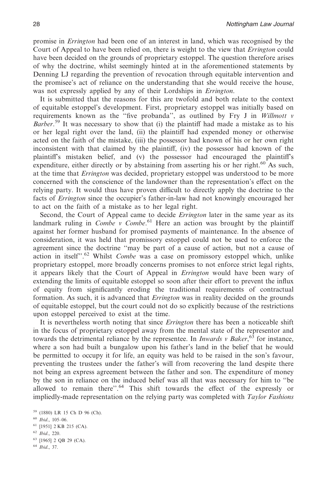promise in *Errington* had been one of an interest in land, which was recognised by the Court of Appeal to have been relied on, there is weight to the view that *Errington* could have been decided on the grounds of proprietary estoppel. The question therefore arises of why the doctrine, whilst seemingly hinted at in the aforementioned statements by Denning LJ regarding the prevention of revocation through equitable intervention and the promisee's act of reliance on the understanding that she would receive the house, was not expressly applied by any of their Lordships in *Errington*.

It is submitted that the reasons for this are twofold and both relate to the context of equitable estoppel's development. First, proprietary estoppel was initially based on requirements known as the ''five probanda'', as outlined by Fry J in *Willmott v* Barber.<sup>59</sup> It was necessary to show that (i) the plaintiff had made a mistake as to his or her legal right over the land, (ii) the plaintiff had expended money or otherwise acted on the faith of the mistake, (iii) the possessor had known of his or her own right inconsistent with that claimed by the plaintiff, (iv) the possessor had known of the plaintiff's mistaken belief, and (v) the possessor had encouraged the plaintiff's expenditure, either directly or by abstaining from asserting his or her right.<sup>60</sup> As such, at the time that *Errington* was decided, proprietary estoppel was understood to be more concerned with the conscience of the landowner than the representation's effect on the relying party. It would thus have proven difficult to directly apply the doctrine to the facts of *Errington* since the occupier's father-in-law had not knowingly encouraged her to act on the faith of a mistake as to her legal right.

Second, the Court of Appeal came to decide *Errington* later in the same year as its landmark ruling in *Combe v Combe*.<sup>61</sup> Here an action was brought by the plaintiff against her former husband for promised payments of maintenance. In the absence of consideration, it was held that promissory estoppel could not be used to enforce the agreement since the doctrine ''may be part of a cause of action, but not a cause of action in itself''.62 Whilst *Combe* was a case on promissory estoppel which, unlike proprietary estoppel, more broadly concerns promises to not enforce strict legal rights, it appears likely that the Court of Appeal in *Errington* would have been wary of extending the limits of equitable estoppel so soon after their effort to prevent the influx of equity from significantly eroding the traditional requirements of contractual formation. As such, it is advanced that *Errington* was in reality decided on the grounds of equitable estoppel, but the court could not do so explicitly because of the restrictions upon estoppel perceived to exist at the time.

It is nevertheless worth noting that since *Errington* there has been a noticeable shift in the focus of proprietary estoppel away from the mental state of the representor and towards the detrimental reliance by the representee. In *Inwards v Baker*, <sup>63</sup> for instance, where a son had built a bungalow upon his father's land in the belief that he would be permitted to occupy it for life, an equity was held to be raised in the son's favour, preventing the trustees under the father's will from recovering the land despite there not being an express agreement between the father and son. The expenditure of money by the son in reliance on the induced belief was all that was necessary for him to ''be allowed to remain there".<sup>64</sup> This shift towards the effect of the expressly or impliedly-made representation on the relying party was completed with *Taylor Fashions*

<sup>63</sup> [1965] 2 QB 29 (CA).

<sup>59</sup> (1880) LR 15 Ch D 96 (Ch).

<sup>60</sup> *Ibid*., 105–06.

<sup>61</sup> [1951] 2 KB 215 (CA).

<sup>62</sup> *Ibid*., 220.

<sup>64</sup> *Ibid*., 37.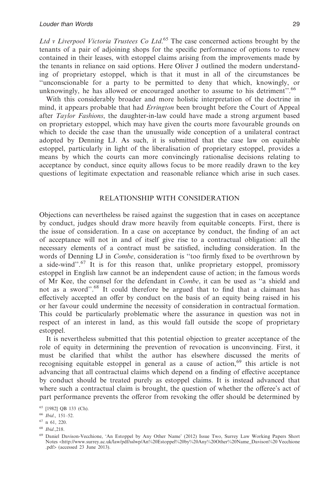*Ltd v Liverpool Victoria Trustees Co Ltd*. <sup>65</sup> The case concerned actions brought by the tenants of a pair of adjoining shops for the specific performance of options to renew contained in their leases, with estoppel claims arising from the improvements made by the tenants in reliance on said options. Here Oliver J outlined the modern understanding of proprietary estoppel, which is that it must in all of the circumstances be ''unconscionable for a party to be permitted to deny that which, knowingly, or unknowingly, he has allowed or encouraged another to assume to his detriment".<sup>66</sup>

With this considerably broader and more holistic interpretation of the doctrine in mind, it appears probable that had *Errington* been brought before the Court of Appeal after *Taylor Fashions*, the daughter-in-law could have made a strong argument based on proprietary estoppel, which may have given the courts more favourable grounds on which to decide the case than the unusually wide conception of a unilateral contract adopted by Denning LJ. As such, it is submitted that the case law on equitable estoppel, particularly in light of the liberalisation of proprietary estoppel, provides a means by which the courts can more convincingly rationalise decisions relating to acceptance by conduct, since equity allows focus to be more readily drawn to the key questions of legitimate expectation and reasonable reliance which arise in such cases.

# RELATIONSHIP WITH CONSIDERATION

Objections can nevertheless be raised against the suggestion that in cases on acceptance by conduct, judges should draw more heavily from equitable concepts. First, there is the issue of consideration. In a case on acceptance by conduct, the finding of an act of acceptance will not in and of itself give rise to a contractual obligation: all the necessary elements of a contract must be satisfied, including consideration. In the words of Denning LJ in *Combe*, consideration is ''too firmly fixed to be overthrown by a side-wind''.67 It is for this reason that, unlike proprietary estoppel, promissory estoppel in English law cannot be an independent cause of action; in the famous words of Mr Kee, the counsel for the defendant in *Combe*, it can be used as ''a shield and not as a sword''.68 It could therefore be argued that to find that a claimant has effectively accepted an offer by conduct on the basis of an equity being raised in his or her favour could undermine the necessity of consideration in contractual formation. This could be particularly problematic where the assurance in question was not in respect of an interest in land, as this would fall outside the scope of proprietary estoppel.

It is nevertheless submitted that this potential objection to greater acceptance of the role of equity in determining the prevention of revocation is unconvincing. First, it must be clarified that whilst the author has elsewhere discussed the merits of recognising equitable estoppel in general as a cause of action,  $69$  this article is not advancing that all contractual claims which depend on a finding of effective acceptance by conduct should be treated purely as estoppel claims. It is instead advanced that where such a contractual claim is brought, the question of whether the offeree's act of part performance prevents the offeror from revoking the offer should be determined by

<sup>65</sup> [1982] QB 133 (Ch).

<sup>66</sup> *Ibid*., 151–52.

<sup>67</sup> n 61, 220.

<sup>68</sup> *Ibid*.,218.

<sup>69</sup> Daniel Davison-Vecchione, 'An Estoppel by Any Other Name' (2012) Issue Two, Surrey Law Working Papers Short Notes <http://www.surrey.ac.uk/law/pdf/sslwp/An%20Estoppel%20by%20Any%20Other%20Name\_Davison%20 Vecchione .pdf> (accessed 23 June 2013).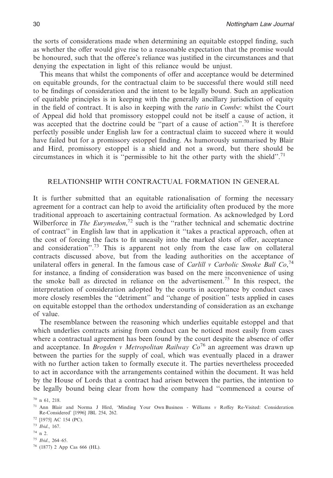the sorts of considerations made when determining an equitable estoppel finding, such as whether the offer would give rise to a reasonable expectation that the promise would be honoured, such that the offeree's reliance was justified in the circumstances and that denying the expectation in light of this reliance would be unjust.

This means that whilst the components of offer and acceptance would be determined on equitable grounds, for the contractual claim to be successful there would still need to be findings of consideration and the intent to be legally bound. Such an application of equitable principles is in keeping with the generally ancillary jurisdiction of equity in the field of contract. It is also in keeping with the *ratio* in *Combe*: whilst the Court of Appeal did hold that promissory estoppel could not be itself a cause of action, it was accepted that the doctrine could be "part of a cause of action".<sup>70</sup> It is therefore perfectly possible under English law for a contractual claim to succeed where it would have failed but for a promissory estoppel finding. As humorously summarised by Blair and Hird, promissory estoppel is a shield and not a sword, but there should be circumstances in which it is "permissible to hit the other party with the shield".<sup>71</sup>

# RELATIONSHIP WITH CONTRACTUAL FORMATION IN GENERAL

It is further submitted that an equitable rationalisation of forming the necessary agreement for a contract can help to avoid the artificiality often produced by the more traditional approach to ascertaining contractual formation. As acknowledged by Lord Wilberforce in *The Eurymedon*,<sup>72</sup> such is the "rather technical and schematic doctrine of contract'' in English law that in application it ''takes a practical approach, often at the cost of forcing the facts to fit uneasily into the marked slots of offer, acceptance and consideration".<sup>73</sup> This is apparent not only from the case law on collateral contracts discussed above, but from the leading authorities on the acceptance of unilateral offers in general. In the famous case of *Carlill v Carbolic Smoke Ball Co*, 74 for instance, a finding of consideration was based on the mere inconvenience of using the smoke ball as directed in reliance on the advertisement.75 In this respect, the interpretation of consideration adopted by the courts in acceptance by conduct cases more closely resembles the ''detriment'' and ''change of position'' tests applied in cases on equitable estoppel than the orthodox understanding of consideration as an exchange of value.

The resemblance between the reasoning which underlies equitable estoppel and that which underlies contracts arising from conduct can be noticed most easily from cases where a contractual agreement has been found by the court despite the absence of offer and acceptance. In *Brogden v Metropolitan Railway Co*<sup>76</sup> an agreement was drawn up between the parties for the supply of coal, which was eventually placed in a drawer with no further action taken to formally execute it. The parties nevertheless proceeded to act in accordance with the arrangements contained within the document. It was held by the House of Lords that a contract had arisen between the parties, the intention to be legally bound being clear from how the company had ''commenced a course of

<sup>74</sup> n 2.

 $70$  n 61, 218.

<sup>71</sup> Ann Blair and Norma J Hird, 'Minding Your Own Business - Williams *v* Roffey Re-Visited: Consideration Re-Considered' [1996] JBL 254, 262.

<sup>72</sup> [1975] AC 154 (PC).

<sup>73</sup> *Ibid*., 167.

<sup>75</sup> *Ibid*., 264–65.

<sup>76</sup> (1877) 2 App Cas 666 (HL).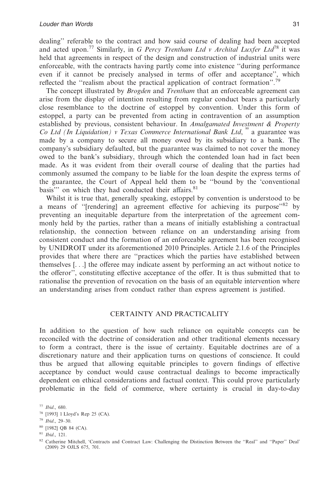dealing'' referable to the contract and how said course of dealing had been accepted and acted upon.77 Similarly, in *G Percy Trentham Ltd v Archital Luxfer Ltd*<sup>78</sup> it was held that agreements in respect of the design and construction of industrial units were enforceable, with the contracts having partly come into existence ''during performance even if it cannot be precisely analysed in terms of offer and acceptance'', which reflected the "realism about the practical application of contract formation".<sup>79</sup>

The concept illustrated by *Brogden* and *Trentham* that an enforceable agreement can arise from the display of intention resulting from regular conduct bears a particularly close resemblance to the doctrine of estoppel by convention. Under this form of estoppel, a party can be prevented from acting in contravention of an assumption established by previous, consistent behaviour. In *Amalgamated Investment & Property* Co Ltd (In Liquidation) v Texas Commerce International Bank Ltd, <sup>80</sup> a guarantee was made by a company to secure all money owed by its subsidiary to a bank. The company's subsidiary defaulted, but the guarantee was claimed to not cover the money owed to the bank's subsidiary, through which the contended loan had in fact been made. As it was evident from their overall course of dealing that the parties had commonly assumed the company to be liable for the loan despite the express terms of the guarantee, the Court of Appeal held them to be ''bound by the 'conventional basis" on which they had conducted their affairs.<sup>81</sup>

Whilst it is true that, generally speaking, estoppel by convention is understood to be a means of "[rendering] an agreement effective for achieving its purpose"<sup>82</sup> by preventing an inequitable departure from the interpretation of the agreement commonly held by the parties, rather than a means of initially establishing a contractual relationship, the connection between reliance on an understanding arising from consistent conduct and the formation of an enforceable agreement has been recognised by UNIDROIT under its aforementioned 2010 Principles. Article 2.1.6 of the Principles provides that where there are ''practices which the parties have established between themselves [. . .] the offeree may indicate assent by performing an act without notice to the offeror'', constituting effective acceptance of the offer. It is thus submitted that to rationalise the prevention of revocation on the basis of an equitable intervention where an understanding arises from conduct rather than express agreement is justified.

#### CERTAINTY AND PRACTICALITY

In addition to the question of how such reliance on equitable concepts can be reconciled with the doctrine of consideration and other traditional elements necessary to form a contract, there is the issue of certainty. Equitable doctrines are of a discretionary nature and their application turns on questions of conscience. It could thus be argued that allowing equitable principles to govern findings of effective acceptance by conduct would cause contractual dealings to become impractically dependent on ethical considerations and factual context. This could prove particularly problematic in the field of commerce, where certainty is crucial in day-to-day

<sup>77</sup> *Ibid*., 680.

<sup>78</sup> [1993] 1 Lloyd's Rep 25 (CA).

<sup>79</sup> *Ibid*., 29–30.

<sup>80</sup> [1982] QB 84 (CA).

<sup>81</sup> *Ibid*., 121.

<sup>82</sup> Catherine Mitchell, 'Contracts and Contract Law: Challenging the Distinction Between the ''Real'' and ''Paper'' Deal' (2009) 29 OJLS 675, 701.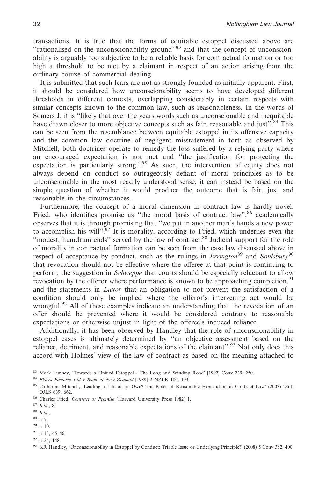transactions. It is true that the forms of equitable estoppel discussed above are "rationalised on the unconscionability ground"<sup>33</sup> and that the concept of unconscionability is arguably too subjective to be a reliable basis for contractual formation or too high a threshold to be met by a claimant in respect of an action arising from the ordinary course of commercial dealing.

It is submitted that such fears are not as strongly founded as initially apparent. First, it should be considered how unconscionability seems to have developed different thresholds in different contexts, overlapping considerably in certain respects with similar concepts known to the common law, such as reasonableness. In the words of Somers J, it is ''likely that over the years words such as unconscionable and inequitable have drawn closer to more objective concepts such as fair, reasonable and just".<sup>84</sup> This can be seen from the resemblance between equitable estoppel in its offensive capacity and the common law doctrine of negligent misstatement in tort: as observed by Mitchell, both doctrines operate to remedy the loss suffered by a relying party where an encouraged expectation is not met and ''the justification for protecting the expectation is particularly strong".<sup>85</sup> As such, the intervention of equity does not always depend on conduct so outrageously defiant of moral principles as to be unconscionable in the most readily understood sense; it can instead be based on the simple question of whether it would produce the outcome that is fair, just and reasonable in the circumstances.

Furthermore, the concept of a moral dimension in contract law is hardly novel. Fried, who identifies promise as "the moral basis of contract law",  $86$  academically observes that it is through promising that ''we put in another man's hands a new power to accomplish his will". $87$  It is morality, according to Fried, which underlies even the ''modest, humdrum ends'' served by the law of contract.<sup>88</sup> Judicial support for the role of morality in contractual formation can be seen from the case law discussed above in respect of acceptance by conduct, such as the rulings in *Errington*<sup>89</sup> and *Soulsbury*<sup>90</sup> that revocation should not be effective where the offeree at that point is continuing to perform, the suggestion in *Schweppe* that courts should be especially reluctant to allow revocation by the offeror where performance is known to be approaching completion,<sup>91</sup> and the statements in *Luxor* that an obligation to not prevent the satisfaction of a condition should only be implied where the offeror's intervening act would be wrongful.<sup>92</sup> All of these examples indicate an understanding that the revocation of an offer should be prevented where it would be considered contrary to reasonable expectations or otherwise unjust in light of the offeree's induced reliance.

Additionally, it has been observed by Handley that the role of unconscionability in estoppel cases is ultimately determined by ''an objective assessment based on the reliance, detriment, and reasonable expectations of the claimant''.<sup>93</sup> Not only does this accord with Holmes' view of the law of contract as based on the meaning attached to

<sup>89</sup> n 7.

<sup>92</sup> n 24, 148.

<sup>83</sup> Mark Lunney, 'Towards a Unified Estoppel - The Long and Winding Road' [1992] Conv 239, 250.

<sup>84</sup> *Elders Pastoral Ltd v Bank of New Zealand* [1989] 2 NZLR 180, 193.

<sup>85</sup> Catherine Mitchell, 'Leading a Life of Its Own? The Roles of Reasonable Expectation in Contract Law' (2003) 23(4) OJLS 639, 662.

<sup>86</sup> Charles Fried, *Contract as Promise* (Harvard University Press 1982) 1.

<sup>87</sup> *Ibid*., 8.

<sup>88</sup> *Ibid*.,

<sup>90</sup> n 10.

<sup>91</sup> n 13, 45–46.

<sup>93</sup> KR Handley, 'Unconscionability in Estoppel by Conduct: Triable Issue or Underlying Principle?' (2008) 5 Conv 382, 400.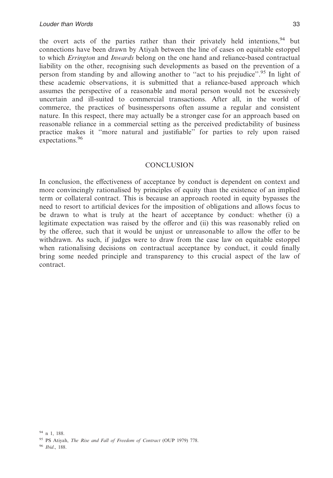the overt acts of the parties rather than their privately held intentions,  $94$  but connections have been drawn by Atiyah between the line of cases on equitable estoppel to which *Errington* and *Inwards* belong on the one hand and reliance-based contractual liability on the other, recognising such developments as based on the prevention of a person from standing by and allowing another to "act to his prejudice".<sup>95</sup> In light of these academic observations, it is submitted that a reliance-based approach which assumes the perspective of a reasonable and moral person would not be excessively uncertain and ill-suited to commercial transactions. After all, in the world of commerce, the practices of businesspersons often assume a regular and consistent nature. In this respect, there may actually be a stronger case for an approach based on reasonable reliance in a commercial setting as the perceived predictability of business practice makes it ''more natural and justifiable'' for parties to rely upon raised expectations.<sup>96</sup>

## **CONCLUSION**

In conclusion, the effectiveness of acceptance by conduct is dependent on context and more convincingly rationalised by principles of equity than the existence of an implied term or collateral contract. This is because an approach rooted in equity bypasses the need to resort to artificial devices for the imposition of obligations and allows focus to be drawn to what is truly at the heart of acceptance by conduct: whether (i) a legitimate expectation was raised by the offeror and (ii) this was reasonably relied on by the offeree, such that it would be unjust or unreasonable to allow the offer to be withdrawn. As such, if judges were to draw from the case law on equitable estoppel when rationalising decisions on contractual acceptance by conduct, it could finally bring some needed principle and transparency to this crucial aspect of the law of contract.

<sup>96</sup> *Ibid*., 188.

 $94$  n 1, 188.

<sup>95</sup> PS Atiyah, *The Rise and Fall of Freedom of Contract* (OUP 1979) 778.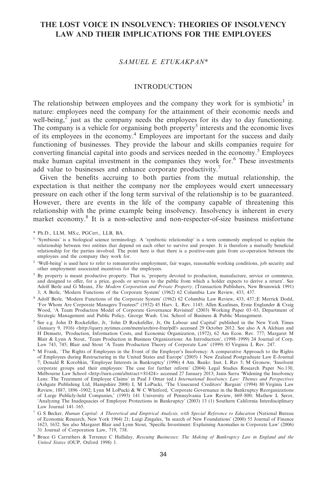# **THE LOST VOICE IN INSOLVENCY: THEORIES OF INSOLVENCY LAW AND THEIR IMPLICATIONS FOR THE EMPLOYEES**

# *SAMUEL E. ETUKAKPAN\**

## INTRODUCTION

The relationship between employees and the company they work for is symbiotic<sup>1</sup> in nature: employees need the company for the attainment of their economic needs and well-being, $2$  just as the company needs the employees for its day to day functioning. The company is a vehicle for organising both property<sup>3</sup> interests and the economic lives of its employees in the economy.4 Employees are important for the success and daily functioning of businesses. They provide the labour and skills companies require for converting financial capital into goods and services needed in the economy.<sup>5</sup> Employees make human capital investment in the companies they work for.<sup>6</sup> These investments add value to businesses and enhance corporate productivity.<sup>7</sup>

Given the benefits accruing to both parties from the mutual relationship, the expectation is that neither the company nor the employees would exert unnecessary pressure on each other if the long term survival of the relationship is to be guaranteed. However, there are events in the life of the company capable of threatening this relationship with the prime example being insolvency. Insolvency is inherent in every market economy.8 It is a non-selective and non-respecter-of-size business misfortune

<sup>\*</sup> Ph.D., LLM, MS.c, PGCert., LLB, BA.

<sup>&</sup>lt;sup>1</sup> 'Symbiosis' is a biological science terminology. A 'symbiotic relationship' is a term commonly employed to explain the relationship between two entities that depend on each other to survive and prosper. It is therefore a mutually beneficial relationship for the parties involved. The point here is that there is a positive-sum gain from co-operation between the employees and the company they work for.

<sup>&</sup>lt;sup>2</sup> 'Well-being' is used here to refer to remunerative employment, fair wages, reasonable working conditions, job security and other employment associated incentives for the employees.

<sup>&</sup>lt;sup>3</sup> By property is meant productive property. That is, 'property devoted to production, manufacture, service or commerce, and designed to offer, for a price, goods or services to the public from which a holder expects to derive a return'. See Adolf Berle and G Means, *The Modern Corporation and Private Property,* (Transaction Publishers, New Brunswick 1991) 3; A Berle, 'Modern Functions of the Corporate System' (1962) 62 Columbia Law Review, 433, 437.

<sup>4</sup> Adolf Berle, 'Modern Functions of the Corporate System' (1962) 62 Columbia Law Review, 433, 437.;E Merrick Dodd, 'For Whom Are Corporate Managers Trustees?' (1932) 45 Harv. L. Rev. 1145; Allen Kaufman, Ernie Englander & Craig Wood, 'A Team Production Model of Corporate Governance Revisited' (2003) Working Paper 03–03, Department of Strategic Management and Public Policy, George Wash. Uni. School of Business & Public Management.

<sup>5</sup> See e.g. John D Rockefeller, Jr, 'John D Rockefeller, Jr, On Labour and Capital' published in the New York Times (January 9, 1916) <http://query.nytimes.com/mem/archive-free/pdf> accessed 29 October 2012. See also A A Alchian and H Demsetz, *'*Production, Information Costs, and Economic Organization, (1972), 62 Am Econ. Rev. 777; Margaret M Blair & Lynn A Stout, 'Team Production in Business Organizations: An Introduction', (1998–1999) 24 Journal of Corp. Law 743, 745; Blair and Stout 'A Team Production Theory of Corporate Law' (1999) 85 Virginia L Rev. 247.

 $6\,$  M Frank, 'The Rights of Employees in the Event of the Employer's Insolvency: A comparative Approach to the Rights of Employees during Restructuring in the United States and Europe' (2005) 1 New Zealand Postgraduate Law E-Journal 7; Donald R Korobkin, 'Employee Interests in Bankruptcy' (1996) 4 Am. Bankr. Inst. L Rev 5; M Gronow, 'Insolvent corporate groups and their employees: The case for further reform' (2004) Legal Studies Research Paper No.130, Melbourne Law School <http://ssrn.com/abstract=81424> accessed 27 January 2013; Janis Sarra 'Widening the Insolvency Lens: The Treatment of Employee Claims' in Paul J Omar (ed.) *International Insolvency Law: Themes and Perspectives* (Ashgate Publishing Ltd, Hampshire 2008) L M LoPucki, 'The Unsecured Creditors' Bargain' (1994) 80 Virginia Law Review, 1887, 1896 -1902; Lynn M LoPucki&WC Whitford, 'Corporate Governance in the Bankruptcy Reorganizations of Large Publicly-held Companies,' (1993) 141 University of Pennsylvania Law Review, 669–800; Mathew L Seror, 'Analyzing The Inadequacies of Employee Protections in Bankruptcy' (2003) 13 (1) Southern California Interdisciplinary Law Journal 141–165.

<sup>7</sup> G S Becker, *Human Capital: A Theoretical and Empirical Analysis, with Special Reference to Education* (National Bureau of Economic Research, New York 1964) 21; Luigi Zingales, 'In search of New Foundations' (2000) 55 Journal of Finance 1623, 1632. See also Margaret Blair and Lynn Stout, 'Specific Investment: Explaining Anomalies in Corporate Law' (2006) 31 Journal of Corporation Law, 719, 738.

<sup>8</sup> Bruce G Carruthers & Terrence C Halliday, *Rescuing Businesses: The Making of Bankruptcy Law in England and the United States* (OUP, Oxford 1998) 1.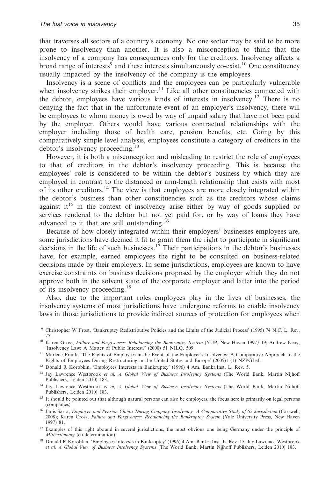that traverses all sectors of a country's economy. No one sector may be said to be more prone to insolvency than another. It is also a misconception to think that the insolvency of a company has consequences only for the creditors. Insolvency affects a broad range of interests<sup>9</sup> and these interests simultaneously co-exist.<sup>10</sup> One constituency usually impacted by the insolvency of the company is the employees.

Insolvency is a scene of conflicts and the employees can be particularly vulnerable when insolvency strikes their employer.<sup>11</sup> Like all other constituencies connected with the debtor, employees have various kinds of interests in insolvency.12 There is no denying the fact that in the unfortunate event of an employer's insolvency, there will be employees to whom money is owed by way of unpaid salary that have not been paid by the employer. Others would have various contractual relationships with the employer including those of health care, pension benefits, etc. Going by this comparatively simple level analysis, employees constitute a category of creditors in the debtor's insolvency proceeding.13

However, it is both a misconception and misleading to restrict the role of employees to that of creditors in the debtor's insolvency proceeding. This is because the employees' role is considered to be within the debtor's business by which they are employed in contrast to the distanced or arm-length relationship that exists with most of its other creditors.14 The view is that employees are more closely integrated within the debtor's business than other constituencies such as the creditors whose claims against it<sup>15</sup> in the context of insolvency arise either by way of goods supplied or services rendered to the debtor but not yet paid for, or by way of loans they have advanced to it that are still outstanding.<sup>16</sup>

Because of how closely integrated within their employers' businesses employees are, some jurisdictions have deemed it fit to grant them the right to participate in significant decisions in the life of such businesses.<sup>17</sup> Their participations in the debtor's businesses have, for example, earned employees the right to be consulted on business-related decisions made by their employers. In some jurisdictions, employees are known to have exercise constraints on business decisions proposed by the employer which they do not approve both in the solvent state of the corporate employer and latter into the period of its insolvency proceeding.18

Also, due to the important roles employees play in the lives of businesses, the insolvency systems of most jurisdictions have undergone reforms to enable insolvency laws in those jurisdictions to provide indirect sources of protection for employees when

<sup>12</sup> Donald R Korobkin, 'Employees Interests in Bankruptcy' (1996) 4 Am. Bankr.Inst. L. Rev. 5.

- <sup>14</sup> Jay Lawrence Westbrook *et al, A Global View of Business Insolvency Systems* (The World Bank, Martin Nijhoff Publishers, Leiden 2010) 183.
- <sup>15</sup> It should be pointed out that although natural persons can also be employers, the focus here is primarily on legal persons (companies).
- <sup>16</sup> Janis Sarra, *Employee and Pension Claims During Company Insolvency: A Comparative Study of 62 Jurisdiction (Carswell,* 2008); Karen Cross, *Failure and Forgiveness: Rebalancing the Bankruptcy System* (Yale University Press, New Haven 1997) 81.
- <sup>17</sup> Examples of this right abound in several jurisdictions, the most obvious one being Germany under the principle of *Mitbestinnung* (co-determination).
- <sup>18</sup> Donald R Korobkin, 'Employees Interests in Bankruptcy' (1996) 4 Am. Bankr. Inst. L. Rev. 15; Jay Lawrence Westbrook *et al, A Global View of Business Insolvency Systems* (The World Bank, Martin Nijhoff Publishers, Leiden 2010) 183.

<sup>9</sup> Christopher W Frost, 'Bankruptcy Redistributive Policies and the Limits of the Judicial Process' (1995) 74 N.C. L. Rev. 75.

<sup>10</sup> Karen Gross, *Failure and Forgiveness: Rebalancing the Bankruptcy System* (YUP, New Haven 1997*)* 19; Andrew Keay, 'Insolvency Law: A Matter of Public Interest?' (2000) 51 NILQ, 509.

<sup>&</sup>lt;sup>11</sup> Marlene Frank, 'The Rights of Employees in the Event of the Employer's Insolvency: A Comparative Approach to the Rights of Employees During Restructuring in the United States and Europe' (2005)1 (1) NZPGLeJ.

<sup>13</sup> Jay Lawrence Westbrook *et al, A Global View of Business Insolvency Systems* (The World Bank, Martin Nijhoff Publishers, Leiden 2010) 183.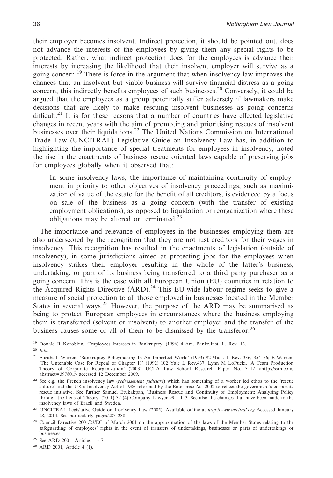their employer becomes insolvent. Indirect protection, it should be pointed out, does not advance the interests of the employees by giving them any special rights to be protected. Rather, what indirect protection does for the employees is advance their interests by increasing the likelihood that their insolvent employer will survive as a going concern.<sup>19</sup> There is force in the argument that when insolvency law improves the chances that an insolvent but viable business will survive financial distress as a going concern, this indirectly benefits employees of such businesses.<sup>20</sup> Conversely, it could be argued that the employees as a group potentially suffer adversely if lawmakers make decisions that are likely to make rescuing insolvent businesses as going concerns difficult.<sup>21</sup> It is for these reasons that a number of countries have effected legislative changes in recent years with the aim of promoting and prioritising rescues of insolvent businesses over their liquidations.22 The United Nations Commission on International Trade Law (UNCITRAL) Legislative Guide on Insolvency Law has, in addition to highlighting the importance of special treatments for employees in insolvency, noted the rise in the enactments of business rescue oriented laws capable of preserving jobs for employees globally when it observed that:

In some insolvency laws, the importance of maintaining continuity of employment in priority to other objectives of insolvency proceedings, such as maximization of value of the estate for the benefit of all creditors, is evidenced by a focus on sale of the business as a going concern (with the transfer of existing employment obligations), as opposed to liquidation or reorganization where these obligations may be altered or terminated. $^{23}$ 

The importance and relevance of employees in the businesses employing them are also underscored by the recognition that they are not just creditors for their wages in insolvency. This recognition has resulted in the enactments of legislation (outside of insolvency), in some jurisdictions aimed at protecting jobs for the employees when insolvency strikes their employer resulting in the whole of the latter's business, undertaking, or part of its business being transferred to a third party purchaser as a going concern. This is the case with all European Union (EU) countries in relation to the Acquired Rights Directive  $(ARD)<sup>24</sup>$  This EU-wide labour regime seeks to give a measure of social protection to all those employed in businesses located in the Member States in several ways.<sup>25</sup> However, the purpose of the ARD may be summarised as being to protect European employees in circumstances where the business employing them is transferred (solvent or insolvent) to another employer and the transfer of the business causes some or all of them to be dismissed by the transferor.<sup>26</sup>

<sup>19</sup> Donald R Korobkin, 'Employees Interests in Bankruptcy' (1996) 4 Am. Bankr.Inst. L. Rev. 13.

<sup>20</sup> *Ibid*.

<sup>26</sup> ARD 2001, Article 4 (1).

<sup>21</sup> Elizabeth Warren, 'Bankruptcy Policymaking In An Imperfect World' (1993) 92 Mich. L Rev. 336, 354–56; E Warren, 'The Untenable Case for Repeal of Chapter 11' (1992) 102 Yale L Rev.437; Lynn M LoPucki. 'A Team Production Theory of Corporate Reorganization' (2003) UCLA Law School Research Paper No. 3–12 <http://ssrn.com/ abstract=397801> accessed 12 December 2009.

<sup>22</sup> See e.g. the French insolvency **law (***redressement judiciare*) which has something of a worker led ethos to the 'rescue culture' and the UK's Insolvency Act of 1986 reformed by the Enterprise Act 2002 to reflect the government's corporate rescue initiative. See further Samuel Etukakpan, 'Business Rescue and Continuity of Employment: Analysing Policy through the Lens of Theory' (2011) 32 (4) Company Lawyer 99 – 113. See also the changes that have been made to the insolvency laws of Brazil and Sweden.

<sup>23</sup> UNCITRAL Legislative Guide on Insolvency Law (2005). Available online at *http://www.uncitral.org* Accessed January 28, 2014. See particularly pages.287–288.

<sup>24</sup> Council Directive 2001/23/EC of March 2001 on the approximation of the laws of the Member States relating to the safeguarding of employees' rights in the event of transfers of undertakings, businesses or parts of undertakings or businesses.

<sup>25</sup> See ARD 2001, Articles 1 - 7.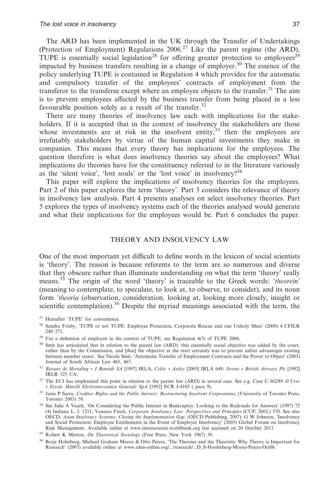The ARD has been implemented in the UK through the Transfer of Undertakings (Protection of Employment) Regulations 2006.27 Like the parent regime (the ARD), TUPE is essentially social legislation<sup>28</sup> for offering greater protection to employees<sup>29</sup> impacted by business transfers resulting in a change of employer.<sup>30</sup> The essence of the policy underlying TUPE is contained in Regulation 4 which provides for the automatic and compulsory transfer of the employees' contracts of employment from the transferor to the transferee except where an employee objects to the transfer.<sup>31</sup> The aim is to prevent employees affected by the business transfer from being placed in a less favourable position solely as a result of the transfer.<sup>32</sup>

There are many theories of insolvency law each with implications for the stakeholders. If it is accepted that in the context of insolvency the stakeholders are those whose investments are at risk in the insolvent entity,  $33$  then the employees are irrefutably stakeholders by virtue of the human capital investments they make in companies. This means that every theory has implications for the employees. The question therefore is what does insolvency theories say about the employees? What implications do theories have for the constituency referred to in the literature variously as the 'silent voice', 'lost souls' or the 'lost voice' in insolvency? $34$ 

This paper will explore the implications of insolvency theories for the employees. Part 2 of this paper explores the term 'theory'. Part 3 considers the relevance of theory in insolvency law analysis. Part 4 presents analyses on select insolvency theories. Part 5 explores the types of insolvency systems each of the theories analysed would generate and what their implications for the employees would be. Part 6 concludes the paper.

# THEORY AND INSOLVENCY LAW

One of the most important yet difficult to define words in the lexicon of social scientists is 'theory'. The reason is because referents to the term are so numerous and diverse that they obscure rather than illuminate understanding on what the term 'theory' really means.35 The origin of the word 'theory' is traceable to the Greek words: *'theorein'* (meaning to contemplate, to speculate, to look at, to observe, to consider), and its noun form *'theoria* (observation, consideration*,* looking at, looking more closely, insight or scientific contemplation).<sup>36</sup> Despite the myriad meanings associated with the term, the

<sup>31</sup> *Rotsart de Hertaling v J Benoidt SA* [1997] IRLA; *Celtic v Astley* [2005] IRLA 649; *Newns v British Airways Plc* [1992] IRLR 525 CA.

<sup>27</sup> Hereafter 'TUPE' for convenience.

<sup>28</sup> Sandra Frisby, 'TUPE or not TUPE: Employee Protection, Corporate Rescue and one Unholy Mess' (2000) 4 CFILR 249–271.

<sup>29</sup> For a definition of employee in the context of TUPE, see Regulation 4(3) of TUPE 2006.

<sup>&</sup>lt;sup>30</sup> Smit has articulated that in relation to the parent law (ARD) 'this essentially social objective was added by the court, rather than by the Commission, and [that] the objective at the start certainly was to prevent unfair advantages existing between member states'. See Nicola Smit, 'Automatic Transfer of Employment Contracts and the Power to Object' (2003) Journal of South African Law 465, 467.

<sup>32</sup> The ECJ has emphasised this point in relation to the parent law (ARD) in several caes. See e.g. Case C-362/89 *D'Urso v Ercole Marelli Elettromeccanica Generale SpA* [1992] ECR I-4105 ( para 9).

<sup>33</sup> Janis P Sarra, *Creditor Rights and the Public Interest: Restructuring Insolvent Corporations*, (University of Toronto Press, Toronto 2003) 58.

<sup>34</sup> See Julie A Veach, 'On Considering the Public Interest in Bankruptcy: Looking to the Railroads for Answers' (1997) 72 (4) Indiana L. J. 1211; Vanessa Finch, *Corporate Insolvency Law: Perspectives and Principles* (CUP, 2002,) 570. See also OECD, *Asian Insolvency Systems: Closing the Implementation Gap,* (OECD Publishing, 2007); G W Johnson, 'Insolvency and Social Protection: Employee Entitlements in the Event of Employer Insolvency' (2003) Global Forum on Insolvency Risk Management. Available online at www.siteresources.worldbank.org last accessed on 20 October 2013.

<sup>35</sup> Robert K Merton, *On Theoretical Sociology* (Free Press, New York 1967) 39.

<sup>&</sup>lt;sup>36</sup> Borie Holmberg, Michael Graham Moore & Otto Peters, 'The Theories and the Theorists: Why Theory is Important for Research' (2007) available online at www.eden-online.org/.../research/...D\_S-Hoolmberg-Moore-Peters-Oct06.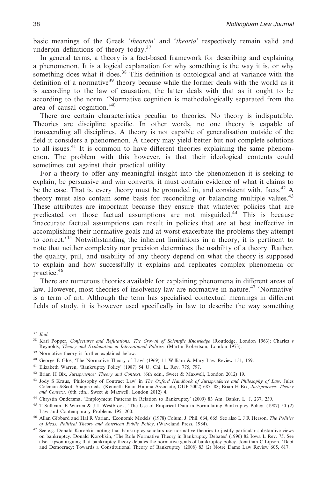basic meanings of the Greek '*theorein'* and '*theoria'* respectively remain valid and underpin definitions of theory today.37

In general terms, a theory is a fact-based framework for describing and explaining a phenomenon. It is a logical explanation for why something is the way it is, or why something does what it does.<sup>38</sup> This definition is ontological and at variance with the definition of a normative<sup>39</sup> theory because while the former deals with the world as it is according to the law of causation, the latter deals with that as it ought to be according to the norm. 'Normative cognition is methodologically separated from the area of causal cognition.'40

There are certain characteristics peculiar to theories. No theory is indisputable. Theories are discipline specific. In other words, no one theory is capable of transcending all disciplines. A theory is not capable of generalisation outside of the field it considers a phenomenon. A theory may yield better but not complete solutions to all issues.<sup>41</sup> It is common to have different theories explaining the same phenomenon. The problem with this however, is that their ideological contents could sometimes cut against their practical utility.

For a theory to offer any meaningful insight into the phenomenon it is seeking to explain, be persuasive and win converts, it must contain evidence of what it claims to be the case. That is, every theory must be grounded in, and consistent with, facts.<sup>42</sup> A theory must also contain some basis for reconciling or balancing multiple values.<sup>43</sup> These attributes are important because they ensure that whatever policies that are predicated on those factual assumptions are not misguided.<sup>44</sup> This is because 'inaccurate factual assumptions can result in policies that are at best ineffective in accomplishing their normative goals and at worst exacerbate the problems they attempt to correct.<sup>45</sup> Notwithstanding the inherent limitations in a theory, it is pertinent to note that neither complexity nor precision determines the usability of a theory. Rather, the quality, pull, and usability of any theory depend on what the theory is supposed to explain and how successfully it explains and replicates complex phenomena or practice.46

There are numerous theories available for explaining phenomena in different areas of law. However, most theories of insolvency law are normative in nature.<sup>47</sup> 'Normative' is a term of art. Although the term has specialised contextual meanings in different fields of study, it is however used specifically in law to describe the way something

<sup>37</sup> *Ibid*.

<sup>41</sup> Elizabeth Warren, 'Bankruptcy Policy' (1987) 54 U. Chi. L. Rev. 775, 797.

<sup>38</sup> Karl Popper, *Conjectures and Refutations: The Growth of Scientific Knowledge* (Routledge, London 1963); Charles *v* Reynolds, *Theory and Explanation in International Politics,* (Martin Robertson, London 1973).

<sup>39</sup> Normative theory is further explained below.

<sup>40</sup> George E Glos, 'The Normative Theory of Law' (1969) 11 William & Mary Law Review 151, 159.

<sup>42</sup> Brian H Bix, *Jurispruence: Theory and Context,* (6th edn., Sweet & Maxwell, London 2012) 19.

<sup>43</sup> Jody S Kraus, 'Philosophy of Contract Law' in *The Oxford Handbook of Jurisprudence and Philosophy of Law,* Jules Coleman &Scott Shapiro eds. (Kenneth Einar Himma Associate, OUP 2002) 687 -88; Brian H Bix, *Jurispruence: Theory and Context,* (6th edn., Sweet & Maxwell, London 2012) 4.

<sup>44</sup> Chrystin Ondersma, 'Employment Patterns in Relation to Bankruptcy' (2009) 83 Am. Bankr. L. J. 237, 239.

<sup>45</sup> T Sullivan, E Warren & J L Westbrook, 'The Use of Empirical Data in Formulating Bankruptcy Policy' (1987) 50 (2) Law and Contemporary Problems 195, 200.

<sup>46</sup> Allan Gibbard and Hal R Varian, 'Economic Models' (1978) Colum. J. Phil. 664, 665. See alsoLJR Herson, *The Politics of Ideas: Political Theory and American Public Policy,* (Waveland Press, 1984).

<sup>47</sup> See e.g. Donald Korobkin noting that bankruptcy scholars use normative theories to justify particular substantive views on bankruptcy. Donald Korobkin, 'The Role Normative Theory in Bankruptcy Debates' (1996) 82 Iowa L Rev. 75. See also Lipson arguing that bankruptcy theory debates the normative goals of bankruptcy policy. Jonathan C Lipson, 'Debt and Democracy: Towards a Constitutional Theory of Bankruptcy' (2008) 83 (2) Notre Dame Law Review 605, 617.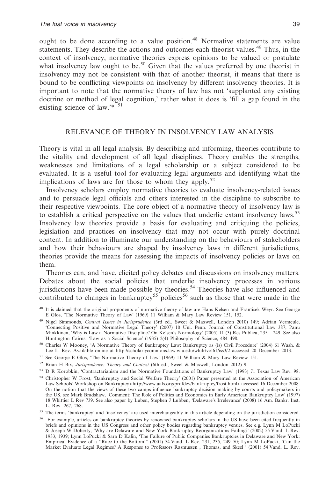ought to be done according to a value position.<sup>48</sup> Normative statements are value statements. They describe the actions and outcomes each theorist values.49 Thus, in the context of insolvency, normative theories express opinions to be valued or postulate what insolvency law ought to be.<sup>50</sup> Given that the values preferred by one theorist in insolvency may not be consistent with that of another theorist, it means that there is bound to be conflicting viewpoints on insolvency by different insolvency theories. It is important to note that the normative theory of law has not 'supplanted any existing doctrine or method of legal cognition,' rather what it does is 'fill a gap found in the existing science of law.'\* <sup>51</sup>

## RELEVANCE OF THEORY IN INSOLVENCY LAW ANALYSIS

Theory is vital in all legal analysis. By describing and informing, theories contribute to the vitality and development of all legal disciplines. Theory enables the strengths, weaknesses and limitations of a legal scholarship or a subject considered to be evaluated. It is a useful tool for evaluating legal arguments and identifying what the implications of laws are for those to whom they apply.<sup>52</sup>

Insolvency scholars employ normative theories to evaluate insolvency-related issues and to persuade legal officials and others interested in the discipline to subscribe to their respective viewpoints. The core object of a normative theory of insolvency law is to establish a critical perspective on the values that underlie extant insolvency laws.<sup>53</sup> Insolvency law theories provide a basis for evaluating and critiquing the policies, legislation and practices on insolvency that may not occur with purely doctrinal content. In addition to illuminate our understanding on the behaviours of stakeholders and how their behaviours are shaped by insolvency laws in different jurisdictions, theories provide the means for assessing the impacts of insolvency policies or laws on them.

Theories can, and have, elicited policy debates and discussions on insolvency matters. Debates about the social policies that underlie insolvency processes in various jurisdictions have been made possible by theories.<sup>54</sup> Theories have also influenced and contributed to changes in bankruptcy<sup>55</sup> policies<sup>56</sup> such as those that were made in the

<sup>52</sup> Brian H Bix, *Jurisprudence: Theory and Context* (6th ed., Sweet & Maxwell, London 2012) 9.

<sup>54</sup> Christopher W Frost, 'Bankruptcy and Social Welfare Theory' (2001) Paper presented at the Association of American Law Schools' Workshop on Bankruptcy<http://www.aals.org/profdev/bankruptcy/frost.html> accessed 16 December 2008. On the notion that the views of these two camps influence bankruptcy decision making by courts and policymakers in the US, see Mark Bradshaw, 'Comment: The Role of Politics and Economics in Early American Bankruptcy Law' (1997) 18 Whittier L Rev 739. See also paper by Luben, Stephen J Lubben, 'Delaware's Irrelevance' (2008) 16 Am. Bankr. Inst. L. Rev. 267, 268.

<sup>&</sup>lt;sup>48</sup> It is claimed that the original proponents of normative theory of law are Hans Kelsen and Frantisek Weyr. See George E Glos, 'The Normative Theory of Law' (1969) 11 William & Mary Law Review 151, 152.

<sup>&</sup>lt;sup>49</sup> Nigel Simmonds, *Central Issues in Jurisprudence* (3rd ed., Sweet & Maxwell, London 2010) 149; Adrian Vermeule, 'Connecting Positive and Normative Legal Theory' (2007) 10 Uni. Penn. Journal of Constitutional Law 387; Minkkinen, 'Why is Law a Normative Discipline? On Kelsen's Normology' (2005) 11 (3) Res Publica, 235 – 249. See also Huntington Cairns, 'Law as a Social Science' (1935) 2(4) Philosophy of Science, 484–498.

<sup>50</sup> Charles W Mooney, 'A Normative Theory of Bankruptcy Law: Bankruptcy as (is) Civil Procedure' (2004) 61 Wash. & Lee L. Rev. Available online at http://scholarlycommons.law.wlu.edu/wlulr/vol61/iss3/2 accessed 20 December 2013.

<sup>51</sup> See George E Glos, 'The Normative Theory of Law' (1969) 11 William & Mary Law Review 151.

<sup>53</sup> D R Korobkin, 'Contractarianism and the Normative Foundations of Bankruptcy Law' (1993) 71 Texas Law Rev. 98.

<sup>&</sup>lt;sup>55</sup> The terms 'bankruptcy' and 'insolvency' are used interchangeably in this article depending on the jurisdiction considered.

<sup>56</sup> For example, articles on bankruptcy theories by renowned bankruptcy scholars in the US have been cited frequently in briefs and opinions in the US Congress and other policy bodies regarding bankruptcy venues. See e.g. Lynn M LoPucki & Joseph W Doherty, 'Why are Delaware and New York Bankruptcy Reorganizations Failing?' (2002) 55 Vand. L Rev. 1933, 1939; Lynn LoPucki & Sara D Kalin, 'The Failure of Public Companies Bankruptcies in Delaware and New York: Empirical Evidence of a ''Race to the Bottom''' (2001) 54 Vand. L Rev. 231, 235, 249–50; Lynn M LoPucki, 'Can the Market Evaluate Legal Regimes? A Response to Professors Rasmussen , Thomas, and Skeel ' (2001) 54 Vand. L. Rev.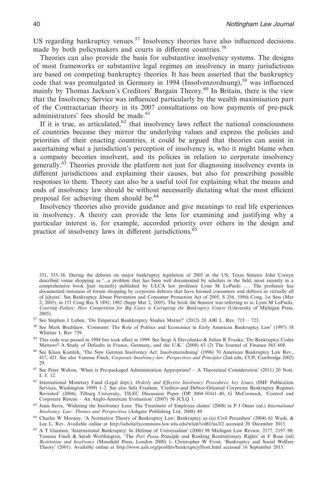US regarding bankruptcy venues.<sup>57</sup> Insolvency theories have also influenced decisions made by both policymakers and courts in different countries.<sup>58</sup>

Theories can also provide the basis for substantive insolvency systems. The designs of most frameworks or substantive legal regimes on insolvency in many jurisdictions are based on competing bankruptcy theories. It has been asserted that the bankruptcy code that was promulgated in Germany in 1994 (Insolvenzordnung),<sup>59</sup> was influenced mainly by Thomas Jackson's Creditors' Bargain Theory.<sup>60</sup> In Britain, there is the view that the Insolvency Service was influenced particularly by the wealth maximisation part of the Contractarian theory in its 2007 consultations on how payments of pre-pack administrators' fees should be made.<sup>61</sup>

If it is true, as articulated, $62$  that insolvency laws reflect the national consciousness of countries because they mirror the underlying values and express the policies and priorities of their enacting countries, it could be argued that theories can assist in ascertaining what a jurisdiction's perception of insolvency is, who it might blame when a company becomes insolvent, and its policies in relation to corporate insolvency generally.<sup>63</sup> Theories provide the platform not just for diagnosing insolvency events in different jurisdictions and explaining their causes, but also for prescribing possible responses to them. Theory can also be a useful tool for explaining what the means and ends of insolvency law should be without necessarily dictating what the most efficient proposal for achieving them should be.<sup>64</sup>

Insolvency theories also provide guidance and give meanings to real life experiences in insolvency. A theory can provide the lens for examining and justifying why a particular interest is, for example, accorded priority over others in the design and practice of insolvency laws in different jurisdictions.<sup>65</sup>

331, 333–38. During the debates on major bankruptcy legislation of 2005 in the US, Texas Senator John Cornyn described venue shopping as '...a problem that has been well documented by scholars in the field, most recently in a comprehensive book [just recently] published by ULCA law professor Lynn M LoPucki ... The professor has documented instances of forum shopping by corporate debtors that have harmed consumers and debtors in virtually all of [s]tates'. See Bankruptcy Abuse Prevention and Consumer Protection Act of 2005, S 256, 109th Cong, 1st Sess (Mar 2, 2005), in 151 Cong Rec S 1892, 1902 (Supp Mar 2, 2005). The book the Senator was referring to is: Lynn M LoPucki, *Courting Failure: How Competition for Big Cases is Corrupting the Bankruptcy Courts* (University of Michigan Press, 2005).

- <sup>57</sup> See Stephen J Luben, 'Do Emperical Bankkruptcy Studies Matter?' (2012) 20 ABI L. Rev. 715 723.
- <sup>58</sup> See Mark Bradshaw, 'Comment: The Role of Politics and Economics in Early American Bankruptcy Law' (1997) 18 Whittier L Rev 739.
- <sup>59</sup> This code was passed in 1994 but took effect in 1999. See Sergi A Davydenko & Julian R Franks, 'Do Bankruptcy Codes Mattewr? A Study of Defaults in France, Germany, and the U.K.' (2008) 63 (2) The Journal of Finance 565–608.
- <sup>60</sup> See Klaus Kamlah, 'The New German Insolvency Act: Insolvenzordnung' (1996) 70 American Bankruptcy Law Rev., 417, 421. See also Vanessa Finch, *Corporate Insolvency law: Perspectives and Principles* (2nd edn, CUP, Cambridge 2002)  $29$
- $61$  See Peter Walton, 'When is Pre-packaged Administration Appropriate? A Theoretical Consideration' (2011) 20 Nott. L J. 12.
- <sup>62</sup> International Monetary Fund (Legal dept.), *Orderly and Effective Insolvency Procedures: key Issues*, (IMF Publication Services, Washington 1999) 1–2. See also Sefa Franken, 'Creditor-and Debtor-Oriented Corporate Bankruptcy Regimes Revisited' (2004), Tilburg University, TILEC Discussion Paper (DP 2004–016)1–40; G McCormack, 'Control and Corporate Rescue – An Anglo-American Evaluation' (2007) 56 ICLQ 1.
- <sup>63</sup> Janis Sarra, 'Widening the Insolvency Lens: The Treatment of Employee claims' (2008) in P J Omar (ed.) *International Insolvency Law: Themes and Perspectives* (Ashgate Publishing Ltd, 2008) 49.
- <sup>64</sup> Charles W Mooney, 'A Normative Theory of Bankruptcy Law: Bankruptcy as (is) Civil Procedure' (2004) 61 Wash. & Lee L. Rev. Available online at http://scholarlycommons.law.wlu.edu/wlulr/vol61/iss3/2 accessed 20 December 2013.
- <sup>65</sup> A T Guzman, 'International Bankruptcy: In Defense of Universalism' (2000) 98 Michigan Law Review, 2177, 2197–98; Vanessa Finch & Sarah Worthington, The Pari Passu Principle and Ranking Restitutionary Rights' in F Rose (ed) Restitution and Insolvency (Mansfield Press, London 2000) 1; Christopher W Frost, 'Bankruptcy and Social Welfare Theory' (2001). Available online at http://www.aals.org/profdev/bankruptcy/frost.html accessed 16 September 2013.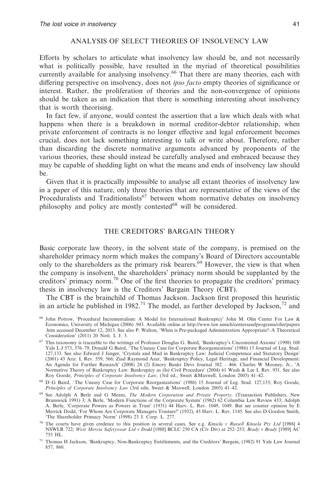# ANALYSIS OF SELECT THEORIES OF INSOLVENCY LAW

Efforts by scholars to articulate what insolvency law should be, and not necessarily what is politically possible, have resulted in the myriad of theoretical possibilities currently available for analysing insolvency.<sup>66</sup> That there are many theories, each with differing perspective on insolvency, does not *ipso facto* empty theories of significance or interest. Rather, the proliferation of theories and the non-convergence of opinions should be taken as an indication that there is something interesting about insolvency that is worth theorising.

In fact few, if anyone, would contest the assertion that a law which deals with what happens when there is a breakdown in normal creditor-debtor relationship, when private enforcement of contracts is no longer effective and legal enforcement becomes crucial, does not lack something interesting to talk or write about. Therefore, rather than discarding the discrete normative arguments advanced by proponents of the various theories, these should instead be carefully analysed and embraced because they may be capable of shedding light on what the means and ends of insolvency law should be.

Given that it is practically impossible to analyse all extant theories of insolvency law in a paper of this nature, only three theories that are representative of the views of the Proceduralists and Traditionalists<sup>67</sup> between whom normative debates on insolvency philosophy and policy are mostly contested<sup>68</sup> will be considered.

## THE CREDITORS' BARGAIN THEORY

Basic corporate law theory, in the solvent state of the company, is premised on the shareholder primacy norm which makes the company's Board of Directors accountable only to the shareholders as the primary risk bearers.<sup>69</sup> However, the view is that when the company is insolvent, the shareholders' primacy norm should be supplanted by the creditors' primacy norm.70 One of the first theories to propagate the creditors' primacy thesis in insolvency law is the Creditors' Bargain Theory (CBT).

The CBT is the brainchild of Thomas Jackson. Jackson first proposed this heuristic in an article he published in 1982.<sup>71</sup> The model, as further developed by Jackson,<sup>72</sup> and

<sup>66</sup> John Pottow, 'Procedural Incrementalism: A Model for International Bankruptcy' John M. Olin Center For Law & Economics, University of Michigan (2006) .943. Available online at http://www.law.umich/centersandprograms/olin/papers .htm accessed December 12, 2013. See also P. Walton, 'When is Pre-packaged Administration Appropriate?–A Theoretical Consideration' (2011) 20 Nott. L J. 3.

<sup>67</sup> This taxonomy is traceable to the writings of Professor Douglas G. Baird, 'Bankruptcy's Uncontested Axioms' (1998) 108 Yale L.J 573, 576-79; Donald G Baird, 'The Uneasy Case for Corporate Reorganizations' (1986) 15 Journal of Leg. Stud. 127,133. See also Edward J Janger, 'Crystals and Mud in Bankruptcy Law: Judicial Competence and Statutory Design' (2001) 43 Ariz. L Rev. 559, 566; Ziad Raymond Azar, 'Bankruptcy Policy, Legal Heritage, and Financial Development: An Agenda for Further Research' (2008) 24 (2) Emory Bankr Devs Journal 382 – 466. Charles W Mooney, Jr., 'A Normative Theory of Bankruptcy Law: Bankruptcy as (Is) Civil Procedure' (2004) 61 Wash & Lee L Rev. 931. See also Roy Goode, *Principles of Corporate Insolvency Law,* (3rd ed., Sweet &Maxwell, London 2005) 41–42.

<sup>&</sup>lt;sup>68</sup> D G Baird, 'The Uneasy Case for Corporate Reorganizations' (1986) 15 Journal of Leg. Stud. 127,133; Roy Goode, *Principles of Corporate Insolvency Law* (3rd edn, Sweet & Maxwell, London 2005) 41–42.

<sup>69</sup> See Adolph A Berle and G Means, *The Modern Corporation and Private Property,* (Transaction Publishers, New Brunswick 1991) 3; A Berle, 'Modern Functions of the Corporate System' (1962) 62 Columbia Law Review 433; Adolph A. Berle, 'Corporate Powers as Powers in Trust' (1931) 44 Harv. L. Rev. 1049, 1049. But see counter opinion by E Merrick Dodd, 'For Whom Are Corporate Managers Trustees?' (1932), 45 Harv. L. Rev. 1145. See also D Gordon Smith, 'The Shareholder Primacy Norm' (1998) 23 J. Corp. L. 277.

<sup>70</sup> The courts have given credence to this position in several cases. See e.g. *Kinsela v Russell Kinsela Pty Ltd* [1986] 4 NSWLR 722; *West Mercia Safetywear Ltd v Dodd* [1988] BCLC 250 CA (Civ Div) at 252–253; *Brady v Brady* [1989] AC 755 HL.

<sup>71</sup> Thomas H Jackson, 'Bankruptcy, Non-Bankruptcy Entitlements, and the Creditors' Bargain, (1982) 91 Yale Law Journal 857, 860.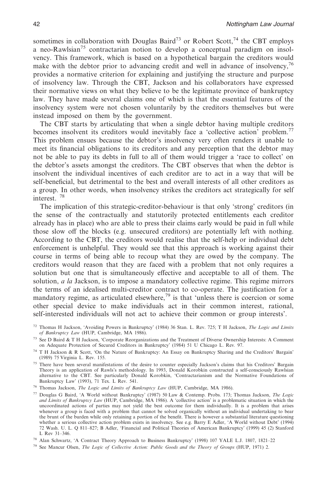sometimes in collaboration with Douglas Baird<sup>73</sup> or Robert Scott,<sup>74</sup> the CBT employs a neo-Rawlsian<sup>75</sup> contractarian notion to develop a conceptual paradigm on insolvency. This framework, which is based on a hypothetical bargain the creditors would make with the debtor prior to advancing credit and well in advance of insolvency,  $^{76}$ provides a normative criterion for explaining and justifying the structure and purpose of insolvency law. Through the CBT, Jackson and his collaborators have expressed their normative views on what they believe to be the legitimate province of bankruptcy law. They have made several claims one of which is that the essential features of the insolvency system were not chosen voluntarily by the creditors themselves but were instead imposed on them by the government.

The CBT starts by articulating that when a single debtor having multiple creditors becomes insolvent its creditors would inevitably face a 'collective action' problem.77 This problem ensues because the debtor's insolvency very often renders it unable to meet its financial obligations to its creditors and any perception that the debtor may not be able to pay its debts in full to all of them would trigger a 'race to collect' on the debtor's assets amongst the creditors. The CBT observes that when the debtor is insolvent the individual incentives of each creditor are to act in a way that will be self-beneficial, but detrimental to the best and overall interests of all other creditors as a group. In other words, when insolvency strikes the creditors act strategically for self interest. <sup>78</sup>

The implication of this strategic-creditor-behaviour is that only 'strong' creditors (in the sense of the contractually and statutorily protected entitlements each creditor already has in place) who are able to press their claims early would be paid in full while those slow off the blocks (e.g. unsecured creditors) are potentially left with nothing. According to the CBT, the creditors would realise that the self-help or individual debt enforcement is unhelpful. They would see that this approach is working against their course in terms of being able to recoup what they are owed by the company. The creditors would reason that they are faced with a problem that not only requires a solution but one that is simultaneously effective and acceptable to all of them. The solution, *a la* Jackson, is to impose a mandatory collective regime. This regime mirrors the terms of an idealised multi-creditor contract to co-operate. The justification for a mandatory regime, as articulated elsewhere,<sup>79</sup> is that 'unless there is coercion or some other special device to make individuals act in their common interest, rational, self-interested individuals will not act to achieve their common or group interests'.

<sup>72</sup> Thomas H Jackson, 'Avoiding Powers in Bankruptcy' (1984) 36 Stan. L. Rev. 725; T H Jackson, *The Logic and Limits of Bankruptcy Law* (HUP, Cambridge, MA 1986).

<sup>73</sup> See D Baird&TH Jackson, 'Corporate Reorganizations and the Treatment of Diverse Ownership Interests: A Comment on Adequate Protection of Secured Creditors in Bankruptcy' (1984) 51 U Chicago L. Rev*.* 97.

<sup>74</sup> T H Jackson & R Scott, 'On the Nature of Bankruptcy: An Essay on Bankruptcy Sharing and the Creditors' Bargain' (1989) 75 Virginia L. Rev. 155.

<sup>75</sup> There have been several manifestations of the desire to counter especially Jackson's claims that his Creditors' Bargain Theory is an application of Rawls's methodology. In 1993, Donald Korobkin constructed a self-consciously Rawlsian alternative to the CBT. See particularly Donald Korobkin, 'Contractarianism and the Normative Foundations of Bankruptcy Law' (1993), 71 Tex. L Rev. 541.

<sup>76</sup> Thomas Jackson, *The Logic and Limits of Bankruptcy Law* (HUP, Cambridge, MA 1986).

<sup>77</sup> Douglas G Baird, 'A World without Bankruptcy' (1987) 50 Law & Contemp. Probs. 173; Thomas Jackson, *The Logic and Limits of Bankruptcy Law* (HUP, Cambridge, MA 1986). A 'collective action' is a problematic situation in which the uncoordinated actions of parties may not yield the best outcome for them individually. It is a problem that arises whenever a group is faced with a problem that cannot be solved organically without an individual undertaking to bear<br>the brunt of the burden while only retaining a portion of the benefit. There is however a substantial lit whether a serious collective action problem exists in insolvency. See e.g. Barry E Adler, 'A World without Debt' (1994) 72 Wash. U. L. Q 811–827; B Adler, 'Financial and Political Theories of American Bankruptcy' (1999) 45 (2) Stanford L Rev 31–346.

<sup>78</sup> Alan Schwartz, 'A Contract Theory Approach to Business Bankruptcy' (1998) 107 YALE L.J. 1807, 1821–22

<sup>79</sup> See Mancur Olsen, *The Logic of Collective Action: Public Goods and the Theory of Groups* (HUP, 1971) 2.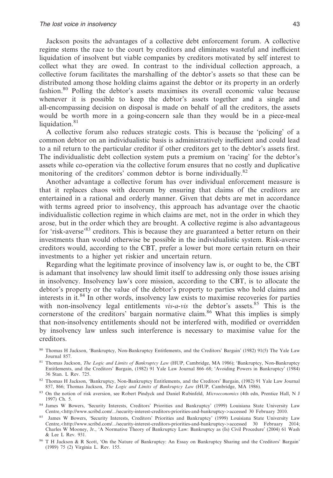Jackson posits the advantages of a collective debt enforcement forum. A collective regime stems the race to the court by creditors and eliminates wasteful and inefficient liquidation of insolvent but viable companies by creditors motivated by self interest to collect what they are owed. In contrast to the individual collection approach, a collective forum facilitates the marshalling of the debtor's assets so that these can be distributed among those holding claims against the debtor or its property in an orderly fashion.80 Polling the debtor's assets maximises its overall economic value because whenever it is possible to keep the debtor's assets together and a single and all-encompassing decision on disposal is made on behalf of all the creditors, the assets would be worth more in a going-concern sale than they would be in a piece-meal liquidation. $81$ 

A collective forum also reduces strategic costs. This is because the 'policing' of a common debtor on an individualistic basis is administratively inefficient and could lead to a nil return to the particular creditor if other creditors get to the debtor's assets first. The individualistic debt collection system puts a premium on 'racing' for the debtor's assets while co-operation via the collective forum ensures that no costly and duplicative monitoring of the creditors' common debtor is borne individually.<sup>82</sup>

Another advantage a collective forum has over individual enforcement measure is that it replaces chaos with decorum by ensuring that claims of the creditors are entertained in a rational and orderly manner. Given that debts are met in accordance with terms agreed prior to insolvency, this approach has advantage over the chaotic individualistic collection regime in which claims are met, not in the order in which they arose, but in the order which they are brought. A collective regime is also advantageous for 'risk-averse'<sup>83</sup> creditors. This is because they are guaranteed a better return on their investments than would otherwise be possible in the individualistic system. Risk-averse creditors would, according to the CBT, prefer a lower but more certain return on their investments to a higher yet riskier and uncertain return.

Regarding what the legitimate province of insolvency law is, or ought to be, the CBT is adamant that insolvency law should limit itself to addressing only those issues arising in insolvency. Insolvency law's core mission, according to the CBT, is to allocate the debtor's property or the value of the debtor's property to parties who hold claims and interests in it.84 In other words, insolvency law exists to maximise recoveries for parties with non-insolvency legal entitlements *vis-a-vis* the debtor's assets.<sup>85</sup> This is the cornerstone of the creditors' bargain normative claim.<sup>86</sup> What this implies is simply that non-insolvency entitlements should not be interfered with, modified or overridden by insolvency law unless such interference is necessary to maximise value for the creditors.

- <sup>80</sup> Thomas H Jackson, 'Bankruptcy, Non-Bankruptcy Entitlements, and the Creditors' Bargain' (1982) 91(5) The Yale Law Journal 857.
- 81 Thomas Jackson, *The Logic and Limits of Bankruptcy Law* (HUP, Cambridge, MA 1986); 'Bankruptcy, Non-Bankruptcy Entitlements, and the Creditors' Bargain, (1982) 91 Yale Law Journal 866–68; 'Avoiding Powers in Bankruptcy' (1984) 36 Stan. L Rev. 725.
- 82 Thomas H Jackson, 'Bankruptcy, Non-Bankruptcy Entitlements, and the Creditors' Bargain, (1982) 91 Yale Law Journal 857, 866; Thomas Jackson, *The Logic and Limits of Bankruptcy Law* (HUP, Cambridge, MA 1986).
- <sup>83</sup> On the notion of risk aversion, see Robert Pindyck and Daniel Rubinfeld, *Microeconomics* (4th edn, Prentice Hall, N J 1997) Ch. 5.
- 84 James W Bowers, 'Security Interests, Creditors' Priorities and Bankruptcy' (1999) Louisiana State University Law Centre,<http://www.scribd.com/.../security-interest-creditors-priorities-and-bankruptcy->accessed 30 February 2010.
- <sup>85</sup> James W Bowers, 'Security Interests, Creditors' Priorities and Bankruptcy' (1999) Louisiana State University Law<br>Centre.<http://www.scribd.com/.../security-interest-creditors-priorities-and-bankruptcy->accessed 30 Feb Centre,<http://www.scribd.com/.../security-interest-creditors-priorities-and-bankruptcy->accessed 30 February Charles W Mooney, Jr., 'A Normative Theory of Bankruptcy Law: Bankruptcy as (Is) Civil Procedure' (2004) 61 Wash & Lee L Rev. 931.
- <sup>86</sup> T H Jackson & R Scott, 'On the Nature of Bankruptcy: An Essay on Bankruptcy Sharing and the Creditors' Bargain' (1989) 75 (2) Virginia L. Rev. 155.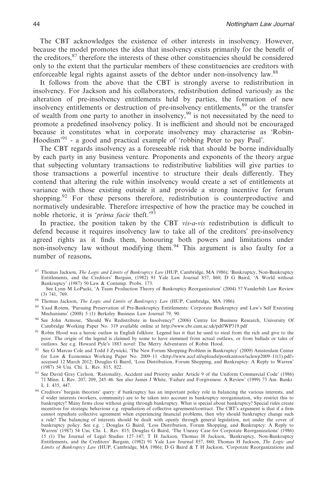The CBT acknowledges the existence of other interests in insolvency. However, because the model promotes the idea that insolvency exists primarily for the benefit of the creditors,<sup>87</sup> therefore the interests of these other constituencies should be considered only to the extent that the particular members of these constituencies are creditors with enforceable legal rights against assets of the debtor under non-insolvency law.<sup>88</sup>

It follows from the above that the CBT is strongly averse to redistribution in insolvency. For Jackson and his collaborators, redistribution defined variously as the alteration of pre-insolvency entitlements held by parties, the formation of new insolvency entitlements or destruction of pre-insolvency entitlements,<sup>89</sup> or the transfer of wealth from one party to another in insolvency,  $90$  is not necessitated by the need to promote a predefined insolvency policy. It is inefficient and should not be encouraged because it constitutes what in corporate insolvency may characterise as 'Robin-Hoodism<sup>391</sup> - a good and practical example of 'robbing Peter to pay Paul'.

The CBT regards insolvency as a foreseeable risk that should be borne individually by each party in any business venture. Proponents and exponents of the theory argue that subjecting voluntary transactions to redistributive liabilities will give parties to those transactions a powerful incentive to structure their deals differently. They contend that altering the rule within insolvency would create a set of entitlements at variance with those existing outside it and provide a strong incentive for forum shopping.<sup>92</sup> For these persons therefore, redistribution is counterproductive and normatively undesirable. Therefore irrespective of how the practice may be couched in noble rhetoric, it is '*prima facie* theft.'93

In practice, the position taken by the CBT *vis-a-vis* redistribution is difficult to defend because it requires insolvency law to take all of the creditors' pre-insolvency agreed rights as it finds them, honouring both powers and limitations under non-insolvency law without modifying them.94 This argument is also faulty for a number of reasons**.**

- <sup>88</sup> Thomas Jackson, *The Logic and Limits of Bankruptcy Law* (HUP, Cambridge, MA 1986).
- <sup>89</sup> Yaad Rotem, 'Pursuing Preservation of Pre-Bankruptcy Entitlements: Corporate Bankruptcy and Law's Self Executing Mechanisms' (2008) 5 (1) Berkeley Business Law Journal 79, 90.
- <sup>90</sup> See John Armour, 'Should We Redistribute in Insolvency?' (2006) Centre for Business Research, University Of Cambridge Working Paper No. 319 available online at http://www.cbr.cam.ac.uk/pdf/WP319.pdf
- 91 Robin Hood was a heroic outlaw in English folklore. Legend has it that he used to steal from the rich and give to the poor. The origin of the legend is claimed by some to have stemmed from actual outlaws, or from ballads or tales of outlaws. See e.g. Howard Pyle's 1883 novel: The Merry Adventures of Robin Hood.
- <sup>92</sup> See G Marcus Cole and Todd J Zywicki, 'The New Forum Shopping Problem in Bankruptcy' (2009) Amsterdam Center<br>for Law & Economics Working Paper No. 2009–11 <http://www.accf.nl/uploads/postkantoor/aclewp2009–11(1).pdf> accessed 12 March 2012; Douglas G Baird, 'Loss Distribution, Forum Shopping, and Bankruptcy: A Reply to Warren' (1987) 54 Uni. Chi. L. Rev. 815, 822.
- 93 See David Gray Carlson, 'Rationality, Accident and Priority under Article 9 of the Uniform Commercial Code' (1986) 71 Minn. L Rev. 207, 209, 245–46. See also James J White, 'Failure and Forgiveness: A Review' (1999) 73 Am. Bankr. L J. 435, 447.
- <sup>94</sup> Creditors' bargain theorists' query: if bankruptcy has an important policy role in balancing the various interests, and if wider interests (workers, community) are to be taken into account in bankruptcy reorganisation, why restrict this to bankruptcy? Many firms close without going through bankruptcy. What is special about bankruptcy? Special rules create incentives for strategic behaviour e.g. repudiation of collective agreement/contract. The CBT's argument is that if a firm cannot repudiate collective agreement when experiencing financial problems, then why should bankruptcy change such a rule? The balancing of interests should be dealt with openly through general legislation, not under the cover of bankruptcy policy. See e.g. ; Douglas G Baird, 'Loss Distribution, Forum Shopping, and Bankruptcy: A Reply to Warren' (1987) 54 Uni. Chi. L. Rev. 815; Douglas G Baird, 'The Uneasy Case for Corporate Reorganizations' (1986) 15 (1) The Journal of Legal Studies 127–147; T H Jackson, Thomas H Jackson, 'Bankruptcy, Non-Bankruptcy Entitlements, and the Creditors' Bargain, (1982) 91 Yale Law Journal 857, 860; Thomas H Jackson, *The Logic and Limits of Bankruptcy Law* (HUP, Cambridge, MA 1986); D G Baird&TH Jackson, 'Corporate Reorganizations and

<sup>87</sup> Thomas Jackson, *The Logic and Limits of Bankruptcy Law* (HUP, Cambridge, MA 1986); 'Bankruptcy, Non-Bankruptcy Entitlements, and the Creditors' Bargain, (1982) 91 Yale Law Journal 857, 860; D G Baird, 'A World without Bankruptcy' (1987) 50 Law & Contemp. Probs. 173.

See Lynn M LoPucki, 'A Team Production Theory of Bankruptcy Reorganization' (2004) 57 Vanderbilt Law Review (3) 741, 769.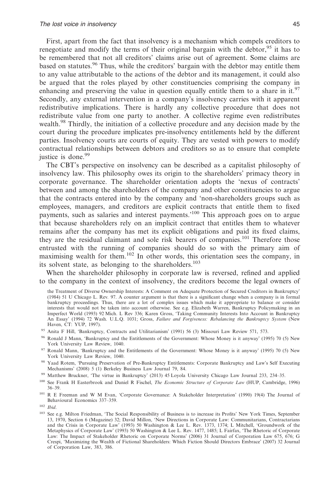First, apart from the fact that insolvency is a mechanism which compels creditors to renegotiate and modify the terms of their original bargain with the debtor,<sup>95</sup> it has to be remembered that not all creditors' claims arise out of agreement. Some claims are based on statutes.<sup>96</sup> Thus, while the creditors' bargain with the debtor may entitle them to any value attributable to the actions of the debtor and its management, it could also be argued that the roles played by other constituencies comprising the company in enhancing and preserving the value in question equally entitle them to a share in it.<sup>97</sup> Secondly, any external intervention in a company's insolvency carries with it apparent redistributive implications. There is hardly any collective procedure that does not redistribute value from one party to another. A collective regime even redistributes wealth.<sup>98</sup> Thirdly, the initiation of a collective procedure and any decision made by the court during the procedure implicates pre-insolvency entitlements held by the different parties. Insolvency courts are courts of equity. They are vested with powers to modify contractual relationships between debtors and creditors so as to ensure that complete justice is done.<sup>99</sup>

The CBT's perspective on insolvency can be described as a capitalist philosophy of insolvency law. This philosophy owes its origin to the shareholders' primacy theory in corporate governance. The shareholder orientation adopts the 'nexus of contracts' between and among the shareholders of the company and other constituencies to argue that the contracts entered into by the company and 'non-shareholders groups such as employees, managers, and creditors are explicit contracts that entitle them to fixed payments, such as salaries and interest payments.'100 This approach goes on to argue that because shareholders rely on an implicit contract that entitles them to whatever remains after the company has met its explicit obligations and paid its fixed claims, they are the residual claimant and sole risk bearers of companies.<sup>101</sup> Therefore those entrusted with the running of companies should do so with the primary aim of maximising wealth for them.<sup>102</sup> In other words, this orientation sees the company, in its solvent state, as belonging to the shareholders.<sup>103</sup>

When the shareholder philosophy in corporate law is reversed, refined and applied to the company in the context of insolvency, the creditors become the legal owners of

the Treatment of Diverse Ownership Interests: A Comment on Adequate Protection of Secured Creditors in Bankruptcy' (1984) 51 U Chicago L. Rev*.* 97. A counter argument is that there is a significant change when a company is in formal bankruptcy proceedings. Thus, there are a lot of complex issues which make it appropriate to balance or consider interests that would not be taken into account otherwise. See e.g. Elizabeth Warren, Bankruptcy Policymaking in an Imperfect World (1993) 92 Mich. L Rev 336; Karen Gross, 'Taking Community Interests Into Account in Bankruptcy An Essay' (1994) 72 Wash. U.L.Q. 1031; Gross, *Failure and Forgiveness: Rebalancing the Bankruptcy System* (New Haven, CT: YUP, 1997).

- <sup>95</sup> Anita F Hill, 'Bankruptcy, Contracts and Utilitarianism' (1991) 56 (3) Missouri Law Review 571, 573.
- <sup>96</sup> Ronald J Mann, 'Bankruptcy and the Entitlements of the Government: Whose Money is it anyway' (1995) 70 (5) New York University Law Review, 1040.
- 97 Ronald Mann, 'Bankruptcy and the Entitlements of the Government: Whose Money is it anyway' (1995) 70 (5) New York University Law Review, 1040.
- 98 Yaad Rotem, 'Pursuing Preservation of Pre-Bankruptcy Entitlements: Corporate Bankruptcy and Law's Self Executing Mechanisms' (2008) 5 (1) Berkeley Business Law Journal 79, 84.
- <sup>99</sup> Matthew Bruckner, 'The virtue in Bankruptcy' (2013) 45 Loyola University Chicago Law Journal 233, 234–35.
- <sup>100</sup> See Frank H Easterbrook and Daniel R Fischel, *The Economic Structure of Corporate Law* (HUP, Cambridge, 1996) 36–39.
- <sup>101</sup> R E Freeman and W M Evan, 'Corporate Governance: A Stakeholder Interpretation' (1990) 19(4) The Journal of Behavioural Economics 337–359.
- <sup>102</sup> *Ibid*.
- <sup>103</sup> See e.g. Milton Friedman, 'The Social Responsibility of Business is to increase its Profits' New York Times, September 13, 1970, Section 6 (Magazine) 32; David Millon, 'New Directions in Corporate Law: Communitarians, Contractarians and the Crisis in Corporate Law' (1993) 50 Washington & Lee L. Rev. 1373, 1374; L Mitchell, 'Groundwork of the Metaphysics of Corporate Law' (1993) 50 Washington & Lee L. Rev. 1477, 1485; L Fairfax, 'The Rhetoric of Corporate Law: The Impact of Stakeholder Rhetoric on Corporate Norms' (2006) 31 Journal of Corporation Law 675, 676; G Crespi, 'Maximizing the Wealth of Fictional Shareholders: Which Fiction Should Directors Embrace' (2007) 32 Journal of Corporation Law, 383, 386.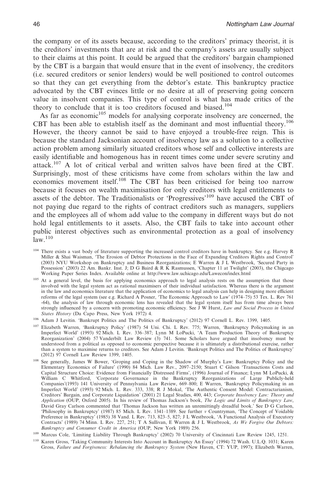the company or of its assets because, according to the creditors' primacy theorist, it is the creditors' investments that are at risk and the company's assets are usually subject to their claims at this point. It could be argued that the creditors' bargain championed by the CBT is a bargain that would ensure that in the event of insolvency, the creditors (i.e. secured creditors or senior lenders) would be well positioned to control outcomes so that they can get everything from the debtor's estate. This bankruptcy practice advocated by the CBT evinces little or no desire at all of preserving going concern value in insolvent companies. This type of control is what has made critics of the theory to conclude that it is too creditors focused and biased.<sup>104</sup>

As far as economic<sup>105</sup> models for analysing corporate insolvency are concerned, the CBT has been able to establish itself as the dominant and most influential theory.<sup>106</sup> However, the theory cannot be said to have enjoyed a trouble-free reign. This is because the standard Jacksonian account of insolvency law as a solution to a collective action problem among similarly situated creditors whose self and collective interests are easily identifiable and homogenous has in recent times come under severe scrutiny and attack.107 A lot of critical verbal and written salvos have been fired at the CBT. Surprisingly, most of these criticisms have come from scholars within the law and economics movement itself.<sup>108</sup> The CBT has been criticised for being too narrow because it focuses on wealth maximisation for only creditors with legal entitlements to assets of the debtor. The Traditionalists or 'Progressives'109 have accused the CBT of not paying due regard to the rights of contract creditors such as managers, suppliers and the employees all of whom add value to the company in different ways but do not hold legal entitlements to it assets. Also, the CBT fails to take into account other public interest objectives such as environmental protection as a goal of insolvency  $law.<sup>110</sup>$ 

- <sup>104</sup> There exists a vast body of literature supporting the increased control creditors have in bankruptcy. See e.g. Harvey R Miller & Shai Waisman, 'The Erosion of Debtor Protections in the Face of Expanding Creditors Rights and Control' (2003) NYU Workshop on Bankruptcy and Business Reorganizations; E Warren&JL Westbrook, 'Secured Party in Possession' (2003) 22 Am. Bankr. Inst. J; D G Baird & R K Rasmussen, 'Chapter 11 at Twilight' (2003), the Chigcago Working Paper Series Index. Available online at http://www.law.uchicago.edu/Lawecon/index.html
- <sup>105</sup> At a general level, the basis for applying economics approach to legal analysis rests on the assumption that those involved with the legal system act as rational maximisers of their individual satisfaction. Whereas there is the argument in the law and economics literature that the application of economics to legal analysis can help in designing more efficient reforms of the legal system (see e.g. Richard A Posner, 'The Economic Approach to Law' (1974–75) 53 Tex. L. Rev 761 -64), the analysis of law through economic lens has revealed that the legal system itself has from time always been strongly influenced by a concern with promoting economic efficiency. See J W Hurst, *Law and Social Process in United States History* (Da Capo Press, New York 1972) 4.
- <sup>106</sup> Adam J Levitin. 'Bankrupt Politics and The Politics of Bankruptcy' (2012) 97 Cornell L. Rev. 1399, 1405.
- <sup>107</sup> Elizabeth Warren, 'Bankruptcy Policy' (1987) 54 Uni. Chi. L Rev. 775; Warren, 'Bankruptcy Policymaking in an Imperfect World' (1993) 92 Mich. L Rev. 336–387; Lynn M LoPucki, 'A Team Production Theory of Bankruptcy Reorganization' (2004) 57 Vanderbilt Law Review (3) 741. Some Scholars have argued that insolvency must be understood from a political as opposed to economic perspective because it is ultimately a distributional exercise, rather than a system to maximise returns to creditors. See Adam J Levitin. 'Bankrupt Politics and The Politics of Bankruptcy' (2012) 97 Cornell Law Review 1399, 1405.
- <sup>108</sup> See generally, James W Bower, 'Groping and Coping in the Shadow of Murphy's Law: Bankruptcy Policy and the Elementary Economics of Failure' (1990) 84 Mich. Law Rev., 2097–2150; Stuart C Gilson 'Transactions Costs and Capital Structure Choice: Evidence from Financially Distressed Firms', (1996) Journal of Finance; Lynn M LoPucki, & William C Whitford, 'Corporate Governance in the Bankruptcy Reorganizations of Large Publicly-held Companies'(1993) 141 University of Pennsylvania Law Review, 669–800; E Warren, 'Bankruptcy Policymaking in an Imperfect World' (1993) 92 Mich. L. Rev. 333, 338; R J Mokal, 'The Authentic Consent Model: Contractarianism, Creditors' Bargain, and Corporate Liquidation' (2001) 21 Legal Studies, 400, 443; *Corporate Insolvency Law: Theory and Application* (OUP, Oxford 2005). In his review of Thomas Jackson's book, *The Logic and Limits of Bankruptcy Law*, David Gray Carlson commented that 'Thomas Jackson has written an unremittingly dreadful book.' See D G Carlson, 'Philosophy in Bankruptcy' (1987) 85 Mich. L Rev. 1341–1389. See further *v* Countryman, 'The Concept of Voidable Preference in Bankruptcy' (1985) 38 Vand. L Rev. 713, 823–5, 827; J L Westbrook, 'A Functional Analysis of Executory Contracts' (1989) 74 Minn. L Rev. 227, 251; T A Sullivan, E Warren&JL Westbrook, *As We Forgive Our Debtors: Bankruptcy and Consumer Credit in America* (OUP, New York 1989) 256.
- <sup>109</sup> Marcus Cole, 'Limiting Liability Through Bankruptcy' (2002) 70 University of Cincinnati Law Review 1245, 1251.
- <sup>110</sup> Karen Gross, 'Taking Community Interests Into Account in Bankruptcy An Essay' (1994) 72 Wash. U.L.Q. 1031; Karen Gross, *Failure and Forgiveness: Rebalancing the Bankruptcy System* (New Haven, CT: YUP, 1997); Elizabeth Warren,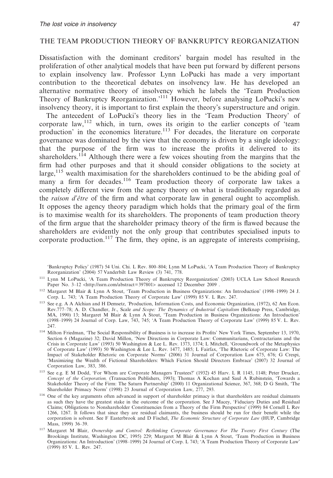# THE TEAM PRODUCTION THEORY OF BANKRUPTCY REORGANIZATION

Dissatisfaction with the dominant creditors' bargain model has resulted in the proliferation of other analytical models that have been put forward by different persons to explain insolvency law. Professor Lynn LoPucki has made a very important contribution to the theoretical debates on insolvency law. He has developed an alternative normative theory of insolvency which he labels the 'Team Production Theory of Bankruptcy Reorganization.'111 However, before analysing LoPucki's new insolvency theory, it is important to first explain the theory's superstructure and origin.

The antecedent of LoPucki's theory lies in the 'Team Production Theory' of corporate  $\text{law}^{1/12}$  which, in turn, owes its origin to the earlier concepts of 'team production' in the economics literature.<sup>113</sup> For decades, the literature on corporate governance was dominated by the view that the economy is driven by a single ideology: that the purpose of the firm was to increase the profits it delivered to its shareholders.<sup>114</sup> Although there were a few voices shouting from the margins that the firm had other purposes and that it should consider obligations to the society at large,<sup>115</sup> wealth maximisation for the shareholders continued to be the abiding goal of many a firm for decades.<sup>116</sup> Team production theory of corporate law takes a completely different view from the agency theory on what is traditionally regarded as the *raison d'être* of the firm and what corporate law in general ought to accomplish. It opposes the agency theory paradigm which holds that the primary goal of the firm is to maximise wealth for its shareholders. The proponents of team production theory of the firm argue that the shareholder primacy theory of the firm is flawed because the shareholders are evidently not the only group that contributes specialised inputs to corporate production.<sup>117</sup> The firm, they opine, is an aggregate of interests comprising,

'Bankruptcy Policy' (1987) 54 Uni. Chi. L Rev. 800–804; Lynn M LoPucki, 'A Team Production Theory of Bankruptcy Reorganization' (2004) 57 Vanderbilt Law Review (3) 741, 778.

- <sup>111</sup> Lynn M LoPucki, 'A Team Production Theory of Bankruptcy Reorganization' (2003) UCLA Law School Research Paper No. 3-12 <http://ssrn.com/abstract=397801> accessed 12 December 2009.
- <sup>112</sup> Margaret M Blair & Lynn A Stout, 'Team Production in Business Organizations: An Introduction' (1998–1999) 24 J. Corp. L. 743; 'A Team Production Theory of Corporate Law' (1999) 85 V. L Rev. 247.
- <sup>113</sup> See e.g. A A Alchian and H Demsetz, *'*Production, Information Costs, and Economic Organization, (1972), 62 Am Econ. Rev.777–78; A. D. Chandler, Jr., Scale and Scope: The Dynamics of Industrial Capitalism (Belknap Press, Cambridge,<br>MA, 1990) 13; Margaret M Blair & Lynn A Stout, 'Team Production in Business Organizations: An Introduction' (1998–1999) 24 Journal of Corp. Law, 743, 745; 'A Team Production Theory of Corporate Law' (1999) 85 V. L. Rev. 247.
- <sup>114</sup> Milton Friedman, 'The Social Responsibility of Business is to increase its Profits' New York Times, September 13, 1970, Section 6 (Magazine) 32; David Millon, 'New Directions in Corporate Law: Communitarians, Contractarians and the Crisis in Corporate Law' (1993) 50 Washington & Lee L. Rev. 1373, 1374; L Mitchell, 'Groundwork of the Metaphysics of Corporate Law' (1993) 50 Washington & Lee L. Rev. 1477, 1485; L Fairfax, 'The Rhetoric of Corporate Law: The Impact of Stakeholder Rhetoric on Corporate Norms' (2006) 31 Journal of Corporation Law 675, 676; G Crespi, 'Maximizing the Wealth of Fictional Shareholders: Which Fiction Should Directors Embrace' (2007) 32 Journal of Corporation Law, 383, 386.
- <sup>115</sup> See e.g. E M Dodd, 'For Whom are Corporate Managers Trustees?' (1932) 45 Harv. L R 1145, 1148; Peter Drucker, *Concept of the Corporation,* (Transaction Publishers, 1993); Thomas A Kochan and Saul A Rubinstein, 'Towards a Stakeholder Theory of the Firm: The Saturn Partnership' (2000) 11 Organizational Science, 367, 368; D G Smith, 'The Shareholder Primacy Norm' (1998) 23 Journal of Corporation Law, 277, 293.
- <sup>116</sup> One of the key arguments often advanced in support of shareholder primacy is that shareholders are residual claimants as such they have the greatest stake in the outcome of the corporation. See J Macey, 'Fiduciary Duties and Residual Claims; Obligations to Nonshareholder Constituencies from a Theory of the Firm Perspective' (1999) 84 Cornell L Rev 1266, 1267. It follows that since they are residual claimants, the business should be run for their benefit while the corporation is solvent. See F Easterbrook and D Fischel, *The Economic Structure of Corporate Law* (HUP, Cambridge Mass, 1999) 36–39.
- <sup>117</sup> Margaret M Blair, *Ownership and Control: Rethinking Corporate Governance For The Twenty First Century* (The Brookings Institute, Washington DC, 1995) 229; Margaret M Blair & Lynn A Stout, 'Team Production in Business Organizations: An Introduction' (1998–1999) 24 Journal of Corp. L 743; 'A Team Production Theory of Corporate Law' (1999) 85 V. L. Rev. 247.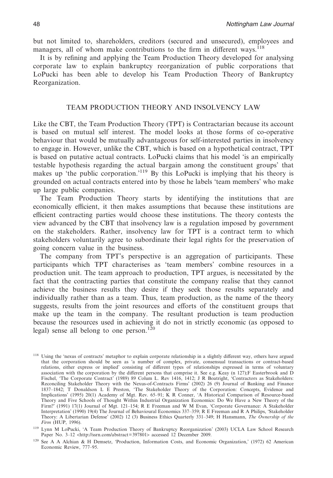but not limited to, shareholders, creditors (secured and unsecured), employees and managers, all of whom make contributions to the firm in different ways.<sup>118</sup>

It is by refining and applying the Team Production Theory developed for analysing corporate law to explain bankruptcy reorganization of public corporations that LoPucki has been able to develop his Team Production Theory of Bankruptcy Reorganization.

## TEAM PRODUCTION THEORY AND INSOLVENCY LAW

Like the CBT, the Team Production Theory (TPT) is Contractarian because its account is based on mutual self interest. The model looks at those forms of co-operative behaviour that would be mutually advantageous for self-interested parties in insolvency to engage in. However, unlike the CBT, which is based on a hypothetical contract, TPT is based on putative actual contracts. LoPucki claims that his model 'is an empirically testable hypothesis regarding the actual bargain among the constituent groups' that makes up 'the public corporation.'119 By this LoPucki is implying that his theory is grounded on actual contracts entered into by those he labels 'team members' who make up large public companies.

The Team Production Theory starts by identifying the institutions that are economically efficient, it then makes assumptions that because these institutions are efficient contracting parties would choose these institutions. The theory contests the view advanced by the CBT that insolvency law is a regulation imposed by government on the stakeholders. Rather, insolvency law for TPT is a contract term to which stakeholders voluntarily agree to subordinate their legal rights for the preservation of going concern value in the business.

The company from TPT's perspective is an aggregation of participants. These participants which TPT characterises as 'team members' combine resources in a production unit. The team approach to production, TPT argues, is necessitated by the fact that the contracting parties that constitute the company realise that they cannot achieve the business results they desire if they seek those results separately and individually rather than as a team. Thus, team production, as the name of the theory suggests, results from the joint resources and efforts of the constituent groups that make up the team in the company. The resultant production is team production because the resources used in achieving it do not in strictly economic (as opposed to legal) sense all belong to one person.<sup>120</sup>

<sup>&</sup>lt;sup>118</sup> Using the 'nexus of contracts' metaphor to explain corporate relationship in a slightly different way, others have argued that the corporation should be seen as 'a number of complex, private, consensual transactions or contract-based relations, either express or implied' consisting of different types of relationships expressed in terms of voluntary association with the corporation by the different persons that comprise it. See e.g. Keay (n 127);F Easterbrook and D Fischel, 'The Corporate Contract' (1989) 89 Colum L. Rev 1416, 1412; J R Boatright, 'Contractors as Stakeholders: Reconciling Stakeholder Theory with the Nexus-of-Contracts Firms' (2002) 26 (9) Journal of Banking and Finance 1837–1842; T Donaldson L E Preston, 'The Stakeholder Theory of the Corporation: Concepts, Evidence and Implications' (1995) 20(1) Academy of Mgt. Rev. 65–91; K R Conner, 'A Historical Comparison of Resource-based Theory and Five Schools of Thought Within Industrial Organization Economics: Do We Have a New Theory of the Firm?' (1991) 17(1) Journal of Mgt. 121–154; R E Freeman and W M Evan, 'Corporate Governance: A Stakeholder Interpretation' (1990) 19(4) The Journal of Behavioural Economics 337–359; R E Freeman and R A Philips, 'Stakeholder Theory: A Libertarian Defense' (2002) 12 (3) Business Ethics Quarterly 331–349; H Hansmann, *The Ownership of the Firm* (HUP, 1996).

<sup>119</sup> Lynn M LoPucki, 'A Team Production Theory of Bankruptcy Reorganization' (2003) UCLA Law School Research Paper No. 3–12 <http://ssrn.com/abstract=397801> accessed 12 December 2009.

<sup>120</sup> See A A Alchian & H Demsetz, 'Production, Information Costs, and Economic Organization,' (1972) 62 American Economic Review, 777–95.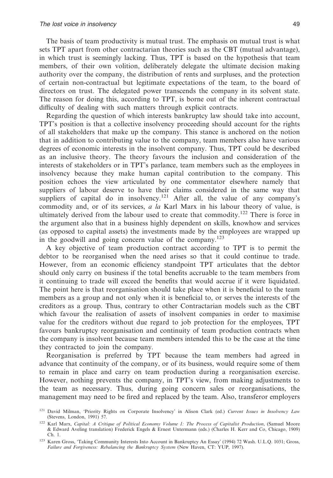The basis of team productivity is mutual trust. The emphasis on mutual trust is what sets TPT apart from other contractarian theories such as the CBT (mutual advantage), in which trust is seemingly lacking. Thus, TPT is based on the hypothesis that team members, of their own volition, deliberately delegate the ultimate decision making authority over the company, the distribution of rents and surpluses, and the protection of certain non-contractual but legitimate expectations of the team, to the board of directors on trust. The delegated power transcends the company in its solvent state. The reason for doing this, according to TPT, is borne out of the inherent contractual difficulty of dealing with such matters through explicit contracts.

Regarding the question of which interests bankruptcy law should take into account, TPT's position is that a collective insolvency proceeding should account for the rights of all stakeholders that make up the company. This stance is anchored on the notion that in addition to contributing value to the company, team members also have various degrees of economic interests in the insolvent company. Thus, TPT could be described as an inclusive theory. The theory favours the inclusion and consideration of the interests of stakeholders or in TPT's parlance, team members such as the employees in insolvency because they make human capital contribution to the company. This position echoes the view articulated by one commentator elsewhere namely that suppliers of labour deserve to have their claims considered in the same way that suppliers of capital do in insolvency.<sup>121</sup> After all, the value of any company's commodity and, or of its services, *a la* Karl Marx in his labour theory of value, is ultimately derived from the labour used to create that commodity.<sup>122</sup> There is force in the argument also that in a business highly dependent on skills, knowhow and services (as opposed to capital assets) the investments made by the employees are wrapped up in the goodwill and going concern value of the company.<sup>123</sup>

A key objective of team production contract according to TPT is to permit the debtor to be reorganised when the need arises so that it could continue to trade. However, from an economic efficiency standpoint TPT articulates that the debtor should only carry on business if the total benefits accruable to the team members from it continuing to trade will exceed the benefits that would accrue if it were liquidated. The point here is that reorganisation should take place when it is beneficial to the team members as a group and not only when it is beneficial to, or serves the interests of the creditors as a group. Thus, contrary to other Contractarian models such as the CBT which favour the realisation of assets of insolvent companies in order to maximise value for the creditors without due regard to job protection for the employees, TPT favours bankruptcy reorganisation and continuity of team production contracts when the company is insolvent because team members intended this to be the case at the time they contracted to join the company.

Reorganisation is preferred by TPT because the team members had agreed in advance that continuity of the company, or of its business, would require some of them to remain in place and carry on team production during a reorganisation exercise. However, nothing prevents the company, in TPT's view, from making adjustments to the team as necessary. Thus, during going concern sales or reorganisations, the management may need to be fired and replaced by the team. Also, transferor employers

<sup>121</sup> David Milman, 'Priority Rights on Corporate Insolvency' in Alison Clark (ed.) *Current Issues in Insolvency Law* (Stevens, London, 1991) 57.

<sup>122</sup> Karl Marx, *Capital: A Critique of Political Economy Volume 1: The Process of Capitalist Production*, (Samuel Moore & Edward Aveling translation) Frederick Engels & Ernest Untermann (eds.) (Charles H. Kerr and Co, Chicago, 1909) Ch. 1.

<sup>123</sup> Karen Gross, 'Taking Community Interests Into Account in Bankruptcy An Essay' (1994) 72 Wash. U.L.Q. 1031; Gross, *Failure and Forgiveness: Rebalancing the Bankruptcy System* (New Haven, CT: YUP, 1997).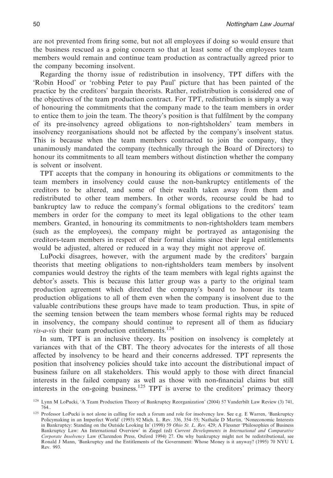are not prevented from firing some, but not all employees if doing so would ensure that the business rescued as a going concern so that at least some of the employees team members would remain and continue team production as contractually agreed prior to the company becoming insolvent.

Regarding the thorny issue of redistribution in insolvency, TPT differs with the 'Robin Hood' or 'robbing Peter to pay Paul' picture that has been painted of the practice by the creditors' bargain theorists. Rather, redistribution is considered one of the objectives of the team production contract. For TPT, redistribution is simply a way of honouring the commitments that the company made to the team members in order to entice them to join the team. The theory's position is that fulfilment by the company of its pre-insolvency agreed obligations to non-rightsholders' team members in insolvency reorganisations should not be affected by the company's insolvent status. This is because when the team members contracted to join the company, they unanimously mandated the company (technically through the Board of Directors) to honour its commitments to all team members without distinction whether the company is solvent or insolvent.

TPT accepts that the company in honouring its obligations or commitments to the team members in insolvency could cause the non-bankruptcy entitlements of the creditors to be altered, and some of their wealth taken away from them and redistributed to other team members. In other words, recourse could be had to bankruptcy law to reduce the company's formal obligations to the creditors' team members in order for the company to meet its legal obligations to the other team members. Granted, in honouring its commitments to non-rightsholders team members (such as the employees), the company might be portrayed as antagonising the creditors-team members in respect of their formal claims since their legal entitlements would be adjusted, altered or reduced in a way they might not approve of.

LuPocki disagrees, however, with the argument made by the creditors' bargain theorists that meeting obligations to non-rightsholders team members by insolvent companies would destroy the rights of the team members with legal rights against the debtor's assets. This is because this latter group was a party to the original team production agreement which directed the company's board to honour its team production obligations to all of them even when the company is insolvent due to the valuable contributions these groups have made to team production. Thus, in spite of the seeming tension between the team members whose formal rights may be reduced in insolvency, the company should continue to represent all of them as fiduciary *vis-a-vis* their team production entitlements.<sup>124</sup>

In sum, TPT is an inclusive theory. Its position on insolvency is completely at variances with that of the CBT. The theory advocates for the interests of all those affected by insolvency to be heard and their concerns addressed. TPT represents the position that insolvency policies should take into account the distributional impact of business failure on all stakeholders. This would apply to those with direct financial interests in the failed company as well as those with non-financial claims but still interests in the on-going business.125 TPT is averse to the creditors' primacy theory

<sup>124</sup> Lynn M LoPucki, 'A Team Production Theory of Bankruptcy Reorganization' (2004) 57 Vanderbilt Law Review (3) 741, 764..

<sup>125</sup> Professor LoPucki is not alone in calling for such a forum and role for insolvency law. See e.g. E Warren, 'Bankruptcy Policymaking in an Imperfect World' (1993) 92 Mich. L. Rev. 336, 354–55; Nathalie D Martin, 'Noneconomic Interests in Bankruptcy: Standing on the Outside Looking In' (1998) 59 *Ohio St. L. Rev.* 429; A Flessner 'Philosophies of Business Bankruptcy Law: An International Overview' in Ziegel (ed) *Current Developments in International and Comparative Corporate Insolvency* Law (Clarendon Press, Oxford 1994) 27. On why bankruptcy might not be redistributional, see Ronald J Mann, 'Bankruptcy and the Entitlements of the Government: Whose Money is it anyway? (1995) 70 NYU L Rev. 993.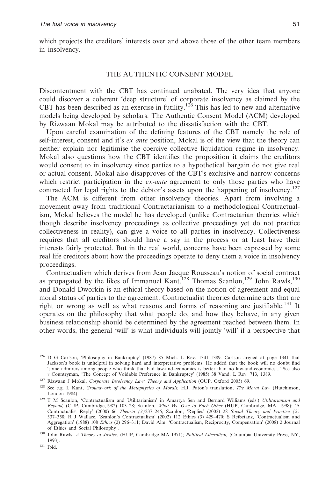which projects the creditors' interests over and above those of the other team members in insolvency.

### THE AUTHENTIC CONSENT MODEL

Discontentment with the CBT has continued unabated. The very idea that anyone could discover a coherent 'deep structure' of corporate insolvency as claimed by the CBT has been described as an exercise in futility.<sup>126</sup> This has led to new and alternative models being developed by scholars. The Authentic Consent Model (ACM) developed by Rizwaan Mokal may be attributed to the dissatisfaction with the CBT.

Upon careful examination of the defining features of the CBT namely the role of self-interest, consent and it's *ex ante* position, Mokal is of the view that the theory can neither explain nor legitimise the coercive collective liquidation regime in insolvency. Mokal also questions how the CBT identifies the proposition it claims the creditors would consent to in insolvency since parties to a hypothetical bargain do not give real or actual consent. Mokal also disapproves of the CBT's exclusive and narrow concerns which restrict participation in the *ex-ante* agreement to only those parties who have contracted for legal rights to the debtor's assets upon the happening of insolvency.<sup>127</sup>

The ACM is different from other insolvency theories. Apart from involving a movement away from traditional Contractarianism to a methodological Contractualism, Mokal believes the model he has developed (unlike Contractarian theories which though describe insolvency proceedings as collective proceedings yet do not practice collectiveness in reality), can give a voice to all parties in insolvency. Collectiveness requires that all creditors should have a say in the process or at least have their interests fairly protected. But in the real world, concerns have been expressed by some real life creditors about how the proceedings operate to deny them a voice in insolvency proceedings.

Contractualism which derives from Jean Jacque Rousseau's notion of social contract as propagated by the likes of Immanuel Kant,<sup>128</sup> Thomas Scanlon,<sup>129</sup> John Rawls,<sup>130</sup> and Donald Dworkin is an ethical theory based on the notion of agreement and equal moral status of parties to the agreement. Contractualist theories determine acts that are right or wrong as well as what reasons and forms of reasoning are justifiable.131 It operates on the philosophy that what people do, and how they behave, in any given business relationship should be determined by the agreement reached between them. In other words, the general 'will' is what individuals will jointly 'will' if a perspective that

<sup>126</sup> D G Carlson, 'Philosophy in Bankruptcy' (1987) 85 Mich. L Rev. 1341–1389. Carlson argued at page 1341 that Jackson's book is unhelpful in solving hard and interpretative problems. He added that the book will no doubt find 'some admirers among people who think that bad law-and-economics is better than no law-and-economics...' See also *v* Countryman, 'The Concept of Voidable Preference in Bankruptcy' (1985) 38 Vand. L Rev. 713, 1389.

<sup>127</sup> Rizwaan J Mokal, *Corporate Insolvency Law: Theory and Application* (OUP, Oxford 2005) 69.

<sup>128</sup> See e.g. I. Kant, *Groundwork of the Metaphysics of Morals,* H.J. Paton's translation, *The Moral Law* (Hutchinson, London 1984).

<sup>129</sup> T M Scanlon, 'Contractualism and Utilitarianism' in Amartya Sen and Bernard Williams (eds.) *Utilitarianism and Beyond,* (CUP, Cambridge,1982) 103–28; Scanlon, *What We Owe to Each Other* (HUP, Cambridge, MA, 1998); 'A Contractualist Reply' (2000) 66 Theoria (3)237–245; Scanlon, 'Replies' (2002) 28 Social Theory and Practice (2)<br>337–358; R J Wallace, 'Scanlon's Contractualism' (2002) 112 Ethics (3) 429–470; S Reibetanz, 'Contractualism a Aggregation' (1988) 108 *Ethics* (2) 296–311; David Alm, 'Contractualism, Reciprocity, Compensation' (2008) 2 Journal of Ethics and Social Philosophy .

<sup>130</sup> John Rawls, *A Theory of Justice*, (HUP, Cambridge MA 1971); *Political Liberalism,* (Columbia University Press, NY, 1993).

<sup>131</sup> Ibid.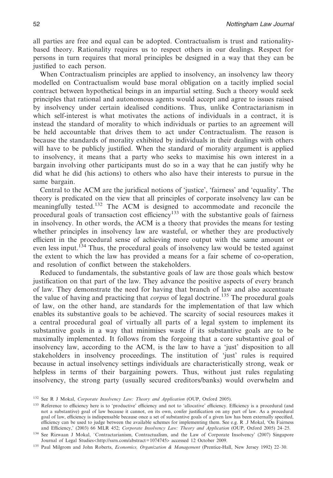all parties are free and equal can be adopted. Contractualism is trust and rationalitybased theory. Rationality requires us to respect others in our dealings. Respect for persons in turn requires that moral principles be designed in a way that they can be justified to each person.

When Contractualism principles are applied to insolvency, an insolvency law theory modelled on Contractualism would base moral obligation on a tacitly implied social contract between hypothetical beings in an impartial setting. Such a theory would seek principles that rational and autonomous agents would accept and agree to issues raised by insolvency under certain idealised conditions. Thus, unlike Contractarianism in which self-interest is what motivates the actions of individuals in a contract, it is instead the standard of morality to which individuals or parties to an agreement will be held accountable that drives them to act under Contractualism. The reason is because the standards of morality exhibited by individuals in their dealings with others will have to be publicly justified. When the standard of morality argument is applied to insolvency, it means that a party who seeks to maximise his own interest in a bargain involving other participants must do so in a way that he can justify why he did what he did (his actions) to others who also have their interests to pursue in the same bargain.

Central to the ACM are the juridical notions of 'justice', 'fairness' and 'equality'. The theory is predicated on the view that all principles of corporate insolvency law can be meaningfully tested.<sup>132</sup> The ACM is designed to accommodate and reconcile the procedural goals of transaction cost efficiency<sup>133</sup> with the substantive goals of fairness in insolvency. In other words, the ACM is a theory that provides the means for testing whether principles in insolvency law are wasteful, or whether they are productively efficient in the procedural sense of achieving more output with the same amount or even less input.<sup>134</sup> Thus, the procedural goals of insolvency law would be tested against the extent to which the law has provided a means for a fair scheme of co-operation, and resolution of conflict between the stakeholders.

Reduced to fundamentals, the substantive goals of law are those goals which bestow justification on that part of the law. They advance the positive aspects of every branch of law. They demonstrate the need for having that branch of law and also accentuate the value of having and practicing that *corpus* of legal doctrine.135 The procedural goals of law, on the other hand, are standards for the implementation of that law which enables its substantive goals to be achieved. The scarcity of social resources makes it a central procedural goal of virtually all parts of a legal system to implement its substantive goals in a way that minimises waste if its substantive goals are to be maximally implemented. It follows from the forgoing that a core substantive goal of insolvency law, according to the ACM, is the law to have a 'just' disposition to all stakeholders in insolvency proceedings. The institution of 'just' rules is required because in actual insolvency settings individuals are characteristically strong, weak or helpless in terms of their bargaining powers. Thus, without just rules regulating insolvency, the strong party (usually secured creditors/banks) would overwhelm and

<sup>132</sup> See R J Mokal, *Corporate Insolvency Law: Theory and Application* (OUP, Oxford 2005).

<sup>133</sup> Reference to efficiency here is to 'productive' efficiency and not to 'allocative' efficiency. Efficiency is a procedural (and not a substantive) goal of law because it cannot, on its own, confer justification on any part of law. As a procedural goal of law, efficiency is indispensable because once a set of substantive goals of a given law has been externally specified, efficiency can be used to judge between the available schemes for implementing them. See e.g. R .J Mokal, 'On Fairness and Efficiency,' (2003) 66 MLR 452; *Corporate Insolvency Law: Theory and Application* (OUP, Oxford 2005) 24–25.

<sup>134</sup> See Rizwaan J Mokal, 'Contractarianism, Contractualism, and the Law of Corporate Insolvency' (2007) Singapore Journal of Legal Studies<http://ssrn.com/abstract=1074745> accessed 12 October 2009.

<sup>135</sup> Paul Milgrom and John Roberts, *Economics, Organization & Management* (Prentice-Hall, New Jersey 1992) 22–30.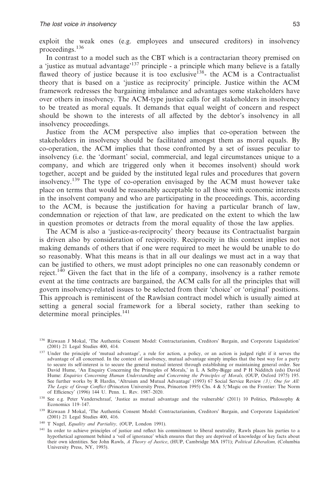exploit the weak ones (e.g. employees and unsecured creditors) in insolvency proceedings.136

In contrast to a model such as the CBT which is a contractarian theory premised on a 'justice as mutual advantage'<sup>137</sup> principle - a principle which many believe is a fatally flawed theory of justice because it is too exclusive<sup>138</sup>- the ACM is a Contractualist theory that is based on a 'justice as reciprocity' principle. Justice within the ACM framework redresses the bargaining imbalance and advantages some stakeholders have over others in insolvency. The ACM-type justice calls for all stakeholders in insolvency to be treated as moral equals. It demands that equal weight of concern and respect should be shown to the interests of all affected by the debtor's insolvency in all insolvency proceedings.

Justice from the ACM perspective also implies that co-operation between the stakeholders in insolvency should be facilitated amongst them as moral equals. By co-operation, the ACM implies that those confronted by a set of issues peculiar to insolvency (i.e. the 'dormant' social, commercial, and legal circumstances unique to a company, and which are triggered only when it becomes insolvent) should work together, accept and be guided by the instituted legal rules and procedures that govern insolvency.<sup>139</sup> The type of co-operation envisaged by the ACM must however take place on terms that would be reasonably acceptable to all those with economic interests in the insolvent company and who are participating in the proceedings. This, according to the ACM, is because the justification for having a particular branch of law, condemnation or rejection of that law, are predicated on the extent to which the law in question promotes or detracts from the moral equality of those the law applies.

The ACM is also a 'justice-as-reciprocity' theory because its Contractualist bargain is driven also by consideration of reciprocity. Reciprocity in this context implies not making demands of others that if one were required to meet he would be unable to do so reasonably. What this means is that in all our dealings we must act in a way that can be justified to others, we must adopt principles no one can reasonably condemn or reject.<sup>140</sup> Given the fact that in the life of a company, insolvency is a rather remote event at the time contracts are bargained, the ACM calls for all the principles that will govern insolvency-related issues to be selected from their 'choice' or 'original' positions. This approach is reminiscent of the Rawlsian contract model which is usually aimed at setting a general social framework for a liberal society, rather than seeking to determine moral principles.<sup>141</sup>

<sup>140</sup> T Nagel, *Equality and Partiality,* (OUP, London 1991).

<sup>136</sup> Rizwaan J Mokal, 'The Authentic Consent Model: Contractarianism, Creditors' Bargain, and Corporate Liquidation' (2001) 21 Legal Studies 400, 414.

<sup>&</sup>lt;sup>137</sup> Under the principle of 'mutual advantage', a rule for action, a policy, or an action is judged right if it serves the advantage of all concerned. In the context of insolvency, mutual advantage simply implies that the best way for a party to secure its self-interest is to secure the general mutual interest through establishing or maintaining general order. See David Hume, 'An Enquiry Concerning the Principles of Morals,' in L A Selby-Bigge and P H Nidditch (eds) David Hume: *Enquiries Concerning Human Understanding and Concerning the Principles of Morals,* (OUP, Oxford 1975) 195. See further works by R Hardin, 'Altruism and Mutual Advantage' (1993) 67 Social Service Review *(3); One for All: The Logic of Group Conflict* (Princeton University Press, Princeton 1995) Chs. 4 & 5;'Magic on the Frontier: The Norm of Efficiency' (1996) 144 U. Penn. L. Rev. 1987–2020.

<sup>138</sup> See e.g. Peter Vanderschraaf, 'Justice as mutual advantage and the vulnerable' (2011) 10 Politics, Philosophy & Economics 119–147.

<sup>139</sup> Rizwaan J Mokal, 'The Authentic Consent Model: Contractarianism, Creditors' Bargain, and Corporate Liquidation' (2001) 21 Legal Studies 400, 416.

<sup>&</sup>lt;sup>141</sup> In order to achieve principles of justice and reflect his commitment to liberal neutrality, Rawls places his parties to a hypothetical agreement behind a 'veil of ignorance' which ensures that they are deprived of knowledge of key facts about their own identities. See John Rawls, *A Theory of Justice*, (HUP, Cambridge MA 1971); *Political Liberalism,* (Columbia University Press, NY, 1993).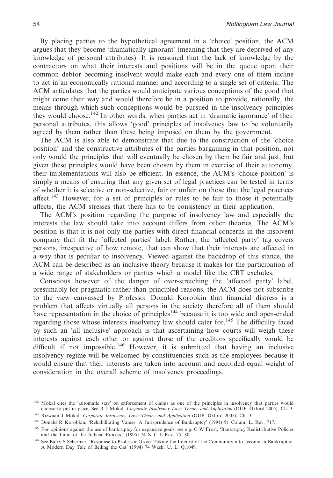By placing parties to the hypothetical agreement in a 'choice' position, the ACM argues that they become 'dramatically ignorant' (meaning that they are deprived of any knowledge of personal attributes). It is reasoned that the lack of knowledge by the contractors on what their interests and positions will be in the queue upon their common debtor becoming insolvent would make each and every one of them incline to act in an economically rational manner and according to a single set of criteria. The ACM articulates that the parties would anticipate various conceptions of the good that might come their way and would therefore be in a position to provide, rationally, the means through which such conceptions would be pursued in the insolvency principles they would choose.<sup>142</sup> In other words, when parties act in 'dramatic ignorance' of their personal attributes, this allows 'good' principles of insolvency law to be voluntarily agreed by them rather than these being imposed on them by the government.

The ACM is also able to demonstrate that due to the construction of the 'choice position' and the constructive attributes of the parties bargaining in that position, not only would the principles that will eventually be chosen by them be fair and just, but given these principles would have been chosen by them in exercise of their autonomy, their implementations will also be efficient. In essence, the ACM's 'choice position' is simply a means of ensuring that any given set of legal practices can be tested in terms of whether it is selective or non-selective, fair or unfair on those that the legal practices affect.<sup>143</sup> However, for a set of principles or rules to be fair to those it potentially affects, the ACM stresses that there has to be consistency in their application.

The ACM's position regarding the purpose of insolvency law and especially the interests the law should take into account differs from other theories. The ACM's position is that it is not only the parties with direct financial concerns in the insolvent company that fit the 'affected parties' label. Rather, the 'affected party' tag covers persons, irrespective of how remote, that can show that their interests are affected in a way that is peculiar to insolvency. Viewed against the backdrop of this stance, the ACM can be described as an inclusive theory because it makes for the participation of a wide range of stakeholders or parties which a model like the CBT excludes.

Conscious however of the danger of over-stretching the 'affected party' label, presumably for pragmatic rather than principled reasons, the ACM does not subscribe to the view canvassed by Professor Donald Korobkin that financial distress is a problem that affects virtually all persons in the society therefore all of them should have representation in the choice of principles<sup>144</sup> because it is too wide and open-ended regarding those whose interests insolvency law should cater for.<sup>145</sup> The difficulty faced by such an 'all inclusive' approach is that ascertaining how courts will weigh these interests against each other or against those of the creditors specifically would be difficult if not impossible.<sup>146</sup> However, it is submitted that having an inclusive insolvency regime will be welcomed by constituencies such as the employees because it would ensure that their interests are taken into account and accorded equal weight of consideration in the overall scheme of insolvency proceedings.

<sup>&</sup>lt;sup>142</sup> Mokal cites the 'automatic stay' on enforcement of claims as one of the principles in insolvency that parties would choose to put in place. See R J Mokal, *Corporate Insolvency Law: Theory and Application* (OUP, Oxford 2005). Ch. 3.

<sup>143</sup> Rizwaan J Mokal, *Corporate Insolvency Law: Theory and Application* (OUP, Oxford 2005). Ch. 3.

<sup>144</sup> Donald R Korobkin, 'Rehabilitating Values: A Jurisprudence of Bankruptcy' (1991) 91 Colum. L. Rev. 717.

<sup>&</sup>lt;sup>145</sup> For opinions against the use of bankruptcy for expansive goals, see e.g. C W Frost, 'Bankruptcy Redistributive Policies and the Limit of the Judicial Process,' (1995) 74 N C L Rev. 75, 80.

<sup>146</sup> See Barry S Schermer, 'Response to Professor Gross: Taking the Interest of the Community into account in Bankruptcy-A Modern Day Tale of Belling the Cat' (1994) 74 Wash. U. L. Q.1049.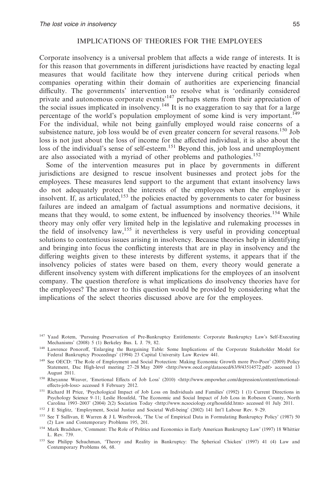# IMPLICATIONS OF THEORIES FOR THE EMPLOYEES

Corporate insolvency is a universal problem that affects a wide range of interests. It is for this reason that governments in different jurisdictions have reacted by enacting legal measures that would facilitate how they intervene during critical periods when companies operating within their domain of authorities are experiencing financial difficulty. The governments' intervention to resolve what is 'ordinarily considered private and autonomous corporate events'147 perhaps stems from their appreciation of the social issues implicated in insolvency.148 It is no exaggeration to say that for a large percentage of the world's population employment of some kind is very important.149 For the individual, while not being gainfully employed would raise concerns of a subsistence nature, job loss would be of even greater concern for several reasons.<sup>150</sup> Job loss is not just about the loss of income for the affected individual, it is also about the loss of the individual's sense of self-esteem.<sup>151</sup> Beyond this, job loss and unemployment are also associated with a myriad of other problems and pathologies.152

Some of the intervention measures put in place by governments in different jurisdictions are designed to rescue insolvent businesses and protect jobs for the employees. These measures lend support to the argument that extant insolvency laws do not adequately protect the interests of the employees when the employer is insolvent. If, as articulated,<sup>153</sup> the policies enacted by governments to cater for business failures are indeed an amalgam of factual assumptions and normative decisions, it means that they would, to some extent, be influenced by insolvency theories.<sup>154</sup> While theory may only offer very limited help in the legislative and rulemaking processes in the field of insolvency law,<sup>155</sup> it nevertheless is very useful in providing conceptual solutions to contentious issues arising in insolvency. Because theories help in identifying and bringing into focus the conflicting interests that are in play in insolvency and the differing weights given to these interests by different systems, it appears that if the insolvency policies of states were based on them, every theory would generate a different insolvency system with different implications for the employees of an insolvent company. The question therefore is what implications do insolvency theories have for the employees? The answer to this question would be provided by considering what the implications of the select theories discussed above are for the employees.

- <sup>151</sup> Richard H Price, 'Psychological Impact of Job Loss on Individuals and Families' (1992) 1 (1) Current Directions in Psychology Science 9–11; Leslie Hossfeld, 'The Economic and Social Impact of Job Loss in Robeson County, North Carolina 1993–2003' (2004) 2(2) Sociation Today <http://www.ncsociology.org/hossfeld.htm> accessed 01 July 2011.
- <sup>152</sup> J E Stiglitz, 'Employment, Social Justice and Societal Well-being' (2002) 141 Int'l Labour Rev. 9-29.
- <sup>153</sup> See T Sullivan, E Warren & J L Westbrook, 'The Use of Empirical Data in Formulating Bankruptcy Policy' (1987) 50 (2) Law and Contemporary Problems 195, 201.
- <sup>154</sup> Mark Bradshaw, 'Comment: The Role of Politics and Economics in Early American Bankruptcy Law' (1997) 18 Whittier L. Rev. 739.
- <sup>155</sup> See Philipp Schuchman, 'Theory and Reality in Bankruptcy: The Spherical Chicken' (1997) 41 (4) Law and Contemporary Problems 66, 68.

<sup>&</sup>lt;sup>147</sup> Yaad Rotem, 'Pursuing Preservation of Pre-Bankruptcy Entitlements: Corporate Bankruptcy Law's Self-Executing Mechanisms' (2008) 5 (1) Berkeley Bus. L J. 79, 82.

<sup>148</sup> Lawrence Ponoroff, 'Enlarging the Bargaining Table: Some Implications of the Corporate Stakeholder Model for Federal Bankruptcy Proceedings' (1994) 23 Capital University Law Review 441.

<sup>149</sup> See OECD: 'The Role of Employment and Social Protection: Making Economic Growth more Pro-Poor' (2009) Policy Statement, Dac High-level meeting 27–28 May 2009 <http://www.oecd.org/dataoecd/63/9/43514572.pdf> accessed 13 August 2011.

<sup>&</sup>lt;sup>150</sup> Rheyanne Weaver, 'Emotional Effects of Job Loss' (2010) <http://www.empowher.com/depression/content/emotionaleffects-job-loss> accessed 8 February 2012.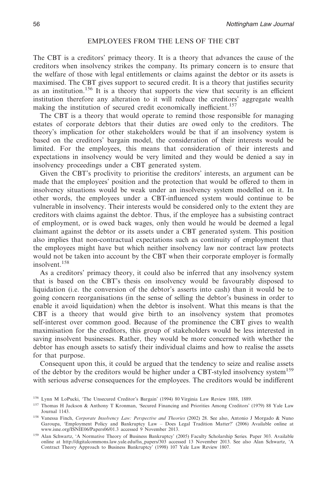# EMPLOYEES FROM THE LENS OF THE CBT

The CBT is a creditors' primacy theory. It is a theory that advances the cause of the creditors when insolvency strikes the company. Its primary concern is to ensure that the welfare of those with legal entitlements or claims against the debtor or its assets is maximised. The CBT gives support to secured credit. It is a theory that justifies security as an institution.<sup>156</sup> It is a theory that supports the view that security is an efficient institution therefore any alteration to it will reduce the creditors' aggregate wealth making the institution of secured credit economically inefficient.<sup>157</sup>

The CBT is a theory that would operate to remind those responsible for managing estates of corporate debtors that their duties are owed only to the creditors. The theory's implication for other stakeholders would be that if an insolvency system is based on the creditors' bargain model, the consideration of their interests would be limited. For the employees, this means that consideration of their interests and expectations in insolvency would be very limited and they would be denied a say in insolvency proceedings under a CBT generated system.

Given the CBT's proclivity to prioritise the creditors' interests, an argument can be made that the employees' position and the protection that would be offered to them in insolvency situations would be weak under an insolvency system modelled on it. In other words, the employees under a CBT-influenced system would continue to be vulnerable in insolvency. Their interests would be considered only to the extent they are creditors with claims against the debtor. Thus, if the employee has a subsisting contract of employment, or is owed back wages, only then would he would be deemed a legal claimant against the debtor or its assets under a CBT generated system. This position also implies that non-contractual expectations such as continuity of employment that the employees might have but which neither insolvency law nor contract law protects would not be taken into account by the CBT when their corporate employer is formally insolvent.158

As a creditors' primacy theory, it could also be inferred that any insolvency system that is based on the CBT's thesis on insolvency would be favourably disposed to liquidation (i.e. the conversion of the debtor's asserts into cash) than it would be to going concern reorganisations (in the sense of selling the debtor's business in order to enable it avoid liquidation) when the debtor is insolvent. What this means is that the CBT is a theory that would give birth to an insolvency system that promotes self-interest over common good. Because of the prominence the CBT gives to wealth maximisation for the creditors, this group of stakeholders would be less interested in saving insolvent businesses. Rather, they would be more concerned with whether the debtor has enough assets to satisfy their individual claims and how to realise the assets for that purpose.

Consequent upon this, it could be argued that the tendency to seize and realise assets of the debtor by the creditors would be higher under a CBT-styled insolvency system<sup>159</sup> with serious adverse consequences for the employees. The creditors would be indifferent

<sup>156</sup> Lynn M LoPucki, 'The Unsecured Creditor's Bargain' (1994) 80 Virginia Law Review 1888, 1889.

<sup>157</sup> Thomas H Jackson & Anthony T Kronman, 'Secured Financing and Priorities Among Creditors' (1979) 88 Yale Law Journal 1143.

<sup>158</sup> Vanessa Finch, *Corporate Insolvency Law: Perspective and Theories* (2002) 28. See also, Antonio J Morgado & Nuno Garoupa, 'Employment Policy and Bankruptcy Law – Does Legal Tradition Matter?' (2006) Available online at www.isne.org/ISNIE06/Papers06/01.3 accessed 9 November 2013.

<sup>159</sup> Alan Schwartz, 'A Normative Theory of Business Bankruptcy' (2005) Faculty Scholarship Series*.* Paper 303. Available online at http://digitalcommons.law.yale.edu/fss\_papers/303 accessed 13 November 2013. See also Alan Schwartz, 'A Contract Theory Approach to Business Bankruptcy' (1998) 107 Yale Law Review 1807.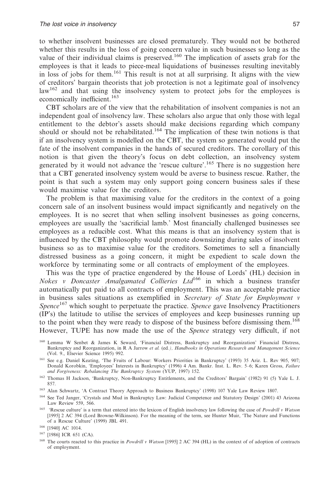to whether insolvent businesses are closed prematurely. They would not be bothered whether this results in the loss of going concern value in such businesses so long as the value of their individual claims is preserved.<sup>160</sup> The implication of assets grab for the employees is that it leads to piece-meal liquidations of businesses resulting inevitably in loss of jobs for them.<sup>161</sup> This result is not at all surprising. It aligns with the view of creditors' bargain theorists that job protection is not a legitimate goal of insolvency law<sup>162</sup> and that using the insolvency system to protect jobs for the employees is economically inefficient.<sup>163</sup>

CBT scholars are of the view that the rehabilitation of insolvent companies is not an independent goal of insolvency law. These scholars also argue that only those with legal entitlement to the debtor's assets should make decisions regarding which company should or should not be rehabilitated.<sup>164</sup> The implication of these twin notions is that if an insolvency system is modelled on the CBT, the system so generated would put the fate of the insolvent companies in the hands of secured creditors. The corollary of this notion is that given the theory's focus on debt collection, an insolvency system generated by it would not advance the 'rescue culture'.<sup>165</sup> There is no suggestion here that a CBT generated insolvency system would be averse to business rescue. Rather, the point is that such a system may only support going concern business sales if these would maximise value for the creditors.

The problem is that maximising value for the creditors in the context of a going concern sale of an insolvent business would impact significantly and negatively on the employees. It is no secret that when selling insolvent businesses as going concerns, employees are usually the 'sacrificial lamb.' Most financially challenged businesses see employees as a reducible cost. What this means is that an insolvency system that is influenced by the CBT philosophy would promote downsizing during sales of insolvent business so as to maximise value for the creditors. Sometimes to sell a financially distressed business as a going concern, it might be expedient to scale down the workforce by terminating some or all contracts of employment of the employees.

This was the type of practice engendered by the House of Lords' (HL) decision in *Nokes v Doncaster Amalgamated Collieries Ltd*<sup>166</sup> in which a business transfer automatically put paid to all contracts of employment. This was an acceptable practice in business sales situations as exemplified in *Secretary of State for Employment v Spence*<sup>167</sup> which sought to perpetuate the practice. *Spence* gave Insolvency Practitioners (IP's) the latitude to utilise the services of employees and keep businesses running up to the point when they were ready to dispose of the business before dismissing them.<sup>168</sup> However, TUPE has now made the use of the *Spence* strategy very difficult, if not

- <sup>163</sup> Alan Schwartz, 'A Contract Theory Approach to Business Bankruptcy' (1998) 107 Yale Law Review 1807.
- <sup>164</sup> See Ted Janger, 'Crystals and Mud in Bankruptcy Law: Judicial Competence and Statutory Design' (2001) 43 Arizona Law Review 559, 566.
- <sup>165</sup> 'Rescue culture' is a term that entered into the lexicon of English insolvency law following the case of *Powdrill v Watson* [1995] 2 AC 394 (Lord Browne-Wilkinson). For the meaning of the term, see Hunter Muir, 'The Nature and Functions of a Rescue Culture' (1999) JBL 491.

<sup>160</sup> Lemma W Senbet & James K Seward, 'Financial Distress, Bankruptcy and Reorganization' Financial Distress, Bankruptcy and Reorganization, in R A Jarrow *et al.* (ed*.), Handbooks in Operations Research and Management Science* (Vol. 9., Elsevier Science 1995) 992.

<sup>161</sup> See e.g. Daniel Keating, 'The Fruits of Labour: Workers Priorities in Bankruptcy' (1993) 35 Ariz. L. Rev 905, 907; Donald Korobkin, 'Employees' Interests in Bankruptcy' (1996) 4 Am. Bankr. Inst. L. Rev. 5–6; Karen Gross, *Failure and Forgiveness: Rebalancing The Bankruptcy System* (YUP, 1997) 152.

<sup>162</sup> Thomas H Jackson, 'Bankruptcy, Non-Bankruptcy Entitlements, and the Creditors' Bargain' (1982) 91 (5) Yale L. J. 857.

<sup>166</sup> [1940] AC 1014.

<sup>167</sup> [1986] ICR 651 (CA).

<sup>168</sup> The courts reacted to this practice in *Powdrill v Watson* [1995] 2 AC 394 (HL) in the context of of adoption of contracts of employment.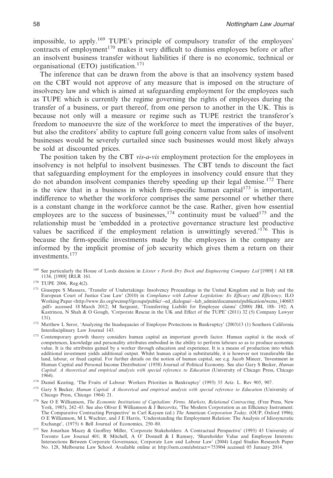impossible, to apply.169 TUPE's principle of compulsory transfer of the employees' contracts of employment<sup>170</sup> makes it very difficult to dismiss employees before or after an insolvent business transfer without liabilities if there is no economic, technical or organisational (ETO) justification.<sup>171</sup>

The inference that can be drawn from the above is that an insolvency system based on the CBT would not approve of any measure that is imposed on the structure of insolvency law and which is aimed at safeguarding employment for the employees such as TUPE which is currently the regime governing the rights of employees during the transfer of a business, or part thereof, from one person to another in the UK. This is because not only will a measure or regime such as TUPE restrict the transferor's freedom to manoeuvre the size of the workforce to meet the imperatives of the buyer, but also the creditors' ability to capture full going concern value from sales of insolvent businesses would be severely curtailed since such businesses would most likely always be sold at discounted prices.

The position taken by the CBT *vis-a-vis* employment protection for the employees in insolvency is not helpful to insolvent businesses. The CBT tends to discount the fact that safeguarding employment for the employees in insolvency could ensure that they do not abandon insolvent companies thereby speeding up their legal demise.<sup>172</sup> There is the view that in a business in which firm-specific human capital<sup>173</sup> is important, indifference to whether the workforce comprises the same personnel or whether there is a constant change in the workforce cannot be the case. Rather, given how essential employees are to the success of businesses,  $174$  continuity must be valued  $175$  and the relationship must be 'embedded in a protective governance structure lest productive values be sacrificed if the employment relation is unwittingly severed.<sup>'176</sup> This is because the firm-specific investments made by the employees in the company are informed by the implicit promise of job security which gives them a return on their investments.<sup>177</sup>

- <sup>169</sup> See particularly the House of Lords decision in *Litster v Forth Dry Dock and Engineering Company Ltd* [1989] 1 All ER 1134, [1989] IRLR 161.
- <sup>170</sup> TUPE 2006, Reg.4(2).
- <sup>171</sup> Giuseppe S Massara, 'Transfer of Undertakings: Insolvency Proceedings in the United Kingdom and in Italy and the European Court of Justice Case Law' (2010) in *Compliance with Labour Legislation: Its Efficacy and Efficiency,* ILO Working Paper <http://www.ilo.org/wcmsp5/groups/public/--ed\_dialogue/--lab\_admin/documents/publication/wcms\_140685 .pdf> accessed 18 March 2012; M Sargeant, 'Transferring Liabilit for Employee claims' (2000) JBL 188- 192; A Kastrinou, N Shah & O Gough, 'Corporate Rescue in the UK and Effect of the TUPE' (2011) 32 (5) Company Lawyer 131).
- <sup>172</sup> Matthew L Seror, 'Analyzing the Inadequacies of Employee Protections in Bankruptcy' (2003)13 (1) Southern California Interdisciplinary Law Journal 143.
- 173 Contemporary growth theory considers human capital an important growth factor. Human capital is the stock of competences, knowledge and personality attributes embodied in the ability to perform labours so as to produce economic value. It is the attributes gained by a worker through education and experience. It is a means of production into which additional investment yields additional output. Whilst human capital is substitutable, it is however not transferable like land, labour, or fixed capital. For further details on the notion of human capital, see e.g. Jacob Mincer, 'Investment in Human Capital and Personal Income Distribution' (1958) Journal of Political Economy. See also Gary S Becker, *Human Capital: A theoretical and empirical analysis with special reference to Education* (University of Chicago Press, Chicago 1964).
- <sup>174</sup> Daniel Keating, 'The Fruits of Labour: Workers Priorities in Bankruptcy' (1993) 35 Ariz. L. Rev 905, 907.
- <sup>175</sup> Gary S Becker, *Human Capital: A theoretical and empirical analysis with special reference to Education* (University of Chicago Press, Chicago 1964) 21.
- <sup>176</sup> See O E Williamson, *The Economic Institutions of Capitalism: Firms, Markets, Relational Contracting,* (Free Press, New York, 1985), 242–43. See also Oliver E Williamson & J Bercovitz, 'The Modern Corporation as an Efficiency Instrument: The Comparative Contracting Perspective' in Carl Kaysen (ed.) *The* American *Corporation Today,* (OUP, Oxford 1996); O E Williamson, M L Wachter, and J E Harris, 'Understanding the Employment Relation: The Analysis of Idiosyncratic Exchange', (1975) 6 Bell Journal of Economics, 250–80.
- <sup>177</sup> See Jonathan Macey & Geoffrey Miller, 'Corporate Stakeholders: A Contractual Perspective' (1993) 43 University of Toronto Law Journal 401; R Mitchell, A O' Donnell & I Ramsey, 'Shareholder Value and Employee Interests: Intersections Between Corporate Governance, Corporate Law and Labour Law' (2004) Legal Studies Research Paper No. 128, Melbourne Law School. Available online at http://ssrn.com/abstract=753904 accessed 05 January 2014.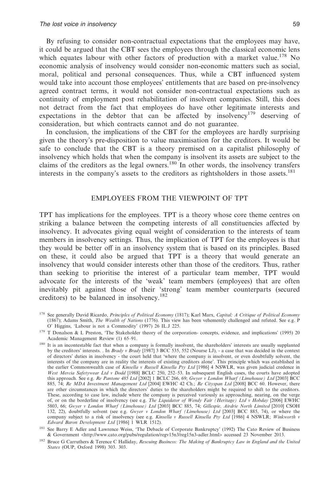By refusing to consider non-contractual expectations that the employees may have, it could be argued that the CBT sees the employees through the classical economic lens which equates labour with other factors of production with a market value.<sup>178</sup> No economic analysis of insolvency would consider non-economic matters such as social, moral, political and personal consequences. Thus, while a CBT influenced system would take into account those employees' entitlements that are based on pre-insolvency agreed contract terms, it would not consider non-contractual expectations such as continuity of employment post rehabilitation of insolvent companies. Still, this does not detract from the fact that employees do have other legitimate interests and expectations in the debtor that can be affected by insolvency<sup>179</sup> deserving of consideration, but which contracts cannot and do not guarantee.

In conclusion, the implications of the CBT for the employees are hardly surprising given the theory's pre-disposition to value maximisation for the creditors. It would be safe to conclude that the CBT is a theory premised on a capitalist philosophy of insolvency which holds that when the company is insolvent its assets are subject to the claims of the creditors as the legal owners.<sup>180</sup> In other words, the insolvency transfers interests in the company's assets to the creditors as rightsholders in those assets.<sup>181</sup>

#### EMPLOYEES FROM THE VIEWPOINT OF TPT

TPT has implications for the employees. TPT is a theory whose core theme centres on striking a balance between the competing interests of all constituencies affected by insolvency. It advocates giving equal weight of consideration to the interests of team members in insolvency settings. Thus, the implication of TPT for the employees is that they would be better off in an insolvency system that is based on its principles. Based on these, it could also be argued that TPT is a theory that would generate an insolvency that would consider interests other than those of the creditors. Thus, rather than seeking to prioritise the interest of a particular team member, TPT would advocate for the interests of the 'weak' team members (employees) that are often inevitably pit against those of their 'strong' team member counterparts (secured creditors) to be balanced in insolvency.182

<sup>178</sup> See generally David Ricardo, *Principles of Political Economy* (1817); Karl Marx, *Capital; A Critique of Political Economy* (1867); Adams Smith, *The Wealth of Nations* (1776). This view has been vehemently challenged and refuted. See e.g. P O' Higgins, 'Labour is not a Commodity' (1997) 26 IL.J 225.

<sup>&</sup>lt;sup>179</sup> T Donalson & L Preston, 'The Stakeholder theory of the corporation- concepts, evidence, and implications' (1995) 20 Academic Management Review (1) 65–91.

<sup>&</sup>lt;sup>180</sup> It is an incontestable fact that when a company is formally insolvent, the shareholders' interests are usually supplanted by the creditors' interests. . In *Brady v Brady* [1987] 3 BCC 535, 552 (Nourse LJ), - a case that was decided in the context of directors' duties in insolvency - the court held that 'where the company is insolvent, or even doubtfully solvent, the interests of the company are in reality the interests of existing creditors alone'. This principle which was established in the earlier Commonwealth case of *Kinsella v Russell Kinsella Pty Ltd* [1986] 4 NSWLR, was given judicial credence in *West Mercia Safetywear Ltd v Dodd* [1988] BCLC 250, 252–53. In subsequent English cases, the courts have adopted this approach. See e.g. *Re Pantone 485 Ltd* [2002] 1 BCLC 266, 69; *Gwyer v London Wharf (Limehouse) Ltd* [2003] BCC 885, 74; *Re MDA Investment Management Ltd* [2004] EWHC 42 Ch.; *Re Cityspan Ltd* [2008] BCC 60. However, there are other circumstances in which the directors' duties to the shareholders might be required to shift to the creditors. These, according to case law, include where the company is perceived variously as approaching, nearing, on the verge of, or on the borderline of insolvency (see e.g. *The Liquidator of Wendy Fair (Heritage) Ltd v Hobday* [2006] EWHC 5803, 66; *Gwyer v London Wharf (Limehouse) Ltd* [2003] BCC 885, 74; *Gillespie, Airdrie North Limited* [2010] CSOH 132, 22), doubtfully solvent (see e.g. *Gwyer v London Wharf (Limehouse) Ltd* [2003] BCC 885, 74), or where the company subject to a risk of insolvency (see e.g. *Kinsella v Russell Kinsella Pty Ltd* [1986] 4 NSWLR; *Winkworth v Edward Baron Development Ltd* [1986] 1 WLR 1512).

<sup>&</sup>lt;sup>181</sup> See Barry E Adler and Lawrence Weiss, 'The Debacle of Corporate Bankruptcy' (1992) The Cato Review of Business & Government <http://www.cato.org/pubs/regulation/regv15n3/reg15n3-adler.html> accessed 23 November 2013.

<sup>182</sup> Bruce G Carruthers & Terence C Halliday, *Rescuing Business: The Making of Bankruptcy Law in England and the United States* (OUP, Oxford 1998) 303. 303.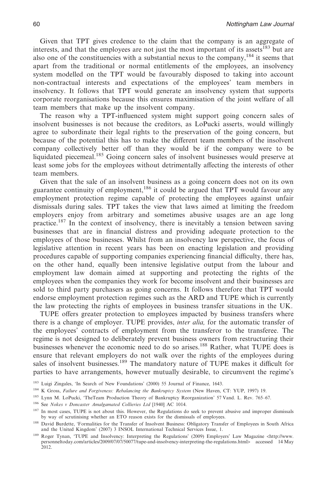Given that TPT gives credence to the claim that the company is an aggregate of interests, and that the employees are not just the most important of its assets<sup>183</sup> but are also one of the constituencies with a substantial nexus to the company,  $184$  it seems that apart from the traditional or normal entitlements of the employees, an insolvency system modelled on the TPT would be favourably disposed to taking into account non-contractual interests and expectations of the employees' team members in insolvency. It follows that TPT would generate an insolvency system that supports corporate reorganisations because this ensures maximisation of the joint welfare of all team members that make up the insolvent company.

The reason why a TPT-influenced system might support going concern sales of insolvent businesses is not because the creditors, as LoPucki asserts, would willingly agree to subordinate their legal rights to the preservation of the going concern, but because of the potential this has to make the different team members of the insolvent company collectively better off than they would be if the company were to be liquidated piecemeal.<sup>185</sup> Going concern sales of insolvent businesses would preserve at least some jobs for the employees without detrimentally affecting the interests of other team members.

Given that the sale of an insolvent business as a going concern does not on its own guarantee continuity of employment,186 it could be argued that TPT would favour any employment protection regime capable of protecting the employees against unfair dismissals during sales. TPT takes the view that laws aimed at limiting the freedom employers enjoy from arbitrary and sometimes abusive usages are an age long practice.<sup>187</sup> In the context of insolvency, there is inevitably a tension between saving businesses that are in financial distress and providing adequate protection to the employees of those businesses. Whilst from an insolvency law perspective, the focus of legislative attention in recent years has been on enacting legislation and providing procedures capable of supporting companies experiencing financial difficulty, there has, on the other hand, equally been intensive legislative output from the labour and employment law domain aimed at supporting and protecting the rights of the employees when the companies they work for become insolvent and their businesses are sold to third party purchasers as going concerns. It follows therefore that TPT would endorse employment protection regimes such as the ARD and TUPE which is currently the law protecting the rights of employees in business transfer situations in the UK.

TUPE offers greater protection to employees impacted by business transfers where there is a change of employer. TUPE provides, *inter alia,* for the automatic transfer of the employees' contracts of employment from the transferor to the transferee. The regime is not designed to deliberately prevent business owners from restructuring their businesses whenever the economic need to do so arises.<sup>188</sup> Rather, what TUPE does is ensure that relevant employers do not walk over the rights of the employees during sales of insolvent businesses.<sup>189</sup> The mandatory nature of TUPE makes it difficult for parties to have arrangements, however mutually desirable, to circumvent the regime's

<sup>183</sup> Luigi Zingales, 'In Search of New Foundations' (2000) 55 Journal of Finance, 1643.

<sup>184</sup> K Gross, *Failure and Forgiveness: Rebalancing the Bankruptcy System* (New Haven, CT: YUP, 1997) 19.

<sup>185</sup> Lynn M. LoPucki, 'TheTeam Production Theory of Bankruptcy Reorganization' 57 Vand. L. Rev. 765-67.

<sup>186</sup> See *Nokes v Doncaster Amalgamated Collieries Ltd* [1940] AC 1014.

<sup>&</sup>lt;sup>187</sup> In most cases, TUPE is not about this. However, the Regulations do seek to prevent abusive and improper dismissals by way of scrutinising whether an ETO reason exists for the dismissals of employees.

<sup>188</sup> David Burdette, 'Formalities for the Transfer of Insolvent Business: Obligatory Transfer of Employees in South Africa and the United Kingdom' (2007) 3 INSOL International Technical Services Issue, 1.

<sup>189</sup> Roger Tynan, 'TUPE and Insolvency: Interpreting the Regulations' (2009) Employers' Law Magazine <http://www. personneltoday.com/articles/2009/07/07/50077/tupe-and-insolvency-interpreting-the-regulations.html> accessed 14 May 2012.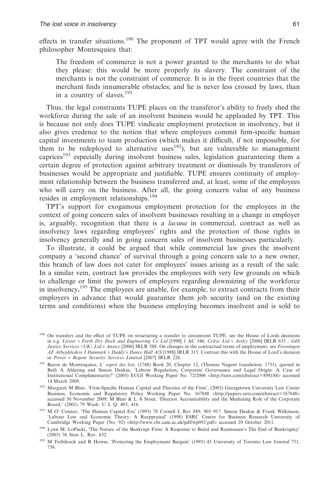effects in transfer situations.<sup>190</sup> The proponent of TPT would agree with the French philosopher Montesquieu that:

The freedom of commerce is not a power granted to the merchants to do what they please: this would be more properly its slavery. The constraint of the merchants is not the constraint of commerce. It is in the freest countries that the merchant finds innumerable obstacles; and he is never less crossed by laws, than in a country of slaves.<sup>191</sup>

Thus, the legal constraints TUPE places on the transferor's ability to freely shed the workforce during the sale of an insolvent business would be applauded by TPT. This is because not only does TUPE vindicate employment protection in insolvency, but it also gives credence to the notion that where employees commit firm-specific human capital investments to team production (which makes it difficult, if not impossible, for them to be redeployed to alternative uses<sup>192</sup>), but are vulnerable to management caprices<sup>193</sup> especially during insolvent business sales, legislation guaranteeing them a certain degree of protection against arbitrary treatment or dismissals by transferors of businesses would be appropriate and justifiable. TUPE ensures continuity of employment relationship between the business transferred and, at least, some of the employees who will carry on the business. After all, the going concern value of any business resides in employment relationships.194

TPT's support for exogamous employment protection for the employees in the context of going concern sales of insolvent businesses resulting in a change in employer is, arguably, recognition that there is a *lacuna* in commercial, contract as well as insolvency laws regarding employees' rights and the protection of those rights in insolvency generally and in going concern sales of insolvent businesses particularly.

To illustrate, it could be argued that while commercial law gives the insolvent company a 'second chance' of survival through a going concern sale to a new owner, this branch of law does not cater for employees' issues arising as a result of the sale. In a similar vein, contract law provides the employees with very few grounds on which to challenge or limit the powers of employers regarding downsizing of the workforce in insolvency**.** <sup>195</sup> The employees are unable, for example, to extract contracts from their employers in advance that would guarantee them job security (and on the existing terms and conditions) when the business employing becomes insolvent and is sold to

<sup>&</sup>lt;sup>190</sup> On transfers and the effect of TUPE on structuring a transfer to circumvent TUPE, see the House of Lords decisions in e.g. *Litster v Forth Dry Dock and Engineering Co Ltd* [1990] 1 AC 546; *Celtec Ltd v Astley* [2006] IRLR 635 *; G4S Justice Services (UK) Ltd v Anstey* [2006] IRLR 588. On changes in the contractual terms of employment, see *Foreningen AF Arbejdsledere I Danmark v Daddy's Dance Hall A/S* [1988] IRLR 315. Contrast this with the House of Lord's decision in *Power v Regent Security Services Limited* [2007] IRLR 226*.*

<sup>191</sup> Baron de Montesquieu, *L' esprit des lois,* (1748) Book 20, Chapter 12, (Thomas Nugent translation: 1751), quoted in Beth A Ahlering and Simon Deakin, 'Labour Regulation, Corporate Governance and Legal Origin: A Case of<br>Institutional Complimentarity?' (2005) ECGI Working Paper No. 72/2006 <http://ssrn.com/abstract=898184> accessed 14 March 2009.

<sup>&</sup>lt;sup>192</sup> Margaret M Blair, 'Firm-Specific Human Capital and Theories of the Firm', (2003) Georgetown University Law Center Business, Economic and Regulatory Policy Working Paper No. 167848 <http://papers.ssrn.com/abstract=167848> accessed 30 November 2009; M Blair&LA Stout, 'Director Accountability and the Mediating Role of the Corporate Board,' (2001) 79 Wash. U L Q. 403, 416.

<sup>193</sup> M O' Connor, 'The Human Capital Era' (1993) 78 Cornell L Rev 889, 905–917. Simon Deakin & Frank Wilkinson, 'Labour Law and Economic Theory: A Reappraisal' (1998) ESRC Centre for Business Research University of Cambridge Working Paper (No. 92) <http://www.cbr.cam.ac.uk/pdf/wp092.pdf> accessed 29 October 2011.

<sup>&</sup>lt;sup>194</sup> Lynn M. LoPucki, 'The Nature of the Bankrupt Firm: A Response to Baird and Rasmussen's The End of Bankruptcy' (2003) 56 Stan L. Rev. 652.

<sup>195</sup> M Trebilcock and R Howse, 'Protecting the Employment Bargain' (1993) 43 University of Toronto Law Journal 751, 756.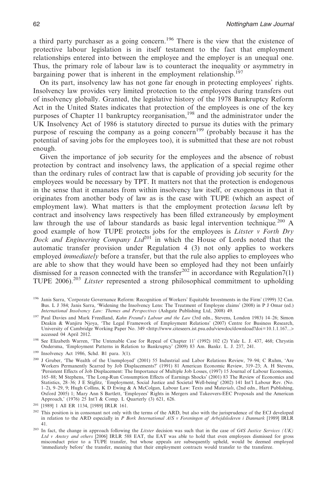a third party purchaser as a going concern.196 There is the view that the existence of protective labour legislation is in itself testament to the fact that employment relationships entered into between the employee and the employer is an unequal one. Thus, the primary role of labour law is to counteract the inequality or asymmetry in bargaining power that is inherent in the employment relationship.<sup>197</sup>

On its part, insolvency law has not gone far enough in protecting employees' rights. Insolvency law provides very limited protection to the employees during transfers out of insolvency globally. Granted, the legislative history of the 1978 Bankruptcy Reform Act in the United States indicates that protection of the employees is one of the key purposes of Chapter 11 bankruptcy reorganisation,<sup>198</sup> and the administrator under the UK Insolvency Act of 1986 is statutory directed to pursue its duties with the primary purpose of rescuing the company as a going concern<sup>199</sup> (probably because it has the potential of saving jobs for the employees too), it is submitted that these are not robust enough.

Given the importance of job security for the employees and the absence of robust protection by contract and insolvency laws, the application of a special regime other than the ordinary rules of contract law that is capable of providing job security for the employees would be necessary by TPT. It matters not that the protection is endogenous in the sense that it emanates from within insolvency law itself, or exogenous in that it originates from another body of law as is the case with TUPE (which an aspect of employment law). What matters is that the employment protection *lacuna* left by contract and insolvency laws respectively has been filled extraneously by employment law through the use of labour standards as basic legal intervention technique*.* <sup>200</sup> A good example of how TUPE protects jobs for the employees is *Litster v Forth Dry Dock and Engineering Company Ltd*<sup>201</sup> in which the House of Lords noted that the automatic transfer provision under Regulation 4 (3) not only applies to workers employed *immediately* before a transfer, but that the rule also applies to employees who are able to show that they would have been so employed had they not been unfairly dismissed for a reason connected with the transfer<sup>202</sup> in accordance with Regulation7(1) TUPE 2006).<sup>203</sup> *Litster* represented a strong philosophical commitment to upholding

<sup>196</sup> Janis Sarra, 'Corporate Governance Reform: Recognition of Workers' Equitable Investments in the Firm' (1999) 32 Can. Bus. L J 384; Janis Sarra, 'Widening the Insolvency Lens: The Treatment of Employee claims' (2008) in P J Omar (ed.) *International Insolvency Law: Themes and Perspectives* (Ashgate Publishing Ltd, 2008) 49.

<sup>197</sup> Paul Davies and Mark Freedland, *Kahn Freund's Labour and the Law* (3rd edn., Stevens, London 1983) 14–26; Simon Deakin & Wanjiru Njoya, 'The Legal Framework of Employment Relations' (2007) Centre for Business Research, University of Cambridge Working Paper No. 349 <http://www.citeseerx.ist.psu.edu/viewdoc/download?doi=10.1.1.167...> accessed 04 April 2012.

<sup>&</sup>lt;sup>198</sup> See Elizabeth Warren, 'The Untenable Case for Repeal of Chapter 11' (1992) 102 (2) Yale L. J. 437, 468; Chrystin Ondersma, 'Employment Patterns in Relation to Bankruptcy' (2009) 83 Am. Bankr. L. J. 237, 241.

<sup>199</sup> Insolvency Act 1986, Schd. B1 para. 3(1).

<sup>&</sup>lt;sup>200</sup> J Gruber, 'The Wealth of the Unemployed' (2001) 55 Industrial and Labor Relations Review, 79–94; C Ruhm, 'Are Workers Permanently Scarred by Job Displacements?' (1991) 81 American Economic Review, 319–23; A. H Stevens, 'Persistent Effects of Job Displacement: The Importance of Multiple Job Losses, (1997) 15 Journal of Labour Economics, 165–88; M Stephens, 'The Long-Run Consumption Effects of Earnings Shocks' (2001) 83 The Review of Economics and Statistics, 28–36; J E Stiglitz, 'Employment, Social Justice and Societal Well-being' (2002) 141 Int'l Labour Rev. (No.<br>1–2), 9–29, 9; Hugh Collins, K D Ewing & A McColgan, Labour Law: Texts and Materials, (2nd edn., Hart Oxford 2005) 1; Mary Ann S Bartlett, 'Employees' Rights in Mergers and Takeovers-EEC Proposals and the American Approach,' (1976) 25 Int'l & Comp. L Quarterly (3) 621, 626.

<sup>201</sup> [1989] 1 All ER 1134, [1989] IRLR 161.

 $202$  This position is in consonant not only with the terms of the ARD, but also with the jurisprudence of the ECJ developed in relation to the ARD especially in *P Bork International A/S v Foreningen af Arbejdslederen i Danmark* [1989] IRLR 41.

<sup>203</sup> In fact, the change in approach following the *Litster* decision was such that in the case of *G4S Justice Services (UK) Ltd v Anstey and others* [2006] IRLR 588 EAT, the EAT was able to hold that even employees dismissed for gross misconduct prior to a TUPE transfer, but whose appeals are subsequently upheld, would be deemed employed 'immediately before' the transfer, meaning that their employment contracts would transfer to the transferee.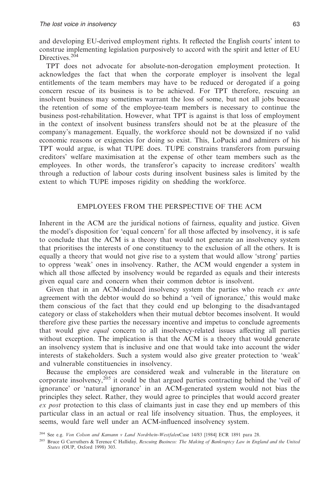and developing EU-derived employment rights. It reflected the English courts' intent to construe implementing legislation purposively to accord with the spirit and letter of EU Directives.<sup>204</sup>

TPT does not advocate for absolute-non-derogation employment protection. It acknowledges the fact that when the corporate employer is insolvent the legal entitlements of the team members may have to be reduced or derogated if a going concern rescue of its business is to be achieved. For TPT therefore, rescuing an insolvent business may sometimes warrant the loss of some, but not all jobs because the retention of some of the employee-team members is necessary to continue the business post-rehabilitation. However, what TPT is against is that loss of employment in the context of insolvent business transfers should not be at the pleasure of the company's management. Equally, the workforce should not be downsized if no valid economic reasons or exigencies for doing so exist. This, LoPucki and admirers of his TPT would argue, is what TUPE does. TUPE constrains transferors from pursuing creditors' welfare maximisation at the expense of other team members such as the employees. In other words, the transferor's capacity to increase creditors' wealth through a reduction of labour costs during insolvent business sales is limited by the extent to which TUPE imposes rigidity on shedding the workforce.

## EMPLOYEES FROM THE PERSPECTIVE OF THE ACM

Inherent in the ACM are the juridical notions of fairness, equality and justice. Given the model's disposition for 'equal concern' for all those affected by insolvency, it is safe to conclude that the ACM is a theory that would not generate an insolvency system that prioritises the interests of one constituency to the exclusion of all the others. It is equally a theory that would not give rise to a system that would allow 'strong' parties to oppress 'weak' ones in insolvency. Rather, the ACM would engender a system in which all those affected by insolvency would be regarded as equals and their interests given equal care and concern when their common debtor is insolvent.

Given that in an ACM-induced insolvency system the parties who reach *ex ante* agreement with the debtor would do so behind a 'veil of ignorance,' this would make them conscious of the fact that they could end up belonging to the disadvantaged category or class of stakeholders when their mutual debtor becomes insolvent. It would therefore give these parties the necessary incentive and impetus to conclude agreements that would give *equal* concern to all insolvency-related issues affecting all parties without exception. The implication is that the ACM is a theory that would generate an insolvency system that is inclusive and one that would take into account the wider interests of stakeholders. Such a system would also give greater protection to 'weak' and vulnerable constituencies in insolvency.

Because the employees are considered weak and vulnerable in the literature on corporate insolvency, $2^{0.5}$  it could be that argued parties contracting behind the 'veil of ignorance' or 'natural ignorance' in an ACM-generated system would not bias the principles they select. Rather, they would agree to principles that would accord greater *ex post* protection to this class of claimants just in case they end up members of this particular class in an actual or real life insolvency situation. Thus, the employees, it seems, would fare well under an ACM-influenced insolvency system.

<sup>204</sup> See e.g. *Von Colson and Kamann v Land Nordrhein-Westfalen*Case 14/83 [1984] ECR 1891 para 28.

<sup>205</sup> Bruce G Carruthers & Terence C Halliday, *Rescuing Business: The Making of Bankruptcy Law in England and the United States* (OUP, Oxford 1998) 303.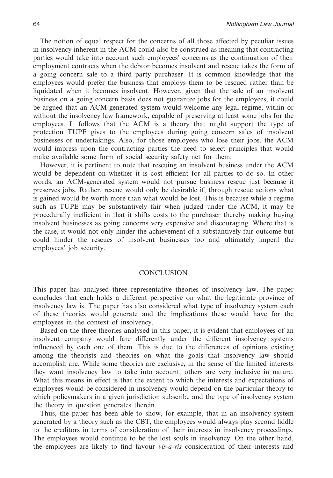The notion of equal respect for the concerns of all those affected by peculiar issues in insolvency inherent in the ACM could also be construed as meaning that contracting parties would take into account such employees' concerns as the continuation of their employment contracts when the debtor becomes insolvent and rescue takes the form of a going concern sale to a third party purchaser. It is common knowledge that the employees would prefer the business that employs them to be rescued rather than be liquidated when it becomes insolvent. However, given that the sale of an insolvent business on a going concern basis does not guarantee jobs for the employees, it could be argued that an ACM-generated system would welcome any legal regime, within or without the insolvency law framework, capable of preserving at least some jobs for the employees. It follows that the ACM is a theory that might support the type of protection TUPE gives to the employees during going concern sales of insolvent businesses or undertakings. Also, for those employees who lose their jobs, the ACM would impress upon the contracting parties the need to select principles that would make available some form of social security safety net for them.

However, it is pertinent to note that rescuing an insolvent business under the ACM would be dependent on whether it is cost efficient for all parties to do so. In other words, an ACM-generated system would not pursue business rescue just because it preserves jobs. Rather, rescue would only be desirable if, through rescue actions what is gained would be worth more than what would be lost. This is because while a regime such as TUPE may be substantively fair when judged under the ACM, it may be procedurally inefficient in that it shifts costs to the purchaser thereby making buying insolvent businesses as going concerns very expensive and discouraging. Where that is the case, it would not only hinder the achievement of a substantively fair outcome but could hinder the rescues of insolvent businesses too and ultimately imperil the employees' job security.

## **CONCLUSION**

This paper has analysed three representative theories of insolvency law. The paper concludes that each holds a different perspective on what the legitimate province of insolvency law is. The paper has also considered what type of insolvency system each of these theories would generate and the implications these would have for the employees in the context of insolvency.

Based on the three theories analysed in this paper, it is evident that employees of an insolvent company would fare differently under the different insolvency systems influenced by each one of them. This is due to the differences of opinions existing among the theorists and theories on what the goals that insolvency law should accomplish are. While some theories are exclusive, in the sense of the limited interests they want insolvency law to take into account, others are very inclusive in nature. What this means in effect is that the extent to which the interests and expectations of employees would be considered in insolvency would depend on the particular theory to which policymakers in a given jurisdiction subscribe and the type of insolvency system the theory in question generates therein.

Thus, the paper has been able to show, for example, that in an insolvency system generated by a theory such as the CBT, the employees would always play second fiddle to the creditors in terms of consideration of their interests in insolvency proceedings. The employees would continue to be the lost souls in insolvency. On the other hand, the employees are likely to find favour *vis-a-vis* consideration of their interests and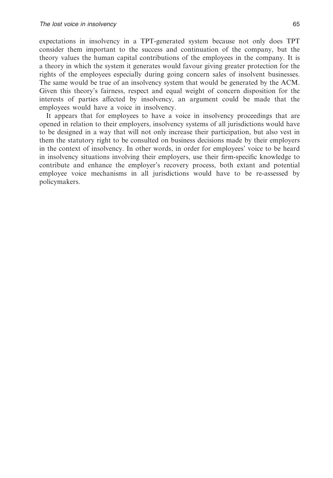expectations in insolvency in a TPT-generated system because not only does TPT consider them important to the success and continuation of the company, but the theory values the human capital contributions of the employees in the company. It is a theory in which the system it generates would favour giving greater protection for the rights of the employees especially during going concern sales of insolvent businesses. The same would be true of an insolvency system that would be generated by the ACM. Given this theory's fairness, respect and equal weight of concern disposition for the interests of parties affected by insolvency, an argument could be made that the employees would have a voice in insolvency.

It appears that for employees to have a voice in insolvency proceedings that are opened in relation to their employers, insolvency systems of all jurisdictions would have to be designed in a way that will not only increase their participation, but also vest in them the statutory right to be consulted on business decisions made by their employers in the context of insolvency. In other words, in order for employees' voice to be heard in insolvency situations involving their employers, use their firm-specific knowledge to contribute and enhance the employer's recovery process, both extant and potential employee voice mechanisms in all jurisdictions would have to be re-assessed by policymakers.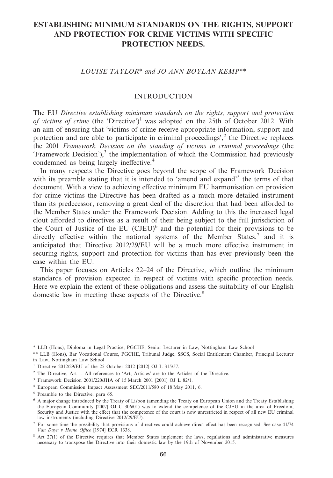# **ESTABLISHING MINIMUM STANDARDS ON THE RIGHTS, SUPPORT AND PROTECTION FOR CRIME VICTIMS WITH SPECIFIC PROTECTION NEEDS.**

## *LOUISE TAYLOR\* and JO ANN BOYLAN-KEMP\*\**

# **INTRODUCTION**

The EU *Directive establishing minimum standards on the rights, support and protection of victims of crime* (the 'Directive')<sup>1</sup> was adopted on the 25th of October 2012. With an aim of ensuring that 'victims of crime receive appropriate information, support and protection and are able to participate in criminal proceedings', $<sup>2</sup>$  the Directive replaces</sup> the 2001 *Framework Decision on the standing of victims in criminal proceedings* (the  $'$ Framework Decision'),<sup>3</sup> the implementation of which the Commission had previously condemned as being largely ineffective.4

In many respects the Directive goes beyond the scope of the Framework Decision with its preamble stating that it is intended to 'amend and expand'<sup>5</sup> the terms of that document. With a view to achieving effective minimum EU harmonisation on provision for crime victims the Directive has been drafted as a much more detailed instrument than its predecessor, removing a great deal of the discretion that had been afforded to the Member States under the Framework Decision. Adding to this the increased legal clout afforded to directives as a result of their being subject to the full jurisdiction of the Court of Justice of the EU  $(CJEU)^6$  and the potential for their provisions to be directly effective within the national systems of the Member States, $\frac{7}{1}$  and it is anticipated that Directive 2012/29/EU will be a much more effective instrument in securing rights, support and protection for victims than has ever previously been the case within the EU.

This paper focuses on Articles 22–24 of the Directive, which outline the minimum standards of provision expected in respect of victims with specific protection needs. Here we explain the extent of these obligations and assess the suitability of our English domestic law in meeting these aspects of the Directive.<sup>8</sup>

\* LLB (Hons), Diploma in Legal Practice, PGCHE, Senior Lecturer in Law, Nottingham Law School

\*\* LLB (Hons), Bar Vocational Course, PGCHE, Tribunal Judge, SSCS, Social Entitlement Chamber, Principal Lecturer in Law, Nottingham Law School

- <sup>3</sup> Framework Decision 2001/220/JHA of 15 March 2001 [2001] OJ L 82/1.
- <sup>4</sup> European Commission Impact Assessment SEC/2011/580 of 18 May 2011, 6.

<sup>7</sup> For some time the possibility that provisions of directives could achieve direct effect has been recognised. See case 41/74 *Van Duyn v Home Office* [1974] ECR 1338.

<sup>1</sup> Directive 2012/29/EU of the 25 October 2012 [2012] OJ L 315/57.

<sup>2</sup> The Directive, Art 1. All references to 'Art; Articles' are to the Articles of the Directive.

<sup>5</sup> Preamble to the Directive, para 65.

<sup>6</sup> A major change introduced by the Treaty of Lisbon (amending the Treaty on European Union and the Treaty Establishing the European Community [2007] OJ C 306/01) was to extend the competence of the CJEU in the area of Freedom, Security and Justice with the effect that the competence of the court is now unrestricted in respect of all new EU criminal law instruments (including Directive 2012/29/EU).

<sup>8</sup> Art 27(1) of the Directive requires that Member States implement the laws, regulations and administrative measures necessary to transpose the Directive into their domestic law by the 19th of November 2015.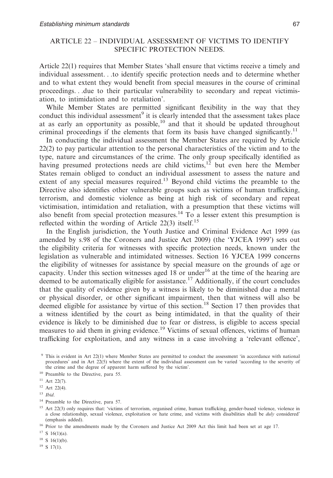# ARTICLE 22 – INDIVIDUAL ASSESSMENT OF VICTIMS TO IDENTIFY SPECIFIC PROTECTION NEEDS.

Article 22(1) requires that Member States 'shall ensure that victims receive a timely and individual assessment. . .to identify specific protection needs and to determine whether and to what extent they would benefit from special measures in the course of criminal proceedings. . .due to their particular vulnerability to secondary and repeat victimisation, to intimidation and to retaliation'.

While Member States are permitted significant flexibility in the way that they conduct this individual assessment<sup>9</sup> it is clearly intended that the assessment takes place at as early an opportunity as possible, $10$  and that it should be updated throughout criminal proceedings if the elements that form its basis have changed significantly.<sup>11</sup>

In conducting the individual assessment the Member States are required by Article 22(2) to pay particular attention to the personal characteristics of the victim and to the type, nature and circumstances of the crime. The only group specifically identified as having presumed protections needs are child victims,<sup>12</sup> but even here the Member States remain obliged to conduct an individual assessment to assess the nature and extent of any special measures required.<sup>13</sup> Beyond child victims the preamble to the Directive also identifies other vulnerable groups such as victims of human trafficking, terrorism, and domestic violence as being at high risk of secondary and repeat victimisation, intimidation and retaliation, with a presumption that these victims will also benefit from special protection measures.<sup>14</sup> To a lesser extent this presumption is reflected within the wording of Article 22(3) itself.<sup>15</sup>

In the English jurisdiction, the Youth Justice and Criminal Evidence Act 1999 (as amended by s.98 of the Coroners and Justice Act 2009) (the 'YJCEA 1999') sets out the eligibility criteria for witnesses with specific protection needs, known under the legislation as vulnerable and intimidated witnesses. Section 16 YJCEA 1999 concerns the eligibility of witnesses for assistance by special measure on the grounds of age or capacity. Under this section witnesses aged  $18$  or under<sup>16</sup> at the time of the hearing are deemed to be automatically eligible for assistance.<sup>17</sup> Additionally, if the court concludes that the quality of evidence given by a witness is likely to be diminished due a mental or physical disorder, or other significant impairment, then that witness will also be deemed eligible for assistance by virtue of this section.18 Section 17 then provides that a witness identified by the court as being intimidated, in that the quality of their evidence is likely to be diminished due to fear or distress, is eligible to access special measures to aid them in giving evidence.<sup>19</sup> Victims of sexual offences, victims of human trafficking for exploitation, and any witness in a case involving a 'relevant offence',

 $17$  S 16(1)(a).

 $18$  S 16(1)(b).

 $19$  S 17(1).

<sup>9</sup> This is evident in Art 22(1) where Member States are permitted to conduct the assessment 'in accordance with national procedures' and in Art 22(5) where the extent of the individual assessment can be varied 'according to the severity of the crime and the degree of apparent harm suffered by the victim'.

<sup>&</sup>lt;sup>10</sup> Preamble to the Directive, para 55.

 $11$  Art 22(7).

 $12$  Art 22(4).

<sup>13</sup> *Ibid*.

<sup>&</sup>lt;sup>14</sup> Preamble to the Directive, para 57.

<sup>&</sup>lt;sup>15</sup> Art 22(3) only requires that: 'victims of terrorism, organised crime, human trafficking, gender-based violence, violence in a close relationship, sexual violence, exploitation or hate crime, and victims with disabilities shall be *duly* considered' (emphasis added).

<sup>&</sup>lt;sup>16</sup> Prior to the amendments made by the Coroners and Justice Act 2009 Act this limit had been set at age 17.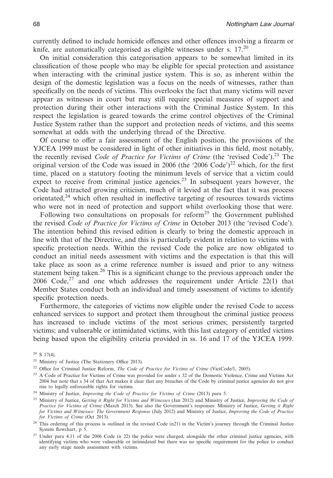currently defined to include homicide offences and other offences involving a firearm or knife, are automatically categorised as eligible witnesses under s.  $17<sup>20</sup>$ 

On initial consideration this categorisation appears to be somewhat limited in its classification of those people who may be eligible for special protection and assistance when interacting with the criminal justice system. This is so, as inherent within the design of the domestic legislation was a focus on the needs of witnesses, rather than specifically on the needs of victims. This overlooks the fact that many victims will never appear as witnesses in court but may still require special measures of support and protection during their other interactions with the Criminal Justice System. In this respect the legislation is geared towards the crime control objectives of the Criminal Justice System rather than the support and protection needs of victims, and this seems somewhat at odds with the underlying thread of the Directive.

Of course to offer a fair assessment of the English position, the provisions of the YJCEA 1999 must be considered in light of other initiatives in this field, most notably, the recently revised *Code of Practice for Victims of Crime* (the 'revised Code').<sup>21</sup> The original version of the Code was issued in 2006 (the '2006 Code')<sup>22</sup> which, for the first time, placed on a statutory footing the minimum levels of service that a victim could expect to receive from criminal justice agencies.<sup>23</sup> In subsequent years however, the Code had attracted growing criticism, much of it levied at the fact that it was process orientated, $24$  which often resulted in ineffective targeting of resources towards victims who were not in need of protection and support whilst overlooking those that were.

Following two consultations on proposals for reform<sup>25</sup> the Government published the revised *Code of Practice for Victims of Crime* in October 2013 (the 'revised Code'). The intention behind this revised edition is clearly to bring the domestic approach in line with that of the Directive, and this is particularly evident in relation to victims with specific protection needs. Within the revised Code the police are now obligated to conduct an initial needs assessment with victims and the expectation is that this will take place as soon as a crime reference number is issued and prior to any witness statement being taken.<sup>26</sup> This is a significant change to the previous approach under the 2006 Code,<sup>27</sup> and one which addresses the requirement under Article 22(1) that Member States conduct both an individual and timely assessment of victims to identify specific protection needs.

Furthermore, the categories of victims now eligible under the revised Code to access enhanced services to support and protect them throughout the criminal justice process has increased to include victims of the most serious crimes; persistently targeted victims; and vulnerable or intimidated victims, with this last category of entitled victims being based upon the eligibility criteria provided in ss. 16 and 17 of the YJCEA 1999.

 $20$  S 17(4).

<sup>21</sup> Ministry of Justice (The Stationery Office 2013).

<sup>22</sup> Office for Criminal Justice Reform, *The Code of Practice for Victims of Crime* (VictCode/1, 2005).

<sup>23</sup> A Code of Practice for Victims of Crime was provided for under s 32 of the Domestic Violence, Crime and Victims Act 2004 but note that s 34 of that Act makes it clear that any breaches of the Code by criminal justice agencies do not give rise to legally enforceable rights for victims.

<sup>24</sup> Ministry of Justice, *Improving the Code of Practice for Victims of Crime* (2013) para 5.

<sup>25</sup> Ministry of Justice, *Getting it Right for Victims and Witnesses* (Jan 2012) and Ministry of Justice, *Improving the Code of Practice for Victims of Crime* (March 2013). See also the Government's responses: Ministry of Justice, *Getting it Right for Victims and Witnesses: The Government Response* (July 2012) and Ministry of Justice, *Improving the Code of Practice for Victims of Crime* (Oct 2013).

<sup>26</sup> This ordering of this process is outlined in the revised Code (n21) in the Victim's journey through the Criminal Justice System flowchart, p 5.

<sup>27</sup> Under para 4.11 of the 2006 Code (n 22) the police were charged, alongside the other criminal justice agencies, with identifying victims who were vulnerable or intimidated but there was no specific requirement for the police to conduct any early stage needs assessment with victims.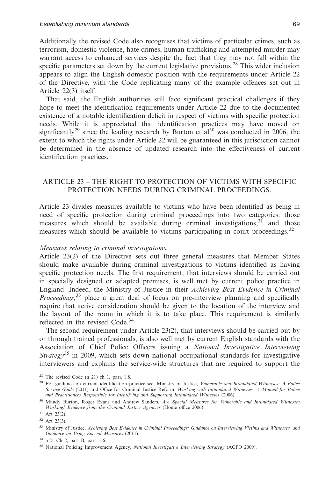Additionally the revised Code also recognises that victims of particular crimes, such as terrorism, domestic violence, hate crimes, human trafficking and attempted murder may warrant access to enhanced services despite the fact that they may not fall within the specific parameters set down by the current legislative provisions.<sup>28</sup> This wider inclusion appears to align the English domestic position with the requirements under Article 22 of the Directive, with the Code replicating many of the example offences set out in Article 22(3) itself.

That said, the English authorities still face significant practical challenges if they hope to meet the identification requirements under Article 22 due to the documented existence of a notable identification deficit in respect of victims with specific protection needs. While it is appreciated that identification practices may have moved on significantly<sup>29</sup> since the leading research by Burton et al<sup>30</sup> was conducted in 2006, the extent to which the rights under Article 22 will be guaranteed in this jurisdiction cannot be determined in the absence of updated research into the effectiveness of current identification practices.

# ARTICLE 23 – THE RIGHT TO PROTECTION OF VICTIMS WITH SPECIFIC PROTECTION NEEDS DURING CRIMINAL PROCEEDINGS.

Article 23 divides measures available to victims who have been identified as being in need of specific protection during criminal proceedings into two categories: those measures which should be available during criminal investigations,  $3<sup>1</sup>$  and those measures which should be available to victims participating in court proceedings.<sup>32</sup>

#### *Measures relating to criminal investigations.*

Article 23(2) of the Directive sets out three general measures that Member States should make available during criminal investigations to victims identified as having specific protection needs. The first requirement, that interviews should be carried out in specially designed or adapted premises, is well met by current police practice in England. Indeed, the Ministry of Justice in their *Achieving Best Evidence in Criminal Proceedings,*<sup>33</sup> place a great deal of focus on pre-interview planning and specifically require that active consideration should be given to the location of the interview and the layout of the room in which it is to take place. This requirement is similarly reflected in the revised Code.<sup>34</sup>

The second requirement under Article 23(2), that interviews should be carried out by or through trained professionals, is also well met by current English standards with the Association of Chief Police Officers issuing a *National Investigative Interviewing Strategy*<sup>35</sup> in 2009, which sets down national occupational standards for investigative interviewers and explains the service-wide structures that are required to support the

<sup>28</sup> The revised Code (n 21) ch 1, para 1.8.

<sup>29</sup> For guidance on current identification practice see: Ministry of Justice, *Vulnerable and Intimidated Witnesses: A Police Service Guide* (2011) and Office for Criminal Justice Reform, *Working with Intimidated Witnesses: A Manual for Police and Practitioners Responsible for Identifying and Supporting Intimidated Witnesses* (2006).

<sup>30</sup> Mandy Burton, Roger Evans and Andrew Sanders, *Are Special Measures for Vulnerable and Intimidated Witnesses Working? Evidence from the Criminal Justice Agencies* (Home office 2006).

<sup>31</sup> Art 23(2).

 $32$  Art 23(3).

<sup>33</sup> Ministry of Justice, *Achieving Best Evidence in Criminal Proceedings: Guidance on Interviewing Victims and Witnesses, and Guidance on Using Special Measures* (2011).

<sup>34</sup> n 21 Ch 2, part B, para 1.6.

<sup>35</sup> National Policing Improvement Agency, *National Investigative Interviewing Strategy* (ACPO 2009).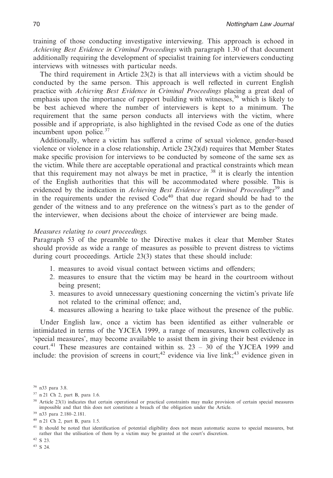training of those conducting investigative interviewing. This approach is echoed in *Achieving Best Evidence in Criminal Proceedings* with paragraph 1.30 of that document additionally requiring the development of specialist training for interviewers conducting interviews with witnesses with particular needs.

The third requirement in Article 23(2) is that all interviews with a victim should be conducted by the same person. This approach is well reflected in current English practice with *Achieving Best Evidence in Criminal Proceedings* placing a great deal of emphasis upon the importance of rapport building with witnesses,  $36$  which is likely to be best achieved where the number of interviewers is kept to a minimum. The requirement that the same person conducts all interviews with the victim, where possible and if appropriate, is also highlighted in the revised Code as one of the duties incumbent upon police*.* 37

Additionally, where a victim has suffered a crime of sexual violence, gender-based violence or violence in a close relationship, Article 23(2)(d) requires that Member States make specific provision for interviews to be conducted by someone of the same sex as the victim. While there are acceptable operational and practical constraints which mean that this requirement may not always be met in practice, <sup>38</sup> it is clearly the intention of the English authorities that this will be accommodated where possible. This is evidenced by the indication in *Achieving Best Evidence in Criminal Proceedings*<sup>39</sup> and in the requirements under the revised  $Code<sup>40</sup>$  that due regard should be had to the gender of the witness and to any preference on the witness's part as to the gender of the interviewer, when decisions about the choice of interviewer are being made.

#### *Measures relating to court proceedings.*

Paragraph 53 of the preamble to the Directive makes it clear that Member States should provide as wide a range of measures as possible to prevent distress to victims during court proceedings. Article 23(3) states that these should include:

- 1. measures to avoid visual contact between victims and offenders;
- 2. measures to ensure that the victim may be heard in the courtroom without being present;
- 3. measures to avoid unnecessary questioning concerning the victim's private life not related to the criminal offence; and,
- 4. measures allowing a hearing to take place without the presence of the public.

Under English law, once a victim has been identified as either vulnerable or intimidated in terms of the YJCEA 1999, a range of measures, known collectively as 'special measures', may become available to assist them in giving their best evidence in court.<sup>41</sup> These measures are contained within ss.  $23 - 30$  of the YJCEA 1999 and include: the provision of screens in court;<sup>42</sup> evidence via live link;<sup>43</sup> evidence given in

<sup>40</sup> n 21 Ch 2, part B, para 1.5.

<sup>42</sup> S 23. <sup>43</sup> S 24.

<sup>36</sup> n33 para 3.8.

<sup>37</sup> n 21 Ch 2, part B, para 1.6.

<sup>&</sup>lt;sup>38</sup> Article 23(1) indicates that certain operational or practical constraints may make provision of certain special measures impossible and that this does not constitute a breach of the obligation under the Article.

<sup>39</sup> n33 para 2.180–2.181.

<sup>&</sup>lt;sup>41</sup> It should be noted that identification of potential eligibility does not mean automatic access to special measures, but rather that the utilisation of them by a victim may be granted at the court's discretion.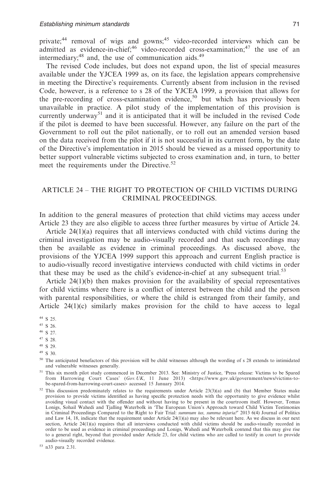private;<sup>44</sup> removal of wigs and gowns;<sup>45</sup> video-recorded interviews which can be admitted as evidence-in-chief;<sup>46</sup> video-recorded cross-examination;<sup>47</sup> the use of an intermediary; $^{48}$  and, the use of communication aids. $^{49}$ 

The revised Code includes, but does not expand upon, the list of special measures available under the YJCEA 1999 as, on its face, the legislation appears comprehensive in meeting the Directive's requirements. Currently absent from inclusion in the revised Code, however, is a reference to s 28 of the YJCEA 1999, a provision that allows for the pre-recording of cross-examination evidence,<sup>50</sup> but which has previously been unavailable in practice. A pilot study of the implementation of this provision is currently underway<sup>51</sup> and it is anticipated that it will be included in the revised Code if the pilot is deemed to have been successful. However, any failure on the part of the Government to roll out the pilot nationally, or to roll out an amended version based on the data received from the pilot if it is not successful in its current form, by the date of the Directive's implementation in 2015 should be viewed as a missed opportunity to better support vulnerable victims subjected to cross examination and, in turn, to better meet the requirements under the Directive.<sup>52</sup>

# ARTICLE 24 – THE RIGHT TO PROTECTION OF CHILD VICTIMS DURING CRIMINAL PROCEEDINGS.

In addition to the general measures of protection that child victims may access under Article 23 they are also eligible to access three further measures by virtue of Article 24.

Article 24(1)(a) requires that all interviews conducted with child victims during the criminal investigation may be audio-visually recorded and that such recordings may then be available as evidence in criminal proceedings. As discussed above, the provisions of the YJCEA 1999 support this approach and current English practice is to audio-visually record investigative interviews conducted with child victims in order that these may be used as the child's evidence-in-chief at any subsequent trial.<sup>53</sup>

Article 24(1)(b) then makes provision for the availability of special representatives for child victims where there is a conflict of interest between the child and the person with parental responsibilities, or where the child is estranged from their family, and Article  $24(1)(c)$  similarly makes provision for the child to have access to legal

<sup>46</sup> S 27.

<sup>47</sup> S 28.

- <sup>48</sup> S 29.
- <sup>49</sup> S 30.

<sup>53</sup> n33 para 2.31.

<sup>44</sup> S 25.

<sup>45</sup> S 26.

<sup>&</sup>lt;sup>50</sup> The anticipated benefactors of this provision will be child witnesses although the wording of s 28 extends to intimidated and vulnerable witnesses generally.

<sup>51</sup> This six month pilot study commenced in December 2013. See: Ministry of Justice, 'Press release: Victims to be Spared from Harrowing Court Cases' (Gov. UK, 11 June 2013) <https://www.gov.uk/government/news/victims-tobe-spared-from-harrowing-court-cases> accessed 15 January 2014.

 $52$  This discussion predominately relates to the requirements under Article 23(3)(a) and (b) that Member States make provision to provide victims identified as having specific protection needs with the opportunity to give evidence whilst avoiding visual contact with the offender and without having to be present in the courtroom itself. However, Tomas Lonigs, Sohail Wahedi and Tjalling Waterbolk in 'The European Union's Approach toward Child Victim Testimonies in Criminal Proceedings Compared to the Right to Fair Trial: *summum ius, summa injuria?*' 2013 6(4) Journal of Politics and Law 14, 18, indicate that the requirement under Article 24(1)(a) may also be relevant here. As we discuss in our next section, Article 24(1)(a) requires that all interviews conducted with child victims should be audio-visually recorded in order to be used as evidence in criminal proceedings and Lonigs, Wahedi and Waterbolk contend that this may give rise to a general right, beyond that provided under Article 23, for child victims who are called to testify in court to provide audio-visually recorded evidence.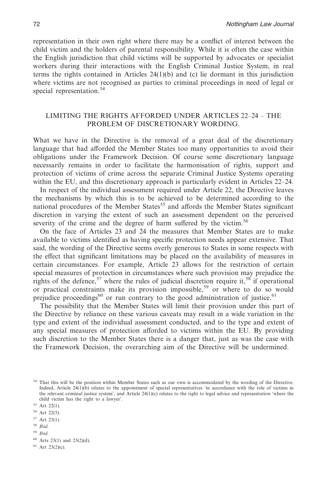representation in their own right where there may be a conflict of interest between the child victim and the holders of parental responsibility. While it is often the case within the English jurisdiction that child victims will be supported by advocates or specialist workers during their interactions with the English Criminal Justice System, in real terms the rights contained in Articles 24(1)(b) and (c) lie dormant in this jurisdiction where victims are not recognised as parties to criminal proceedings in need of legal or special representation.<sup>54</sup>

# LIMITING THE RIGHTS AFFORDED UNDER ARTICLES 22–24 – THE PROBLEM OF DISCRETIONARY WORDING.

What we have in the Directive is the removal of a great deal of the discretionary language that had afforded the Member States too many opportunities to avoid their obligations under the Framework Decision. Of course some discretionary language necessarily remains in order to facilitate the harmonisation of rights, support and protection of victims of crime across the separate Criminal Justice Systems operating within the EU, and this discretionary approach is particularly evident in Articles 22–24.

In respect of the individual assessment required under Article 22, the Directive leaves the mechanisms by which this is to be achieved to be determined according to the national procedures of the Member States<sup>55</sup> and affords the Member States significant discretion in varying the extent of such an assessment dependent on the perceived severity of the crime and the degree of harm suffered by the victim.<sup>56</sup>

On the face of Articles 23 and 24 the measures that Member States are to make available to victims identified as having specific protection needs appear extensive. That said, the wording of the Directive seems overly generous to States in some respects with the effect that significant limitations may be placed on the availability of measures in certain circumstances. For example, Article 23 allows for the restriction of certain special measures of protection in circumstances where such provision may prejudice the rights of the defence,<sup>57</sup> where the rules of judicial discretion require it,<sup>58</sup> if operational or practical constraints make its provision impossible,<sup>59</sup> or where to do so would prejudice proceedings<sup>60</sup> or run contrary to the good administration of justice.<sup>61</sup>

The possibility that the Member States will limit their provision under this part of the Directive by reliance on these various caveats may result in a wide variation in the type and extent of the individual assessment conducted, and to the type and extent of any special measures of protection afforded to victims within the EU. By providing such discretion to the Member States there is a danger that, just as was the case with the Framework Decision, the overarching aim of the Directive will be undermined.

- <sup>58</sup> *Ibid*.
- <sup>59</sup> *Ibid*.
- <sup>60</sup> Arts 23(1) and 23(2)(d).
- <sup>61</sup> Art 23(2)(c).

<sup>&</sup>lt;sup>54</sup> That this will be the position within Member States such as our own is accommodated by the wording of the Directive. Indeed, Article 24(1)(b) relates to the appointment of special representatives 'in accordance with the role of victims in the relevant criminal justice system', and Article 24(1)(c) relates to the right to legal advice and representation 'where the child victim has the right to a lawyer'.

<sup>55</sup> Art 22(1).

 $56$  Art 22(5).

<sup>57</sup> Art 23(1).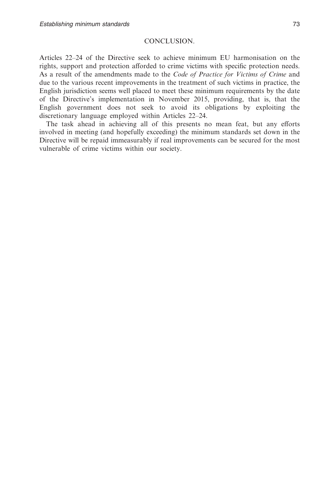# CONCLUSION.

Articles 22–24 of the Directive seek to achieve minimum EU harmonisation on the rights, support and protection afforded to crime victims with specific protection needs. As a result of the amendments made to the *Code of Practice for Victims of Crime* and due to the various recent improvements in the treatment of such victims in practice, the English jurisdiction seems well placed to meet these minimum requirements by the date of the Directive's implementation in November 2015, providing, that is, that the English government does not seek to avoid its obligations by exploiting the discretionary language employed within Articles 22–24.

The task ahead in achieving all of this presents no mean feat, but any efforts involved in meeting (and hopefully exceeding) the minimum standards set down in the Directive will be repaid immeasurably if real improvements can be secured for the most vulnerable of crime victims within our society.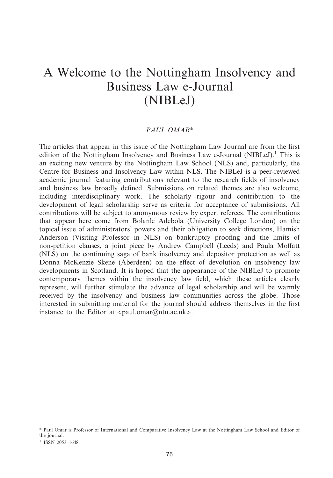# A Welcome to the Nottingham Insolvency and Business Law e-Journal (NIBLeJ)

## *PAUL OMAR\**

The articles that appear in this issue of the Nottingham Law Journal are from the first edition of the Nottingham Insolvency and Business Law e-Journal (NIBLeJ).<sup>1</sup> This is an exciting new venture by the Nottingham Law School (NLS) and, particularly, the Centre for Business and Insolvency Law within NLS. The NIBLeJ is a peer-reviewed academic journal featuring contributions relevant to the research fields of insolvency and business law broadly defined. Submissions on related themes are also welcome, including interdisciplinary work. The scholarly rigour and contribution to the development of legal scholarship serve as criteria for acceptance of submissions. All contributions will be subject to anonymous review by expert referees. The contributions that appear here come from Bolanle Adebola (University College London) on the topical issue of administrators' powers and their obligation to seek directions, Hamish Anderson (Visiting Professor in NLS) on bankruptcy proofing and the limits of non-petition clauses, a joint piece by Andrew Campbell (Leeds) and Paula Moffatt (NLS) on the continuing saga of bank insolvency and depositor protection as well as Donna McKenzie Skene (Aberdeen) on the effect of devolution on insolvency law developments in Scotland. It is hoped that the appearance of the NIBLeJ to promote contemporary themes within the insolvency law field, which these articles clearly represent, will further stimulate the advance of legal scholarship and will be warmly received by the insolvency and business law communities across the globe. Those interested in submitting material for the journal should address themselves in the first instance to the Editor at:  $\epsilon$  paul.omar $\omega$ ntu.ac.uk >.

<sup>\*</sup> Paul Omar is Professor of International and Comparative Insolvency Law at the Nottingham Law School and Editor of the journal.

<sup>&</sup>lt;sup>1</sup> ISSN 2053-1648.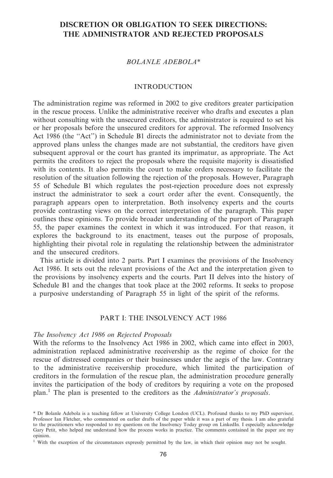# **DISCRETION OR OBLIGATION TO SEEK DIRECTIONS: THE ADMINISTRATOR AND REJECTED PROPOSALS**

## *BOLANLE ADEBOLA\**

#### INTRODUCTION

The administration regime was reformed in 2002 to give creditors greater participation in the rescue process. Unlike the administrative receiver who drafts and executes a plan without consulting with the unsecured creditors, the administrator is required to set his or her proposals before the unsecured creditors for approval. The reformed Insolvency Act 1986 (the "Act") in Schedule B1 directs the administrator not to deviate from the approved plans unless the changes made are not substantial, the creditors have given subsequent approval or the court has granted its imprimatur, as appropriate. The Act permits the creditors to reject the proposals where the requisite majority is dissatisfied with its contents. It also permits the court to make orders necessary to facilitate the resolution of the situation following the rejection of the proposals. However, Paragraph 55 of Schedule B1 which regulates the post-rejection procedure does not expressly instruct the administrator to seek a court order after the event. Consequently, the paragraph appears open to interpretation. Both insolvency experts and the courts provide contrasting views on the correct interpretation of the paragraph. This paper outlines these opinions. To provide broader understanding of the purport of Paragraph 55, the paper examines the context in which it was introduced. For that reason, it explores the background to its enactment, teases out the purpose of proposals, highlighting their pivotal role in regulating the relationship between the administrator and the unsecured creditors.

This article is divided into 2 parts. Part I examines the provisions of the Insolvency Act 1986. It sets out the relevant provisions of the Act and the interpretation given to the provisions by insolvency experts and the courts. Part II delves into the history of Schedule B1 and the changes that took place at the 2002 reforms. It seeks to propose a purposive understanding of Paragraph 55 in light of the spirit of the reforms.

### PART I: THE INSOLVENCY ACT 1986

#### *The Insolvency Act 1986 on Rejected Proposals*

With the reforms to the Insolvency Act 1986 in 2002, which came into effect in 2003, administration replaced administrative receivership as the regime of choice for the rescue of distressed companies or their businesses under the aegis of the law. Contrary to the administrative receivership procedure, which limited the participation of creditors in the formulation of the rescue plan, the administration procedure generally invites the participation of the body of creditors by requiring a vote on the proposed plan.<sup>1</sup> The plan is presented to the creditors as the *Administrator's proposals*.

<sup>\*</sup> Dr Bolanle Adebola is a teaching fellow at University College London (UCL). Profound thanks to my PhD supervisor, Professor Ian Fletcher, who commented on earlier drafts of the paper while it was a part of my thesis. I am also grateful to the practitioners who responded to my questions on the Insolvency Today group on LinkedIn. I especially acknowledge Gary Petit, who helped me understand how the process works in practice. The comments contained in the paper are my opinion.

<sup>1</sup> With the exception of the circumstances expressly permitted by the law, in which their opinion may not be sought.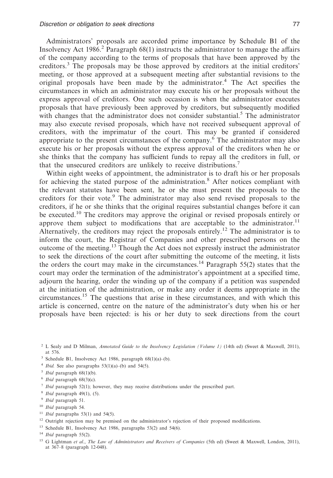Administrators' proposals are accorded prime importance by Schedule B1 of the Insolvency Act 1986.<sup>2</sup> Paragraph  $68(1)$  instructs the administrator to manage the affairs of the company according to the terms of proposals that have been approved by the creditors.<sup>3</sup> The proposals may be those approved by creditors at the initial creditors' meeting, or those approved at a subsequent meeting after substantial revisions to the original proposals have been made by the administrator.<sup>4</sup> The Act specifies the circumstances in which an administrator may execute his or her proposals without the express approval of creditors. One such occasion is when the administrator executes proposals that have previously been approved by creditors, but subsequently modified with changes that the administrator does not consider substantial.<sup>5</sup> The administrator may also execute revised proposals, which have not received subsequent approval of creditors, with the imprimatur of the court. This may be granted if considered appropriate to the present circumstances of the company.6 The administrator may also execute his or her proposals without the express approval of the creditors when he or she thinks that the company has sufficient funds to repay all the creditors in full, or that the unsecured creditors are unlikely to receive distributions.7

Within eight weeks of appointment, the administrator is to draft his or her proposals for achieving the stated purpose of the administration.<sup>8</sup> After notices compliant with the relevant statutes have been sent, he or she must present the proposals to the creditors for their vote.<sup>9</sup> The administrator may also send revised proposals to the creditors, if he or she thinks that the original requires substantial changes before it can be executed.<sup>10</sup> The creditors may approve the original or revised proposals entirely or approve them subject to modifications that are acceptable to the administrator.<sup>11</sup> Alternatively, the creditors may reject the proposals entirely.12 The administrator is to inform the court, the Registrar of Companies and other prescribed persons on the outcome of the meeting.<sup>13</sup> Though the Act does not expressly instruct the administrator to seek the directions of the court after submitting the outcome of the meeting, it lists the orders the court may make in the circumstances.<sup>14</sup> Paragraph 55(2) states that the court may order the termination of the administrator's appointment at a specified time, adjourn the hearing, order the winding up of the company if a petition was suspended at the initiation of the administration, or make any order it deems appropriate in the circumstances.<sup>15</sup> The questions that arise in these circumstances, and with which this article is concerned, centre on the nature of the administrator's duty when his or her proposals have been rejected: is his or her duty to seek directions from the court

- <sup>3</sup> Schedule B1, Insolvency Act 1986, paragraph 68(1)(a)–(b).
- $4$  *Ibid.* See also paragraphs  $53(1)(a)$ –(b) and  $54(5)$ .
- <sup>5</sup> *Ibid* paragraph 68(1)(b).
- <sup>6</sup> *Ibid* paragraph 68(3)(c).
- <sup>7</sup> *Ibid* paragraph 52(1); however, they may receive distributions under the prescribed part.
- <sup>8</sup> *Ibid* paragraph 49(1), (5).
- <sup>9</sup> *Ibid* paragraph 51.
- <sup>10</sup> *Ibid* paragraph 54.
- <sup>11</sup> *Ibid* paragraphs 53(1) and 54(5).
- <sup>12</sup> Outright rejection may be premised on the administrator's rejection of their proposed modifications.
- <sup>13</sup> Schedule B1, Insolvency Act 1986, paragraphs 53(2) and 54(6).
- <sup>14</sup> *Ibid* paragraph 55(2).
- <sup>15</sup> G Lightman *et al*., *The Law of Administrators and Receivers of Companies* (5th ed) (Sweet & Maxwell, London, 2011), at 367–8 (paragraph 12-048).

<sup>2</sup> L Sealy and D Milman, *Annotated Guide to the Insolvency Legislation (Volume 1)* (14th ed) (Sweet & Maxwell, 2011), at 576.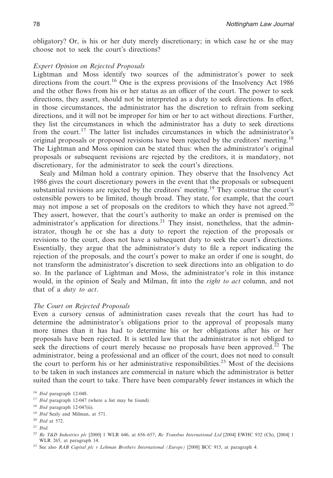obligatory? Or, is his or her duty merely discretionary; in which case he or she may choose not to seek the court's directions?

#### *Expert Opinion on Rejected Proposals*

Lightman and Moss identify two sources of the administrator's power to seek directions from the court.<sup>16</sup> One is the express provisions of the Insolvency Act 1986 and the other flows from his or her status as an officer of the court. The power to seek directions, they assert, should not be interpreted as a duty to seek directions. In effect, in those circumstances, the administrator has the discretion to refrain from seeking directions, and it will not be improper for him or her to act without directions. Further, they list the circumstances in which the administrator has a duty to seek directions from the court.<sup>17</sup> The latter list includes circumstances in which the administrator's original proposals or proposed revisions have been rejected by the creditors' meeting.<sup>18</sup> The Lightman and Moss opinion can be stated thus: when the administrator's original proposals or subsequent revisions are rejected by the creditors, it is mandatory, not discretionary, for the administrator to seek the court's directions.

Sealy and Milman hold a contrary opinion. They observe that the Insolvency Act 1986 gives the court discretionary powers in the event that the proposals or subsequent substantial revisions are rejected by the creditors' meeting.<sup>19</sup> They construe the court's ostensible powers to be limited, though broad. They state, for example, that the court may not impose a set of proposals on the creditors to which they have not agreed.<sup>20</sup> They assert, however, that the court's authority to make an order is premised on the administrator's application for directions.<sup>21</sup> They insist, nonetheless, that the administrator, though he or she has a duty to report the rejection of the proposals or revisions to the court, does not have a subsequent duty to seek the court's directions. Essentially, they argue that the administrator's duty to file a report indicating the rejection of the proposals, and the court's power to make an order if one is sought, do not transform the administrator's discretion to seek directions into an obligation to do so. In the parlance of Lightman and Moss, the administrator's role in this instance would, in the opinion of Sealy and Milman, fit into the *right to act* column, and not that of a *duty to act*.

#### *The Court on Rejected Proposals*

Even a cursory census of administration cases reveals that the court has had to determine the administrator's obligations prior to the approval of proposals many more times than it has had to determine his or her obligations after his or her proposals have been rejected. It is settled law that the administrator is not obliged to seek the directions of court merely because no proposals have been approved.<sup>22</sup> The administrator, being a professional and an officer of the court, does not need to consult the court to perform his or her administrative responsibilities.<sup>23</sup> Most of the decisions to be taken in such instances are commercial in nature which the administrator is better suited than the court to take. There have been comparably fewer instances in which the

<sup>17</sup> *Ibid* paragraph 12-047 (where a list may be found).

- <sup>19</sup> *Ibid* Sealy and Milman, at 571.
- <sup>20</sup> *Ibid* at 572.
- <sup>21</sup> *Ibid*.

<sup>16</sup> *Ibid* paragraph 12-048.

<sup>18</sup> *Ibid* paragraph 12-047(ii).

<sup>22</sup> *Re T&D Industries plc* [2000] 1 WLR 646, at 656–657; *Re Transbus International Ltd* [2004] EWHC 932 (Ch), [2004] 1 WLR 265, at paragraph 14.

<sup>23</sup> See also *RAB Capital plc v Lehman Brothers International (Europe)* [2008] BCC 915, at paragraph 4.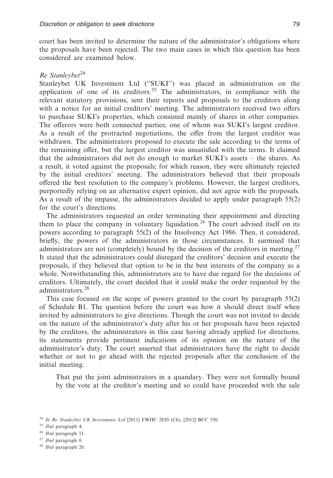court has been invited to determine the nature of the administrator's obligations where the proposals have been rejected. The two main cases in which this question has been considered are examined below.

#### *Re Stanleybet*<sup>24</sup>

Stanleybet UK Investment Ltd (''SUKI'') was placed in administration on the application of one of its creditors.<sup>25</sup> The administrators, in compliance with the relevant statutory provisions, sent their reports and proposals to the creditors along with a notice for an initial creditors' meeting. The administrators received two offers to purchase SUKI's properties, which consisted mainly of shares in other companies. The offerors were both connected parties; one of whom was SUKI's largest creditor. As a result of the protracted negotiations, the offer from the largest creditor was withdrawn. The administrators proposed to execute the sale according to the terms of the remaining offer, but the largest creditor was unsatisfied with the terms. It claimed that the administrators did not do enough to market SUKI's assets – the shares. As a result, it voted against the proposals; for which reason, they were ultimately rejected by the initial creditors' meeting. The administrators believed that their proposals offered the best resolution to the company's problems. However, the largest creditors, purportedly relying on an alternative expert opinion, did not agree with the proposals. As a result of the impasse, the administrators decided to apply under paragraph 55(2) for the court's directions.

The administrators requested an order terminating their appointment and directing them to place the company in voluntary liquidation.<sup>26</sup> The court advised itself on its powers according to paragraph 55(2) of the Insolvency Act 1986. Then, it considered, briefly, the powers of the administrators in those circumstances. It surmised that administrators are not (completely) bound by the decision of the creditors in meeting.<sup>27</sup> It stated that the administrators could disregard the creditors' decision and execute the proposals, if they believed that option to be in the best interests of the company as a whole. Notwithstanding this, administrators are to have due regard for the decisions of creditors. Ultimately, the court decided that it could make the order requested by the administrators.28

This case focused on the scope of powers granted to the court by paragraph 55(2) of Schedule B1. The question before the court was how it should direct itself when invited by administrators to give directions. Though the court was not invited to decide on the nature of the administrator's duty after his or her proposals have been rejected by the creditors, the administrators in this case having already applied for directions, its statements provide pertinent indications of its opinion on the nature of the administrator's duty. The court asserted that administrators have the right to decide whether or not to go ahead with the rejected proposals after the conclusion of the initial meeting.

That put the joint administrators in a quandary. They were not formally bound by the vote at the creditor's meeting and so could have proceeded with the sale

<sup>27</sup> *Ibid* paragraph 8.

<sup>24</sup> *In Re Stanleybet UK Investments Ltd* [2011] EWHC 2820 (Ch), [2012] BCC 550.

<sup>25</sup> *Ibid* paragraph 4.

<sup>26</sup> *Ibid* paragraph 11.

<sup>28</sup> *Ibid* paragraph 20.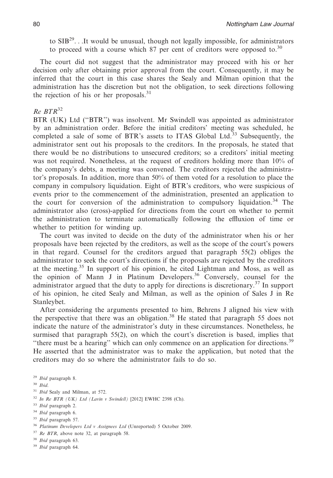to  $SIB^{29}$ ...It would be unusual, though not legally impossible, for administrators to proceed with a course which 87 per cent of creditors were opposed to.<sup>30</sup>

The court did not suggest that the administrator may proceed with his or her decision only after obtaining prior approval from the court. Consequently, it may be inferred that the court in this case shares the Sealy and Milman opinion that the administration has the discretion but not the obligation, to seek directions following the rejection of his or her proposals. $31$ 

# *Re BTR*<sup>32</sup>

BTR (UK) Ltd (''BTR'') was insolvent. Mr Swindell was appointed as administrator by an administration order. Before the initial creditors' meeting was scheduled, he completed a sale of some of BTR's assets to ITAS Global Ltd. $33$  Subsequently, the administrator sent out his proposals to the creditors. In the proposals, he stated that there would be no distributions to unsecured creditors; so a creditors' initial meeting was not required. Nonetheless, at the request of creditors holding more than 10% of the company's debts, a meeting was convened. The creditors rejected the administrator's proposals. In addition, more than 50% of them voted for a resolution to place the company in compulsory liquidation. Eight of BTR's creditors, who were suspicious of events prior to the commencement of the administration, presented an application to the court for conversion of the administration to compulsory liquidation.<sup>34</sup> The administrator also (cross)-applied for directions from the court on whether to permit the administration to terminate automatically following the effluxion of time or whether to petition for winding up.

The court was invited to decide on the duty of the administrator when his or her proposals have been rejected by the creditors, as well as the scope of the court's powers in that regard. Counsel for the creditors argued that paragraph 55(2) obliges the administrator to seek the court's directions if the proposals are rejected by the creditors at the meeting.<sup>35</sup> In support of his opinion, he cited Lightman and Moss, as well as the opinion of Mann J in Platinum Developers.36 Conversely, counsel for the administrator argued that the duty to apply for directions is discretionary.<sup>37</sup> In support of his opinion, he cited Sealy and Milman, as well as the opinion of Sales J in Re Stanleybet.

After considering the arguments presented to him, Behrens J aligned his view with the perspective that there was an obligation.<sup>38</sup> He stated that paragraph 55 does not indicate the nature of the administrator's duty in these circumstances. Nonetheless, he surmised that paragraph 55(2), on which the court's discretion is based, implies that "there must be a hearing" which can only commence on an application for directions.<sup>39</sup> He asserted that the administrator was to make the application, but noted that the creditors may do so where the administrator fails to do so.

- <sup>31</sup> *Ibid* Sealy and Milman, at 572.
- <sup>32</sup> *In Re BTR (UK) Ltd (Lavin v Swindell)* [2012] EWHC 2398 (Ch).
- <sup>33</sup> *Ibid* paragraph 2.
- <sup>34</sup> *Ibid* paragraph 6.
- <sup>35</sup> *Ibid* paragraph 57.
- <sup>36</sup> *Platinum Developers Ltd v Assignees Ltd* (Unreported) 5 October 2009.
- <sup>37</sup> *Re BTR*, above note 32, at paragraph 58.
- <sup>38</sup> *Ibid* paragraph 63.
- <sup>39</sup> *Ibid* paragraph 64.

<sup>29</sup> *Ibid* paragraph 8.

<sup>30</sup> *Ibid*.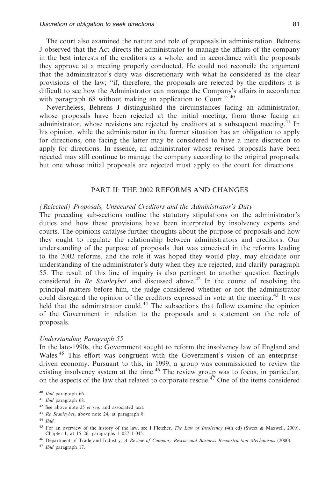The court also examined the nature and role of proposals in administration. Behrens J observed that the Act directs the administrator to manage the affairs of the company in the best interests of the creditors as a whole, and in accordance with the proposals they approve at a meeting properly conducted. He could not reconcile the argument that the administrator's duty was discretionary with what he considered as the clear provisions of the law; ''if, therefore, the proposals are rejected by the creditors it is difficult to see how the Administrator can manage the Company's affairs in accordance with paragraph 68 without making an application to Court.".<sup>40</sup>

Nevertheless, Behrens J distinguished the circumstances facing an administrator, whose proposals have been rejected at the initial meeting, from those facing an administrator, whose revisions are rejected by creditors at a subsequent meeting.<sup>41</sup> In his opinion, while the administrator in the former situation has an obligation to apply for directions, one facing the latter may be considered to have a mere discretion to apply for directions. In essence, an administrator whose revised proposals have been rejected may still continue to manage the company according to the original proposals, but one whose initial proposals are rejected must apply to the court for directions.

#### PART II: THE 2002 REFORMS AND CHANGES

#### *(Rejected) Proposals, Unsecured Creditors and the Administrator's Duty*

The preceding sub-sections outline the statutory stipulations on the administrator's duties and how these provisions have been interpreted by insolvency experts and courts. The opinions catalyse further thoughts about the purpose of proposals and how they ought to regulate the relationship between administrators and creditors. Our understanding of the purpose of proposals that was conceived in the reforms leading to the 2002 reforms, and the role it was hoped they would play, may elucidate our understanding of the administrator's duty when they are rejected, and clarify paragraph 55. The result of this line of inquiry is also pertinent to another question fleetingly considered in *Re Stanleybet* and discussed above.<sup>42</sup> In the course of resolving the principal matters before him, the judge considered whether or not the administrator could disregard the opinion of the creditors expressed in vote at the meeting.<sup>43</sup> It was held that the administrator could.<sup>44</sup> The subsections that follow examine the opinion of the Government in relation to the proposals and a statement on the role of proposals.

#### *Understanding Paragraph 55*

In the late-1990s, the Government sought to reform the insolvency law of England and Wales.<sup>45</sup> This effort was congruent with the Government's vision of an enterprisedriven economy. Pursuant to this, in 1999, a group was commissioned to review the existing insolvency system at the time.<sup>46</sup> The review group was to focus, in particular, on the aspects of the law that related to corporate rescue.<sup>47</sup> One of the items considered

- <sup>42</sup> See above note 25 *et seq*. and associated text.
- <sup>43</sup> *Re Stanleybet*, above note 24, at paragraph 8.

<sup>46</sup> Department of Trade and Industry, *A Review of Company Rescue and Business Reconstruction Mechanisms* (2000).

<sup>47</sup> *Ibid* paragraph 17.

<sup>40</sup> *Ibid* paragraph 66.

<sup>41</sup> *Ibid* paragraph 68.

<sup>44</sup> *Ibid*.

<sup>45</sup> For an overview of the history of the law, see I Fletcher, *The Law of Insolvency* (4th ed) (Sweet & Maxwell, 2009), Chapter 1, at 15–26, paragraphs 1–027–1-045.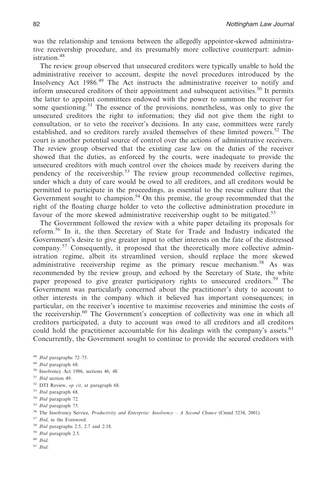was the relationship and tensions between the allegedly appointor-skewed administrative receivership procedure, and its presumably more collective counterpart: administration.<sup>48</sup>

The review group observed that unsecured creditors were typically unable to hold the administrative receiver to account, despite the novel procedures introduced by the Insolvency Act 1986.<sup>49</sup> The Act instructs the administrative receiver to notify and inform unsecured creditors of their appointment and subsequent activities.<sup>50</sup> It permits the latter to appoint committees endowed with the power to summon the receiver for some questioning.<sup>51</sup> The essence of the provisions, nonetheless, was only to give the unsecured creditors the right to information; they did not give them the right to consultation, or to veto the receiver's decisions. In any case, committees were rarely established, and so creditors rarely availed themselves of these limited powers.<sup>52</sup> The court is another potential source of control over the actions of administrative receivers. The review group observed that the existing case law on the duties of the receiver showed that the duties, as enforced by the courts, were inadequate to provide the unsecured creditors with much control over the choices made by receivers during the pendency of the receivership.<sup>53</sup> The review group recommended collective regimes, under which a duty of care would be owed to all creditors, and all creditors would be permitted to participate in the proceedings, as essential to the rescue culture that the Government sought to champion.<sup>54</sup> On this premise, the group recommended that the right of the floating charge holder to veto the collective administration procedure in favour of the more skewed administrative receivership ought to be mitigated.<sup>55</sup>

The Government followed the review with a white paper detailing its proposals for reform.56 In it, the then Secretary of State for Trade and Industry indicated the Government's desire to give greater input to other interests on the fate of the distressed company.<sup>57</sup> Consequently, it proposed that the theoretically more collective administration regime, albeit its streamlined version, should replace the more skewed administrative receivership regime as the primary rescue mechanism.<sup>58</sup> As was recommended by the review group, and echoed by the Secretary of State, the white paper proposed to give greater participatory rights to unsecured creditors.<sup>59</sup> The Government was particularly concerned about the practitioner's duty to account to other interests in the company which it believed has important consequences; in particular, on the receiver's incentive to maximise recoveries and minimise the costs of the receivership.<sup>60</sup> The Government's conception of collectivity was one in which all creditors participated, a duty to account was owed to all creditors and all creditors could hold the practitioner accountable for his dealings with the company's assets.<sup>61</sup> Concurrently, the Government sought to continue to provide the secured creditors with

- <sup>50</sup> Insolvency Act 1986, sections 46, 48.
- <sup>51</sup> *Ibid* section 49.
- <sup>52</sup> DTI Review, *op cit*, at paragraph 68.
- <sup>53</sup> *Ibid* paragraph 68.
- <sup>54</sup> *Ibid* paragraph 72.
- <sup>55</sup> *Ibid* paragraph 75.
- <sup>56</sup> The Insolvency Service, *Productivity and Enterprise: Insolvency A Second Chance* (Cmnd 5234, 2001).
- <sup>57</sup> *Ibid*, in the Foreword.
- <sup>58</sup> *Ibid* paragraphs 2.5, 2.7 and 2.18.
- <sup>59</sup> *Ibid* paragraph 2.5.
- <sup>60</sup> *Ibid*.
- <sup>61</sup> *Ibid*.

<sup>48</sup> *Ibid* paragraphs 72–75.

<sup>49</sup> *Ibid* paragraph 68.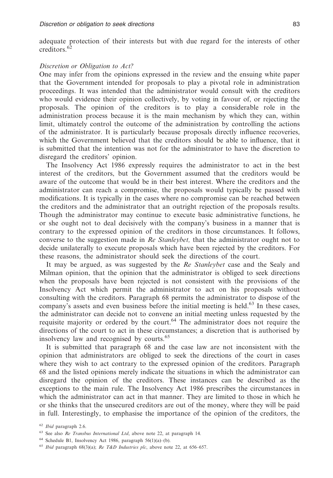adequate protection of their interests but with due regard for the interests of other creditors.<sup>62</sup>

#### *Discretion or Obligation to Act?*

One may infer from the opinions expressed in the review and the ensuing white paper that the Government intended for proposals to play a pivotal role in administration proceedings. It was intended that the administrator would consult with the creditors who would evidence their opinion collectively, by voting in favour of, or rejecting the proposals. The opinion of the creditors is to play a considerable role in the administration process because it is the main mechanism by which they can, within limit, ultimately control the outcome of the administration by controlling the actions of the administrator. It is particularly because proposals directly influence recoveries, which the Government believed that the creditors should be able to influence, that it is submitted that the intention was not for the administrator to have the discretion to disregard the creditors' opinion.

The Insolvency Act 1986 expressly requires the administrator to act in the best interest of the creditors, but the Government assumed that the creditors would be aware of the outcome that would be in their best interest. Where the creditors and the administrator can reach a compromise, the proposals would typically be passed with modifications. It is typically in the cases where no compromise can be reached between the creditors and the administrator that an outright rejection of the proposals results. Though the administrator may continue to execute basic administrative functions, he or she ought not to deal decisively with the company's business in a manner that is contrary to the expressed opinion of the creditors in those circumstances. It follows, converse to the suggestion made in *Re Stanleybet,* that the administrator ought not to decide unilaterally to execute proposals which have been rejected by the creditors. For these reasons, the administrator should seek the directions of the court.

It may be argued, as was suggested by the *Re Stanleybet* case and the Sealy and Milman opinion, that the opinion that the administrator is obliged to seek directions when the proposals have been rejected is not consistent with the provisions of the Insolvency Act which permit the administrator to act on his proposals without consulting with the creditors. Paragraph 68 permits the administrator to dispose of the company's assets and even business before the initial meeting is held.<sup>63</sup> In these cases, the administrator can decide not to convene an initial meeting unless requested by the requisite majority or ordered by the court.<sup>64</sup> The administrator does not require the directions of the court to act in these circumstances; a discretion that is authorised by insolvency law and recognised by courts.<sup>65</sup>

It is submitted that paragraph 68 and the case law are not inconsistent with the opinion that administrators are obliged to seek the directions of the court in cases where they wish to act contrary to the expressed opinion of the creditors. Paragraph 68 and the listed opinions merely indicate the situations in which the administrator can disregard the opinion of the creditors. These instances can be described as the exceptions to the main rule. The Insolvency Act 1986 prescribes the circumstances in which the administrator can act in that manner. They are limited to those in which he or she thinks that the unsecured creditors are out of the money, where they will be paid in full. Interestingly, to emphasise the importance of the opinion of the creditors, the

<sup>62</sup> *Ibid* paragraph 2.6.

<sup>63</sup> See also *Re Transbus International Ltd*, above note 22, at paragraph 14.

<sup>64</sup> Schedule B1, Insolvency Act 1986, paragraph 56(1)(a)–(b).

<sup>65</sup> *Ibid* paragraph 68(3)(a); *Re T&D Industries plc*, above note 22, at 656–657.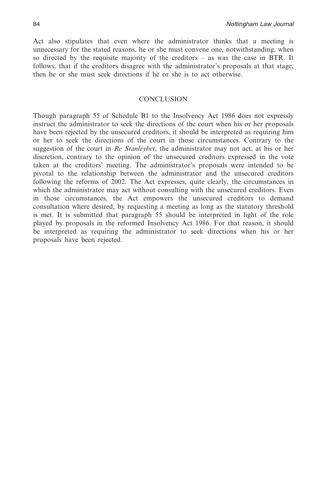Act also stipulates that even where the administrator thinks that a meeting is unnecessary for the stated reasons, he or she must convene one, notwithstanding, when so directed by the requisite majority of the creditors – as was the case in BTR. It follows, that if the creditors disagree with the administrator's proposals at that stage, then he or she must seek directions if he or she is to act otherwise.

#### **CONCLUSION**

Though paragraph 55 of Schedule B1 to the Insolvency Act 1986 does not expressly instruct the administrator to seek the directions of the court when his or her proposals have been rejected by the unsecured creditors, it should be interpreted as requiring him or her to seek the directions of the court in those circumstances. Contrary to the suggestion of the court in *Re Stanleybet*, the administrator may not act, at his or her discretion, contrary to the opinion of the unsecured creditors expressed in the vote taken at the creditors' meeting. The administrator's proposals were intended to be pivotal to the relationship between the administrator and the unsecured creditors following the reforms of 2002. The Act expresses, quite clearly, the circumstances in which the administrator may act without consulting with the unsecured creditors. Even in those circumstances, the Act empowers the unsecured creditors to demand consultation where desired, by requesting a meeting as long as the statutory threshold is met. It is submitted that paragraph 55 should be interpreted in light of the role played by proposals in the reformed Insolvency Act 1986. For that reason, it should be interpreted as requiring the administrator to seek directions when his or her proposals have been rejected.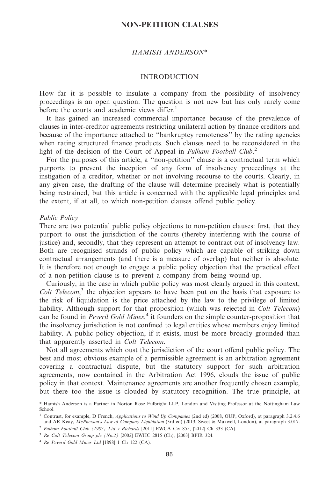#### **NON-PETITION CLAUSES**

#### *HAMISH ANDERSON\**

#### INTRODUCTION

How far it is possible to insulate a company from the possibility of insolvency proceedings is an open question. The question is not new but has only rarely come before the courts and academic views differ.<sup>1</sup>

It has gained an increased commercial importance because of the prevalence of clauses in inter-creditor agreements restricting unilateral action by finance creditors and because of the importance attached to ''bankruptcy remoteness'' by the rating agencies when rating structured finance products. Such clauses need to be reconsidered in the light of the decision of the Court of Appeal in *Fulham Football Club*. 2

For the purposes of this article, a ''non-petition'' clause is a contractual term which purports to prevent the inception of any form of insolvency proceedings at the instigation of a creditor, whether or not involving recourse to the courts. Clearly, in any given case, the drafting of the clause will determine precisely what is potentially being restrained, but this article is concerned with the applicable legal principles and the extent, if at all, to which non-petition clauses offend public policy.

#### *Public Policy*

There are two potential public policy objections to non-petition clauses: first, that they purport to oust the jurisdiction of the courts (thereby interfering with the course of justice) and, secondly, that they represent an attempt to contract out of insolvency law. Both are recognised strands of public policy which are capable of striking down contractual arrangements (and there is a measure of overlap) but neither is absolute. It is therefore not enough to engage a public policy objection that the practical effect of a non-petition clause is to prevent a company from being wound-up.

Curiously, in the case in which public policy was most clearly argued in this context, *Colt Telecom*, <sup>3</sup> the objection appears to have been put on the basis that exposure to the risk of liquidation is the price attached by the law to the privilege of limited liability. Although support for that proposition (which was rejected in *Colt Telecom*) can be found in *Peveril Gold Mines*, <sup>4</sup> it founders on the simple counter-proposition that the insolvency jurisdiction is not confined to legal entities whose members enjoy limited liability. A public policy objection, if it exists, must be more broadly grounded than that apparently asserted in *Colt Telecom*.

Not all agreements which oust the jurisdiction of the court offend public policy. The best and most obvious example of a permissible agreement is an arbitration agreement covering a contractual dispute, but the statutory support for such arbitration agreements, now contained in the Arbitration Act 1996, clouds the issue of public policy in that context. Maintenance agreements are another frequently chosen example, but there too the issue is clouded by statutory recognition. The true principle, at

<sup>3</sup> *Re Colt Telecom Group plc (No.2)* [2002] EWHC 2815 (Ch), [2003] BPIR 324.

<sup>4</sup> *Re Peveril Gold Mines Ltd* [1898] 1 Ch 122 (CA).

<sup>\*</sup> Hamish Anderson is a Partner in Norton Rose Fulbright LLP, London and Visiting Professor at the Nottingham Law School.

<sup>1</sup> Contrast, for example, D French, *Applications to Wind Up Companies* (2nd ed) (2008, OUP, Oxford), at paragraph 3.2.4.6 and AR Keay, *McPherson's Law of Company Liquidation* (3rd ed) (2013, Sweet & Maxwell, London), at paragraph 3.017.

<sup>2</sup> *Fulham Football Club (1987) Ltd v Richards* [2011] EWCA Civ 855, [2012] Ch 333 (CA).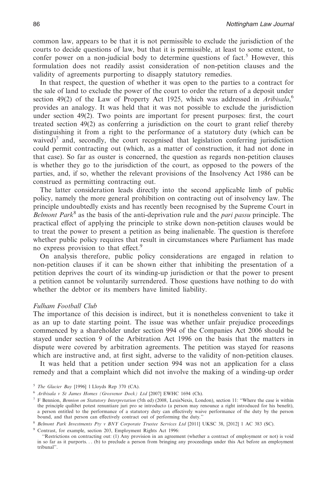common law, appears to be that it is not permissible to exclude the jurisdiction of the courts to decide questions of law, but that it is permissible, at least to some extent, to confer power on a non-judicial body to determine questions of fact.<sup>5</sup> However, this formulation does not readily assist consideration of non-petition clauses and the validity of agreements purporting to disapply statutory remedies.

In that respect, the question of whether it was open to the parties to a contract for the sale of land to exclude the power of the court to order the return of a deposit under section 49(2) of the Law of Property Act 1925, which was addressed in *Aribisala*, 6 provides an analogy. It was held that it was not possible to exclude the jurisdiction under section 49(2). Two points are important for present purposes: first, the court treated section 49(2) as conferring a jurisdiction on the court to grant relief thereby distinguishing it from a right to the performance of a statutory duty (which can be waived)<sup> $\prime$ </sup> and, secondly, the court recognised that legislation conferring jurisdiction could permit contracting out (which, as a matter of construction, it had not done in that case). So far as ouster is concerned, the question as regards non-petition clauses is whether they go to the jurisdiction of the court, as opposed to the powers of the parties, and, if so, whether the relevant provisions of the Insolvency Act 1986 can be construed as permitting contracting out.

The latter consideration leads directly into the second applicable limb of public policy, namely the more general prohibition on contracting out of insolvency law. The principle undoubtedly exists and has recently been recognised by the Supreme Court in *Belmont Park*<sup>8</sup> as the basis of the anti-deprivation rule and the *pari passu* principle. The practical effect of applying the principle to strike down non-petition clauses would be to treat the power to present a petition as being inalienable. The question is therefore whether public policy requires that result in circumstances where Parliament has made no express provision to that effect.<sup>9</sup>

On analysis therefore, public policy considerations are engaged in relation to non-petition clauses if it can be shown either that inhibiting the presentation of a petition deprives the court of its winding-up jurisdiction or that the power to present a petition cannot be voluntarily surrendered. Those questions have nothing to do with whether the debtor or its members have limited liability.

#### *Fulham Football Club*

The importance of this decision is indirect, but it is nonetheless convenient to take it as an up to date starting point. The issue was whether unfair prejudice proceedings commenced by a shareholder under section 994 of the Companies Act 2006 should be stayed under section 9 of the Arbitration Act 1996 on the basis that the matters in dispute were covered by arbitration agreements. The petition was stayed for reasons which are instructive and, at first sight, adverse to the validity of non-petition clauses.

It was held that a petition under section 994 was not an application for a class remedy and that a complaint which did not involve the making of a winding-up order

<sup>5</sup> *The Glacier Bay* [1996] 1 Lloyds Rep 370 (CA).

<sup>6</sup> *Aribisala v St James Homes (Grosvenor Dock) Ltd* [2007] EWHC 1694 (Ch).

<sup>7</sup> F Bennion, *Bennion on Statutory Interpretation* (5th ed) (2008, LexisNexis, London), section 11: ''Where the case is within the principle quilibet potest renuntiare juri pro se introducto (a person may renounce a right introduced for his benefit), a person entitled to the performance of a statutory duty can effectively waive performance of the duty by the person bound, and that person can effectively contract out of performing the duty*.*''

<sup>8</sup> *Belmont Park Investments Pty v BNY Corporate Trustee Services Ltd* [2011] UKSC 38, [2012] 1 AC 383 (SC).

<sup>9</sup> Contrast, for example, section 203, Employment Rights Act 1996:

<sup>&#</sup>x27;'Restrictions on contracting out: (1) Any provision in an agreement (whether a contract of employment or not) is void in so far as it purports. . . (b) to preclude a person from bringing any proceedings under this Act before an employment tribunal''.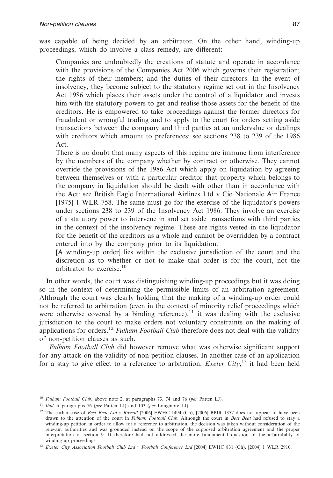was capable of being decided by an arbitrator. On the other hand, winding-up proceedings, which do involve a class remedy, are different:

Companies are undoubtedly the creations of statute and operate in accordance with the provisions of the Companies Act 2006 which governs their registration; the rights of their members; and the duties of their directors. In the event of insolvency, they become subject to the statutory regime set out in the Insolvency Act 1986 which places their assets under the control of a liquidator and invests him with the statutory powers to get and realise those assets for the benefit of the creditors. He is empowered to take proceedings against the former directors for fraudulent or wrongful trading and to apply to the court for orders setting aside transactions between the company and third parties at an undervalue or dealings with creditors which amount to preferences: see sections 238 to 239 of the 1986 Act.

There is no doubt that many aspects of this regime are immune from interference by the members of the company whether by contract or otherwise. They cannot override the provisions of the 1986 Act which apply on liquidation by agreeing between themselves or with a particular creditor that property which belongs to the company in liquidation should be dealt with other than in accordance with the Act: see British Eagle International Airlines Ltd v Cie Nationale Air France [1975] 1 WLR 758. The same must go for the exercise of the liquidator's powers under sections 238 to 239 of the Insolvency Act 1986. They involve an exercise of a statutory power to intervene in and set aside transactions with third parties in the context of the insolvency regime. These are rights vested in the liquidator for the benefit of the creditors as a whole and cannot be overridden by a contract entered into by the company prior to its liquidation.

[A winding-up order] lies within the exclusive jurisdiction of the court and the discretion as to whether or not to make that order is for the court, not the arbitrator to exercise. $10$ 

In other words, the court was distinguishing winding-up proceedings but it was doing so in the context of determining the permissible limits of an arbitration agreement. Although the court was clearly holding that the making of a winding-up order could not be referred to arbitration (even in the context of minority relief proceedings which were otherwise covered by a binding reference), $11$  it was dealing with the exclusive jurisdiction to the court to make orders not voluntary constraints on the making of applications for orders.12 *Fulham Football Club* therefore does not deal with the validity of non-petition clauses as such.

*Fulham Football Club* did however remove what was otherwise significant support for any attack on the validity of non-petition clauses. In another case of an application for a stay to give effect to a reference to arbitration, *Exeter City*, <sup>13</sup> it had been held

<sup>10</sup> *Fulham Football Club*, above note 2, at paragraphs 73, 74 and 76 (*per* Patten LJ).

<sup>11</sup> *Ibid* at paragraphs 76 (*per* Patten LJ) and 103 (*per* Longmore LJ).

<sup>&</sup>lt;sup>12</sup> The earlier case of *Best Beat Ltd v Rossall* [2006] EWHC 1494 (Ch), [2006] BPIR 1357 does not appear to have been drawn to the attention of the court in *Fulham Football Club*. Although the court in *Best Beat* had refused to stay a winding-up petition in order to allow for a reference to arbitration, the decision was taken without consideration of the relevant authorities and was grounded instead on the scope of the supposed arbitration agreement and the proper interpretation of section 9. It therefore had not addressed the more fundamental question of the arbitrability of winding-up proceedings.

<sup>13</sup> *Exeter City Association Football Club Ltd v Football Conference Ltd* [2004] EWHC 831 (Ch), [2004] 1 WLR 2910.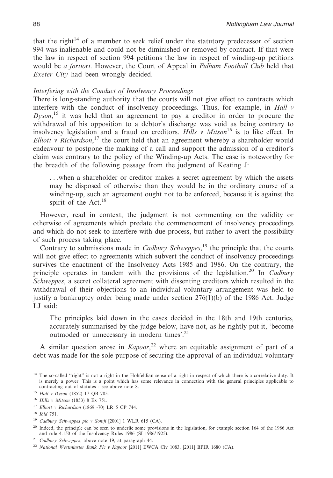that the right<sup>14</sup> of a member to seek relief under the statutory predecessor of section 994 was inalienable and could not be diminished or removed by contract. If that were the law in respect of section 994 petitions the law in respect of winding-up petitions would be *a fortiori*. However, the Court of Appeal in *Fulham Football Club* held that *Exeter City* had been wrongly decided.

# *Interfering with the Conduct of Insolvency Proceedings*

There is long-standing authority that the courts will not give effect to contracts which interfere with the conduct of insolvency proceedings. Thus, for example, in *Hall v Dyson*, <sup>15</sup> it was held that an agreement to pay a creditor in order to procure the withdrawal of his opposition to a debtor's discharge was void as being contrary to insolvency legislation and a fraud on creditors. *Hills v Mitson*<sup>16</sup> is to like effect. In *Elliott v Richardson*, <sup>17</sup> the court held that an agreement whereby a shareholder would endeavour to postpone the making of a call and support the admission of a creditor's claim was contrary to the policy of the Winding-up Acts. The case is noteworthy for the breadth of the following passage from the judgment of Keating J:

. . .when a shareholder or creditor makes a secret agreement by which the assets may be disposed of otherwise than they would be in the ordinary course of a winding-up, such an agreement ought not to be enforced, because it is against the spirit of the Act.<sup>18</sup>

However, read in context, the judgment is not commenting on the validity or otherwise of agreements which predate the commencement of insolvency proceedings and which do not seek to interfere with due process, but rather to avert the possibility of such process taking place.

Contrary to submissions made in *Cadbury Schweppes*, <sup>19</sup> the principle that the courts will not give effect to agreements which subvert the conduct of insolvency proceedings survives the enactment of the Insolvency Acts 1985 and 1986. On the contrary, the principle operates in tandem with the provisions of the legislation.20 In *Cadbury Schweppes*, a secret collateral agreement with dissenting creditors which resulted in the withdrawal of their objections to an individual voluntary arrangement was held to justify a bankruptcy order being made under section  $276(1)(b)$  of the 1986 Act. Judge LJ said:

The principles laid down in the cases decided in the 18th and 19th centuries, accurately summarised by the judge below, have not, as he rightly put it, 'become outmoded or unnecessary in modern times'.<sup>21</sup>

A similar question arose in *Kapoor*, <sup>22</sup> where an equitable assignment of part of a debt was made for the sole purpose of securing the approval of an individual voluntary

<sup>17</sup> *Elliott v Richardson* (1869 -70) LR 5 CP 744.

<sup>&</sup>lt;sup>14</sup> The so-called "right" is not a right in the Hohfeldian sense of a right in respect of which there is a correlative duty. It is merely a power. This is a point which has some relevance in connection with the general principles applicable to contracting out of statutes - see above note 8.

<sup>15</sup> *Hall v Dyson* (1852) 17 QB 785.

<sup>16</sup> *Hills v Mitson* (1853) 8 Ex 751.

<sup>18</sup> *Ibid* 751.

<sup>19</sup> *Cadbury Schweppes plc v Somji* [2001] 1 WLR 615 (CA).

<sup>&</sup>lt;sup>20</sup> Indeed, the principle can be seen to underlie some provisions in the legislation, for example section 164 of the 1986 Act and rule 4.150 of the Insolvency Rules 1986 (SI 1986/1925).

<sup>21</sup> *Cadbury Schweppes*, above note 19, at paragraph 44.

<sup>22</sup> *National Westminster Bank Plc v Kapoor* [2011] EWCA Civ 1083, [2011] BPIR 1680 (CA).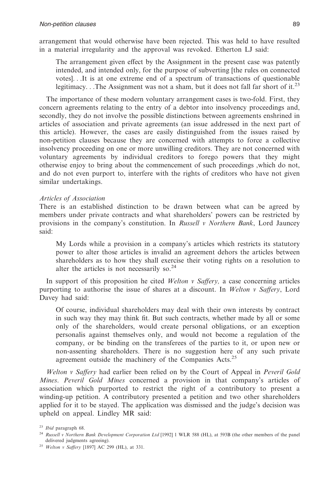arrangement that would otherwise have been rejected. This was held to have resulted in a material irregularity and the approval was revoked. Etherton LJ said:

The arrangement given effect by the Assignment in the present case was patently intended, and intended only, for the purpose of subverting [the rules on connected votes]. . .It is at one extreme end of a spectrum of transactions of questionable legitimacy. . .The Assignment was not a sham, but it does not fall far short of it.<sup>23</sup>

The importance of these modern voluntary arrangement cases is two-fold. First, they concern agreements relating to the entry of a debtor into insolvency proceedings and, secondly, they do not involve the possible distinctions between agreements enshrined in articles of association and private agreements (an issue addressed in the next part of this article). However, the cases are easily distinguished from the issues raised by non-petition clauses because they are concerned with attempts to force a collective insolvency proceeding on one or more unwilling creditors. They are not concerned with voluntary agreements by individual creditors to forego powers that they might otherwise enjoy to bring about the commencement of such proceedings ,which do not, and do not even purport to, interfere with the rights of creditors who have not given similar undertakings.

# *Articles of Association*

There is an established distinction to be drawn between what can be agreed by members under private contracts and what shareholders' powers can be restricted by provisions in the company's constitution. In *Russell v Northern Bank*, Lord Jauncey said:

My Lords while a provision in a company's articles which restricts its statutory power to alter those articles is invalid an agreement dehors the articles between shareholders as to how they shall exercise their voting rights on a resolution to alter the articles is not necessarily so. $24$ 

In support of this proposition he cited *Welton v Saffery,* a case concerning articles purporting to authorise the issue of shares at a discount. In *Welton v Saffery*, Lord Davey had said:

Of course, individual shareholders may deal with their own interests by contract in such way they may think fit. But such contracts, whether made by all or some only of the shareholders, would create personal obligations, or an exception personalis against themselves only, and would not become a regulation of the company, or be binding on the transferees of the parties to it, or upon new or non-assenting shareholders. There is no suggestion here of any such private agreement outside the machinery of the Companies Acts.<sup>25</sup>

*Welton v Saffery* had earlier been relied on by the Court of Appeal in *Peveril Gold Mines*. *Peveril Gold Mines* concerned a provision in that company's articles of association which purported to restrict the right of a contributory to present a winding-up petition. A contributory presented a petition and two other shareholders applied for it to be stayed. The application was dismissed and the judge's decision was upheld on appeal. Lindley MR said:

<sup>23</sup> *Ibid* paragraph 68.

<sup>24</sup> *Russell v Northern Bank Development Corporation Ltd* [1992] 1 WLR 588 (HL), at 593B (the other members of the panel delivered judgments agreeing).

<sup>25</sup> *Welton v Saffery* [1897] AC 299 (HL), at 331.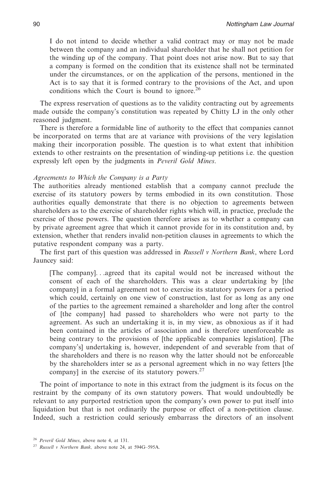I do not intend to decide whether a valid contract may or may not be made between the company and an individual shareholder that he shall not petition for the winding up of the company. That point does not arise now. But to say that a company is formed on the condition that its existence shall not be terminated under the circumstances, or on the application of the persons, mentioned in the Act is to say that it is formed contrary to the provisions of the Act, and upon conditions which the Court is bound to ignore.<sup>26</sup>

The express reservation of questions as to the validity contracting out by agreements made outside the company's constitution was repeated by Chitty LJ in the only other reasoned judgment.

There is therefore a formidable line of authority to the effect that companies cannot be incorporated on terms that are at variance with provisions of the very legislation making their incorporation possible. The question is to what extent that inhibition extends to other restraints on the presentation of winding-up petitions i.e. the question expressly left open by the judgments in *Peveril Gold Mines*.

#### *Agreements to Which the Company is a Party*

The authorities already mentioned establish that a company cannot preclude the exercise of its statutory powers by terms embodied in its own constitution. Those authorities equally demonstrate that there is no objection to agreements between shareholders as to the exercise of shareholder rights which will, in practice, preclude the exercise of those powers. The question therefore arises as to whether a company can by private agreement agree that which it cannot provide for in its constitution and, by extension, whether that renders invalid non-petition clauses in agreements to which the putative respondent company was a party.

The first part of this question was addressed in *Russell v Northern Bank*, where Lord Jauncey said:

[The company]. . .agreed that its capital would not be increased without the consent of each of the shareholders. This was a clear undertaking by [the company] in a formal agreement not to exercise its statutory powers for a period which could, certainly on one view of construction, last for as long as any one of the parties to the agreement remained a shareholder and long after the control of [the company] had passed to shareholders who were not party to the agreement. As such an undertaking it is, in my view, as obnoxious as if it had been contained in the articles of association and is therefore unenforceable as being contrary to the provisions of [the applicable companies legislation]. [The company's] undertaking is, however, independent of and severable from that of the shareholders and there is no reason why the latter should not be enforceable by the shareholders inter se as a personal agreement which in no way fetters [the company] in the exercise of its statutory powers. $27$ 

The point of importance to note in this extract from the judgment is its focus on the restraint by the company of its own statutory powers. That would undoubtedly be relevant to any purported restriction upon the company's own power to put itself into liquidation but that is not ordinarily the purpose or effect of a non-petition clause. Indeed, such a restriction could seriously embarrass the directors of an insolvent

<sup>26</sup> *Peveril Gold Mines*, above note 4, at 131.

<sup>27</sup> *Russell v Northern Bank,* above note 24, at 594G–595A.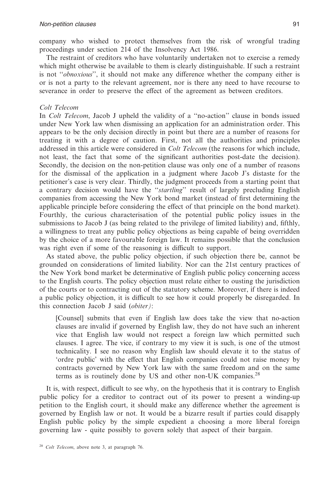company who wished to protect themselves from the risk of wrongful trading proceedings under section 214 of the Insolvency Act 1986.

The restraint of creditors who have voluntarily undertaken not to exercise a remedy which might otherwise be available to them is clearly distinguishable. If such a restraint is not ''*obnoxious*'', it should not make any difference whether the company either is or is not a party to the relevant agreement, nor is there any need to have recourse to severance in order to preserve the effect of the agreement as between creditors.

#### *Colt Telecom*

In *Colt Telecom*, Jacob J upheld the validity of a ''no-action'' clause in bonds issued under New York law when dismissing an application for an administration order. This appears to be the only decision directly in point but there are a number of reasons for treating it with a degree of caution. First, not all the authorities and principles addressed in this article were considered in *Colt Telecom* (the reasons for which include, not least, the fact that some of the significant authorities post-date the decision). Secondly, the decision on the non-petition clause was only one of a number of reasons for the dismissal of the application in a judgment where Jacob J's distaste for the petitioner's case is very clear. Thirdly, the judgment proceeds from a starting point that a contrary decision would have the ''*startling*'' result of largely precluding English companies from accessing the New York bond market (instead of first determining the applicable principle before considering the effect of that principle on the bond market). Fourthly, the curious characterisation of the potential public policy issues in the submissions to Jacob J (as being related to the privilege of limited liability) and, fifthly, a willingness to treat any public policy objections as being capable of being overridden by the choice of a more favourable foreign law. It remains possible that the conclusion was right even if some of the reasoning is difficult to support.

As stated above, the public policy objection, if such objection there be, cannot be grounded on considerations of limited liability. Nor can the 21st century practices of the New York bond market be determinative of English public policy concerning access to the English courts. The policy objection must relate either to ousting the jurisdiction of the courts or to contracting out of the statutory scheme. Moreover, if there is indeed a public policy objection, it is difficult to see how it could properly be disregarded. In this connection Jacob J said (*obiter)*:

[Counsel] submits that even if English law does take the view that no-action clauses are invalid if governed by English law, they do not have such an inherent vice that English law would not respect a foreign law which permitted such clauses. I agree. The vice, if contrary to my view it is such, is one of the utmost technicality. I see no reason why English law should elevate it to the status of 'ordre public' with the effect that English companies could not raise money by contracts governed by New York law with the same freedom and on the same terms as is routinely done by US and other non-UK companies.<sup>28</sup>

It is, with respect, difficult to see why, on the hypothesis that it is contrary to English public policy for a creditor to contract out of its power to present a winding-up petition to the English court, it should make any difference whether the agreement is governed by English law or not. It would be a bizarre result if parties could disapply English public policy by the simple expedient a choosing a more liberal foreign governing law - quite possibly to govern solely that aspect of their bargain.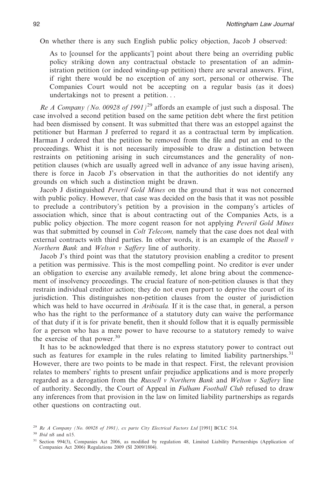On whether there is any such English public policy objection, Jacob J observed:

As to [counsel for the applicants'] point about there being an overriding public policy striking down any contractual obstacle to presentation of an administration petition (or indeed winding-up petition) there are several answers. First, if right there would be no exception of any sort, personal or otherwise. The Companies Court would not be accepting on a regular basis (as it does) undertakings not to present a petition. . .

*Re A Company (No. 00928 of 1991)*<sup>29</sup> affords an example of just such a disposal. The case involved a second petition based on the same petition debt where the first petition had been dismissed by consent. It was submitted that there was an estoppel against the petitioner but Harman J preferred to regard it as a contractual term by implication. Harman J ordered that the petition be removed from the file and put an end to the proceedings. Whist it is not necessarily impossible to draw a distinction between restraints on petitioning arising in such circumstances and the generality of nonpetition clauses (which are usually agreed well in advance of any issue having arisen), there is force in Jacob J's observation in that the authorities do not identify any grounds on which such a distinction might be drawn.

Jacob J distinguished *Peveril Gold Mines* on the ground that it was not concerned with public policy. However, that case was decided on the basis that it was not possible to preclude a contributory's petition by a provision in the company's articles of association which, since that is about contracting out of the Companies Acts, is a public policy objection. The more cogent reason for not applying *Peveril Gold Mines* was that submitted by counsel in *Colt Telecom,* namely that the case does not deal with external contracts with third parties. In other words, it is an example of the *Russell v Northern Bank* and *Welton v Saffery* line of authority.

Jacob J's third point was that the statutory provision enabling a creditor to present a petition was permissive. This is the most compelling point. No creditor is ever under an obligation to exercise any available remedy, let alone bring about the commencement of insolvency proceedings. The crucial feature of non-petition clauses is that they restrain individual creditor action; they do not even purport to deprive the court of its jurisdiction. This distinguishes non-petition clauses from the ouster of jurisdiction which was held to have occurred in *Aribisala.* If it is the case that, in general, a person who has the right to the performance of a statutory duty can waive the performance of that duty if it is for private benefit, then it should follow that it is equally permissible for a person who has a mere power to have recourse to a statutory remedy to waive the exercise of that power.<sup>30</sup>

It has to be acknowledged that there is no express statutory power to contract out such as features for example in the rules relating to limited liability partnerships.<sup>31</sup> However, there are two points to be made in that respect. First, the relevant provision relates to members' rights to present unfair prejudice applications and is more properly regarded as a derogation from the *Russell v Northern Bank* and *Welton v Saffery* line of authority. Secondly, the Court of Appeal in *Fulham Football Club* refused to draw any inferences from that provision in the law on limited liability partnerships as regards other questions on contracting out.

<sup>29</sup> *Re A Company (No. 00928 of 1991), ex parte City Electrical Factors Ltd* [1991] BCLC 514.

<sup>30</sup> *Ibid* n8 and n15.

<sup>31</sup> Section 994(3), Companies Act 2006, as modified by regulation 48, Limited Liability Partnerships (Application of Companies Act 2006) Regulations 2009 (SI 2009/1804).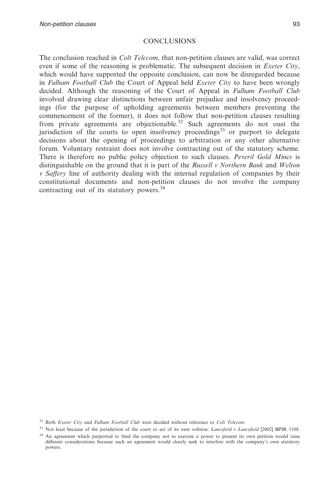## **CONCLUSIONS**

The conclusion reached in *Colt Telecom*, that non-petition clauses are valid, was correct even if some of the reasoning is problematic. The subsequent decision in *Exeter City*, which would have supported the opposite conclusion, can now be disregarded because in *Fulham Football Club* the Court of Appeal held *Exeter City* to have been wrongly decided. Although the reasoning of the Court of Appeal in *Fulham Football Club* involved drawing clear distinctions between unfair prejudice and insolvency proceedings (for the purpose of upholding agreements between members preventing the commencement of the former), it does not follow that non-petition clauses resulting from private agreements are objectionable.<sup>32</sup> Such agreements do not oust the jurisdiction of the courts to open insolvency proceedings<sup>33</sup> or purport to delegate decisions about the opening of proceedings to arbitration or any other alternative forum. Voluntary restraint does not involve contracting out of the statutory scheme. There is therefore no public policy objection to such clauses. *Peveril Gold Mines* is distinguishable on the ground that it is part of the *Russell v Northern Bank* and *Welton v Saffery* line of authority dealing with the internal regulation of companies by their constitutional documents and non-petition clauses do not involve the company contracting out of its statutory powers.<sup>34</sup>

<sup>32</sup> Both *Exeter City* and *Fulham Football Club* were decided without reference to *Colt Telecom*.

<sup>&</sup>lt;sup>33</sup> Not least because of the jurisdiction of the court to act of its own volition: *Lancefield* v *Lancefield* [2002] BPIR 1108.

<sup>&</sup>lt;sup>34</sup> An agreement which purported to bind the company not to exercise a power to present its own petition would raise different considerations because such an agreement would clearly seek to interfere with the company's own statutory powers.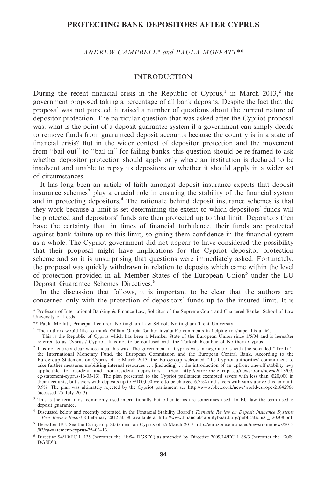# **PROTECTING BANK DEPOSITORS AFTER CYPRUS**

*ANDREW CAMPBELL\* and PAULA MOFFATT\*\**

#### INTRODUCTION

During the recent financial crisis in the Republic of Cyprus,<sup>1</sup> in March 2013,<sup>2</sup> the government proposed taking a percentage of all bank deposits. Despite the fact that the proposal was not pursued, it raised a number of questions about the current nature of depositor protection. The particular question that was asked after the Cypriot proposal was: what is the point of a deposit guarantee system if a government can simply decide to remove funds from guaranteed deposit accounts because the country is in a state of financial crisis? But in the wider context of depositor protection and the movement from ''bail-out'' to ''bail-in'' for failing banks, this question should be re-framed to ask whether depositor protection should apply only where an institution is declared to be insolvent and unable to repay its depositors or whether it should apply in a wider set of circumstances.

It has long been an article of faith amongst deposit insurance experts that deposit insurance schemes<sup>3</sup> play a crucial role in ensuring the stability of the financial system and in protecting depositors.4 The rationale behind deposit insurance schemes is that they work because a limit is set determining the extent to which depositors' funds will be protected and depositors' funds are then protected up to that limit. Depositors then have the certainty that, in times of financial turbulence, their funds are protected against bank failure up to this limit, so giving them confidence in the financial system as a whole. The Cypriot government did not appear to have considered the possibility that their proposal might have implications for the Cypriot depositor protection scheme and so it is unsurprising that questions were immediately asked. Fortunately, the proposal was quickly withdrawn in relation to deposits which came within the level of protection provided in all Member States of the European Union<sup>5</sup> under the EU Deposit Guarantee Schemes Directives.<sup>6</sup>

In the discussion that follows, it is important to be clear that the authors are concerned only with the protection of depositors' funds up to the insured limit. It is

<sup>\*</sup> Professor of International Banking & Finance Law, Solicitor of the Supreme Court and Chartered Banker School of Law University of Leeds.

<sup>\*\*</sup> Paula Moffatt, Principal Lecturer, Nottingham Law School, Nottingham Trent University.

<sup>&</sup>lt;sup>1</sup> The authors would like to thank Gillian Garcia for her invaluable comments in helping to shape this article.

This is the Republic of Cyprus which has been a Member State of the European Union since 1/5/04 and is hereafter referred to as Cyprus / Cypriot. It is not to be confused with the Turkish Republic of Northern Cyprus.

<sup>2</sup> It is not entirely clear whose idea this was. The government in Cyprus was in negotiations with the so-called ''Troika'', the International Monetary Fund, the European Commission and the European Central Bank. According to the Eurogroup Statement on Cyprus of 16 March 2013, the Eurogroup welcomed ''the Cypriot authorities' commitment to take further measures mobilising internal resources . . . [including]. . . the introduction of an upfront one-off stability levy applicable to resident and non-resident depositors.'' (See http://eurozone.europa.eu/newsroom/news/2013/03/ eg-statement-cyprus-16-03-13). The plan presented to the Cypriot parliament exempted savers with less than  $\in$ 20,000 in their accounts, but savers with deposits up to  $\epsilon$ 100,000 were to be charged 6.75% and savers with sums above this amount, 9.9%. The plan was ultimately rejected by the Cypriot parliament see http://www.bbc.co.uk/news/world-europe-21842966 (accessed 25 July 2013).

<sup>&</sup>lt;sup>3</sup> This is the term most commonly used internationally but other terms are sometimes used. In EU law the term used is deposit guarantee.

<sup>4</sup> Discussed below and recently reiterated in the Financial Stability Board's *Thematic Review on Deposit Insurance Systems – Peer Review Report* 8 February 2012 at p8, available at http://www.financialstabilityboard.org/publications/r\_120208.pdf.

<sup>5</sup> Hereafter EU. See the Eurogroup Statement on Cyprus of 25 March 2013 http://eurozone.europa.eu/newsroom/news/2013 /03/eg-statement-cyprus-25–03–13.

<sup>6</sup> Directive 94/19/EC L 135 (hereafter the ''1994 DGSD'') as amended by Directive 2009/14/EC L 68/3 (hereafter the ''2009 DGSD'').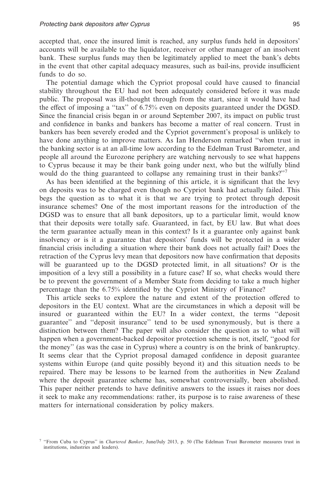accepted that, once the insured limit is reached, any surplus funds held in depositors' accounts will be available to the liquidator, receiver or other manager of an insolvent bank. These surplus funds may then be legitimately applied to meet the bank's debts in the event that other capital adequacy measures, such as bail-ins, provide insufficient funds to do so.

The potential damage which the Cypriot proposal could have caused to financial stability throughout the EU had not been adequately considered before it was made public. The proposal was ill-thought through from the start, since it would have had the effect of imposing a ''tax'' of 6.75% even on deposits guaranteed under the DGSD. Since the financial crisis began in or around September 2007, its impact on public trust and confidence in banks and bankers has become a matter of real concern. Trust in bankers has been severely eroded and the Cypriot government's proposal is unlikely to have done anything to improve matters. As Ian Henderson remarked ''when trust in the banking sector is at an all-time low according to the Edelman Trust Barometer, and people all around the Eurozone periphery are watching nervously to see what happens to Cyprus because it may be their bank going under next, who but the wilfully blind would do the thing guaranteed to collapse any remaining trust in their banks?"<sup>7</sup>

As has been identified at the beginning of this article, it is significant that the levy on deposits was to be charged even though no Cypriot bank had actually failed. This begs the question as to what it is that we are trying to protect through deposit insurance schemes? One of the most important reasons for the introduction of the DGSD was to ensure that all bank depositors, up to a particular limit, would know that their deposits were totally safe. Guaranteed, in fact, by EU law. But what does the term guarantee actually mean in this context? Is it a guarantee only against bank insolvency or is it a guarantee that depositors' funds will be protected in a wider financial crisis including a situation where their bank does not actually fail? Does the retraction of the Cyprus levy mean that depositors now have confirmation that deposits will be guaranteed up to the DGSD protected limit, in all situations? Or is the imposition of a levy still a possibility in a future case? If so, what checks would there be to prevent the government of a Member State from deciding to take a much higher percentage than the 6.75% identified by the Cypriot Ministry of Finance?

This article seeks to explore the nature and extent of the protection offered to depositors in the EU context. What are the circumstances in which a deposit will be insured or guaranteed within the EU? In a wider context, the terms ''deposit guarantee'' and ''deposit insurance'' tend to be used synonymously, but is there a distinction between them? The paper will also consider the question as to what will happen when a government-backed depositor protection scheme is not, itself, ''good for the money'' (as was the case in Cyprus) where a country is on the brink of bankruptcy. It seems clear that the Cypriot proposal damaged confidence in deposit guarantee systems within Europe (and quite possibly beyond it) and this situation needs to be repaired. There may be lessons to be learned from the authorities in New Zealand where the deposit guarantee scheme has, somewhat controversially, been abolished. This paper neither pretends to have definitive answers to the issues it raises nor does it seek to make any recommendations: rather, its purpose is to raise awareness of these matters for international consideration by policy makers.

<sup>7</sup> ''From Cuba to Cyprus'' in *Chartered Banker*, June/July 2013, p. 50 (The Edelman Trust Barometer measures trust in institutions, industries and leaders).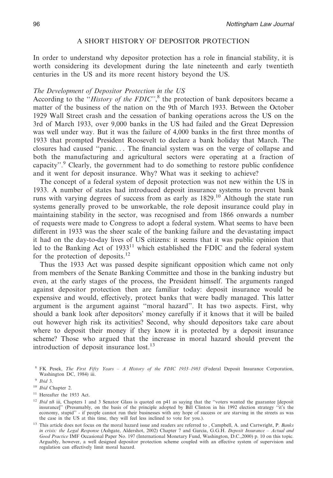## A SHORT HISTORY OF DEPOSITOR PROTECTION

In order to understand why depositor protection has a role in financial stability, it is worth considering its development during the late nineteenth and early twentieth centuries in the US and its more recent history beyond the US.

## *The Development of Depositor Protection in the US*

According to the ''*History of the FDIC''*, <sup>8</sup> the protection of bank depositors became a matter of the business of the nation on the 9th of March 1933. Between the October 1929 Wall Street crash and the cessation of banking operations across the US on the 3rd of March 1933, over 9,000 banks in the US had failed and the Great Depression was well under way. But it was the failure of 4,000 banks in the first three months of 1933 that prompted President Roosevelt to declare a bank holiday that March. The closures had caused ''panic. . . The financial system was on the verge of collapse and both the manufacturing and agricultural sectors were operating at a fraction of capacity''.<sup>9</sup> Clearly, the government had to do something to restore public confidence and it went for deposit insurance. Why? What was it seeking to achieve?

The concept of a federal system of deposit protection was not new within the US in 1933. A number of states had introduced deposit insurance systems to prevent bank runs with varying degrees of success from as early as 1829.<sup>10</sup> Although the state run systems generally proved to be unworkable, the role deposit insurance could play in maintaining stability in the sector, was recognised and from 1866 onwards a number of requests were made to Congress to adopt a federal system. What seems to have been different in 1933 was the sheer scale of the banking failure and the devastating impact it had on the day-to-day lives of US citizens: it seems that it was public opinion that led to the Banking Act of  $1933<sup>11</sup>$  which established the FDIC and the federal system for the protection of deposits.<sup>12</sup>

Thus the 1933 Act was passed despite significant opposition which came not only from members of the Senate Banking Committee and those in the banking industry but even, at the early stages of the process, the President himself. The arguments ranged against depositor protection then are familiar today: deposit insurance would be expensive and would, effectively, protect banks that were badly managed. This latter argument is the argument against ''moral hazard''. It has two aspects. First, why should a bank look after depositors' money carefully if it knows that it will be bailed out however high risk its activities? Second, why should depositors take care about where to deposit their money if they know it is protected by a deposit insurance scheme? Those who argued that the increase in moral hazard should prevent the introduction of deposit insurance  $lost.^{13}$ 

<sup>8</sup> FK Pesek, *The First Fifty Years – A History of the FDIC 1933–1983* (Federal Deposit Insurance Corporation, Washington DC, 1984) iii.

<sup>9</sup> *Ibid* 3.

<sup>10</sup> *Ibid* Chapter 2.

<sup>11</sup> Hereafter the 1933 Act.

<sup>&</sup>lt;sup>12</sup> *Ibid* n8 iii, Chapters 1 and 3 Senator Glass is quoted on p41 as saying that the "voters wanted the guarantee [deposit insurance]'' (Presumably, on the basis of the principle adopted by Bill Clinton in his 1992 election strategy ''it's the economy, stupid'' - if people cannot run their businesses with any hope of success or are starving in the streets as was the case in the US at this time, they will feel less inclined to vote for you.).

<sup>13</sup> This article does not focus on the moral hazard issue and readers are referred to , Campbell, A. and Cartwright, P. *Banks in crisis: the Legal Response* (Ashgate, Aldershot, 2002) Chapter 7 and Garcia, G.G.H. *Deposit Insurance – Actual and Good Practice* IMF Occasional Paper No. 197 (International Monetary Fund, Washington, D.C.,2000) p. 10 on this topic. Arguably, however, a well designed depositor protection scheme coupled with an effective system of supervision and regulation can effectively limit moral hazard.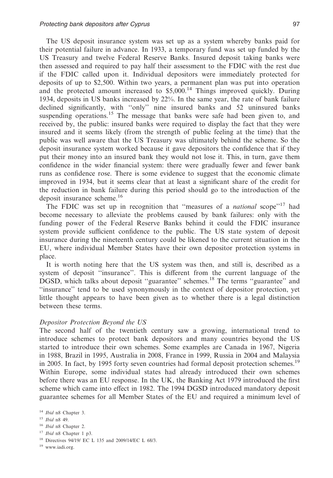The US deposit insurance system was set up as a system whereby banks paid for their potential failure in advance. In 1933, a temporary fund was set up funded by the US Treasury and twelve Federal Reserve Banks. Insured deposit taking banks were then assessed and required to pay half their assessment to the FDIC with the rest due if the FDIC called upon it. Individual depositors were immediately protected for deposits of up to \$2,500. Within two years, a permanent plan was put into operation and the protected amount increased to  $$5,000$ .<sup>14</sup> Things improved quickly. During 1934, deposits in US banks increased by 22%. In the same year, the rate of bank failure declined significantly, with ''only'' nine insured banks and 52 uninsured banks suspending operations.<sup>15</sup> The message that banks were safe had been given to, and received by, the public: insured banks were required to display the fact that they were insured and it seems likely (from the strength of public feeling at the time) that the public was well aware that the US Treasury was ultimately behind the scheme. So the deposit insurance system worked because it gave depositors the confidence that if they put their money into an insured bank they would not lose it. This, in turn, gave them confidence in the wider financial system: there were gradually fewer and fewer bank runs as confidence rose. There is some evidence to suggest that the economic climate improved in 1934, but it seems clear that at least a significant share of the credit for the reduction in bank failure during this period should go to the introduction of the deposit insurance scheme.<sup>16</sup>

The FDIC was set up in recognition that ''measures of a *national* scope''17 had become necessary to alleviate the problems caused by bank failures: only with the funding power of the Federal Reserve Banks behind it could the FDIC insurance system provide sufficient confidence to the public. The US state system of deposit insurance during the nineteenth century could be likened to the current situation in the EU, where individual Member States have their own depositor protection systems in place.

It is worth noting here that the US system was then, and still is, described as a system of deposit ''insurance''. This is different from the current language of the DGSD, which talks about deposit ''guarantee'' schemes.18 The terms ''guarantee'' and ''insurance'' tend to be used synonymously in the context of depositor protection, yet little thought appears to have been given as to whether there is a legal distinction between these terms.

#### *Depositor Protection Beyond the US*

The second half of the twentieth century saw a growing, international trend to introduce schemes to protect bank depositors and many countries beyond the US started to introduce their own schemes. Some examples are Canada in 1967, Nigeria in 1988, Brazil in 1995, Australia in 2008, France in 1999, Russia in 2004 and Malaysia in 2005. In fact, by 1995 forty seven countries had formal deposit protection schemes.<sup>19</sup> Within Europe, some individual states had already introduced their own schemes before there was an EU response. In the UK, the Banking Act 1979 introduced the first scheme which came into effect in 1982. The 1994 DGSD introduced mandatory deposit guarantee schemes for all Member States of the EU and required a minimum level of

- <sup>16</sup> *Ibid* n8 Chapter 2.
- <sup>17</sup> *Ibid* n8 Chapter 1 p3.

<sup>14</sup> *Ibid* n8 Chapter 3.

<sup>15</sup> *Ibid* n8 49.

<sup>18</sup> Directives 94/19/ EC L 135 and 2009/14/EC L 68/3.

<sup>19</sup> www.iadi.org.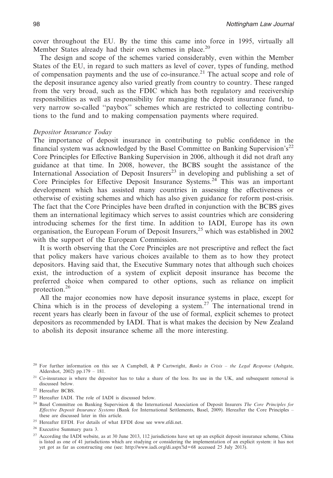cover throughout the EU. By the time this came into force in 1995, virtually all Member States already had their own schemes in place.<sup>20</sup>

The design and scope of the schemes varied considerably, even within the Member States of the EU, in regard to such matters as level of cover, types of funding, method of compensation payments and the use of co-insurance.<sup>21</sup> The actual scope and role of the deposit insurance agency also varied greatly from country to country. These ranged from the very broad, such as the FDIC which has both regulatory and receivership responsibilities as well as responsibility for managing the deposit insurance fund, to very narrow so-called ''paybox'' schemes which are restricted to collecting contributions to the fund and to making compensation payments where required.

#### *Depositor Insurance Today*

The importance of deposit insurance in contributing to public confidence in the financial system was acknowledged by the Basel Committee on Banking Supervision's<sup>22</sup> Core Principles for Effective Banking Supervision in 2006, although it did not draft any guidance at that time. In 2008, however, the BCBS sought the assistance of the International Association of Deposit Insurers<sup>23</sup> in developing and publishing a set of Core Principles for Effective Deposit Insurance Systems.<sup>24</sup> This was an important development which has assisted many countries in assessing the effectiveness or otherwise of existing schemes and which has also given guidance for reform post-crisis. The fact that the Core Principles have been drafted in conjunction with the BCBS gives them an international legitimacy which serves to assist countries which are considering introducing schemes for the first time. In addition to IADI, Europe has its own organisation, the European Forum of Deposit Insurers,<sup>25</sup> which was established in 2002 with the support of the European Commission.

It is worth observing that the Core Principles are not prescriptive and reflect the fact that policy makers have various choices available to them as to how they protect depositors. Having said that, the Executive Summary notes that although such choices exist, the introduction of a system of explicit deposit insurance has become the preferred choice when compared to other options, such as reliance on implicit protection.<sup>26</sup>

All the major economies now have deposit insurance systems in place, except for China which is in the process of developing a system.<sup>27</sup> The international trend in recent years has clearly been in favour of the use of formal, explicit schemes to protect depositors as recommended by IADI. That is what makes the decision by New Zealand to abolish its deposit insurance scheme all the more interesting.

<sup>20</sup> For further information on this see A Campbell, & P Cartwright, *Banks in Crisis – the Legal Response* (Ashgate, Aldershot, 2002) pp.179 – 181.

<sup>21</sup> Co-insurance is where the depositor has to take a share of the loss. Its use in the UK, and subsequent removal is discussed below.

<sup>22</sup> Hereafter BCBS.

<sup>23</sup> Hereafter IADI. The role of IADI is discussed below.

<sup>24</sup> Basel Committee on Banking Supervision & the International Association of Deposit Insurers *The Core Principles for Effective Deposit Insurance Systems* (Bank for International Settlements, Basel, 2009). Hereafter the Core Principles – these are discussed later in this article.

<sup>25</sup> Hereafter EFDI. For details of what EFDI dose see www.efdi.net.

<sup>26</sup> Executive Summary para 3.

<sup>&</sup>lt;sup>27</sup> According the IADI website, as at 30 June 2013, 112 jurisdictions have set up an explicit deposit insurance scheme, China is listed as one of 41 jurisdictions which are studying or considering the implementation of an explicit system: it has not yet got as far as constructing one (see: http://www.iadi.org/di.aspx?id=68 accessed 25 July 2013).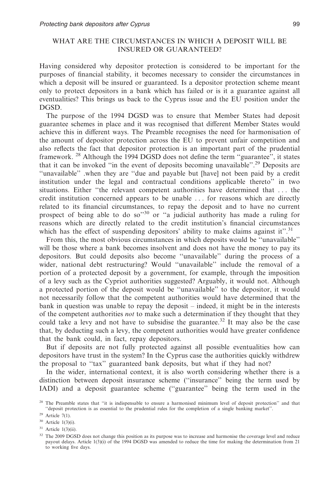# WHAT ARE THE CIRCUMSTANCES IN WHICH A DEPOSIT WILL BE INSURED OR GUARANTEED?

Having considered why depositor protection is considered to be important for the purposes of financial stability, it becomes necessary to consider the circumstances in which a deposit will be insured or guaranteed. Is a depositor protection scheme meant only to protect depositors in a bank which has failed or is it a guarantee against all eventualities? This brings us back to the Cyprus issue and the EU position under the DGSD.

The purpose of the 1994 DGSD was to ensure that Member States had deposit guarantee schemes in place and it was recognised that different Member States would achieve this in different ways. The Preamble recognises the need for harmonisation of the amount of depositor protection across the EU to prevent unfair competition and also reflects the fact that depositor protection is an important part of the prudential framework. <sup>28</sup> Although the 1994 DGSD does not define the term ''guarantee'', it states that it can be invoked "in the event of deposits becoming unavailable".<sup>29</sup> Deposits are ''unavailable'' .when they are ''due and payable but [have] not been paid by a credit institution under the legal and contractual conditions applicable thereto'' in two situations. Either ''the relevant competent authorities have determined that . . . the credit institution concerned appears to be unable . . . for reasons which are directly related to its financial circumstances, to repay the deposit and to have no current prospect of being able to do so<sup>330</sup> or "a judicial authority has made a ruling for reasons which are directly related to the credit institution's financial circumstances which has the effect of suspending depositors' ability to make claims against it".<sup>31</sup>

From this, the most obvious circumstances in which deposits would be ''unavailable'' will be those where a bank becomes insolvent and does not have the money to pay its depositors. But could deposits also become ''unavailable'' during the process of a wider, national debt restructuring? Would ''unavailable'' include the removal of a portion of a protected deposit by a government, for example, through the imposition of a levy such as the Cypriot authorities suggested? Arguably, it would not. Although a protected portion of the deposit would be ''unavailable'' to the depositor, it would not necessarily follow that the competent authorities would have determined that the bank in question was unable to repay the deposit – indeed, it might be in the interests of the competent authorities *not* to make such a determination if they thought that they could take a levy and not have to subsidise the guarantee.<sup>32</sup> It may also be the case that, by deducting such a levy, the competent authorities would have greater confidence that the bank could, in fact, repay depositors.

But if deposits are not fully protected against all possible eventualities how can depositors have trust in the system? In the Cyprus case the authorities quickly withdrew the proposal to ''tax'' guaranteed bank deposits, but what if they had not?

In the wider, international context, it is also worth considering whether there is a distinction between deposit insurance scheme (''insurance'' being the term used by IADI) and a deposit guarantee scheme (''guarantee'' being the term used in the

<sup>&</sup>lt;sup>28</sup> The Preamble states that "it is indispensable to ensure a harmonised minimum level of deposit protection" and that ''deposit protection is as essential to the prudential rules for the completion of a single banking market''.

<sup>29</sup> Article 7(1).

<sup>30</sup> Article 1(3)(i).

 $31$  Article 1(3)(ii).

<sup>&</sup>lt;sup>32</sup> The 2009 DGSD does not change this position as its purpose was to increase and harmonise the coverage level and reduce payout delays. Article 1(3)(i) of the 1994 DGSD was amended to reduce the time for making the determination from 21 to working five days.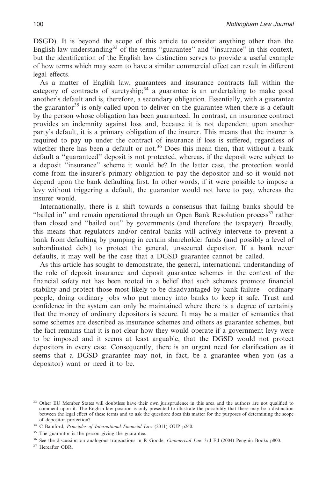DSGD). It is beyond the scope of this article to consider anything other than the English law understanding<sup>33</sup> of the terms "guarantee" and "insurance" in this context, but the identification of the English law distinction serves to provide a useful example of how terms which may seem to have a similar commercial effect can result in different legal effects.

As a matter of English law, guarantees and insurance contracts fall within the category of contracts of suretyship;<sup>34</sup> a guarantee is an undertaking to make good another's default and is, therefore, a secondary obligation. Essentially, with a guarantee the guarantor<sup>35</sup> is only called upon to deliver on the guarantee when there is a default by the person whose obligation has been guaranteed. In contrast, an insurance contract provides an indemnity against loss and, because it is not dependent upon another party's default, it is a primary obligation of the insurer. This means that the insurer is required to pay up under the contract of insurance if loss is suffered, regardless of whether there has been a default or not.<sup>36</sup> Does this mean then, that without a bank default a ''guaranteed'' deposit is not protected, whereas, if the deposit were subject to a deposit ''insurance'' scheme it would be? In the latter case, the protection would come from the insurer's primary obligation to pay the depositor and so it would not depend upon the bank defaulting first. In other words, if it were possible to impose a levy without triggering a default, the guarantor would not have to pay, whereas the insurer would.

Internationally, there is a shift towards a consensus that failing banks should be "bailed in" and remain operational through an Open Bank Resolution process<sup>37</sup> rather than closed and ''bailed out'' by governments (and therefore the taxpayer). Broadly, this means that regulators and/or central banks will actively intervene to prevent a bank from defaulting by pumping in certain shareholder funds (and possibly a level of subordinated debt) to protect the general, unsecured depositor. If a bank never defaults, it may well be the case that a DGSD guarantee cannot be called.

As this article has sought to demonstrate, the general, international understanding of the role of deposit insurance and deposit guarantee schemes in the context of the financial safety net has been rooted in a belief that such schemes promote financial stability and protect those most likely to be disadvantaged by bank failure – ordinary people, doing ordinary jobs who put money into banks to keep it safe. Trust and confidence in the system can only be maintained where there is a degree of certainty that the money of ordinary depositors is secure. It may be a matter of semantics that some schemes are described as insurance schemes and others as guarantee schemes, but the fact remains that it is not clear how they would operate if a government levy were to be imposed and it seems at least arguable, that the DGSD would not protect depositors in every case. Consequently, there is an urgent need for clarification as it seems that a DGSD guarantee may not, in fact, be a guarantee when you (as a depositor) want or need it to be.

<sup>&</sup>lt;sup>33</sup> Other EU Member States will doubtless have their own jurisprudence in this area and the authors are not qualified to comment upon it. The English law position is only presented to illustrate the possibility that there may be a distinction between the legal effect of these terms and to ask the question: does this matter for the purposes of determining the scope of depositor protection?

<sup>34</sup> C Bamford, *Principles of International Financial Law* (2011) OUP p240.

<sup>&</sup>lt;sup>35</sup> The guarantor is the person giving the guarantee.

<sup>36</sup> See the discussion on analogous transactions in R Goode, *Commercial Law* 3rd Ed (2004) Penguin Books p800.

<sup>&</sup>lt;sup>37</sup> Hereafter OBR.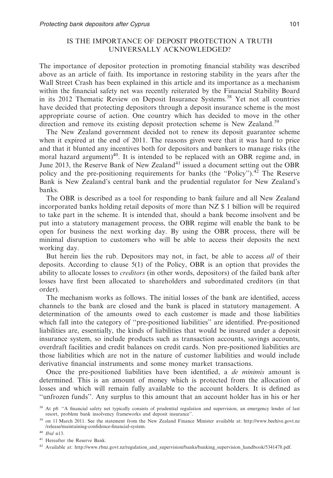# IS THE IMPORTANCE OF DEPOSIT PROTECTION A TRUTH UNIVERSALLY ACKNOWLEDGED?

The importance of depositor protection in promoting financial stability was described above as an article of faith. Its importance in restoring stability in the years after the Wall Street Crash has been explained in this article and its importance as a mechanism within the financial safety net was recently reiterated by the Financial Stability Board in its 2012 Thematic Review on Deposit Insurance Systems.<sup>38</sup> Yet not all countries have decided that protecting depositors through a deposit insurance scheme is the most appropriate course of action. One country which has decided to move in the other direction and remove its existing deposit protection scheme is New Zealand.<sup>39</sup>

The New Zealand government decided not to renew its deposit guarantee scheme when it expired at the end of 2011. The reasons given were that it was hard to price and that it blunted any incentives both for depositors and bankers to manage risks (the moral hazard argument) $40$ . It is intended to be replaced with an OBR regime and, in June 2013, the Reserve Bank of New Zealand<sup>41</sup> issued a document setting out the OBR policy and the pre-positioning requirements for banks (the ''Policy'').<sup>42</sup> The Reserve Bank is New Zealand's central bank and the prudential regulator for New Zealand's banks.

The OBR is described as a tool for responding to bank failure and all New Zealand incorporated banks holding retail deposits of more than NZ \$ 1 billion will be required to take part in the scheme. It is intended that, should a bank become insolvent and be put into a statutory management process, the OBR regime will enable the bank to be open for business the next working day. By using the OBR process, there will be minimal disruption to customers who will be able to access their deposits the next working day.

But herein lies the rub. Depositors may not, in fact, be able to access *all* of their deposits. According to clause 5(1) of the Policy, OBR is an option that provides the ability to allocate losses to *creditors* (in other words, depositors) of the failed bank after losses have first been allocated to shareholders and subordinated creditors (in that order).

The mechanism works as follows. The initial losses of the bank are identified, access channels to the bank are closed and the bank is placed in statutory management. A determination of the amounts owed to each customer is made and those liabilities which fall into the category of ''pre-positioned liabilities'' are identified. Pre-positioned liabilities are, essentially, the kinds of liabilities that would be insured under a deposit insurance system, so include products such as transaction accounts, savings accounts, overdraft facilities and credit balances on credit cards. Non pre-positioned liabilities are those liabilities which are not in the nature of customer liabilities and would include derivative financial instruments and some money market transactions.

Once the pre-positioned liabilities have been identified, a *de minimis* amount is determined. This is an amount of money which is protected from the allocation of losses and which will remain fully available to the account holders. It is defined as ''unfrozen funds''. Any surplus to this amount that an account holder has in his or her

<sup>&</sup>lt;sup>38</sup> At p8: "A financial safety net typically consists of prudential regulation and supervision, an emergency lender of last resort, problem bank insolvency frameworks and deposit insurance''.

<sup>39</sup> on 11 March 2011. See the statement from the New Zealand Finance Minister available at: http://www.beehive.govt.nz /release/maintaining-confidence-financial-system.

<sup>40</sup> *Ibid* n13.

<sup>41</sup> Hereafter the Reserve Bank.

<sup>42</sup> Available at: http://www.rbnz.govt.nz/regulation\_and\_supervision/banks/banking\_supervision\_handbook/5341478.pdf.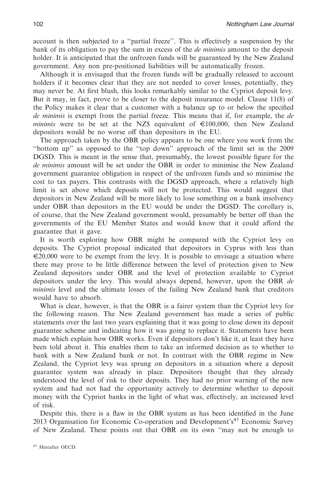account is then subjected to a ''partial freeze''. This is effectively a suspension by the bank of its obligation to pay the sum in excess of the *de minimis* amount to the deposit holder. It is anticipated that the unfrozen funds will be guaranteed by the New Zealand government. Any non pre-positioned liabilities will be automatically frozen.

Although it is envisaged that the frozen funds will be gradually released to account holders if it becomes clear that they are not needed to cover losses, potentially, they may never be. At first blush, this looks remarkably similar to the Cypriot deposit levy. But it may, in fact, prove to be closer to the deposit insurance model. Clause 11(8) of the Policy makes it clear that a customer with a balance up to or below the specified *de minimis* is exempt from the partial freeze. This means that if, for example, the *de minimis* were to be set at the NZ\$ equivalent of  $\in$ 100,000, then New Zealand depositors would be no worse off than depositors in the EU.

The approach taken by the OBR policy appears to be one where you work from the ''bottom up'' as opposed to the ''top down'' approach of the limit set in the 2009 DGSD. This is meant in the sense that, presumably, the lowest possible figure for the *de minimis* amount will be set under the OBR in order to minimise the New Zealand government guarantee obligation in respect of the unfrozen funds and so minimise the cost to tax payers. This contrasts with the DGSD approach, where a relatively high limit is set above which deposits will not be protected. This would suggest that depositors in New Zealand will be more likely to lose something on a bank insolvency under OBR than depositors in the EU would be under the DGSD. The corollary is, of course, that the New Zealand government would, presumably be better off than the governments of the EU Member States and would know that it could afford the guarantee that it gave.

It is worth exploring how OBR might be compared with the Cypriot levy on deposits. The Cypriot proposal indicated that depositors in Cyprus with less than  $\epsilon$ 20,000 were to be exempt from the levy. It is possible to envisage a situation where there may prove to be little difference between the level of protection given to New Zealand depositors under OBR and the level of protection available to Cypriot depositors under the levy. This would always depend, however, upon the OBR *de minimis* level and the ultimate losses of the failing New Zealand bank that creditors would have to absorb.

What is clear, however, is that the OBR is a fairer system than the Cypriot levy for the following reason. The New Zealand government has made a series of public statements over the last two years explaining that it was going to close down its deposit guarantee scheme and indicating how it was going to replace it. Statements have been made which explain how OBR works. Even if depositors don't like it, at least they have been told about it. This enables them to take an informed decision as to whether to bank with a New Zealand bank or not. In contrast with the OBR regime in New Zealand, the Cypriot levy was sprung on depositors in a situation where a deposit guarantee system was already in place. Depositors thought that they already understood the level of risk to their deposits. They had no prior warning of the new system and had not had the opportunity actively to determine whether to deposit money with the Cypriot banks in the light of what was, effectively, an increased level of risk.

Despite this, there is a flaw in the OBR system as has been identified in the June 2013 Organisation for Economic Co-operation and Development's43 Economic Survey of New Zealand. These points out that OBR on its own ''may not be enough to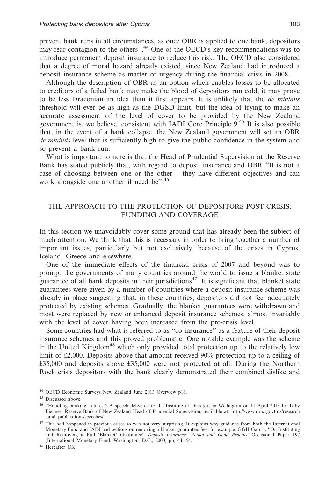prevent bank runs in all circumstances, as once OBR is applied to one bank, depositors may fear contagion to the others''.44 One of the OECD's key recommendations was to introduce permanent deposit insurance to reduce this risk. The OECD also considered that a degree of moral hazard already existed, since New Zealand had introduced a deposit insurance scheme as matter of urgency during the financial crisis in 2008.

Although the description of OBR as an option which enables losses to be allocated to creditors of a failed bank may make the blood of depositors run cold, it may prove to be less Draconian an idea than it first appears. It is unlikely that the *de minimis* threshold will ever be as high as the DGSD limit, but the idea of trying to make an accurate assessment of the level of cover to be provided by the New Zealand government is, we believe, consistent with IADI Core Principle  $9<sup>45</sup>$  It is also possible that, in the event of a bank collapse, the New Zealand government will set an OBR *de minimis* level that is sufficiently high to give the public confidence in the system and so prevent a bank run.

What is important to note is that the Head of Prudential Supervision at the Reserve Bank has stated publicly that, with regard to deposit insurance and OBR ''It is not a case of choosing between one or the other – they have different objectives and can work alongside one another if need be".<sup>46</sup>

# THE APPROACH TO THE PROTECTION OF DEPOSITORS POST-CRISIS: FUNDING AND COVERAGE

In this section we unavoidably cover some ground that has already been the subject of much attention. We think that this is necessary in order to bring together a number of important issues, particularly but not exclusively, because of the crises in Cyprus, Iceland, Greece and elsewhere.

One of the immediate effects of the financial crisis of 2007 and beyond was to prompt the governments of many countries around the world to issue a blanket state guarantee of all bank deposits in their jurisdictions<sup>47</sup>. It is significant that blanket state guarantees were given by a number of countries where a deposit insurance scheme was already in place suggesting that, in these countries, depositors did not feel adequately protected by existing schemes. Gradually, the blanket guarantees were withdrawn and most were replaced by new or enhanced deposit insurance schemes, almost invariably with the level of cover having been increased from the pre-crisis level.

Some countries had what is referred to as ''co-insurance'' as a feature of their deposit insurance schemes and this proved problematic. One notable example was the scheme in the United Kingdom<sup>48</sup> which only provided total protection up to the relatively low limit of £2,000. Deposits above that amount received 90% protection up to a ceiling of £35,000 and deposits above £35,000 were not protected at all. During the Northern Rock crisis depositors with the bank clearly demonstrated their combined dislike and

<sup>48</sup> Hereafter UK.

<sup>44</sup> OECD Economic Surveys New Zealand June 2013 Overview p16.

<sup>45</sup> Discussed above.

<sup>46</sup> ''Handling banking failures'': A speech delivered to the Institute of Directors in Wellington on 11 April 2013 by Toby Fiennes, Reserve Bank of New Zealand Head of Prudential Supervision, available at: http://www.rbnz.govt.nz/research and publications/speeches/.

<sup>&</sup>lt;sup>47</sup> This had happened in previous crises so was not very surprising. It explains why guidance from both the International Monetary Fund and IADI had sections on removing a blanket guarantee. See, for example, GGH Garcia, ''On Instituting and Removing a Full 'Blanket' Guarantee'' *Deposit Insurance: Actual and Good Practice* Occasional Paper 197 (International Monetary Fund, Washington, D.C., 2000) pp. 44 -54.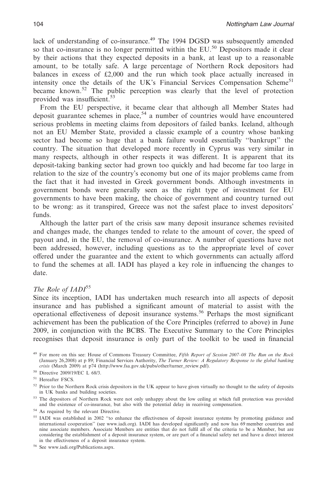lack of understanding of co-insurance.<sup>49</sup> The 1994 DGSD was subsequently amended so that co-insurance is no longer permitted within the  $EU^{50}$  Depositors made it clear by their actions that they expected deposits in a bank, at least up to a reasonable amount, to be totally safe. A large percentage of Northern Rock depositors had balances in excess of £2,000 and the run which took place actually increased in intensity once the details of the UK's Financial Services Compensation Scheme<sup>51</sup> became known.<sup>52</sup> The public perception was clearly that the level of protection provided was insufficient.<sup>53</sup>

From the EU perspective, it became clear that although all Member States had deposit guarantee schemes in place,<sup>54</sup> a number of countries would have encountered serious problems in meeting claims from depositors of failed banks. Iceland, although not an EU Member State, provided a classic example of a country whose banking sector had become so huge that a bank failure would essentially ''bankrupt'' the country. The situation that developed more recently in Cyprus was very similar in many respects, although in other respects it was different. It is apparent that its deposit-taking banking sector had grown too quickly and had become far too large in relation to the size of the country's economy but one of its major problems came from the fact that it had invested in Greek government bonds. Although investments in government bonds were generally seen as the right type of investment for EU governments to have been making, the choice of government and country turned out to be wrong: as it transpired, Greece was not the safest place to invest depositors' funds.

Although the latter part of the crisis saw many deposit insurance schemes revisited and changes made, the changes tended to relate to the amount of cover, the speed of payout and, in the EU, the removal of co-insurance. A number of questions have not been addressed, however, including questions as to the appropriate level of cover offered under the guarantee and the extent to which governments can actually afford to fund the schemes at all. IADI has played a key role in influencing the changes to date.

# *The Role of IADI*<sup>55</sup>

Since its inception, IADI has undertaken much research into all aspects of deposit insurance and has published a significant amount of material to assist with the operational effectiveness of deposit insurance systems.56 Perhaps the most significant achievement has been the publication of the Core Principles (referred to above) in June 2009, in conjunction with the BCBS. The Executive Summary to the Core Principles recognises that deposit insurance is only part of the toolkit to be used in financial

<sup>51</sup> Hereafter FSCS.

- <sup>52</sup> Prior to the Northern Rock crisis depositors in the UK appear to have given virtually no thought to the safety of deposits in UK banks and building societies.
- <sup>53</sup> The depositors of Northern Rock were not only unhappy about the low ceiling at which full protection was provided and the existence of co-insurance, but also with the potential delay in receiving compensation.
- <sup>54</sup> As required by the relevant Directive.
- <sup>55</sup> IADI was established in 2002 ''to enhance the effectiveness of deposit insurance systems by promoting guidance and international cooperation'' (see www.iadi.org). IADI has developed significantly and now has 69 member countries and nine associate members. Associate Members are entities that do not fulfil all of the criteria to be a Member, but are considering the establishment of a deposit insurance system, or are part of a financial safety net and have a direct interest in the effectiveness of a deposit insurance system.

<sup>56</sup> See www.iadi.org/Publications.aspx.

<sup>49</sup> For more on this see: House of Commons Treasury Committee, *Fifth Report of Session 2007–08 The Run on the Rock* (January 26,2008) at p 89; Financial Services Authority, *The Turner Review: A Regulatory Response to the global banking crisis* (March 2009) at p74 (http://www.fsa.gov.uk/pubs/other/turner\_review.pdf).

<sup>50</sup> Directive 2009/19/EC L 68/3.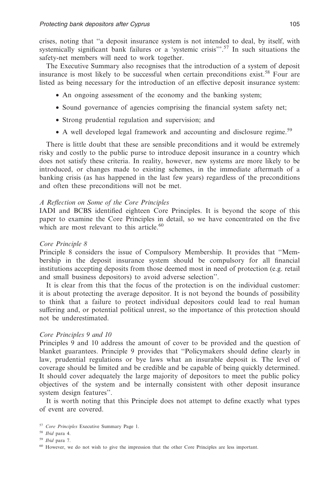crises, noting that ''a deposit insurance system is not intended to deal, by itself, with systemically significant bank failures or a 'systemic crisis'".<sup>57</sup> In such situations the safety-net members will need to work together.

The Executive Summary also recognises that the introduction of a system of deposit insurance is most likely to be successful when certain preconditions exist.<sup>58</sup> Four are listed as being necessary for the introduction of an effective deposit insurance system:

- An ongoing assessment of the economy and the banking system;
- Sound governance of agencies comprising the financial system safety net;
- Strong prudential regulation and supervision; and
- A well developed legal framework and accounting and disclosure regime.<sup>59</sup>

There is little doubt that these are sensible preconditions and it would be extremely risky and costly to the public purse to introduce deposit insurance in a country which does not satisfy these criteria. In reality, however, new systems are more likely to be introduced, or changes made to existing schemes, in the immediate aftermath of a banking crisis (as has happened in the last few years) regardless of the preconditions and often these preconditions will not be met.

#### *A Reflection on Some of the Core Principles*

IADI and BCBS identified eighteen Core Principles. It is beyond the scope of this paper to examine the Core Principles in detail, so we have concentrated on the five which are most relevant to this article. $60$ 

#### *Core Principle 8*

Principle 8 considers the issue of Compulsory Membership. It provides that ''Membership in the deposit insurance system should be compulsory for all financial institutions accepting deposits from those deemed most in need of protection (e.g. retail and small business depositors) to avoid adverse selection''.

It is clear from this that the focus of the protection is on the individual customer: it is about protecting the average depositor. It is not beyond the bounds of possibility to think that a failure to protect individual depositors could lead to real human suffering and, or potential political unrest, so the importance of this protection should not be underestimated.

#### *Core Principles 9 and 10*

Principles 9 and 10 address the amount of cover to be provided and the question of blanket guarantees. Principle 9 provides that ''Policymakers should define clearly in law, prudential regulations or bye laws what an insurable deposit is. The level of coverage should be limited and be credible and be capable of being quickly determined. It should cover adequately the large majority of depositors to meet the public policy objectives of the system and be internally consistent with other deposit insurance system design features''.

It is worth noting that this Principle does not attempt to define exactly what types of event are covered.

<sup>57</sup> *Core Principles* Executive Summary Page 1.

<sup>58</sup> *Ibid* para 4.

<sup>59</sup> *Ibid* para 7.

<sup>&</sup>lt;sup>60</sup> However, we do not wish to give the impression that the other Core Principles are less important.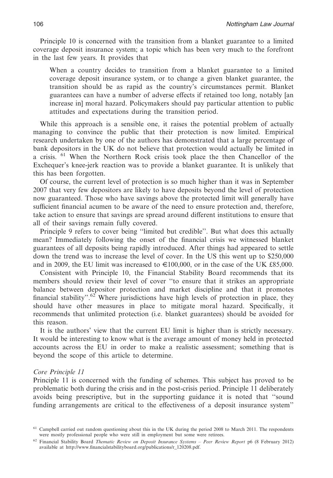Principle 10 is concerned with the transition from a blanket guarantee to a limited coverage deposit insurance system; a topic which has been very much to the forefront in the last few years. It provides that

When a country decides to transition from a blanket guarantee to a limited coverage deposit insurance system, or to change a given blanket guarantee, the transition should be as rapid as the country's circumstances permit. Blanket guarantees can have a number of adverse effects if retained too long, notably [an increase in] moral hazard. Policymakers should pay particular attention to public attitudes and expectations during the transition period.

While this approach is a sensible one, it raises the potential problem of actually managing to convince the public that their protection is now limited. Empirical research undertaken by one of the authors has demonstrated that a large percentage of bank depositors in the UK do not believe that protection would actually be limited in a crisis. <sup>61</sup> When the Northern Rock crisis took place the then Chancellor of the Exchequer's knee-jerk reaction was to provide a blanket guarantee. It is unlikely that this has been forgotten.

Of course, the current level of protection is so much higher than it was in September 2007 that very few depositors are likely to have deposits beyond the level of protection now guaranteed. Those who have savings above the protected limit will generally have sufficient financial acumen to be aware of the need to ensure protection and, therefore, take action to ensure that savings are spread around different institutions to ensure that all of their savings remain fully covered.

Principle 9 refers to cover being ''limited but credible''. But what does this actually mean? Immediately following the onset of the financial crisis we witnessed blanket guarantees of all deposits being rapidly introduced. After things had appeared to settle down the trend was to increase the level of cover. In the US this went up to \$250,000 and in 2009, the EU limit was increased to  $\in$ 100,000, or in the case of the UK £85,000.

Consistent with Principle 10, the Financial Stability Board recommends that its members should review their level of cover ''to ensure that it strikes an appropriate balance between depositor protection and market discipline and that it promotes financial stability".<sup>62</sup> Where jurisdictions have high levels of protection in place, they should have other measures in place to mitigate moral hazard. Specifically, it recommends that unlimited protection (i.e. blanket guarantees) should be avoided for this reason.

It is the authors' view that the current EU limit is higher than is strictly necessary. It would be interesting to know what is the average amount of money held in protected accounts across the EU in order to make a realistic assessment; something that is beyond the scope of this article to determine.

#### *Core Principle 11*

Principle 11 is concerned with the funding of schemes. This subject has proved to be problematic both during the crisis and in the post-crisis period. Principle 11 deliberately avoids being prescriptive, but in the supporting guidance it is noted that ''sound funding arrangements are critical to the effectiveness of a deposit insurance system''

<sup>&</sup>lt;sup>61</sup> Campbell carried out random questioning about this in the UK during the period 2008 to March 2011. The respondents were mostly professional people who were still in employment but some were retirees.

<sup>62</sup> Financial Stability Board *Thematic Review on Deposit Insurance Systems – Peer Review Report* p6 (8 February 2012) available at http://www.financialstabilityboard.org/publications/r\_120208.pdf.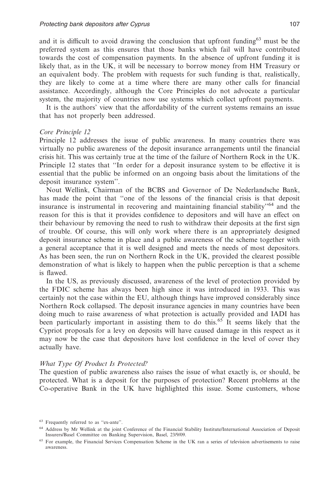and it is difficult to avoid drawing the conclusion that upfront funding $63$  must be the preferred system as this ensures that those banks which fail will have contributed towards the cost of compensation payments. In the absence of upfront funding it is likely that, as in the UK, it will be necessary to borrow money from HM Treasury or an equivalent body. The problem with requests for such funding is that, realistically, they are likely to come at a time where there are many other calls for financial assistance. Accordingly, although the Core Principles do not advocate a particular system, the majority of countries now use systems which collect upfront payments.

It is the authors' view that the affordability of the current systems remains an issue that has not properly been addressed.

#### *Core Principle 12*

Principle 12 addresses the issue of public awareness. In many countries there was virtually no public awareness of the deposit insurance arrangements until the financial crisis hit. This was certainly true at the time of the failure of Northern Rock in the UK. Principle 12 states that ''In order for a deposit insurance system to be effective it is essential that the public be informed on an ongoing basis about the limitations of the deposit insurance system''.

Nout Wellink, Chairman of the BCBS and Governor of De Nederlandsche Bank, has made the point that ''one of the lessons of the financial crisis is that deposit insurance is instrumental in recovering and maintaining financial stability<sup>-64</sup> and the reason for this is that it provides confidence to depositors and will have an effect on their behaviour by removing the need to rush to withdraw their deposits at the first sign of trouble. Of course, this will only work where there is an appropriately designed deposit insurance scheme in place and a public awareness of the scheme together with a general acceptance that it is well designed and meets the needs of most depositors. As has been seen, the run on Northern Rock in the UK, provided the clearest possible demonstration of what is likely to happen when the public perception is that a scheme is flawed.

In the US, as previously discussed, awareness of the level of protection provided by the FDIC scheme has always been high since it was introduced in 1933. This was certainly not the case within the EU, although things have improved considerably since Northern Rock collapsed. The deposit insurance agencies in many countries have been doing much to raise awareness of what protection is actually provided and IADI has been particularly important in assisting them to do this.<sup>65</sup> It seems likely that the Cypriot proposals for a levy on deposits will have caused damage in this respect as it may now be the case that depositors have lost confidence in the level of cover they actually have.

#### *What Type Of Product Is Protected?*

The question of public awareness also raises the issue of what exactly is, or should, be protected. What is a deposit for the purposes of protection? Recent problems at the Co-operative Bank in the UK have highlighted this issue. Some customers, whose

<sup>63</sup> Frequently referred to as ''ex-ante''.

<sup>64</sup> Address by Mr Wellink at the joint Conference of the Financial Stability Institute/International Association of Deposit Insurers/Basel Committee on Banking Supervision, Basel, 23/9/09.

<sup>&</sup>lt;sup>65</sup> For example, the Financial Services Compensation Scheme in the UK ran a series of television advertisements to raise awareness.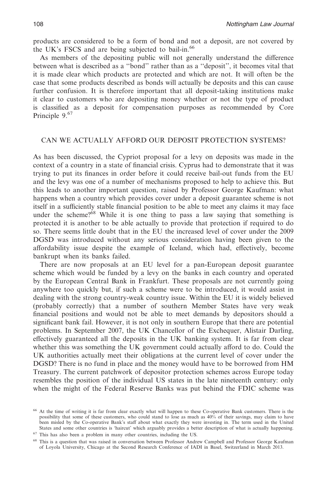products are considered to be a form of bond and not a deposit, are not covered by the UK's FSCS and are being subjected to bail-in.<sup>66</sup>

As members of the depositing public will not generally understand the difference between what is described as a ''bond'' rather than as a ''deposit'', it becomes vital that it is made clear which products are protected and which are not. It will often be the case that some products described as bonds will actually be deposits and this can cause further confusion. It is therefore important that all deposit-taking institutions make it clear to customers who are depositing money whether or not the type of product is classified as a deposit for compensation purposes as recommended by Core Principle 9.<sup>67</sup>

#### CAN WE ACTUALLY AFFORD OUR DEPOSIT PROTECTION SYSTEMS?

As has been discussed, the Cypriot proposal for a levy on deposits was made in the context of a country in a state of financial crisis. Cyprus had to demonstrate that it was trying to put its finances in order before it could receive bail-out funds from the EU and the levy was one of a number of mechanisms proposed to help to achieve this. But this leads to another important question, raised by Professor George Kaufman: what happens when a country which provides cover under a deposit guarantee scheme is not itself in a sufficiently stable financial position to be able to meet any claims it may face under the scheme?<sup>68</sup> While it is one thing to pass a law saying that something is protected it is another to be able actually to provide that protection if required to do so. There seems little doubt that in the EU the increased level of cover under the 2009 DGSD was introduced without any serious consideration having been given to the affordability issue despite the example of Iceland, which had, effectively, become bankrupt when its banks failed.

There are now proposals at an EU level for a pan-European deposit guarantee scheme which would be funded by a levy on the banks in each country and operated by the European Central Bank in Frankfurt. These proposals are not currently going anywhere too quickly but, if such a scheme were to be introduced, it would assist in dealing with the strong country-weak country issue. Within the EU it is widely believed (probably correctly) that a number of southern Member States have very weak financial positions and would not be able to meet demands by depositors should a significant bank fail. However, it is not only in southern Europe that there are potential problems. In September 2007, the UK Chancellor of the Exchequer, Alistair Darling, effectively guaranteed all the deposits in the UK banking system. It is far from clear whether this was something the UK government could actually afford to do. Could the UK authorities actually meet their obligations at the current level of cover under the DGSD? There is no fund in place and the money would have to be borrowed from HM Treasury. The current patchwork of depositor protection schemes across Europe today resembles the position of the individual US states in the late nineteenth century: only when the might of the Federal Reserve Banks was put behind the FDIC scheme was

<sup>68</sup> This is a question that was raised in conversation between Professor Andrew Campbell and Professor George Kaufman of Loyola University, Chicago at the Second Research Conference of IADI in Basel, Switzerland in March 2013.

<sup>66</sup> At the time of writing it is far from clear exactly what will happen to these Co-operative Bank customers. There is the possibility that some of these customers, who could stand to lose as much as 40% of their savings, may claim to have been misled by the Co-operative Bank's staff about what exactly they were investing in. The term used in the United States and some other countries is 'haircut' which arguably provides a better description of what is actually happening.

<sup>67</sup> This has also been a problem in many other countries, including the US.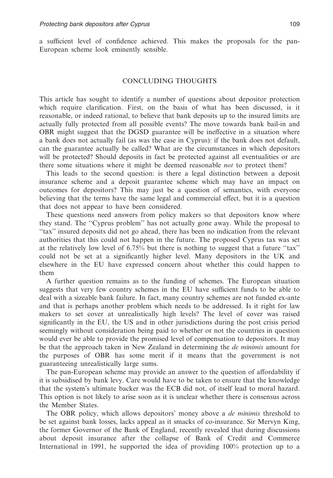a sufficient level of confidence achieved. This makes the proposals for the pan-European scheme look eminently sensible.

#### CONCLUDING THOUGHTS

This article has sought to identify a number of questions about depositor protection which require clarification. First, on the basis of what has been discussed, is it reasonable, or indeed rational, to believe that bank deposits up to the insured limits are actually fully protected from all possible events? The move towards bank bail-in and OBR might suggest that the DGSD guarantee will be ineffective in a situation where a bank does not actually fail (as was the case in Cyprus): if the bank does not default, can the guarantee actually be called? What are the circumstances in which depositors will be protected? Should deposits in fact be protected against all eventualities or are there some situations where it might be deemed reasonable *not* to protect them?

This leads to the second question: is there a legal distinction between a deposit insurance scheme and a deposit guarantee scheme which may have an impact on outcomes for depositors? This may just be a question of semantics, with everyone believing that the terms have the same legal and commercial effect, but it is a question that does not appear to have been considered.

These questions need answers from policy makers so that depositors know where they stand. The ''Cyprus problem'' has not actually gone away. While the proposal to ''tax'' insured deposits did not go ahead, there has been no indication from the relevant authorities that this could not happen in the future. The proposed Cyprus tax was set at the relatively low level of 6.75% but there is nothing to suggest that a future ''tax'' could not be set at a significantly higher level. Many depositors in the UK and elsewhere in the EU have expressed concern about whether this could happen to them

A further question remains as to the funding of schemes. The European situation suggests that very few country schemes in the EU have sufficient funds to be able to deal with a sizeable bank failure. In fact, many country schemes are not funded ex-ante and that is perhaps another problem which needs to be addressed. Is it right for law makers to set cover at unrealistically high levels? The level of cover was raised significantly in the EU, the US and in other jurisdictions during the post crisis period seemingly without consideration being paid to whether or not the countries in question would ever be able to provide the promised level of compensation to depositors. It may be that the approach taken in New Zealand in determining the *de minimis* amount for the purposes of OBR has some merit if it means that the government is not guaranteeing unrealistically large sums.

The pan-European scheme may provide an answer to the question of affordability if it is subsidised by bank levy. Care would have to be taken to ensure that the knowledge that the system's ultimate backer was the ECB did not, of itself lead to moral hazard. This option is not likely to arise soon as it is unclear whether there is consensus across the Member States.

The OBR policy, which allows depositors' money above a *de minimis* threshold to be set against bank losses, lacks appeal as it smacks of co-insurance. Sir Mervyn King, the former Governor of the Bank of England, recently revealed that during discussions about deposit insurance after the collapse of Bank of Credit and Commerce International in 1991, he supported the idea of providing 100% protection up to a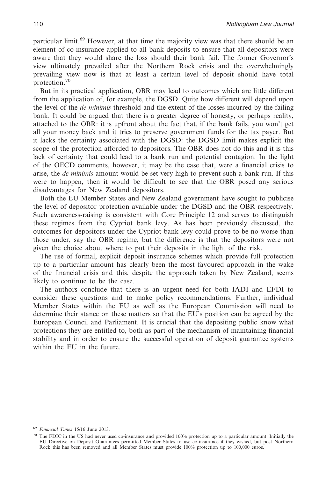particular limit.<sup>69</sup> However, at that time the majority view was that there should be an element of co-insurance applied to all bank deposits to ensure that all depositors were aware that they would share the loss should their bank fail. The former Governor's view ultimately prevailed after the Northern Rock crisis and the overwhelmingly prevailing view now is that at least a certain level of deposit should have total protection.70

But in its practical application, OBR may lead to outcomes which are little different from the application of, for example, the DGSD. Quite how different will depend upon the level of the *de minimis* threshold and the extent of the losses incurred by the failing bank. It could be argued that there is a greater degree of honesty, or perhaps reality, attached to the OBR: it is upfront about the fact that, if the bank fails, you won't get all your money back and it tries to preserve government funds for the tax payer. But it lacks the certainty associated with the DGSD: the DGSD limit makes explicit the scope of the protection afforded to depositors. The OBR does not do this and it is this lack of certainty that could lead to a bank run and potential contagion. In the light of the OECD comments, however, it may be the case that, were a financial crisis to arise, the *de minimis* amount would be set very high to prevent such a bank run. If this were to happen, then it would be difficult to see that the OBR posed any serious disadvantages for New Zealand depositors.

Both the EU Member States and New Zealand government have sought to publicise the level of depositor protection available under the DGSD and the OBR respectively. Such awareness-raising is consistent with Core Principle 12 and serves to distinguish these regimes from the Cypriot bank levy. As has been previously discussed, the outcomes for depositors under the Cypriot bank levy could prove to be no worse than those under, say the OBR regime, but the difference is that the depositors were not given the choice about where to put their deposits in the light of the risk.

The use of formal, explicit deposit insurance schemes which provide full protection up to a particular amount has clearly been the most favoured approach in the wake of the financial crisis and this, despite the approach taken by New Zealand, seems likely to continue to be the case.

The authors conclude that there is an urgent need for both IADI and EFDI to consider these questions and to make policy recommendations. Further, individual Member States within the EU as well as the European Commission will need to determine their stance on these matters so that the EU's position can be agreed by the European Council and Parliament. It is crucial that the depositing public know what protections they are entitled to, both as part of the mechanism of maintaining financial stability and in order to ensure the successful operation of deposit guarantee systems within the EU in the future.

<sup>69</sup> *Financial Times* 15/16 June 2013.

 $70$  The FDIC in the US had never used co-insurance and provided 100% protection up to a particular amount. Initially the EU Directive on Deposit Guarantees permitted Member States to use co-insurance if they wished, but post Northern Rock this has been removed and all Member States must provide 100% protection up to 100,000 euros.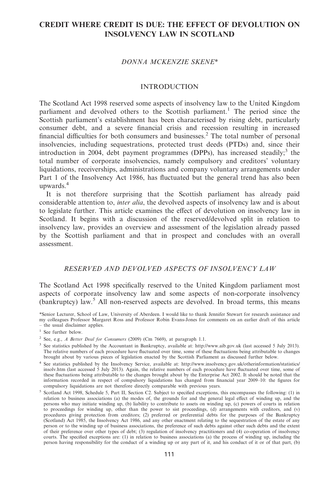# **CREDIT WHERE CREDIT IS DUE: THE EFFECT OF DEVOLUTION ON INSOLVENCY LAW IN SCOTLAND**

#### *DONNA MCKENZIE SKENE\**

#### INTRODUCTION

The Scotland Act 1998 reserved some aspects of insolvency law to the United Kingdom parliament and devolved others to the Scottish parliament.<sup>1</sup> The period since the Scottish parliament's establishment has been characterised by rising debt, particularly consumer debt, and a severe financial crisis and recession resulting in increased financial difficulties for both consumers and businesses.2 The total number of personal insolvencies, including sequestrations, protected trust deeds (PTDs) and, since their introduction in 2004, debt payment programmes (DPPs), has increased steadily;<sup>3</sup> the total number of corporate insolvencies, namely compulsory and creditors' voluntary liquidations, receiverships, administrations and company voluntary arrangements under Part 1 of the Insolvency Act 1986, has fluctuated but the general trend has also been upwards.<sup>4</sup>

It is not therefore surprising that the Scottish parliament has already paid considerable attention to, *inter alia*, the devolved aspects of insolvency law and is about to legislate further. This article examines the effect of devolution on insolvency law in Scotland. It begins with a discussion of the reserved/devolved split in relation to insolvency law, provides an overview and assessment of the legislation already passed by the Scottish parliament and that in prospect and concludes with an overall assessment.

#### *RESERVED AND DEVOLVED ASPECTS OF INSOLVENCY LAW*

The Scotland Act 1998 specifically reserved to the United Kingdom parliament most aspects of corporate insolvency law and some aspects of non-corporate insolvency  $\alpha$  (bankruptcy) law.<sup>5</sup> All non-reserved aspects are devolved. In broad terms, this means

\*Senior Lecturer, School of Law, University of Aberdeen. I would like to thank Jennifer Stewart for research assistance and my colleagues Professor Margaret Ross and Professor Robin Evans-Jones for comments on an earlier draft of this article – the usual disclaimer applies.

- <sup>3</sup> See statistics published by the Accountant in Bankruptcy, available at: http://www.aib.gov.uk (last accessed 5 July 2013). The relative numbers of each procedure have fluctuated over time, some of these fluctuations being attributable to changes brought about by various pieces of legislation enacted by the Scottish Parliament as discussed further below.
- <sup>4</sup> See statistics published by the Insolvency Service, available at: http://www.insolvency.gov.uk/otherinformation/statistics/<br>insolv.htm (last accessed 5 July 2013). Again, the relative numbers of each procedure have flu these fluctuations being attributable to the changes brought about by the Enterprise Act 2002. It should be noted that the information recorded in respect of compulsory liquidations has changed from financial year 2009–10: the figures for compulsory liquidations are not therefore directly comparable with previous years.
- <sup>5</sup> Scotland Act 1998, Schedule 5, Part II, Section C2. Subject to specified exceptions, this encompasses the following: (1) in relation to business associations (a) the modes of, the grounds for and the general legal effect of winding up, and the persons who may initiate winding up, (b) liability to contribute to assets on winding up, (c) powers of courts in relation to proceedings for winding up, other than the power to sist proceedings, (d) arrangements with creditors, and (v) procedures giving protection from creditors; (2) preferred or preferential debts for the purposes of the Bankruptcy (Scotland) Act 1985, the Insolvency Act 1986, and any other enactment relating to the sequestration of the estate of any person or to the winding up of business associations, the preference of such debts against other such debts and the extent of their preference over other types of debt; (3) regulation of insolvency practitioners and (4) co-operation of insolvency courts. The specified exceptions are: (1) in relation to business associations (a) the process of winding up, including the person having responsibility for the conduct of a winding up or any part of it, and his conduct of it or of that part, (b)

<sup>&</sup>lt;sup>1</sup> See further below.

<sup>2</sup> See, e.g., *A Better Deal for Consumers* (2009) (Cm 7669), at paragraph 1.1.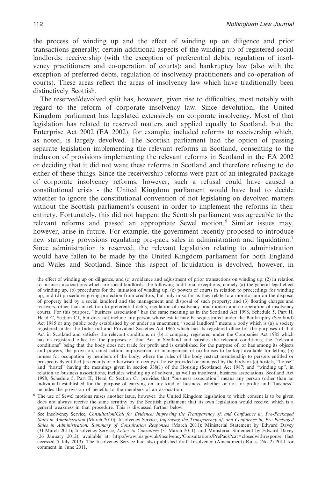the process of winding up and the effect of winding up on diligence and prior transactions generally; certain additional aspects of the winding up of registered social landlords; receivership (with the exception of preferential debts, regulation of insolvency practitioners and co-operation of courts); and bankruptcy law (also with the exception of preferred debts, regulation of insolvency practitioners and co-operation of courts). These areas reflect the areas of insolvency law which have traditionally been distinctively Scottish.

The reserved/devolved split has, however, given rise to difficulties, most notably with regard to the reform of corporate insolvency law. Since devolution, the United Kingdom parliament has legislated extensively on corporate insolvency. Most of that legislation has related to reserved matters and applied equally to Scotland, but the Enterprise Act 2002 (EA 2002), for example, included reforms to receivership which, as noted, is largely devolved. The Scottish parliament had the option of passing separate legislation implementing the relevant reforms in Scotland, consenting to the inclusion of provisions implementing the relevant reforms in Scotland in the EA 2002 or deciding that it did not want these reforms in Scotland and therefore refusing to do either of these things. Since the receivership reforms were part of an integrated package of corporate insolvency reforms, however, such a refusal could have caused a constitutional crisis - the United Kingdom parliament would have had to decide whether to ignore the constitutional convention of not legislating on devolved matters without the Scottish parliament's consent in order to implement the reforms in their entirety. Fortunately, this did not happen: the Scottish parliament was agreeable to the relevant reforms and passed an appropriate Sewel motion.<sup>6</sup> Similar issues may, however, arise in future. For example, the government recently proposed to introduce new statutory provisions regulating pre-pack sales in administration and liquidation.<sup>7</sup> Since administration is reserved, the relevant legislation relating to administration would have fallen to be made by the United Kingdom parliament for both England and Wales and Scotland. Since this aspect of liquidation is devolved, however, in

the effect of winding up on diligence, and (c) avoidance and adjustment of prior transactions on winding up; (2) in relation to business associations which are social landlords, the following additional exceptions, namely (a) the general legal effect of winding up, (b) procedures for the initiation of winding up, (c) powers of courts in relation to proceedings for winding up, and (d) procedures giving protection from creditors, but only in so far as they relate to a moratorium on the disposal of property held by a social landlord and the management and disposal of such property; and (3) floating charges and receivers, other than in relation to preferential debts, regulation of insolvency practitioners and co-operation of insolvency courts. For this purpose, ''business association'' has the same meaning as in the Scotland Act 1998, Schedule 5, Part II, Head C, Section C1, but does not include any person whose estate may be sequestrated under the Bankruptcy (Scotland) Act 1985 or any public body established by or under an enactment; ''social landlord'' means a body which is (a) a society registered under the Industrial and Provident Societies Act 1965 which has its registered office for the purposes of that Act in Scotland and satisfies the relevant conditions or (b) a company registered under the Companies Act 1985 which has its registered office for the purposes of that Act in Scotland and satisfies the relevant conditions, the ''relevant conditions'' being that the body does not trade for profit and is established for the purpose of, or has among its objects and powers, the provision, construction, improvement or management of (a) houses to be kept available for letting (b) houses for occupation by members of the body, where the rules of the body restrict membership to persons entitled or prospectively entitled (as tenants or otherwise) to occupy a house provided or managed by the body or (c) hostels, ''house'' and ''hostel'' having the meanings given in section 338(1) of the Housing (Scotland) Act 1987; and ''winding up'', in relation to business associations, includes winding up of solvent, as well as insolvent, business associations. Scotland Act 1998, Schedule 5, Part II, Head C, Section C1 provides that ''business association'' means any person (other than an individual) established for the purpose of carrying on any kind of business, whether or not for profit; and ''business'' includes the provision of benefits to the members of an association.

<sup>&</sup>lt;sup>6</sup> The use of Sewel motions raises another issue, however: the United Kingdom legislation to which consent is to be given does not always receive the same scrutiny by the Scottish parliament that its own legislation would receive, which is a general weakness in that procedure. This is discussed further below.

<sup>7</sup> See Insolvency Service, *Consultation/Call for Evidence: Improving the Transparency of, and Confidence in, Pre-Packaged Sales in Administration* (March 2010); Insolvency Service, *Improving the Transparency of, and Confidence in, Pre-Packaged Sales in Administration: Summary of Consultation Responses* (March 2011); Ministerial Statement by Edward Davey (31 March 2011); Insolvency Service, *Letter to Consultees* (31 March 2011); and Ministerial Statement by Edward Davey (26 January 2012), available at: http://www.bis.gov.uk/insolvency/Consultations/PrePack?cat=closedwithresponse (last accessed 5 July 2013). The Insolvency Service had also published draft Insolvency (Amendment) Rules (No 2) 2011 for comment in June 2011.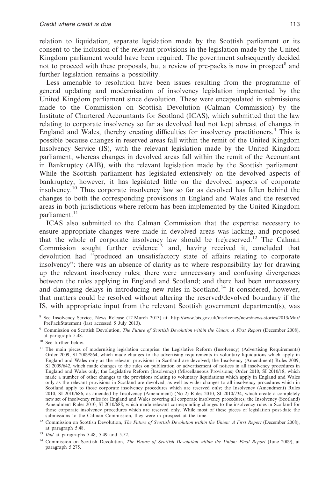relation to liquidation, separate legislation made by the Scottish parliament or its consent to the inclusion of the relevant provisions in the legislation made by the United Kingdom parliament would have been required. The government subsequently decided not to proceed with these proposals, but a review of pre-packs is now in prospect<sup>8</sup> and further legislation remains a possibility.

Less amenable to resolution have been issues resulting from the programme of general updating and modernisation of insolvency legislation implemented by the United Kingdom parliament since devolution. These were encapsulated in submissions made to the Commission on Scottish Devolution (Calman Commission) by the Institute of Chartered Accountants for Scotland (ICAS), which submitted that the law relating to corporate insolvency so far as devolved had not kept abreast of changes in England and Wales, thereby creating difficulties for insolvency practitioners.<sup>9</sup> This is possible because changes in reserved areas fall within the remit of the United Kingdom Insolvency Service (IS), with the relevant legislation made by the United Kingdom parliament, whereas changes in devolved areas fall within the remit of the Accountant in Bankruptcy (AIB), with the relevant legislation made by the Scottish parliament. While the Scottish parliament has legislated extensively on the devolved aspects of bankruptcy, however, it has legislated little on the devolved aspects of corporate insolvency.<sup>10</sup> Thus corporate insolvency law so far as devolved has fallen behind the changes to both the corresponding provisions in England and Wales and the reserved areas in both jurisdictions where reform has been implemented by the United Kingdom parliament.<sup>11</sup>

ICAS also submitted to the Calman Commission that the expertise necessary to ensure appropriate changes were made in devolved areas was lacking, and proposed that the whole of corporate insolvency law should be (re)reserved.<sup>12</sup> The Calman Commission sought further evidence<sup>13</sup> and, having received it, concluded that devolution had ''produced an unsatisfactory state of affairs relating to corporate insolvency'': there was an absence of clarity as to where responsibility lay for drawing up the relevant insolvency rules; there were unnecessary and confusing divergences between the rules applying in England and Scotland; and there had been unnecessary and damaging delays in introducing new rules in Scotland.14 It considered, however, that matters could be resolved without altering the reserved/devolved boundary if the IS, with appropriate input from the relevant Scottish government department(s), was

<sup>10</sup> See further below.

<sup>8</sup> See Insolvency Service, News Release (12 March 2013) at: http://www.bis.gov.uk/insolvency/news/news-stories/2013/Mar/ PrePackStatement (last accessed 5 July 2013).

<sup>9</sup> Commission on Scottish Devolution, *The Future of Scottish Devolution within the Union: A First Report* (December 2008), at paragraph 5.48.

<sup>&</sup>lt;sup>11</sup> The main pieces of modernising legislation comprise: the Legislative Reform (Insolvency) (Advertising Requirements) Order 2009, SI 2009/864, which made changes to the advertising requirements in voluntary liquidations which apply in England and Wales only as the relevant provisions in Scotland are devolved; the Insolvency (Amendment) Rules 2009, SI 2009/642, which made changes to the rules on publication or advertisement of notices in all insolvency procedures in England and Wales only; the Legislative Reform (Insolvency) (Miscellaneous Provisions) Order 2010, SI 2010/18, which made a number of other changes to the provisions relating to voluntary liquidations which apply in England and Wales only as the relevant provisions in Scotland are devolved, as well as wider changes to all insolvency procedures which in Scotland apply to those corporate insolvency procedures which are reserved only; the Insolvency (Amendment) Rules 2010, SI 2010/686, as amended by Insolvency (Amendment) (No 2) Rules 2010, SI 2010/734, which create a completely new set of insolvency rules for England and Wales covering all corporate insolvency procedures; the Insolvency (Scotland) Amendment Rules 2010, SI 2010/688, which made relevant corresponding changes to the insolvency rules in Scotland for those corporate insolvency procedures which are reserved only. While most of these pieces of legislation post-date the submissions to the Calman Commission, they were in prospect at the time.

<sup>&</sup>lt;sup>12</sup> Commission on Scottish Devolution, *The Future of Scottish Devolution within the Union: A First Report* (December 2008), at paragraph 5.48.

<sup>13</sup> *Ibid* at paragraphs 5.48, 5.49 and 5.52.

<sup>14</sup> Commission on Scottish Devolution, *The Future of Scottish Devolution within the Union: Final Report* (June 2009), at paragraph 5.275.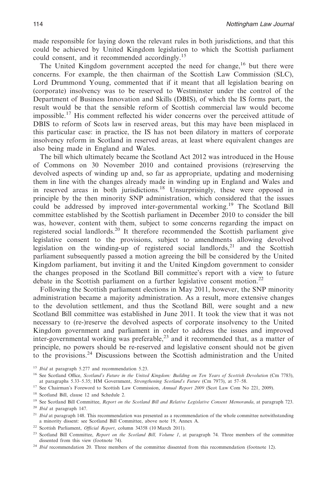made responsible for laying down the relevant rules in both jurisdictions, and that this could be achieved by United Kingdom legislation to which the Scottish parliament could consent, and it recommended accordingly.<sup>15</sup>

The United Kingdom government accepted the need for change,  $16$  but there were concerns. For example, the then chairman of the Scottish Law Commission (SLC), Lord Drummond Young, commented that if it meant that all legislation bearing on (corporate) insolvency was to be reserved to Westminster under the control of the Department of Business Innovation and Skills (DBIS), of which the IS forms part, the result would be that the sensible reform of Scottish commercial law would become impossible.<sup>17</sup> His comment reflected his wider concerns over the perceived attitude of DBIS to reform of Scots law in reserved areas, but this may have been misplaced in this particular case: in practice, the IS has not been dilatory in matters of corporate insolvency reform in Scotland in reserved areas, at least where equivalent changes are also being made in England and Wales.

The bill which ultimately became the Scotland Act 2012 was introduced in the House of Commons on 30 November 2010 and contained provisions (re)reserving the devolved aspects of winding up and, so far as appropriate, updating and modernising them in line with the changes already made in winding up in England and Wales and in reserved areas in both jurisdictions.<sup>18</sup> Unsurprisingly, these were opposed in principle by the then minority SNP administration, which considered that the issues could be addressed by improved inter-governmental working.19 The Scotland Bill committee established by the Scottish parliament in December 2010 to consider the bill was, however, content with them, subject to some concerns regarding the impact on registered social landlords.<sup>20</sup> It therefore recommended the Scottish parliament give legislative consent to the provisions, subject to amendments allowing devolved legislation on the winding-up of registered social landlords, $2<sup>1</sup>$  and the Scottish parliament subsequently passed a motion agreeing the bill be considered by the United Kingdom parliament, but inviting it and the United Kingdom government to consider the changes proposed in the Scotland Bill committee's report with a view to future debate in the Scottish parliament on a further legislative consent motion.<sup>22</sup>

Following the Scottish parliament elections in May 2011, however, the SNP minority administration became a majority administration. As a result, more extensive changes to the devolution settlement, and thus the Scotland Bill, were sought and a new Scotland Bill committee was established in June 2011. It took the view that it was not necessary to (re-)reserve the devolved aspects of corporate insolvency to the United Kingdom government and parliament in order to address the issues and improved inter-governmental working was preferable, $^{23}$  and it recommended that, as a matter of principle, no powers should be re-reserved and legislative consent should not be given to the provisions.24 Discussions between the Scottish administration and the United

<sup>15</sup> *Ibid* at paragraph 5.277 and recommendation 5.23.

- <sup>17</sup> See Chairman's Foreword to Scottish Law Commission, *Annual Report 2009* (Scot Law Com No 221, 2009).
- <sup>18</sup> Scotland Bill, clause 12 and Schedule 2.

<sup>&</sup>lt;sup>16</sup> See Scotland Office, *Scotland's Future in the United Kingdom: Building on Ten Years of Scottish Devolution* (Cm 7783), at paragraphs 5.33–5.35; HM Government, *Strengthening Scotland's Future* (Cm 7973), at 57–58.

<sup>&</sup>lt;sup>19</sup> See Scotland Bill Committee, *Report on the Scotland Bill and Relative Legislative Consent Memoranda*, at paragraph 723.

<sup>20</sup> *Ibid* at paragraph 147.

<sup>&</sup>lt;sup>21</sup> *Ibid* at paragraph 148. This recommendation was presented as a recommendation of the whole committee notwithstanding a minority dissent: see Scotland Bill Committee, above note 19, Annex A.

<sup>22</sup> Scottish Parliament, *Official Report*, column 34358 (10 March 2011).

<sup>&</sup>lt;sup>23</sup> Scotland Bill Committee, *Report on the Scotland Bill, Volume 1*, at paragraph 74. Three members of the committee dissented from this view (footnote 74).

<sup>&</sup>lt;sup>24</sup> *Ibid* recommendation 20. Three members of the committee dissented from this recommendation (footnote 12).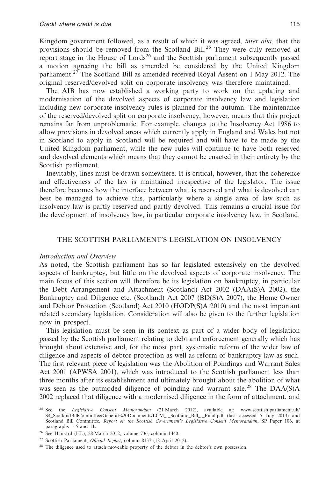Kingdom government followed, as a result of which it was agreed, *inter alia*, that the provisions should be removed from the Scotland Bill.<sup>25</sup> They were duly removed at report stage in the House of Lords<sup>26</sup> and the Scottish parliament subsequently passed a motion agreeing the bill as amended be considered by the United Kingdom parliament.<sup>27</sup> The Scotland Bill as amended received Royal Assent on 1 May 2012. The original reserved/devolved split on corporate insolvency was therefore maintained.

The AIB has now established a working party to work on the updating and modernisation of the devolved aspects of corporate insolvency law and legislation including new corporate insolvency rules is planned for the autumn. The maintenance of the reserved/devolved split on corporate insolvency, however, means that this project remains far from unproblematic. For example, changes to the Insolvency Act 1986 to allow provisions in devolved areas which currently apply in England and Wales but not in Scotland to apply in Scotland will be required and will have to be made by the United Kingdom parliament, while the new rules will continue to have both reserved and devolved elements which means that they cannot be enacted in their entirety by the Scottish parliament.

Inevitably, lines must be drawn somewhere. It is critical, however, that the coherence and effectiveness of the law is maintained irrespective of the legislator. The issue therefore becomes how the interface between what is reserved and what is devolved can best be managed to achieve this, particularly where a single area of law such as insolvency law is partly reserved and partly devolved. This remains a crucial issue for the development of insolvency law, in particular corporate insolvency law, in Scotland.

#### THE SCOTTISH PARLIAMENT'S LEGISLATION ON INSOLVENCY

#### *Introduction and Overview*

As noted, the Scottish parliament has so far legislated extensively on the devolved aspects of bankruptcy, but little on the devolved aspects of corporate insolvency. The main focus of this section will therefore be its legislation on bankruptcy, in particular the Debt Arrangement and Attachment (Scotland) Act 2002 (DAA(S)A 2002), the Bankruptcy and Diligence etc. (Scotland) Act 2007 (BD(S)A 2007), the Home Owner and Debtor Protection (Scotland) Act 2010 (HODP(S)A 2010) and the most important related secondary legislation. Consideration will also be given to the further legislation now in prospect.

This legislation must be seen in its context as part of a wider body of legislation passed by the Scottish parliament relating to debt and enforcement generally which has brought about extensive and, for the most part, systematic reform of the wider law of diligence and aspects of debtor protection as well as reform of bankruptcy law as such. The first relevant piece of legislation was the Abolition of Poindings and Warrant Sales Act 2001 (APWSA 2001), which was introduced to the Scottish parliament less than three months after its establishment and ultimately brought about the abolition of what was seen as the outmoded diligence of poinding and warrant sale.<sup>28</sup> The DAA(S)A 2002 replaced that diligence with a modernised diligence in the form of attachment, and

<sup>25</sup> See the *Legislative Consent Memorandum* (21 March 2012), available at: www.scottish.parliament.uk/ S4\_ScotlandBillCommittee/General%20Documents/LCM\_-\_Scotland\_Bill\_-\_Final.pdf (last accessed 5 July 2013) and Scotland Bill Committee, *Report on the Scottish Government's Legislative Consent Memorandum*, SP Paper 106, at paragraphs 1–5 and 11.

<sup>26</sup> See Hansard (HL), 28 March 2012, volume 736, column 1440.

<sup>27</sup> Scottish Parliament, *Official Report*, column 8137 (18 April 2012).

<sup>&</sup>lt;sup>28</sup> The diligence used to attach moveable property of the debtor in the debtor's own possession.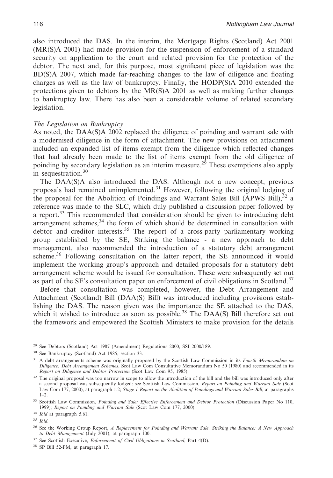also introduced the DAS. In the interim, the Mortgage Rights (Scotland) Act 2001 (MR(S)A 2001) had made provision for the suspension of enforcement of a standard security on application to the court and related provision for the protection of the debtor. The next and, for this purpose, most significant piece of legislation was the BD(S)A 2007, which made far-reaching changes to the law of diligence and floating charges as well as the law of bankruptcy. Finally, the HODP(S)A 2010 extended the protections given to debtors by the MR(S)A 2001 as well as making further changes to bankruptcy law. There has also been a considerable volume of related secondary legislation.

#### *The Legislation on Bankruptcy*

As noted, the DAA(S)A 2002 replaced the diligence of poinding and warrant sale with a modernised diligence in the form of attachment. The new provisions on attachment included an expanded list of items exempt from the diligence which reflected changes that had already been made to the list of items exempt from the old diligence of poinding by secondary legislation as an interim measure.<sup>29</sup> These exemptions also apply in sequestration.30

The DAA(S)A also introduced the DAS. Although not a new concept, previous proposals had remained unimplemented.<sup>31</sup> However, following the original lodging of the proposal for the Abolition of Poindings and Warrant Sales Bill (APWS Bill), $32$  a reference was made to the SLC, which duly published a discussion paper followed by a report.<sup>33</sup> This recommended that consideration should be given to introducing debt arrangement schemes, $34$  the form of which should be determined in consultation with debtor and creditor interests.<sup>35</sup> The report of a cross-party parliamentary working group established by the SE, Striking the balance - a new approach to debt management, also recommended the introduction of a statutory debt arrangement scheme.<sup>36</sup> Following consultation on the latter report, the SE announced it would implement the working group's approach and detailed proposals for a statutory debt arrangement scheme would be issued for consultation. These were subsequently set out as part of the SE's consultation paper on enforcement of civil obligations in Scotland.<sup>37</sup>

Before that consultation was completed, however, the Debt Arrangement and Attachment (Scotland) Bill (DAA(S) Bill) was introduced including provisions establishing the DAS. The reason given was the importance the SE attached to the DAS, which it wished to introduce as soon as possible.<sup>38</sup> The DAA(S) Bill therefore set out the framework and empowered the Scottish Ministers to make provision for the details

<sup>29</sup> See Debtors (Scotland) Act 1987 (Amendment) Regulations 2000, SSI 2000/189.

<sup>30</sup> See Bankruptcy (Scotland) Act 1985, section 33.

<sup>31</sup> A debt arrangements scheme was originally proposed by the Scottish Law Commission in its *Fourth Memorandum on Diligence: Debt Arrangement Schemes*, Scot Law Com Consultative Memorandum No 50 (1980) and recommended in its *Report on Diligence and Debtor Protection* (Scot Law Com 95, 1985).

<sup>&</sup>lt;sup>32</sup> The original proposal was too narrow in scope to allow the introduction of the bill and the bill was introduced only after a second proposal was subsequently lodged: see Scottish Law Commission, *Report on Poinding and Warrant Sale* (Scot Law Com 177, 2000), at paragraph 1.2; *Stage 1 Report on the Abolition of Poindings and Warrant Sales Bill*, at paragraphs  $1-2$ .

<sup>33</sup> Scottish Law Commission, *Poinding and Sale: Effective Enforcement and Debtor Protection* (Discussion Paper No 110, 1999); *Report on Poinding and Warrant Sale* (Scot Law Com 177, 2000).

<sup>34</sup> *Ibid* at paragraph 5.61.

<sup>35</sup> *Ibid*.

<sup>36</sup> See the Working Group Report, *A Replacement for Poinding and Warrant Sale, Striking the Balance: A New Approach to Debt Management* (July 2001), at paragraph 100.

<sup>37</sup> See Scottish Executive, *Enforcement of Civil Obligations in Scotland*, Part 4(D).

<sup>38</sup> SP Bill 52-PM, at paragraph 17.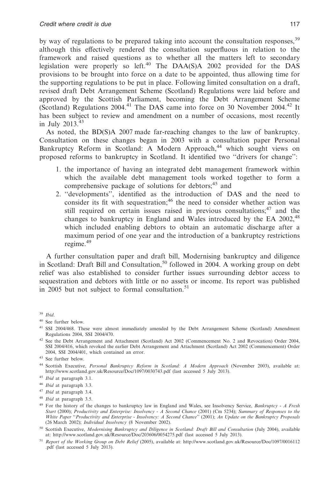by way of regulations to be prepared taking into account the consultation responses.<sup>39</sup> although this effectively rendered the consultation superfluous in relation to the framework and raised questions as to whether all the matters left to secondary legislation were properly so left.<sup>40</sup> The DAA(S)A 2002 provided for the DAS provisions to be brought into force on a date to be appointed, thus allowing time for the supporting regulations to be put in place. Following limited consultation on a draft, revised draft Debt Arrangement Scheme (Scotland) Regulations were laid before and approved by the Scottish Parliament, becoming the Debt Arrangement Scheme (Scotland) Regulations 2004.41 The DAS came into force on 30 November 2004.42 It has been subject to review and amendment on a number of occasions, most recently in July 2013.<sup>43</sup>

As noted, the BD(S)A 2007 made far-reaching changes to the law of bankruptcy. Consultation on these changes began in 2003 with a consultation paper Personal Bankruptcy Reform in Scotland: A Modern Approach,<sup>44</sup> which sought views on proposed reforms to bankruptcy in Scotland. It identified two ''drivers for change'':

- 1. the importance of having an integrated debt management framework within which the available debt management tools worked together to form a comprehensive package of solutions for debtors;<sup>45</sup> and
- 2. ''developments'', identified as the introduction of DAS and the need to consider its fit with sequestration;<sup>46</sup> the need to consider whether action was still required on certain issues raised in previous consultations; $47$  and the changes to bankruptcy in England and Wales introduced by the EA 2002,<sup>48</sup> which included enabling debtors to obtain an automatic discharge after a maximum period of one year and the introduction of a bankruptcy restrictions regime.<sup>49</sup>

A further consultation paper and draft bill, Modernising bankruptcy and diligence in Scotland: Draft Bill and Consultation,<sup>50</sup> followed in 2004. A working group on debt relief was also established to consider further issues surrounding debtor access to sequestration and debtors with little or no assets or income. Its report was published in 2005 but not subject to formal consultation.<sup>51</sup>

<sup>39</sup> *Ibid*.

<sup>40</sup> See further below.

<sup>41</sup> SSI 2004/468. These were almost immediately amended by the Debt Arrangement Scheme (Scotland) Amendment Regulations 2004, SSI 2004/470.

<sup>42</sup> See the Debt Arrangement and Attachment (Scotland) Act 2002 (Commencement No. 2 and Revocation) Order 2004, SSI 2004/416, which revoked the earlier Debt Arrangement and Attachment (Scotland) Act 2002 (Commencement) Order 2004, SSI 2004/401, which contained an error.

<sup>43</sup> See further below.

<sup>44</sup> Scottish Executive, *Personal Bankruptcy Reform in Scotland: A Modern Approach* (November 2003), available at: http://www.scotland.gov.uk/Resource/Doc/1097/0030743.pdf (last accessed 5 July 2013).

<sup>45</sup> *Ibid* at paragraph 3.1.

<sup>46</sup> *Ibid* at paragraph 3.3.

<sup>47</sup> *Ibid* at paragraph 3.4.

<sup>48</sup> *Ibid* at paragraph 3.5.

<sup>49</sup> For the history of the changes to bankruptcy law in England and Wales, see Insolvency Service, *Bankruptcy - A Fresh* Start (2000); Productivity and Enterprise: Insolvency - A Second Chance (2001) (Cm 5234); Summary of Responses to the<br>White Paper "Productivity and Enterprise - Insolvency: A Second Chance" (2001); An Update on the Bankrup (26 March 2002); *Individual Insolvency* (8 November 2002).

<sup>&</sup>lt;sup>50</sup> Scottish Executive, *Modernising Bankruptcy and Diligence in Scotland: Draft Bill and Consultation* (July 2004), available at: http://www.scotland.gov.uk/Resource/Doc/203606/0054275.pdf (last accessed 5 July 2013).

<sup>51</sup> *Report of the Working Group on Debt Relief* (2005), available at: http://www.scotland.gov.uk/Resource/Doc/1097/0016112 .pdf (last accessed 5 July 2013).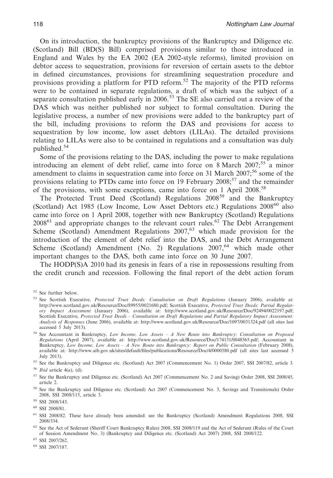On its introduction, the bankruptcy provisions of the Bankruptcy and Diligence etc. (Scotland) Bill (BD(S) Bill) comprised provisions similar to those introduced in England and Wales by the EA 2002 (EA 2002-style reforms), limited provision on debtor access to sequestration, provisions for reversion of certain assets to the debtor in defined circumstances, provisions for streamlining sequestration procedure and provisions providing a platform for PTD reform.<sup>52</sup> The majority of the PTD reforms were to be contained in separate regulations, a draft of which was the subject of a separate consultation published early in 2006.<sup>53</sup> The SE also carried out a review of the DAS which was neither published nor subject to formal consultation. During the legislative process, a number of new provisions were added to the bankruptcy part of the bill, including provisions to reform the DAS and provisions for access to sequestration by low income, low asset debtors (LILAs). The detailed provisions relating to LILAs were also to be contained in regulations and a consultation was duly published.<sup>54</sup>

Some of the provisions relating to the DAS, including the power to make regulations introducing an element of debt relief, came into force on 8 March 2007;<sup>55</sup> a minor amendment to claims in sequestration came into force on 31 March 2007;<sup>56</sup> some of the provisions relating to PTDs came into force on 19 February 2008;<sup>57</sup> and the remainder of the provisions, with some exceptions, came into force on 1 April 2008.<sup>58</sup>

The Protected Trust Deed (Scotland) Regulations 2008<sup>59</sup> and the Bankruptcy (Scotland) Act 1985 (Low Income, Low Asset Debtors etc.) Regulations 2008<sup>60</sup> also came into force on 1 April 2008, together with new Bankruptcy (Scotland) Regulations  $2008<sup>61</sup>$  and appropriate changes to the relevant court rules.<sup>62</sup> The Debt Arrangement Scheme (Scotland) Amendment Regulations  $2007<sup>63</sup>$  which made provision for the introduction of the element of debt relief into the DAS, and the Debt Arrangement Scheme (Scotland) Amendment (No. 2) Regulations  $2007,64$  which made other important changes to the DAS, both came into force on 30 June 2007.

The HODP(S)A 2010 had its genesis in fears of a rise in repossessions resulting from the credit crunch and recession. Following the final report of the debt action forum

<sup>52</sup> See further below.

<sup>53</sup> See Scottish Executive, *Protected Trust Deeds: Consultation on Draft Regulations* (January 2006), available at: http://www.scotland.gov.uk/Resource/Doc/89955/0021680.pdf; Scottish Executive, *Protected Trust Deeds: Partial Regulatory Impact Assessment* (January 2006), available at: http://www.scotland.gov.uk/Resource/Doc/92494/0022197.pdf; Scottish Executive, *Protected Trust Deeds – Consultation on Draft Regulations and Partial Regulatory Impact Assessment: Analysis of Responses* (June 2006), available at: http://www.scotland.gov.uk/Resource/Doc/1097/0031324.pdf (all sites last accessed  $\overline{5}$  July 2013).

<sup>54</sup> See Accountant in Bankruptcy, *Low Income, Low Assets – A New Route into Bankruptcy: Consultation on Proposed Regulations* (April 2007), available at: http://www.scotland.gov.uk/Resource/Doc/174131/0048565.pdf; Accountant in Bankruptcy, *Low Income, Low Assets - A New Route into Bankruptcy: Report on Public Consultation* (February 2008), available at: http://www.aib.gov.uk/sites/default/files/publications/Resource/Doc/4/0000580.pdf (all sites last accessed 5 July 2013).

<sup>55</sup> See the Bankruptcy and Diligence etc. (Scotland) Act 2007 (Commencement No. 1) Order 2007, SSI 2007/82, article 3.

<sup>56</sup> *Ibid* article 4(a), (d).

<sup>57</sup> See the Bankruptcy and Diligence etc. (Scotland) Act 2007 (Commencement No. 2 and Saving) Order 2008, SSI 2008/45, article 2.

<sup>58</sup> See the Bankruptcy and Diligence etc. (Scotland) Act 2007 (Commencement No. 3, Savings and Transitionals) Order 2008, SSI 2008/115, article 3.

<sup>59</sup> SSI 2008/143.

<sup>60</sup> SSI 2008/81.

<sup>61</sup> SSI 2008/82. These have already been amended: see the Bankruptcy (Scotland) Amendment Regulations 2008, SSI 2008/334.

<sup>62</sup> See the Act of Sederunt (Sheriff Court Bankruptcy Rules) 2008, SSI 2008/119 and the Act of Sederunt (Rules of the Court of Session Amendment No. 3) (Bankruptcy and Diligence etc. (Scotland) Act 2007) 2008, SSI 2008/122.

<sup>63</sup> SSI 2007/262.

<sup>64</sup> SSI 2007/187.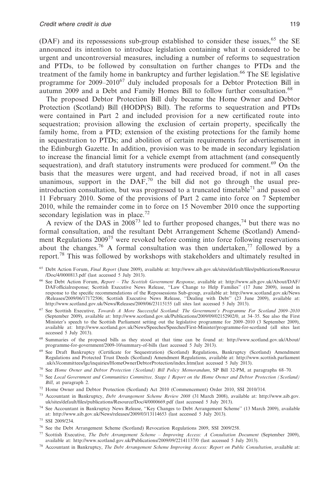(DAF) and its repossessions sub-group established to consider these issues,  $65$  the SE announced its intention to introduce legislation containing what it considered to be urgent and uncontroversial measures, including a number of reforms to sequestration and PTDs, to be followed by consultation on further changes to PTDs and the treatment of the family home in bankruptcy and further legislation.<sup>66</sup> The SE legislative programme for  $2009-2010^{67}$  duly included proposals for a Debtor Protection Bill in autumn 2009 and a Debt and Family Homes Bill to follow further consultation.<sup>68</sup>

The proposed Debtor Protection Bill duly became the Home Owner and Debtor Protection (Scotland) Bill (HODP(S) Bill). The reforms to sequestration and PTDs were contained in Part 2 and included provision for a new certificated route into sequestration; provision allowing the exclusion of certain property, specifically the family home, from a PTD; extension of the existing protections for the family home in sequestration to PTDs; and abolition of certain requirements for advertisement in the Edinburgh Gazette. In addition, provision was to be made in secondary legislation to increase the financial limit for a vehicle exempt from attachment (and consequently sequestration), and draft statutory instruments were produced for comment.<sup>69</sup> On the basis that the measures were urgent, and had received broad, if not in all cases unanimous, support in the  $DAF<sub>1</sub><sup>70</sup>$  the bill did not go through the usual preintroduction consultation, but was progressed to a truncated timetable<sup>71</sup> and passed on 11 February 2010. Some of the provisions of Part 2 came into force on 7 September 2010, while the remainder come in to force on 15 November 2010 once the supporting secondary legislation was in place.<sup>72</sup>

A review of the DAS in  $2008^{73}$  led to further proposed changes,  $^{74}$  but there was no formal consultation, and the resultant Debt Arrangement Scheme (Scotland) Amendment Regulations  $2009^{75}$  were revoked before coming into force following reservations about the changes.<sup>76</sup> A formal consultation was then undertaken,<sup>77</sup> followed by a report.<sup>78</sup> This was followed by workshops with stakeholders and ultimately resulted in

- <sup>66</sup> See Debt Action Forum, *Report The Scottish Government Response*, available at: http://www.aib.gov.uk/About/DAF/ DAFofficialresponse; Scottish Executive News Release, ''Law Change to Help Families'' (17 June 2009), issued in response to the specific recommendations of the Repossessions Sub-group, available at: http://www.scotland.gov.uk/News /Releases/2009/06/17172506; Scottish Executive News Release, ''Dealing with Debt'' (23 June 2009), available at: http://www.scotland.gov.uk/News/Releases/2009/06/23115155 (all sites last accessed 5 July 2013).
- <sup>67</sup> See Scottish Executive, *Towards A More Successful Scotland: The Government's Programme For Scotland 2009–2010* (September 2009), available at: http://www.scotland.gov.uk/Publications/2009/09/02152902/0, at 34–35. See also the First Minister's speech to the Scottish Parliament setting out the legislative programme for 2009–2010 (3 September 2009),<br>available at: http://www.scotland.gov.uk/News/Speeches/Speeches/First-Minister/programme-for-scotland (al accessed 5 July 2013).
- <sup>68</sup> Summaries of the proposed bills as they stood at that time can be found at: http://www.scotland.gov.uk/About/ programme-for-government/2009-10/summary-of-bills (last accessed 5 July 2013).
- <sup>69</sup> See Draft Bankruptcy (Certificate for Sequestration) (Scotland) Regulations, Bankruptcy (Scotland) Amendment Regulations and Protected Trust Deeds (Scotland) Amendment Regulations, available at: http://www.scottish.parliament .uk/s3/committees/lgc/inquiries/HomeOwnerDebtorProtection/index.htm(last accessed 5 July 2013).
- <sup>70</sup> See *Home Owner and Debtor Protection (Scotland) Bill Policy Memorandum*, SP Bill 32-PM, at paragraphs 68–70.
- <sup>71</sup> See *Local Government and Communities Committee, Stage 1 Report on the Home Owner and Debtor Protection (Scotland) Bill*, at paragraph 2.
- <sup>72</sup> Home Owner and Debtor Protection (Scotland) Act 2010 (Commencement) Order 2010, SSI 2010/314.
- <sup>73</sup> Accountant in Bankruptcy, *Debt Arrangement Scheme Review 2008* (31 March 2008), available at: http://www.aib.gov. uk/sites/default/files/publications/Resource/Doc/4/0000669.pdf (last accessed 5 July 2013).
- <sup>74</sup> See Accountant in Bankruptcy News Release, ''Key Changes to Debt Arrangement Scheme'' (13 March 2009), available at: http://www.aib.gov.uk/News/releases/2009/03/13114653 (last accessed 5 July 2013).

<sup>75</sup> SSI 2009/234.

- <sup>77</sup> Scottish Executive, *The Debt Arrangement Scheme Improving Access: A Consultation Document* (September 2009), available at: http://www.scotland.gov.uk/Publications/2009/09/22141137/0 (last accessed 5 July 2013).
- <sup>78</sup> Accountant in Bankruptcy, *The Debt Arrangement Scheme Improving Access: Report on Public Consultation*, available at:

<sup>65</sup> Debt Action Forum, *Final Report* (June 2009), available at: http://www.aib.gov.uk/sites/default/files/publications/Resource /Doc/4/0000813.pdf (last accessed 5 July 2013).

<sup>76</sup> See the Debt Arrangement Scheme (Scotland) Revocation Regulations 2009, SSI 2009/258.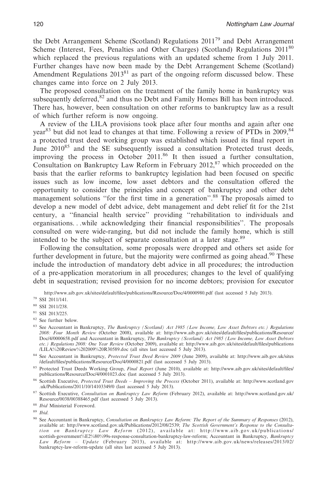the Debt Arrangement Scheme (Scotland) Regulations 201179 and Debt Arrangement Scheme (Interest, Fees, Penalties and Other Charges) (Scotland) Regulations 2011<sup>80</sup> which replaced the previous regulations with an updated scheme from 1 July 2011. Further changes have now been made by the Debt Arrangement Scheme (Scotland) Amendment Regulations  $2013<sup>81</sup>$  as part of the ongoing reform discussed below. These changes came into force on 2 July 2013.

The proposed consultation on the treatment of the family home in bankruptcy was subsequently deferred, $82$  and thus no Debt and Family Homes Bill has been introduced. There has, however, been consultation on other reforms to bankruptcy law as a result of which further reform is now ongoing.

A review of the LILA provisions took place after four months and again after one year<sup>83</sup> but did not lead to changes at that time. Following a review of PTDs in 2009,  $84$ a protected trust deed working group was established which issued its final report in June 2010<sup>85</sup> and the SE subsequently issued a consultation Protected trust deeds, improving the process in October 2011.86 It then issued a further consultation, Consultation on Bankruptcy Law Reform in February  $2012$ ,  $87$  which proceeded on the basis that the earlier reforms to bankruptcy legislation had been focused on specific issues such as low income, low asset debtors and the consultation offered the opportunity to consider the principles and concept of bankruptcy and other debt management solutions "for the first time in a generation".<sup>88</sup> The proposals aimed to develop a new model of debt advice, debt management and debt relief fit for the 21st century, a ''financial health service'' providing ''rehabilitation to individuals and organisations. . .while acknowledging their financial responsibilities''. The proposals consulted on were wide-ranging, but did not include the family home, which is still intended to be the subject of separate consultation at a later stage.<sup>89</sup>

Following the consultation, some proposals were dropped and others set aside for further development in future, but the majority were confirmed as going ahead.<sup>90</sup> These include the introduction of mandatory debt advice in all procedures; the introduction of a pre-application moratorium in all procedures; changes to the level of qualifying debt in sequestration; revised provision for no income debtors; provision for executor

http://www.aib.gov.uk/sites/default/files/publications/Resource/Doc/4/0000980.pdf (last accessed 5 July 2013).

<sup>79</sup> SSI 2011/141.

<sup>80</sup> SSI 2011/238.

<sup>81</sup> SSI 2013/225.

- <sup>82</sup> See further below.
- <sup>83</sup> See Accountant in Bankruptcy, *The Bankruptcy (Scotland) Act 1985 (Low Income, Low Asset Debtors etc.) Regulations 2008: Four Month Review* (October 2008), available at: http://www.aib.gov.uk/sites/default/files/publications/Resource/ Doc/4/0000658.pdf and Accountant in Bankruptcy, *The Bankruptcy (Scotland) Act 1985 (Low Income, Low Asset Debtors etc.) Regulations 2008: One Year Review* (October 2009), available at: http://www.aib.gov.uk/sites/default/files/publications /LILA%20Review%202009%20R30589.doc (all sites last accessed 5 July 2013).

<sup>84</sup> See Accountant in Bankruptcy, *Protected Trust Deed Review 2009* (June 2009), available at: http://www.aib.gov.uk/sites /default/files/publications/Resource/Doc/4/0000821.pdf (last accessed 5 July 2013).

<sup>85</sup> Protected Trust Deeds Working Group, *Final Report* (June 2010), available at: http://www.aib.gov.uk/sites/default/files/ publications/Resource/Doc/4/0001023.doc (last accessed 5 July 2013).

<sup>86</sup> Scottish Executive, *Protected Trust Deeds – Improving the Process* (October 2011), available at: http://www.scotland.gov .uk/Publications/2011/10/14103349/0 (last accessed 5 July 2013).

<sup>87</sup> Scottish Executive, *Consultation on Bankruptcy Law Reform* (February 2012), available at: http://www.scotland.gov.uk/ Resource/0038/00388465.pdf (last accessed 5 July 2013).

<sup>88</sup> *Ibid* Ministerial Foreword.

<sup>89</sup> *Ibid*.

<sup>90</sup> See Accountant in Bankruptcy, *Consultation on Bankruptcy Law Reform: The Report of the Summary of Responses* (2012), available at: http://www.scotland.gov.uk/Publications/2012/08/2539; *The Scottish Government's Response to the Consultation on Bankruptcy Law Reform* (2012), available at: http://www.aib.gov.uk/publications/ scottish-government%E2%80%99s-response-consultation-bankruptcy-law-reform; Accountant in Bankruptcy, *Bankruptcy Law Reform – Update* (February 2013), available at: http://www.aib.gov.uk/news/releases/2013/02/ bankruptcy-law-reform-update (all sites last accessed 5 July 2013).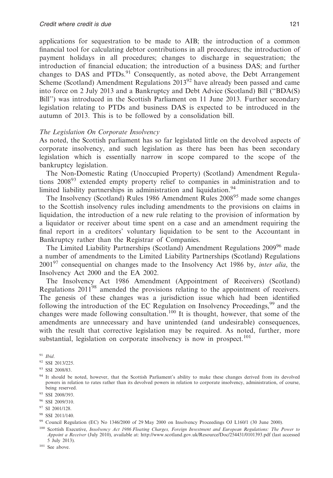applications for sequestration to be made to AIB; the introduction of a common financial tool for calculating debtor contributions in all procedures; the introduction of payment holidays in all procedures; changes to discharge in sequestration; the introduction of financial education; the introduction of a business DAS; and further changes to DAS and PTDs.<sup>91</sup> Consequently, as noted above, the Debt Arrangement Scheme (Scotland) Amendment Regulations 2013<sup>92</sup> have already been passed and came into force on 2 July 2013 and a Bankruptcy and Debt Advice (Scotland) Bill (''BDA(S) Bill'') was introduced in the Scottish Parliament on 11 June 2013. Further secondary legislation relating to PTDs and business DAS is expected to be introduced in the autumn of 2013. This is to be followed by a consolidation bill.

#### *The Legislation On Corporate Insolvency*

As noted, the Scottish parliament has so far legislated little on the devolved aspects of corporate insolvency, and such legislation as there has been has been secondary legislation which is essentially narrow in scope compared to the scope of the bankruptcy legislation.

The Non-Domestic Rating (Unoccupied Property) (Scotland) Amendment Regulations 2008<sup>93</sup> extended empty property relief to companies in administration and to limited liability partnerships in administration and liquidation.<sup>94</sup>

The Insolvency (Scotland) Rules 1986 Amendment Rules 2008<sup>95</sup> made some changes to the Scottish insolvency rules including amendments to the provisions on claims in liquidation, the introduction of a new rule relating to the provision of information by a liquidator or receiver about time spent on a case and an amendment requiring the final report in a creditors' voluntary liquidation to be sent to the Accountant in Bankruptcy rather than the Registrar of Companies.

The Limited Liability Partnerships (Scotland) Amendment Regulations 200996 made a number of amendments to the Limited Liability Partnerships (Scotland) Regulations 2001<sup>97</sup> consequential on changes made to the Insolvency Act 1986 by, *inter alia*, the Insolvency Act 2000 and the EA 2002.

The Insolvency Act 1986 Amendment (Appointment of Receivers) (Scotland) Regulations 201198 amended the provisions relating to the appointment of receivers. The genesis of these changes was a jurisdiction issue which had been identified following the introduction of the EC Regulation on Insolvency Proceedings,  $99$  and the changes were made following consultation.100 It is thought, however, that some of the amendments are unnecessary and have unintended (and undesirable) consequences, with the result that corrective legislation may be required. As noted, further, more substantial, legislation on corporate insolvency is now in prospect.<sup>101</sup>

<sup>91</sup> *Ibid*.

<sup>96</sup> SSI 2009/310.

<sup>98</sup> SSI 2011/140.

<sup>100</sup> Scottish Executive, *Insolvency Act 1986 Floating Charges, Foreign Investment and European Regulations: The Power to Appoint a Receiver* (July 2010), available at: http://www.scotland.gov.uk/Resource/Doc/254431/0101393.pdf (last accessed 5 July 2013).

<sup>101</sup> See above.

<sup>92</sup> SSI 2013/225.

<sup>93</sup> SSI 2008/83.

<sup>94</sup> It should be noted, however, that the Scottish Parliament's ability to make these changes derived from its devolved powers in relation to rates rather than its devolved powers in relation to corporate insolvency, administration, of course, being reserved.

<sup>95</sup> SSI 2008/393.

<sup>97</sup> SI 2001/128.

<sup>99</sup> Council Regulation (EC) No 1346/2000 of 29 May 2000 on Insolvency Proceedings OJ L160/1 (30 June 2000).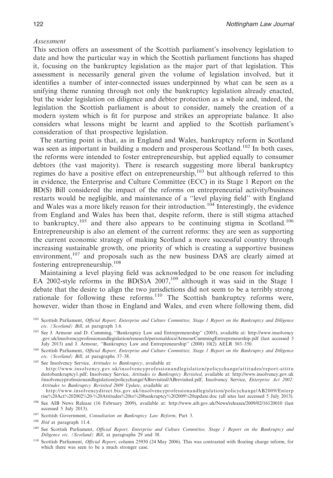#### *Assessment*

This section offers an assessment of the Scottish parliament's insolvency legislation to date and how the particular way in which the Scottish parliament functions has shaped it, focusing on the bankruptcy legislation as the major part of that legislation. This assessment is necessarily general given the volume of legislation involved, but it identifies a number of inter-connected issues underpinned by what can be seen as a unifying theme running through not only the bankruptcy legislation already enacted, but the wider legislation on diligence and debtor protection as a whole and, indeed, the legislation the Scottish parliament is about to consider, namely the creation of a modern system which is fit for purpose and strikes an appropriate balance. It also considers what lessons might be learnt and applied to the Scottish parliament's consideration of that prospective legislation.

The starting point is that, as in England and Wales, bankruptcy reform in Scotland was seen as important in building a modern and prosperous Scotland.<sup>102</sup> In both cases, the reforms were intended to foster entrepreneurship, but applied equally to consumer debtors (the vast majority). There is research suggesting more liberal bankruptcy regimes do have a positive effect on entrepreneurship, $103$  but although referred to this in evidence, the Enterprise and Culture Committee (ECC) in its Stage 1 Report on the BD(S) Bill considered the impact of the reforms on entrepreneurial activity/business restarts would be negligible, and maintenance of a ''level playing field'' with England and Wales was a more likely reason for their introduction.<sup>104</sup> Interestingly, the evidence from England and Wales has been that, despite reform, there is still stigma attached to bankruptcy,<sup>105</sup> and there also appears to be continuing stigma in Scotland.<sup>106</sup> Entrepreneurship is also an element of the current reforms: they are seen as supporting the current economic strategy of making Scotland a more successful country through increasing sustainable growth, one priority of which is creating a supportive business environment,  $107$  and proposals such as the new business DAS are clearly aimed at fostering entrepreneurship.108

Maintaining a level playing field was acknowledged to be one reason for including EA 2002-style reforms in the BD(S)A 2007,<sup>109</sup> although it was said in the Stage 1 debate that the desire to align the two jurisdictions did not seem to be a terribly strong rationale for following these reforms.<sup>110</sup> The Scottish bankruptcy reforms were, however, wider than those in England and Wales, and even where following them, did

<sup>105</sup> See Insolvency Service, *Attitudes to Bankruptcy*, available at: http://www.insolvency.gov.uk/insolvencyprofessionandlegislation/policychange/attitudes/report-attitu destobankruptcy1.pdf; Insolvency Service, *Attitudes to Bankruptcy Revisited*, available at: http://www.insolvency.gov.uk /insolvencyprofessionandlegislation/policychange/ABrevisited/ABrevisited.pdf; Insolvency Service, *Enterprise Act 2002: Attitudes to Bankruptcy Revisited 2009 Update*, available at: http://www.insolvencydirect.bis.gov.uk/insolvencyprofessionandlegislation/policychange/AB2009/Enterp

rise%20Act%202002%20-%20Attitudes%20to%20bankruptcy%202009%20update.doc (all sites last accessed 5 July 2013).

<sup>109</sup> See Scottish Parliament, *Official Report, Enterprise and Culture Committee, Stage 1 Report on the Bankruptcy and Diligence etc. (Scotland) Bill*, at paragraphs 29 and 38.

<sup>102</sup> Scottish Parliament, *Official Report, Enterprise and Culture Committee, Stage 1 Report on the Bankruptcy and Diligence etc. (Scotland) Bill*, at paragraph 1.6.

<sup>103</sup> See J. Armour and D. Cumming, ''Bankruptcy Law and Entrepreneurship'' (2005), available at: http://www.insolvency .gov.uk/insolvencyprofessionandlegislation/research/personaldocs/ArmourCummingEntrepreneurship.pdf (last accessed 5 July 2013) and J. Armour, ''Bankruptcy Law and Entrepreneurship'' (2008) 10(2) AELR 303–350.

<sup>104</sup> Scottish Parliament, *Official Report, Enterprise and Culture Committee, Stage 1 Report on the Bankruptcy and Diligence etc. (Scotland) Bill*, at paragraphs 37–38.

<sup>106</sup> See AIB News Release (16 February 2009), available at: http://www.aib.gov.uk/News/releases/2009/02/16120010 (last accessed 5 July 2013).

<sup>107</sup> Scottish Government, *Consultation on Bankruptcy Law Reform*, Part 3.

<sup>108</sup> *Ibid* at paragraph 11.4.

<sup>110</sup> Scottish Parliament, *Official Report*, column 25930 (24 May 2006). This was contrasted with floating charge reform, for which there was seen to be a much stronger case.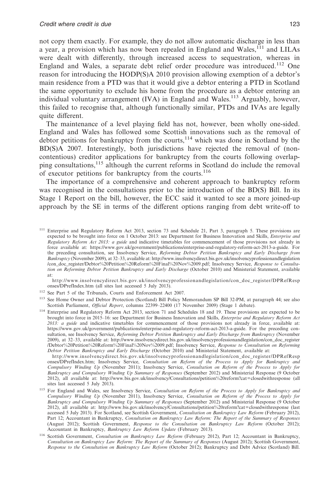not copy them exactly. For example, they do not allow automatic discharge in less than a year, a provision which has now been repealed in England and Wales,<sup>111</sup> and LILAs were dealt with differently, through increased access to sequestration, whereas in England and Wales, a separate debt relief order procedure was introduced.<sup>112</sup> One reason for introducing the HODP(S)A 2010 provision allowing exemption of a debtor's main residence from a PTD was that it would give a debtor entering a PTD in Scotland the same opportunity to exclude his home from the procedure as a debtor entering an individual voluntary arrangement (IVA) in England and Wales.<sup>113</sup> Arguably, however, this failed to recognise that, although functionally similar, PTDs and IVAs are legally quite different.

The maintenance of a level playing field has not, however, been wholly one-sided. England and Wales has followed some Scottish innovations such as the removal of debtor petitions for bankruptcy from the courts,<sup>114</sup> which was done in Scotland by the BD(S)A 2007. Interestingly, both jurisdictions have rejected the removal of (noncontentious) creditor applications for bankruptcy from the courts following overlapping consultations,<sup>115</sup> although the current reforms in Scotland do include the removal of executor petitions for bankruptcy from the courts.<sup>116</sup>

The importance of a comprehensive and coherent approach to bankruptcy reform was recognised in the consultations prior to the introduction of the BD(S) Bill. In its Stage 1 Report on the bill, however, the ECC said it wanted to see a more joined-up approach by the SE in terms of the different options ranging from debt write-off to

http://www.insolvencydirect.bis.gov.uk/insolvencyprofessionandlegislation/con\_doc\_register/DPRefResp onses/DPrefIndex.htm (all sites last accessed 5 July 2013).

http://www.insolvencydirect.bis.gov.uk/insolvencyprofessionandlegislation/con\_doc\_register/DPRefResp onses/DPrefIndex.htm; Insolvency Service, Consultation on Reform of the Process to Apply for Bankruptcy and<br>Compulsory Winding Up (November 2011); Insolvency Service, Consultation on Reform of the Process to Apply for *Bankruptcy and Compulsory Winding Up Summary of Responses* (September 2012) and Ministerial Response (9 October 2012), all available at: http://www.bis.gov.uk/insolvency/Consultations/petition%20reform?cat=closedwithresponse (all sites last accessed 5 July 2013).

<sup>111</sup> Enterprise and Regulatory Reform Act 2013, section 73 and Schedule 21, Part 3, paragraph 5. These provisions are expected to be brought into force on 1 October 2013: see Department for Business Innovation and Skills, *Enterprise and Regulatory Reform Act 2013: a guide* and indicative timetables for commencement of those provisions not already in force available at: https://www.gov.uk/government/publications/enterprise-and-regulatory-reform-act-2013-a-guide. For the preceding consultation, see Insolvency Service, *Reforming Debtor Petition Bankruptcy and Early Discharge from Bankruptcy* (November 2009), at 32–33, available at: http://www.insolvencydirect.bis.gov.uk/insolvencyprofessionandlegislation /con\_doc\_register/Debtor%20Petition%20Reform%20Final%20Nov%2009.pdf; Insolvency Service, *Response to Consultation on Reforming Debtor Petition Bankruptcy and Early Discharge* (October 2010) and Ministerial Statement, available at:

<sup>112</sup> See Part 5 of the Tribunals, Courts and Enforcement Act 2007.

<sup>113</sup> See Home Owner and Debtor Protection (Scotland) Bill Policy Memorandum SP Bill 32-PM, at paragraph 44; see also Scottish Parliament, *Official Report*, columns 22399–22400 (17 November 2009) (Stage 1 debate).

<sup>114</sup> Enterprise and Regulatory Reform Act 2013, section 71 and Schedules 18 and 19. These provisions are expected to be brought into force in 2015–16: see Department for Business Innovation and Skills, *Enterprise and Regulatory Reform Act 2013: a guide* and indicative timetables for commencement of those provisions not already in force, available at: https://www.gov.uk/government/publications/enterprise-and-regulatory-reform-act-2013-a-guide. For the preceding consultation, see Insolvency Service, *Reforming Debtor Petition Bankruptcy and Early Discharge from Bankruptcy* (November 2009), at 32–33, available at: http://www.insolvencydirect.bis.gov.uk/insolvencyprofessionandlegislation/con\_doc\_register /Debtor%20Petition%20Reform%20Final%20Nov%2009.pdf; Insolvency Service, *Response to Consultation on Reforming Debtor Petition Bankruptcy and Early Discharge* (October 2010) and Ministerial Statement, available at:

<sup>115</sup> For England and Wales, see Insolvency Service, *Consultation on Reform of the Process to Apply for Bankruptcy and Compulsory Winding Up* (November 2011), Insolvency Service, *Consultation on Reform of the Process to Apply for Bankruptcy and Compulsory Winding Up Summary of Responses* (September 2012) and Ministerial Response (9 October 2012), all available at: http://www.bis.gov.uk/insolvency/Consultations/petition%20reform?cat=closedwithresponse (last accessed 5 July 2013). For Scotland, see Scottish Government, *Consultation on Bankruptcy Law Reform* (February 2012), Part 12; Accountant in Bankruptcy, *Consultation on Bankruptcy Law Reform: The Report of the Summary of Responses* (August 2012); Scottish Government, *Response to the Consultation on Bankruptcy Law Reform* (October 2012); Accountant in Bankruptcy, *Bankruptcy Law Reform Update* (February 2013).

<sup>116</sup> Scottish Government, *Consultation on Bankruptcy Law Reform* (February 2012), Part 12; Accountant in Bankruptcy, *Consultation on Bankruptcy Law Reform: The Report of the Summary of Responses* (August 2012); Scottish Government, *Response to the Consultation on Bankruptcy Law Reform* (October 2012); Bankruptcy and Debt Advice (Scotland) Bill.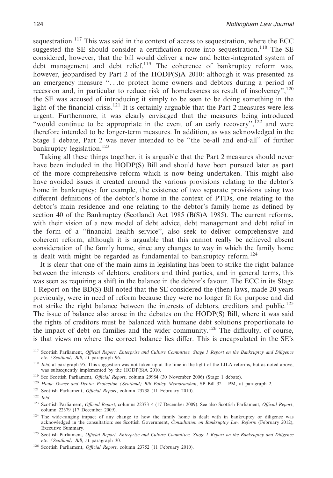sequestration.<sup>117</sup> This was said in the context of access to sequestration, where the ECC suggested the SE should consider a certification route into sequestration.<sup>118</sup> The SE considered, however, that the bill would deliver a new and better-integrated system of debt management and debt relief.<sup>119</sup> The coherence of bankruptcy reform was, however, jeopardised by Part 2 of the HODP(S)A 2010: although it was presented as an emergency measure ''. . .to protect home owners and debtors during a period of recession and, in particular to reduce risk of homelessness as result of insolvency'',<sup>120</sup> the SE was accused of introducing it simply to be seen to be doing something in the light of the financial crisis.<sup>121</sup> It is certainly arguable that the Part 2 measures were less urgent. Furthermore, it was clearly envisaged that the measures being introduced "would continue to be appropriate in the event of an early recovery", $122$  and were therefore intended to be longer-term measures. In addition, as was acknowledged in the Stage 1 debate, Part 2 was never intended to be ''the be-all and end-all'' of further bankruptcy legislation.<sup>123</sup>

Taking all these things together, it is arguable that the Part 2 measures should never have been included in the HODP(S) Bill and should have been pursued later as part of the more comprehensive reform which is now being undertaken. This might also have avoided issues it created around the various provisions relating to the debtor's home in bankruptcy: for example, the existence of two separate provisions using two different definitions of the debtor's home in the context of PTDs, one relating to the debtor's main residence and one relating to the debtor's family home as defined by section 40 of the Bankruptcy (Scotland) Act 1985 (B(S)A 1985). The current reforms, with their vision of a new model of debt advice, debt management and debt relief in the form of a ''financial health service'', also seek to deliver comprehensive and coherent reform, although it is arguable that this cannot really be achieved absent consideration of the family home, since any changes to way in which the family home is dealt with might be regarded as fundamental to bankruptcy reform.<sup>124</sup>

It is clear that one of the main aims in legislating has been to strike the right balance between the interests of debtors, creditors and third parties, and in general terms, this was seen as requiring a shift in the balance in the debtor's favour. The ECC in its Stage 1 Report on the BD(S) Bill noted that the SE considered the (then) laws, made 20 years previously, were in need of reform because they were no longer fit for purpose and did not strike the right balance between the interests of debtors, creditors and public.<sup>125</sup> The issue of balance also arose in the debates on the HODP(S) Bill, where it was said the rights of creditors must be balanced with humane debt solutions proportionate to the impact of debt on families and the wider community.126 The difficulty, of course, is that views on where the correct balance lies differ. This is encapsulated in the SE's

<sup>118</sup> *Ibid*, at paragraph 95. This suggestion was not taken up at the time in the light of the LILA reforms, but as noted above, was subsequently implemented by the HODP(S)A 2010.

- <sup>119</sup> See Scottish Parliament, *Official Report*, column 29984 (30 November 2006) (Stage 1 debate).
- <sup>120</sup> *Home Owner and Debtor Protection (Scotland) Bill Policy Memorandum*, SP Bill 32 PM, at paragraph 2.
- <sup>121</sup> Scottish Parliament, *Official Report*, column 23738 (11 February 2010).

<sup>117</sup> Scottish Parliament, *Official Report, Enterprise and Culture Committee, Stage 1 Report on the Bankruptcy and Diligence etc. (Scotland) Bill*, at paragraph 96.

<sup>122</sup> *Ibid*.

<sup>123</sup> Scottish Parliament, *Official Report*, columns 22373–4 (17 December 2009). See also Scottish Parliament, *Official Report*, column 22379 (17 December 2009).

<sup>&</sup>lt;sup>124</sup> The wide-ranging impact of any change to how the family home is dealt with in bankruptcy or diligence was acknowledged in the consultation: see Scottish Government, *Consultation on Bankruptcy Law Reform* (February 2012), Executive Summary.

<sup>125</sup> Scottish Parliament, *Official Report, Enterprise and Culture Committee, Stage 1 Report on the Bankruptcy and Diligence etc. (Scotland) Bill*, at paragraph 30.

<sup>126</sup> Scottish Parliament, *Official Report*, column 23752 (11 February 2010).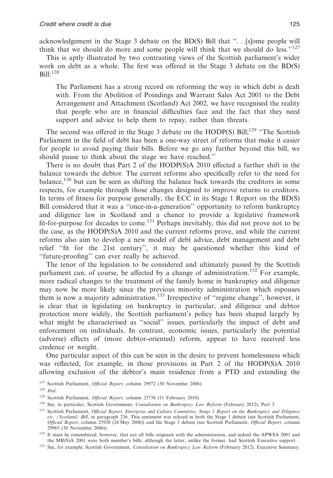acknowledgement in the Stage 3 debate on the BD(S) Bill that ''. . .[s]ome people will think that we should do more and some people will think that we should do less*.*''127

This is aptly illustrated by two contrasting views of the Scottish parliament's wider work on debt as a whole. The first was offered in the Stage 3 debate on the BD(S)  $Bill:$ <sup>128</sup>

The Parliament has a strong record on reforming the way in which debt is dealt with. From the Abolition of Poindings and Warrant Sales Act 2001 to the Debt Arrangement and Attachment (Scotland) Act 2002, we have recognised the reality that people who are in financial difficulties face and the fact that they need support and advice to help them to repay, rather than threats.

The second was offered in the Stage 3 debate on the HODP(S) Bill;<sup>129</sup> "The Scottish Parliament in the field of debt has been a one-way street of reforms that make it easier for people to avoid paying their bills. Before we go any further beyond this bill, we should pause to think about the stage we have reached.''

There is no doubt that Part 2 of the HODP(S)A 2010 effected a further shift in the balance towards the debtor. The current reforms also specifically refer to the need for balance,<sup>130</sup> but can be seen as shifting the balance back towards the creditors in some respects, for example through those changes designed to improve returns to creditors. In terms of fitness for purpose generally, the ECC in its Stage 1 Report on the BD(S) Bill considered that it was a ''once-in-a-generation'' opportunity to reform bankruptcy and diligence law in Scotland and a chance to provide a legislative framework fit-for-purpose for decades to come.<sup>131</sup> Perhaps inevitably, this did not prove not to be the case, as the HODP(S)A 2010 and the current reforms prove, and while the current reforms also aim to develop a new model of debt advice, debt management and debt relief ''fit for the 21st century'', it may be questioned whether this kind of ''future-proofing'' can ever really be achieved.

The tenor of the legislation to be considered and ultimately passed by the Scottish parliament can, of course, be affected by a change of administration.<sup>132</sup> For example, more radical changes to the treatment of the family home in bankruptcy and diligence may now be more likely since the previous minority administration which espouses them is now a majority administration.<sup>133</sup> Irrespective of "regime change", however, it is clear that in legislating on bankruptcy in particular, and diligence and debtor protection more widely, the Scottish parliament's policy has been shaped largely by what might be characterised as ''social'' issues, particularly the impact of debt and enforcement on individuals. In contrast, economic issues, particularly the potential (adverse) effects of (more debtor-oriented) reform, appear to have received less credence or weight.

One particular aspect of this can be seen in the desire to prevent homelessness which was reflected, for example, in those provisions in Part 2 of the HODP(S)A 2010 allowing exclusion of the debtor's main residence from a PTD and extending the

<sup>&</sup>lt;sup>127</sup> Scottish Parliament, *Official Report*, column 29972 (30 November 2006).

<sup>128</sup> *Ibid*.

<sup>&</sup>lt;sup>129</sup> Scottish Parliament, *Official Report*, column 23738 (11 February 2010).

<sup>130</sup> See, in particular, Scottish Government, *Consultation on Bankruptcy Law Reform* (February 2012), Part 5.

<sup>131</sup> Scottish Parliament, *Official Report, Enterprise and Culture Committee, Stage 1 Report on the Bankruptcy and Diligence etc. (Scotland) Bill*, at paragraph 236. This sentiment was echoed in both the Stage 1 debate (see Scottish Parliament, *Official Report*, column 25928 (24 May 2006)) and the Stage 3 debate (see Scottish Parliament, *Official Report*, column 29965 (30 November 2006)).

<sup>&</sup>lt;sup>132</sup> It must be remembered, however, that not all bills originate with the administration, and indeed the APWSA 2001 and the MR(S)A 2001 were both member's bills, although the latter, unlike the former, had Scottish Executive support.

<sup>133</sup> See, for example, Scottish Government, *Consultation on Bankruptcy Law Reform* (February 2012), Executive Summary.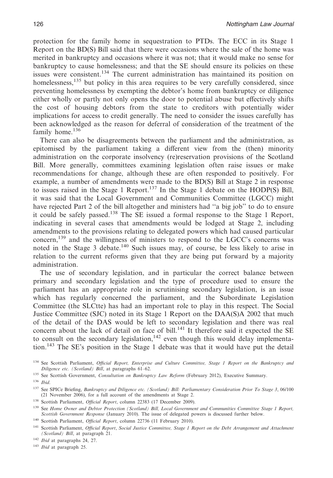protection for the family home in sequestration to PTDs. The ECC in its Stage 1 Report on the BD(S) Bill said that there were occasions where the sale of the home was merited in bankruptcy and occasions where it was not; that it would make no sense for bankruptcy to cause homelessness; and that the SE should ensure its policies on these issues were consistent.<sup>134</sup> The current administration has maintained its position on homelessness,<sup>135</sup> but policy in this area requires to be very carefully considered, since preventing homelessness by exempting the debtor's home from bankruptcy or diligence either wholly or partly not only opens the door to potential abuse but effectively shifts the cost of housing debtors from the state to creditors with potentially wider implications for access to credit generally. The need to consider the issues carefully has been acknowledged as the reason for deferral of consideration of the treatment of the family home.<sup>136</sup>

There can also be disagreements between the parliament and the administration, as epitomised by the parliament taking a different view from the (then) minority administration on the corporate insolvency (re)reservation provisions of the Scotland Bill. More generally, committees examining legislation often raise issues or make recommendations for change, although these are often responded to positively. For example, a number of amendments were made to the BD(S) Bill at Stage 2 in response to issues raised in the Stage 1 Report.137 In the Stage 1 debate on the HODP(S) Bill, it was said that the Local Government and Communities Committee (LGCC) might have rejected Part 2 of the bill altogether and ministers had ''a big job'' to do to ensure it could be safely passed.<sup>138</sup> The SE issued a formal response to the Stage 1 Report, indicating in several cases that amendments would be lodged at Stage 2, including amendments to the provisions relating to delegated powers which had caused particular concern,<sup>139</sup> and the willingness of ministers to respond to the LGCC's concerns was noted in the Stage 3 debate.<sup>140</sup> Such issues may, of course, be less likely to arise in relation to the current reforms given that they are being put forward by a majority administration.

The use of secondary legislation, and in particular the correct balance between primary and secondary legislation and the type of procedure used to ensure the parliament has an appropriate role in scrutinising secondary legislation, is an issue which has regularly concerned the parliament, and the Subordinate Legislation Committee (the SLCtte) has had an important role to play in this respect. The Social Justice Committee (SJC) noted in its Stage 1 Report on the DAA(S)A 2002 that much of the detail of the DAS would be left to secondary legislation and there was real concern about the lack of detail on face of bill.<sup>141</sup> It therefore said it expected the SE to consult on the secondary legislation,  $142$  even though this would delay implementation.<sup>143</sup> The SE's position in the Stage 1 debate was that it would have put the detail

<sup>138</sup> Scottish Parliament, *Official Report*, column 22383 (17 December 2009).

<sup>143</sup> *Ibid* at paragraph 25.

<sup>134</sup> See Scottish Parliament, *Official Report, Enterprise and Culture Committee, Stage 1 Report on the Bankruptcy and Diligence etc. (Scotland) Bill*, at paragraphs 61–62.

<sup>135</sup> See Scottish Government, *Consultation on Bankruptcy Law Reform* (February 2012), Executive Summary.

<sup>136</sup> *Ibid*.

<sup>137</sup> See SPICe Briefing, *Bankruptcy and Diligence etc. (Scotland) Bill: Parliamentary Consideration Prior To Stage 3*, 06/100 (21 November 2006), for a full account of the amendments at Stage 2.

<sup>139</sup> See *Home Owner and Debtor Protection (Scotland) Bill, Local Government and Communities Committee Stage 1 Report, Scottish Government Response* (January 2010). The issue of delegated powers is discussed further below.

<sup>140</sup> Scottish Parliament, *Official Report*, column 22736 (11 February 2010).

<sup>141</sup> Scottish Parliament, *Official Report*, *Social Justice Committee, Stage 1 Report on the Debt Arrangement and Attachment (Scotland) Bill*, at paragraph 21.

<sup>142</sup> *Ibid* at paragraphs 24, 27.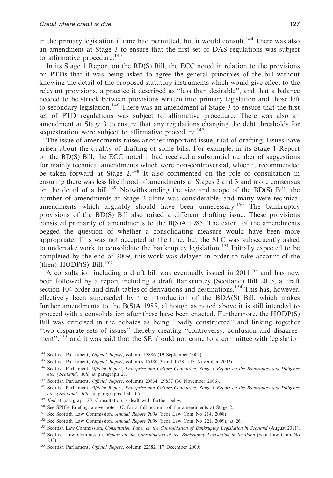in the primary legislation if time had permitted, but it would consult.<sup>144</sup> There was also an amendment at Stage 3 to ensure that the first set of DAS regulations was subject to affirmative procedure.<sup>145</sup>

In its Stage 1 Report on the BD(S) Bill, the ECC noted in relation to the provisions on PTDs that it was being asked to agree the general principles of the bill without knowing the detail of the proposed statutory instruments which would give effect to the relevant provisions, a practice it described as ''less than desirable'', and that a balance needed to be struck between provisions written into primary legislation and those left to secondary legislation.<sup>146</sup> There was an amendment at Stage 3 to ensure that the first set of PTD regulations was subject to affirmative procedure. There was also an amendment at Stage 3 to ensure that any regulations changing the debt thresholds for sequestration were subject to affirmative procedure.<sup>147</sup>

The issue of amendments raises another important issue, that of drafting. Issues have arisen about the quality of drafting of some bills. For example, in its Stage 1 Report on the BD(S) Bill, the ECC noted it had received a substantial number of suggestions for mainly technical amendments which were non-controversial, which it recommended be taken forward at Stage  $2^{148}$  It also commented on the role of consultation in ensuring there was less likelihood of amendments at Stages 2 and 3 and more consensus on the detail of a bill.<sup>149</sup> Notwithstanding the size and scope of the BD(S) Bill, the number of amendments at Stage 2 alone was considerable, and many were technical amendments which arguably should have been unnecessary.<sup>150</sup> The bankruptcy provisions of the BD(S) Bill also raised a different drafting issue. These provisions consisted primarily of amendments to the B(S)A 1985. The extent of the amendments begged the question of whether a consolidating measure would have been more appropriate. This was not accepted at the time, but the SLC was subsequently asked to undertake work to consolidate the bankruptcy legislation.<sup>151</sup> Initially expected to be completed by the end of 2009, this work was delayed in order to take account of the (then) HODP(S) Bill.<sup>152</sup>

A consultation including a draft bill was eventually issued in  $2011^{153}$  and has now been followed by a report including a draft Bankruptcy (Scotland) Bill 2013, a draft section 104 order and draft tables of derivations and destinations.<sup>154</sup> This has, however, effectively been superseded by the introduction of the BDA(S) Bill, which makes further amendments to the B(S)A 1985, although as noted above it is still intended to proceed with a consolidation after these have been enacted. Furthermore, the HODP(S) Bill was criticised in the debates as being ''badly constructed'' and linking together ''two disparate sets of issues'' thereby creating ''controversy, confusion and disagreement",<sup>155</sup> and it was said that the SE should not come to a committee with legislation

- <sup>144</sup> Scottish Parliament, *Official Report*, column 13886 (19 September 2002).
- <sup>145</sup> Scottish Parliament, *Official Report*, columns 15180-3 and 15281 (13 November 2002).
- <sup>146</sup> Scottish Parliament, *Official Report, Enterprise and Culture Committee, Stage 1 Report on the Bankruptcy and Diligence etc. (Scotland) Bill*, at paragraph 21.
- <sup>147</sup> Scottish Parliament, *Official Report*, columns 29834, 29837 (30 November 2006).
- <sup>148</sup> Scottish Parliament, *Official Report, Enterprise and Culture Committee, Stage 1 Report on the Bankruptcy and Diligence etc. (Scotland) Bill*, at paragraphs 104–105.
- <sup>149</sup> *Ibid* at paragraph 20. Consultation is dealt with further below.
- <sup>150</sup> See SPICe Briefing, above note 137, for a full account of the amendments at Stage 2.
- <sup>151</sup> See Scottish Law Commission, *Annual Report 2008* (Scot Law Com No 214, 2008).
- <sup>152</sup> See Scottish Law Commission, *Annual Report 2009* (Scot Law Com No 221, 2009), at 26.
- <sup>153</sup> Scottish Law Commission, *Consultation Paper on the Consolidation of Bankruptcy Legislation in Scotland* (August 2011).
- <sup>154</sup> Scottish Law Commission, *Report on the Consolidation of the Bankruptcy Legislation in Scotland* (Scot Law Com No 232).
- <sup>155</sup> Scottish Parliament, *Official Report*, column 22382 (17 December 2009).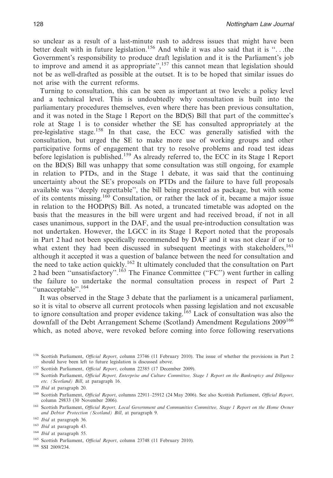so unclear as a result of a last-minute rush to address issues that might have been better dealt with in future legislation.<sup>156</sup> And while it was also said that it is "...the Government's responsibility to produce draft legislation and it is the Parliament's job to improve and amend it as appropriate", $157$  this cannot mean that legislation should not be as well-drafted as possible at the outset. It is to be hoped that similar issues do not arise with the current reforms.

Turning to consultation, this can be seen as important at two levels: a policy level and a technical level. This is undoubtedly why consultation is built into the parliamentary procedures themselves, even where there has been previous consultation, and it was noted in the Stage 1 Report on the BD(S) Bill that part of the committee's role at Stage 1 is to consider whether the SE has consulted appropriately at the pre-legislative stage.<sup>158</sup> In that case, the ECC was generally satisfied with the consultation, but urged the SE to make more use of working groups and other participative forms of engagement that try to resolve problems and road test ideas before legislation is published.<sup>159</sup> As already referred to, the ECC in its Stage 1 Report on the BD(S) Bill was unhappy that some consultation was still ongoing, for example in relation to PTDs, and in the Stage 1 debate, it was said that the continuing uncertainty about the SE's proposals on PTDs and the failure to have full proposals available was ''deeply regrettable'', the bill being presented as package, but with some of its contents missing.160 Consultation, or rather the lack of it, became a major issue in relation to the HODP(S) Bill. As noted, a truncated timetable was adopted on the basis that the measures in the bill were urgent and had received broad, if not in all cases unanimous, support in the DAF, and the usual pre-introduction consultation was not undertaken. However, the LGCC in its Stage 1 Report noted that the proposals in Part 2 had not been specifically recommended by DAF and it was not clear if or to what extent they had been discussed in subsequent meetings with stakeholders,<sup>161</sup> although it accepted it was a question of balance between the need for consultation and the need to take action quickly.<sup>162</sup> It ultimately concluded that the consultation on Part 2 had been ''unsatisfactory''.163 The Finance Committee (''FC'') went further in calling the failure to undertake the normal consultation process in respect of Part 2 ''unacceptable''.<sup>164</sup>

It was observed in the Stage 3 debate that the parliament is a unicameral parliament, so it is vital to observe all current protocols when passing legislation and not excusable to ignore consultation and proper evidence taking.<sup>165</sup> Lack of consultation was also the downfall of the Debt Arrangement Scheme (Scotland) Amendment Regulations 2009<sup>166</sup> which, as noted above, were revoked before coming into force following reservations

<sup>156</sup> Scottish Parliament, *Official Report*, column 23746 (11 February 2010). The issue of whether the provisions in Part 2 should have been left to future legislation is discussed above.

<sup>&</sup>lt;sup>157</sup> Scottish Parliament, *Official Report*, column 22385 (17 December 2009).

<sup>158</sup> Scottish Parliament, *Official Report, Enterprise and Culture Committee, Stage 1 Report on the Bankruptcy and Diligence etc. (Scotland) Bill*, at paragraph 16.

<sup>159</sup> *Ibid* at paragraph 20.

<sup>160</sup> Scottish Parliament, *Official Report*, columns 22911–25912 (24 May 2006). See also Scottish Parliament, *Official Report*, column 29833 (30 November 2006).

<sup>161</sup> Scottish Parliament, *Official Report, Local Government and Communities Committee, Stage 1 Report on the Home Owner and Debtor Protection (Scotland) Bill*, at paragraph 9.

<sup>162</sup> *Ibid* at paragraph 36.

<sup>163</sup> *Ibid* at paragraph 43.

<sup>164</sup> *Ibid* at paragraph 55.

<sup>&</sup>lt;sup>165</sup> Scottish Parliament, *Official Report*, column 23748 (11 February 2010).

<sup>166</sup> SSI 2009/234.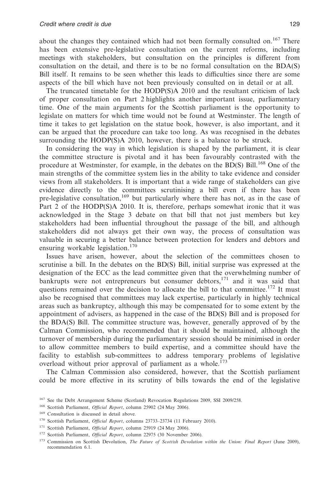about the changes they contained which had not been formally consulted on.167 There has been extensive pre-legislative consultation on the current reforms, including meetings with stakeholders, but consultation on the principles is different from consultation on the detail, and there is to be no formal consultation on the BDA(S) Bill itself. It remains to be seen whether this leads to difficulties since there are some aspects of the bill which have not been previously consulted on in detail or at all.

The truncated timetable for the HODP(S)A 2010 and the resultant criticism of lack of proper consultation on Part 2 highlights another important issue, parliamentary time. One of the main arguments for the Scottish parliament is the opportunity to legislate on matters for which time would not be found at Westminster. The length of time it takes to get legislation on the statue book, however, is also important, and it can be argued that the procedure can take too long. As was recognised in the debates surrounding the HODP(S)A 2010, however, there is a balance to be struck.

In considering the way in which legislation is shaped by the parliament, it is clear the committee structure is pivotal and it has been favourably contrasted with the procedure at Westminster, for example, in the debates on the BD(S) Bill.<sup>168</sup> One of the main strengths of the committee system lies in the ability to take evidence and consider views from all stakeholders. It is important that a wide range of stakeholders can give evidence directly to the committees scrutinising a bill even if there has been pre-legislative consultation, $169$  but particularly where there has not, as in the case of Part 2 of the HODP(S)A 2010. It is, therefore, perhaps somewhat ironic that it was acknowledged in the Stage 3 debate on that bill that not just members but key stakeholders had been influential throughout the passage of the bill, and although stakeholders did not always get their own way, the process of consultation was valuable in securing a better balance between protection for lenders and debtors and ensuring workable legislation.<sup>170</sup>

Issues have arisen, however, about the selection of the committees chosen to scrutinise a bill. In the debates on the BD(S) Bill, initial surprise was expressed at the designation of the ECC as the lead committee given that the overwhelming number of bankrupts were not entrepreneurs but consumer debtors,<sup>171</sup> and it was said that questions remained over the decision to allocate the bill to that committee.<sup>172</sup> It must also be recognised that committees may lack expertise, particularly in highly technical areas such as bankruptcy, although this may be compensated for to some extent by the appointment of advisers, as happened in the case of the BD(S) Bill and is proposed for the BDA(S) Bill. The committee structure was, however, generally approved of by the Calman Commission, who recommended that it should be maintained, although the turnover of membership during the parliamentary session should be minimised in order to allow committee members to build expertise, and a committee should have the facility to establish sub-committees to address temporary problems of legislative overload without prior approval of parliament as a whole.<sup>173</sup>

The Calman Commission also considered, however, that the Scottish parliament could be more effective in its scrutiny of bills towards the end of the legislative

<sup>169</sup> Consultation is discussed in detail above.

<sup>&</sup>lt;sup>167</sup> See the Debt Arrangement Scheme (Scotland) Revocation Regulations 2009, SSI 2009/258.

<sup>&</sup>lt;sup>168</sup> Scottish Parliament, *Official Report*, column 25902 (24 May 2006).

<sup>&</sup>lt;sup>170</sup> Scottish Parliament, *Official Report*, columns 23733-23734 (11 February 2010).

<sup>&</sup>lt;sup>171</sup> Scottish Parliament, *Official Report*, column 25919 (24 May 2006).

<sup>&</sup>lt;sup>172</sup> Scottish Parliament, *Official Report*, column 22975 (30 November 2006).

<sup>173</sup> Commission on Scottish Devolution, *The Future of Scottish Devolution within the Union: Final Report* (June 2009), recommendation 6.1.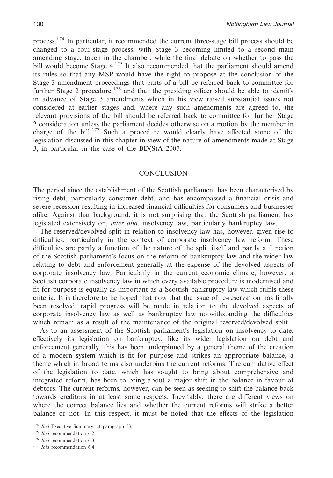process.<sup>174</sup> In particular, it recommended the current three-stage bill process should be changed to a four-stage process, with Stage 3 becoming limited to a second main amending stage, taken in the chamber, while the final debate on whether to pass the bill would become Stage  $4^{175}$  It also recommended that the parliament should amend its rules so that any MSP would have the right to propose at the conclusion of the Stage 3 amendment proceedings that parts of a bill be referred back to committee for further Stage 2 procedure,<sup>176</sup> and that the presiding officer should be able to identify in advance of Stage 3 amendments which in his view raised substantial issues not considered at earlier stages and, where any such amendments are agreed to, the relevant provisions of the bill should be referred back to committee for further Stage 2 consideration unless the parliament decides otherwise on a motion by the member in charge of the bill.177 Such a procedure would clearly have affected some of the legislation discussed in this chapter in view of the nature of amendments made at Stage 3, in particular in the case of the BD(S)A 2007.

#### CONCLUSION

The period since the establishment of the Scottish parliament has been characterised by rising debt, particularly consumer debt, and has encompassed a financial crisis and severe recession resulting in increased financial difficulties for consumers and businesses alike. Against that background, it is not surprising that the Scottish parliament has legislated extensively on, *inter alia*, insolvency law, particularly bankruptcy law.

The reserved/devolved split in relation to insolvency law has, however, given rise to difficulties, particularly in the context of corporate insolvency law reform. These difficulties are partly a function of the nature of the split itself and partly a function of the Scottish parliament's focus on the reform of bankruptcy law and the wider law relating to debt and enforcement generally at the expense of the devolved aspects of corporate insolvency law. Particularly in the current economic climate, however, a Scottish corporate insolvency law in which every available procedure is modernised and fit for purpose is equally as important as a Scottish bankruptcy law which fulfils these criteria. It is therefore to be hoped that now that the issue of re-reservation has finally been resolved, rapid progress will be made in relation to the devolved aspects of corporate insolvency law as well as bankruptcy law notwithstanding the difficulties which remain as a result of the maintenance of the original reserved/devolved split.

As to an assessment of the Scottish parliament's legislation on insolvency to date, effectively its legislation on bankruptcy, like its wider legislation on debt and enforcement generally, this has been underpinned by a general theme of the creation of a modern system which is fit for purpose and strikes an appropriate balance, a theme which in broad terms also underpins the current reforms. The cumulative effect of the legislation to date, which has sought to bring about comprehensive and integrated reform, has been to bring about a major shift in the balance in favour of debtors. The current reforms, however, can be seen as seeking to shift the balance back towards creditors in at least some respects. Inevitably, there are different views on where the correct balance lies and whether the current reforms will strike a better balance or not. In this respect, it must be noted that the effects of the legislation

<sup>174</sup> *Ibid* Executive Summary, at paragraph 53.

<sup>175</sup> *Ibid* recommendation 6.2.

<sup>176</sup> *Ibid* recommendation 6.3.

<sup>177</sup> *Ibid* recommendation 6.4.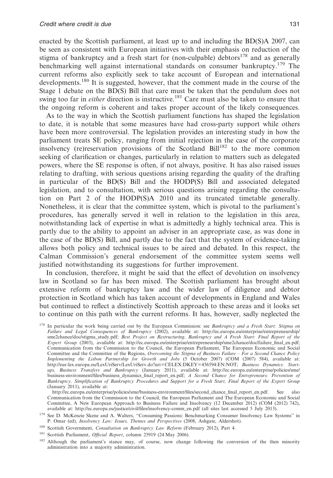enacted by the Scottish parliament, at least up to and including the BD(S)A 2007, can be seen as consistent with European initiatives with their emphasis on reduction of the stigma of bankruptcy and a fresh start for (non-culpable) debtors<sup>178</sup> and as generally benchmarking well against international standards on consumer bankruptcy.<sup>179</sup> The current reforms also explicitly seek to take account of European and international developments.<sup>180</sup> It is suggested, however, that the comment made in the course of the Stage 1 debate on the BD(S) Bill that care must be taken that the pendulum does not swing too far in *either* direction is instructive.<sup>181</sup> Care must also be taken to ensure that the ongoing reform is coherent and takes proper account of the likely consequences.

As to the way in which the Scottish parliament functions has shaped the legislation to date, it is notable that some measures have had cross-party support while others have been more controversial. The legislation provides an interesting study in how the parliament treats SE policy, ranging from initial rejection in the case of the corporate insolvency (re)reservation provisions of the Scotland Bill<sup>182</sup> to the more common seeking of clarification or changes, particularly in relation to matters such as delegated powers, where the SE response is often, if not always, positive. It has also raised issues relating to drafting, with serious questions arising regarding the quality of the drafting in particular of the BD(S) Bill and the HODP(S) Bill and associated delegated legislation, and to consultation, with serious questions arising regarding the consultation on Part 2 of the HODP(S)A 2010 and its truncated timetable generally. Nonetheless, it is clear that the committee system, which is pivotal to the parliament's procedures, has generally served it well in relation to the legislation in this area, notwithstanding lack of expertise in what is admittedly a highly technical area. This is partly due to the ability to appoint an adviser in an appropriate case, as was done in the case of the BD(S) Bill, and partly due to the fact that the system of evidence-taking allows both policy and technical issues to be aired and debated. In this respect, the Calman Commission's general endorsement of the committee system seems well justified notwithstanding its suggestions for further improvement.

In conclusion, therefore, it might be said that the effect of devolution on insolvency law in Scotland so far has been mixed. The Scottish parliament has brought about extensive reform of bankruptcy law and the wider law of diligence and debtor protection in Scotland which has taken account of developments in England and Wales but continued to reflect a distinctively Scottish approach to these areas and it looks set to continue on this path with the current reforms. It has, however, sadly neglected the

- <sup>180</sup> Scottish Government, *Consultation on Bankruptcy Law Reform* (February 2012), Part 4.
- <sup>181</sup> Scottish Parliament, *Official Report*, column 25919 (24 May 2006).

<sup>178</sup> In particular the work being carried out by the European Commission: see *Bankruptcy and a Fresh Start: Stigma on Failure and Legal Consequences of Bankruptcy* (2002), available at: http://ec.europa.eu/enterprise/entrepreneurship/ sme2chance/doc/stigma\_study.pdf; *Best Project on Restructuring, Bankruptcy and A Fresh Start: Final Report of the Expert Group* (2003), available at: http://ec.europa.eu/enterprise/entrepreneurship/sme2chance/doc/failure\_final\_en.pdf; Communication from the Commission to the Council, the European Parliament, The European Economic and Social Committee and the Committee of the Regions, *Overcoming the Stigma of Business Failure – For a Second Chance Policy Implementing the Lisbon Partnership for Growth and Jobs* (5 October 2007) (COM (2007) 584), available at: http://eur-lex.europa.eu/LexUriServ/LexUriServ.do?uri=CELEX:DKEY=456594:EN:NOT; *Business Dynamics: Start*ups, Business Transfers and Bankruptcy (January 2011), available at: http://ec.europa.eu/enterprise/policies/sme/<br>business-environment/files/business\_dynamics\_final\_report\_en.pdf; A Second Chance for Entrepreneurs: Prevent *Bankruptcy, Simplification of Bankruptcy Procedures and Support for a Fresh Start, Final Report of the Expert Group* (January 2011), available at:

http://ec.europa.eu/enterprise/policies/sme/business-environment/files/second\_chance\_final\_report\_en.pdf. See also Communication from the Commission to the Council, the European Parliament and The European Economic and Social Committee, A New European Approach to Business Failure and Insolvency (12 December 2012) (COM (2012) 742), available at: http://ec.europa.eu/justice/civil/files/insolvency-comm\_en.pdf (all sites last accessed 5 July 2013).

<sup>179</sup> See D. McKenzie Skene and A. Walters, ''Consuming Passions: Benchmarking Consumer Insolvency Law Systems'' in P. Omar (ed), *Insolvency Law: Issues, Themes and Perspectives* (2008, Ashgate, Aldershot).

<sup>&</sup>lt;sup>182</sup> Although the parliament's stance may, of course, now change following the conversion of the then minority administration into a majority administration.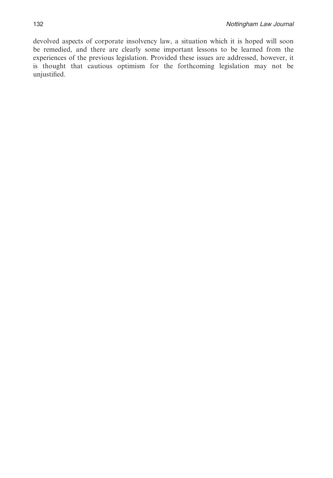devolved aspects of corporate insolvency law, a situation which it is hoped will soon be remedied, and there are clearly some important lessons to be learned from the experiences of the previous legislation. Provided these issues are addressed, however, it is thought that cautious optimism for the forthcoming legislation may not be unjustified.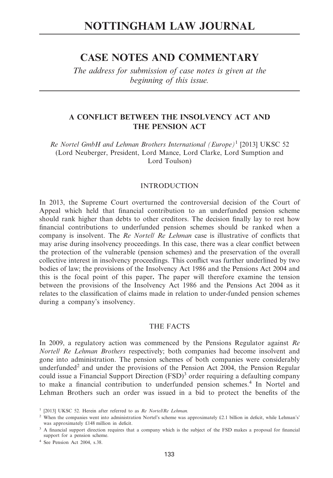# **CASE NOTES AND COMMENTARY**

*The address for submission of case notes is given at the beginning of this issue.*

# **A CONFLICT BETWEEN THE INSOLVENCY ACT AND THE PENSION ACT**

*Re Nortel GmbH and Lehman Brothers International (Europe)*<sup>1</sup> [2013] UKSC 52 (Lord Neuberger, President, Lord Mance, Lord Clarke, Lord Sumption and Lord Toulson)

## INTRODUCTION

In 2013, the Supreme Court overturned the controversial decision of the Court of Appeal which held that financial contribution to an underfunded pension scheme should rank higher than debts to other creditors. The decision finally lay to rest how financial contributions to underfunded pension schemes should be ranked when a company is insolvent. The *Re Nortel/ Re Lehman* case is illustrative of conflicts that may arise during insolvency proceedings. In this case, there was a clear conflict between the protection of the vulnerable (pension schemes) and the preservation of the overall collective interest in insolvency proceedings. This conflict was further underlined by two bodies of law; the provisions of the Insolvency Act 1986 and the Pensions Act 2004 and this is the focal point of this paper**.** The paper will therefore examine the tension between the provisions of the Insolvency Act 1986 and the Pensions Act 2004 as it relates to the classification of claims made in relation to under-funded pension schemes during a company's insolvency.

#### THE FACTS

In 2009, a regulatory action was commenced by the Pensions Regulator against *Re Nortel/ Re Lehman Brothers* respectively; both companies had become insolvent and gone into administration. The pension schemes of both companies were considerably underfunded<sup>2</sup> and under the provisions of the Pension Act 2004, the Pension Regular could issue a Financial Support Direction  $(FSD)^3$  order requiring a defaulting company to make a financial contribution to underfunded pension schemes.<sup>4</sup> In Nortel and Lehman Brothers such an order was issued in a bid to protect the benefits of the

<sup>1</sup> [2013] UKSC 52. Herein after referred to as *Re Nortel/Re Lehman.*

<sup>2</sup> When the companies went into administration Nortel's scheme was approximately £2.1 billion in deficit, while Lehman's' was approximately £148 million in deficit.

<sup>&</sup>lt;sup>3</sup> A financial support direction requires that a company which is the subject of the FSD makes a proposal for financial support for a pension scheme.

<sup>4</sup> See Pension Act 2004, s.38.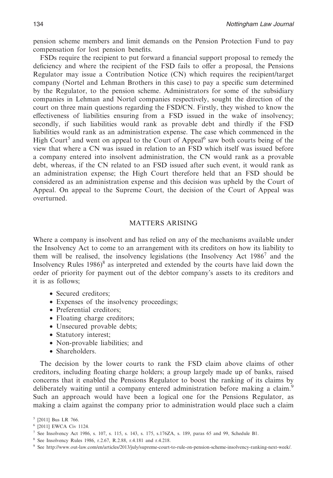pension scheme members and limit demands on the Pension Protection Fund to pay compensation for lost pension benefits.

FSDs require the recipient to put forward a financial support proposal to remedy the deficiency and where the recipient of the FSD fails to offer a proposal, the Pensions Regulator may issue a Contribution Notice (CN) which requires the recipient/target company (Nortel and Lehman Brothers in this case) to pay a specific sum determined by the Regulator, to the pension scheme. Administrators for some of the subsidiary companies in Lehman and Nortel companies respectively, sought the direction of the court on three main questions regarding the FSD/CN. Firstly, they wished to know the effectiveness of liabilities ensuring from a FSD issued in the wake of insolvency; secondly, if such liabilities would rank as provable debt and thirdly if the FSD liabilities would rank as an administration expense. The case which commenced in the High Court<sup>5</sup> and went on appeal to the Court of Appeal<sup>6</sup> saw both courts being of the view that where a CN was issued in relation to an FSD which itself was issued before a company entered into insolvent administration, the CN would rank as a provable debt, whereas, if the CN related to an FSD issued after such event, it would rank as an administration expense; the High Court therefore held that an FSD should be considered as an administration expense and this decision was upheld by the Court of Appeal. On appeal to the Supreme Court, the decision of the Court of Appeal was overturned.

### MATTERS ARISING

Where a company is insolvent and has relied on any of the mechanisms available under the Insolvency Act to come to an arrangement with its creditors on how its liability to them will be realised, the insolvency legislations (the Insolvency Act  $1986<sup>7</sup>$  and the Insolvency Rules  $1986$ <sup>8</sup> as interpreted and extended by the courts have laid down the order of priority for payment out of the debtor company's assets to its creditors and it is as follows;

- Secured creditors;
- Expenses of the insolvency proceedings;
- Preferential creditors;
- Floating charge creditors;
- Unsecured provable debts;
- Statutory interest;
- Non-provable liabilities; and
- Shareholders.

The decision by the lower courts to rank the FSD claim above claims of other creditors, including floating charge holders; a group largely made up of banks, raised concerns that it enabled the Pensions Regulator to boost the ranking of its claims by deliberately waiting until a company entered administration before making a claim.<sup>9</sup> Such an approach would have been a logical one for the Pensions Regulator, as making a claim against the company prior to administration would place such a claim

<sup>5</sup> [2011] Bus LR 766.

<sup>6</sup> [2011] EWCA Civ 1124.

<sup>7</sup> See Insolvency Act 1986, s. 107, s. 115, s. 143, s. 175, s.176ZA, s. 189, paras 65 and 99, Schedule B1.

<sup>8</sup> See Insolvency Rules 1986, r.2.67, R.2.88, r.4.181 and r.4.218.

<sup>9</sup> See http://www.out-law.com/en/articles/2013/july/supreme-court-to-rule-on-pension-scheme-insolvency-ranking-next-week/.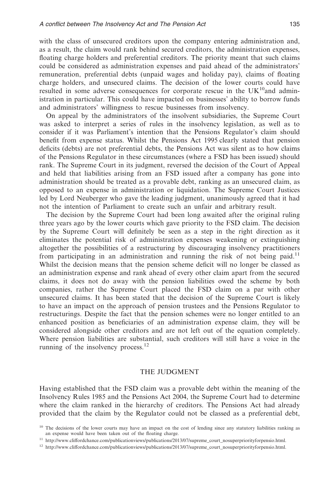with the class of unsecured creditors upon the company entering administration and, as a result, the claim would rank behind secured creditors, the administration expenses, floating charge holders and preferential creditors. The priority meant that such claims could be considered as administration expenses and paid ahead of the administrators' remuneration, preferential debts (unpaid wages and holiday pay), claims of floating charge holders, and unsecured claims. The decision of the lower courts could have resulted in some adverse consequences for corporate rescue in the  $UK^{10}$ and administration in particular. This could have impacted on businesses' ability to borrow funds and administrators' willingness to rescue businesses from insolvency.

On appeal by the administrators of the insolvent subsidiaries, the Supreme Court was asked to interpret a series of rules in the insolvency legislation, as well as to consider if it was Parliament's intention that the Pensions Regulator's claim should benefit from expense status. Whilst the Pensions Act 1995 clearly stated that pension deficits (debts) are not preferential debts, the Pensions Act was silent as to how claims of the Pensions Regulator in these circumstances (where a FSD has been issued) should rank. The Supreme Court in its judgment, reversed the decision of the Court of Appeal and held that liabilities arising from an FSD issued after a company has gone into administration should be treated as a provable debt, ranking as an unsecured claim, as opposed to an expense in administration or liquidation. The Supreme Court Justices led by Lord Neuberger who gave the leading judgment, unanimously agreed that it had not the intention of Parliament to create such an unfair and arbitrary result.

The decision by the Supreme Court had been long awaited after the original ruling three years ago by the lower courts which gave priority to the FSD claim. The decision by the Supreme Court will definitely be seen as a step in the right direction as it eliminates the potential risk of administration expenses weakening or extinguishing altogether the possibilities of a restructuring by discouraging insolvency practitioners from participating in an administration and running the risk of not being paid.<sup>11</sup> Whilst the decision means that the pension scheme deficit will no longer be classed as an administration expense and rank ahead of every other claim apart from the secured claims, it does not do away with the pension liabilities owed the scheme by both companies, rather the Supreme Court placed the FSD claim on a par with other unsecured claims. It has been stated that the decision of the Supreme Court is likely to have an impact on the approach of pension trustees and the Pensions Regulator to restructurings. Despite the fact that the pension schemes were no longer entitled to an enhanced position as beneficiaries of an administration expense claim, they will be considered alongside other creditors and are not left out of the equation completely. Where pension liabilities are substantial, such creditors will still have a voice in the running of the insolvency process.<sup>12</sup>

## THE JUDGMENT

Having established that the FSD claim was a provable debt within the meaning of the Insolvency Rules 1985 and the Pensions Act 2004, the Supreme Court had to determine where the claim ranked in the hierarchy of creditors. The Pensions Act had already provided that the claim by the Regulator could not be classed as a preferential debt,

<sup>&</sup>lt;sup>10</sup> The decisions of the lower courts may have an impact on the cost of lending since any statutory liabilities ranking as an expense would have been taken out of the floating charge.

 $^{11}\,$  http://www.cliffordchance.com/publicationviews/publications/2013/07/supreme\_court\_nosuperpriorityforpensio.html.

<sup>&</sup>lt;sup>12</sup> http://www.cliffordchance.com/publicationviews/publications/2013/07/supreme\_court\_nosuperpriorityforpensio.html.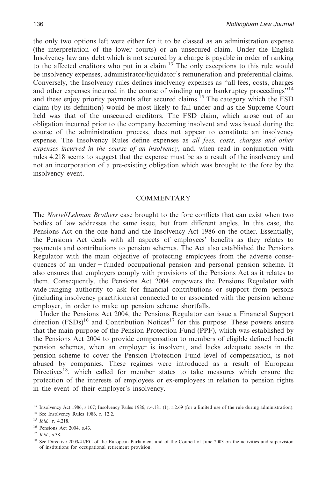the only two options left were either for it to be classed as an administration expense (the interpretation of the lower courts) or an unsecured claim. Under the English Insolvency law any debt which is not secured by a charge is payable in order of ranking to the affected creditors who put in a claim.<sup>13</sup> The only exceptions to this rule would be insolvency expenses, administrator/liquidator's remuneration and preferential claims. Conversely, the Insolvency rules defines insolvency expenses as ''all fees, costs, charges and other expenses incurred in the course of winding up or bankruptcy proceedings<sup>"14</sup> and these enjoy priority payments after secured claims.<sup>15</sup> The category which the  $\overline{FSD}$ claim (by its definition) would be most likely to fall under and as the Supreme Court held was that of the unsecured creditors. The FSD claim, which arose out of an obligation incurred prior to the company becoming insolvent and was issued during the course of the administration process, does not appear to constitute an insolvency expense. The Insolvency Rules define expenses as *all fees, costs, charges and other expenses incurred in the course of an insolvency*, and, when read in conjunction with rules 4.218 seems to suggest that the expense must be as a result of the insolvency and not an incorporation of a pre-existing obligation which was brought to the fore by the insolvency event.

#### **COMMENTARY**

The *Nortel/Lehman Brothers* case brought to the fore conflicts that can exist when two bodies of law addresses the same issue, but from different angles. In this case, the Pensions Act on the one hand and the Insolvency Act 1986 on the other. Essentially, the Pensions Act deals with all aspects of employees' benefits as they relates to payments and contributions to pension schemes. The Act also established the Pensions Regulator with the main objective of protecting employees from the adverse consequences of an under-funded occupational pension and personal pension scheme. It also ensures that employers comply with provisions of the Pensions Act as it relates to them. Consequently, the Pensions Act 2004 empowers the Pensions Regulator with wide-ranging authority to ask for financial contributions or support from persons (including insolvency practitioners) connected to or associated with the pension scheme employer, in order to make up pension scheme shortfalls.

Under the Pensions Act 2004, the Pensions Regulator can issue a Financial Support direction  $(FSDs)^{16}$  and Contribution Notices<sup>17</sup> for this purpose. These powers ensure that the main purpose of the Pension Protection Fund (PPF), which was established by the Pensions Act 2004 to provide compensation to members of eligible defined benefit pension schemes, when an employer is insolvent, and lacks adequate assets in the pension scheme to cover the Pension Protection Fund level of compensation, is not abused by companies. These regimes were introduced as a result of European Directives<sup>18</sup>, which called for member states to take measures which ensure the protection of the interests of employees or ex-employees in relation to pension rights in the event of their employer's insolvency.

<sup>13</sup> Insolvency Act 1986, s.107; Insolvency Rules 1986, r.4.181 (1), r.2.69 (for a limited use of the rule during administration).

<sup>14</sup> See Insolvency Rules 1986, r. 12.2.

<sup>15</sup> *Ibid.,* r. 4.218.

<sup>16</sup> Pensions Act 2004, s.43.

<sup>17</sup> *Ibid*., s.38.

<sup>&</sup>lt;sup>18</sup> See Directive 2003/41/EC of the European Parliament and of the Council of June 2003 on the activities and supervision of institutions for occupational retirement provision.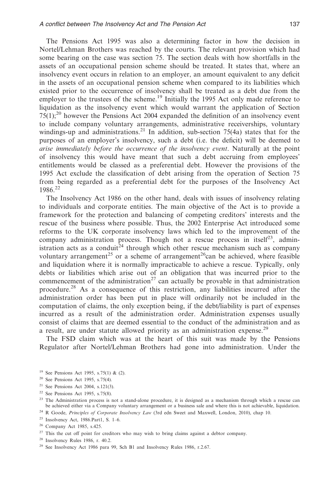The Pensions Act 1995 was also a determining factor in how the decision in Nortel/Lehman Brothers was reached by the courts. The relevant provision which had some bearing on the case was section 75. The section deals with how shortfalls in the assets of an occupational pension scheme should be treated. It states that, where an insolvency event occurs in relation to an employer, an amount equivalent to any deficit in the assets of an occupational pension scheme when compared to its liabilities which existed prior to the occurrence of insolvency shall be treated as a debt due from the employer to the trustees of the scheme.<sup>19</sup> Initially the 1995 Act only made reference to liquidation as the insolvency event which would warrant the application of Section  $75(1)$ ;<sup>20</sup> however the Pensions Act 2004 expanded the definition of an insolvency event to include company voluntary arrangements, administrative receiverships, voluntary windings-up and administrations.<sup>21</sup> In addition, sub-section 75(4a) states that for the purposes of an employer's insolvency, such a debt (i.e. the deficit) will be deemed to *arise immediately before the occurrence of the insolvency event*. Naturally at the point of insolvency this would have meant that such a debt accruing from employees' entitlements would be classed as a preferential debt. However the provisions of the 1995 Act exclude the classification of debt arising from the operation of Section 75 from being regarded as a preferential debt for the purposes of the Insolvency Act 1986.<sup>22</sup>

The Insolvency Act 1986 on the other hand, deals with issues of insolvency relating to individuals and corporate entities. The main objective of the Act is to provide a framework for the protection and balancing of competing creditors' interests and the rescue of the business where possible. Thus, the 2002 Enterprise Act introduced some reforms to the UK corporate insolvency laws which led to the improvement of the company administration process. Though not a rescue process in itself<sup>23</sup>, administration acts as a conduit<sup>24</sup> through which other rescue mechanism such as company voluntary arrangement<sup>25</sup> or a scheme of arrangement<sup>26</sup>can be achieved, where feasible and liquidation where it is normally impracticable to achieve a rescue. Typically, only debts or liabilities which arise out of an obligation that was incurred prior to the commencement of the administration<sup>27</sup> can actually be provable in that administration procedure.<sup>28</sup> As a consequence of this restriction, any liabilities incurred after the administration order has been put in place will ordinarily not be included in the computation of claims, the only exception being, if the debt/liability is part of expenses incurred as a result of the administration order. Administration expenses usually consist of claims that are deemed essential to the conduct of the administration and as a result, are under statute allowed priority as an administration expense.<sup>29</sup>

The FSD claim which was at the heart of this suit was made by the Pensions Regulator after Nortel/Lehman Brothers had gone into administration. Under the

<sup>22</sup> See Pensions Act 1995, s.75(8).

<sup>19</sup> See Pensions Act 1995, s.75(1) & (2).

<sup>20</sup> See Pensions Act 1995, s.75(4).

<sup>21</sup> See Pensions Act 2004, s.121(3).

 $2<sup>3</sup>$  The Administration process is not a stand-alone procedure, it is designed as a mechanism through which a rescue can be achieved either via a Company voluntary arrangement or a business sale and where this is not achievable, liquidation.

<sup>24</sup> R Goode, *Principles of Corporate Insolvency Law* (3rd edn Sweet and Maxwell, London, 2010), chap 10.

<sup>25</sup> Insolvency Act, 1986.Part1, S. 1–6.

<sup>26</sup> Company Act 1985, s.425.

 $27$  This the cut off point for creditors who may wish to bring claims against a debtor company.

<sup>28</sup> Insolvency Rules 1986, r. 40.2.

<sup>29</sup> See Insolvency Act 1986 para 99, Sch B1 and Insolvency Rules 1986, r.2.67.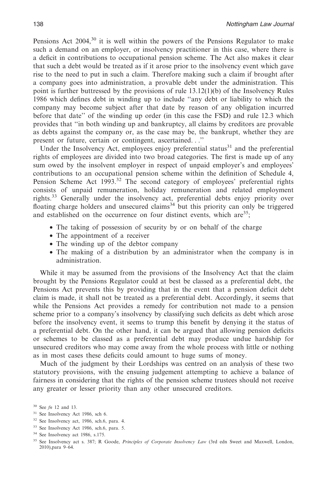Pensions Act  $2004<sup>30</sup>$  it is well within the powers of the Pensions Regulator to make such a demand on an employer, or insolvency practitioner in this case, where there is a deficit in contributions to occupational pension scheme. The Act also makes it clear that such a debt would be treated as if it arose prior to the insolvency event which gave rise to the need to put in such a claim. Therefore making such a claim if brought after a company goes into administration, a provable debt under the administration. This point is further buttressed by the provisions of rule 13.12(1)(b) of the Insolvency Rules 1986 which defines debt in winding up to include ''any debt or liability to which the company may become subject after that date by reason of any obligation incurred before that date'' of the winding up order (in this case the FSD) and rule 12.3 which provides that ''in both winding up and bankruptcy, all claims by creditors are provable as debts against the company or, as the case may be, the bankrupt, whether they are present or future, certain or contingent, ascertained. . .''

Under the Insolvency Act, employees enjoy preferential status<sup>31</sup> and the preferential rights of employees are divided into two broad categories. The first is made up of any sum owed by the insolvent employer in respect of unpaid employer's and employees' contributions to an occupational pension scheme within the definition of Schedule 4, Pension Scheme Act 1993.<sup>32</sup> The second category of employees' preferential rights consists of unpaid remuneration, holiday remuneration and related employment rights.<sup>33</sup> Generally under the insolvency act, preferential debts enjoy priority over floating charge holders and unsecured claims<sup>34</sup> but this priority can only be triggered and established on the occurrence on four distinct events, which are  $35$ :

- The taking of possession of security by or on behalf of the charge
- The appointment of a receiver
- The winding up of the debtor company
- The making of a distribution by an administrator when the company is in administration.

While it may be assumed from the provisions of the Insolvency Act that the claim brought by the Pensions Regulator could at best be classed as a preferential debt, the Pensions Act prevents this by providing that in the event that a pension deficit debt claim is made, it shall not be treated as a preferential debt. Accordingly, it seems that while the Pensions Act provides a remedy for contribution not made to a pension scheme prior to a company's insolvency by classifying such deficits as debt which arose before the insolvency event, it seems to trump this benefit by denying it the status of a preferential debt. On the other hand, it can be argued that allowing pension deficits or schemes to be classed as a preferential debt may produce undue hardship for unsecured creditors who may come away from the whole process with little or nothing as in most cases these deficits could amount to huge sums of money.

Much of the judgment by their Lordships was centred on an analysis of these two statutory provisions, with the ensuing judgement attempting to achieve a balance of fairness in considering that the rights of the pension scheme trustees should not receive any greater or lesser priority than any other unsecured creditors.

<sup>30</sup> See *fn* 12 and 13.

<sup>31</sup> See Insolvency Act 1986, sch 6.

<sup>32</sup> See Insolvency act, 1986, sch.6, para. 4.

<sup>33</sup> See Insolvency Act 1986, sch.6, para. 5.

<sup>34</sup> See Insolvency act 1986, s.175.

<sup>35</sup> See Insolvency act s. 387; R Goode, *Principles of Corporate Insolvency Law* (3rd edn Sweet and Maxwell, London, 2010),para 9–64.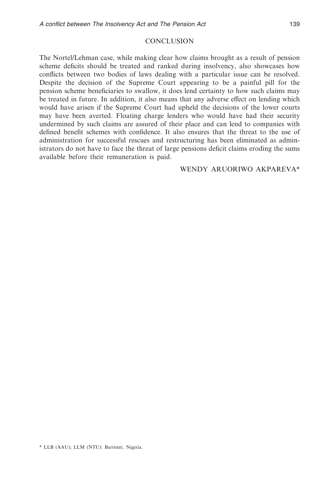# **CONCLUSION**

The Nortel/Lehman case, while making clear how claims brought as a result of pension scheme deficits should be treated and ranked during insolvency, also showcases how conflicts between two bodies of laws dealing with a particular issue can be resolved. Despite the decision of the Supreme Court appearing to be a painful pill for the pension scheme beneficiaries to swallow, it does lend certainty to how such claims may be treated in future. In addition, it also means that any adverse effect on lending which would have arisen if the Supreme Court had upheld the decisions of the lower courts may have been averted. Floating charge lenders who would have had their security undermined by such claims are assured of their place and can lend to companies with defined benefit schemes with confidence. It also ensures that the threat to the use of administration for successful rescues and restructuring has been eliminated as administrators do not have to face the threat of large pensions deficit claims eroding the sums available before their remuneration is paid.

# WENDY ARUORIWO AKPAREVA\*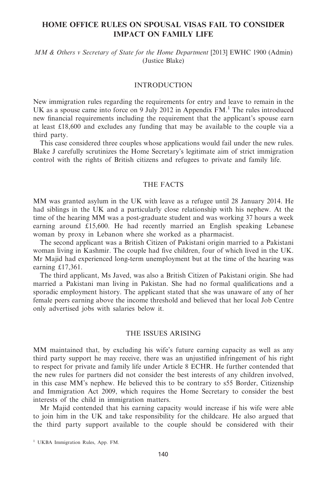# **HOME OFFICE RULES ON SPOUSAL VISAS FAIL TO CONSIDER IMPACT ON FAMILY LIFE**

## *MM & Others v Secretary of State for the Home Department* [2013] EWHC 1900 (Admin) (Justice Blake)

#### INTRODUCTION

New immigration rules regarding the requirements for entry and leave to remain in the UK as a spouse came into force on 9 July 2012 in Appendix FM.<sup>1</sup> The rules introduced new financial requirements including the requirement that the applicant's spouse earn at least £18,600 and excludes any funding that may be available to the couple via a third party.

This case considered three couples whose applications would fail under the new rules. Blake J carefully scrutinizes the Home Secretary's legitimate aim of strict immigration control with the rights of British citizens and refugees to private and family life.

# THE FACTS

MM was granted asylum in the UK with leave as a refugee until 28 January 2014. He had siblings in the UK and a particularly close relationship with his nephew. At the time of the hearing MM was a post-graduate student and was working 37 hours a week earning around £15,600. He had recently married an English speaking Lebanese woman by proxy in Lebanon where she worked as a pharmacist.

The second applicant was a British Citizen of Pakistani origin married to a Pakistani woman living in Kashmir. The couple had five children, four of which lived in the UK. Mr Majid had experienced long-term unemployment but at the time of the hearing was earning £17,361.

The third applicant, Ms Javed, was also a British Citizen of Pakistani origin. She had married a Pakistani man living in Pakistan. She had no formal qualifications and a sporadic employment history. The applicant stated that she was unaware of any of her female peers earning above the income threshold and believed that her local Job Centre only advertised jobs with salaries below it.

#### THE ISSUES ARISING

MM maintained that, by excluding his wife's future earning capacity as well as any third party support he may receive, there was an unjustified infringement of his right to respect for private and family life under Article 8 ECHR. He further contended that the new rules for partners did not consider the best interests of any children involved, in this case MM's nephew. He believed this to be contrary to s55 Border, Citizenship and Immigration Act 2009, which requires the Home Secretary to consider the best interests of the child in immigration matters.

Mr Majid contended that his earning capacity would increase if his wife were able to join him in the UK and take responsibility for the childcare. He also argued that the third party support available to the couple should be considered with their

<sup>&</sup>lt;sup>1</sup> UKBA Immigration Rules, App. FM.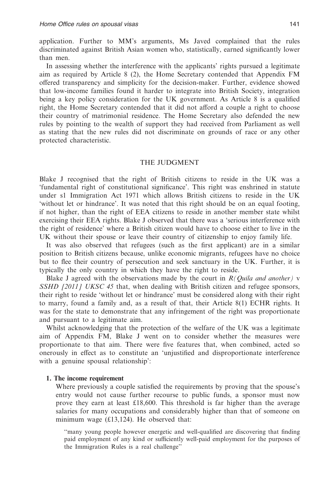application. Further to MM's arguments, Ms Javed complained that the rules discriminated against British Asian women who, statistically, earned significantly lower than men.

In assessing whether the interference with the applicants' rights pursued a legitimate aim as required by Article 8 (2), the Home Secretary contended that Appendix FM offered transparency and simplicity for the decision-maker. Further, evidence showed that low-income families found it harder to integrate into British Society, integration being a key policy consideration for the UK government. As Article 8 is a qualified right, the Home Secretary contended that it did not afford a couple a right to choose their country of matrimonial residence. The Home Secretary also defended the new rules by pointing to the wealth of support they had received from Parliament as well as stating that the new rules did not discriminate on grounds of race or any other protected characteristic.

#### THE JUDGMENT

Blake J recognised that the right of British citizens to reside in the UK was a 'fundamental right of constitutional significance'. This right was enshrined in statute under s1 Immigration Act 1971 which allows British citizens to reside in the UK 'without let or hindrance'. It was noted that this right should be on an equal footing, if not higher, than the right of EEA citizens to reside in another member state whilst exercising their EEA rights. Blake J observed that there was a 'serious interference with the right of residence' where a British citizen would have to choose either to live in the UK without their spouse or leave their country of citizenship to enjoy family life.

It was also observed that refugees (such as the first applicant) are in a similar position to British citizens because, unlike economic migrants, refugees have no choice but to flee their country of persecution and seek sanctuary in the UK. Further, it is typically the only country in which they have the right to reside.

Blake J agreed with the observations made by the court in *R(Quila and another)* v *SSHD [2011] UKSC 45* that, when dealing with British citizen and refugee sponsors, their right to reside 'without let or hindrance' must be considered along with their right to marry, found a family and, as a result of that, their Article 8(1) ECHR rights. It was for the state to demonstrate that any infringement of the right was proportionate and pursuant to a legitimate aim.

Whilst acknowledging that the protection of the welfare of the UK was a legitimate aim of Appendix FM, Blake J went on to consider whether the measures were proportionate to that aim. There were five features that, when combined, acted so onerously in effect as to constitute an 'unjustified and disproportionate interference with a genuine spousal relationship':

#### **1. The income requirement**

Where previously a couple satisfied the requirements by proving that the spouse's entry would not cause further recourse to public funds, a sponsor must now prove they earn at least £18,600. This threshold is far higher than the average salaries for many occupations and considerably higher than that of someone on minimum wage (£13,124). He observed that:

''many young people however energetic and well-qualified are discovering that finding paid employment of any kind or sufficiently well-paid employment for the purposes of the Immigration Rules is a real challenge''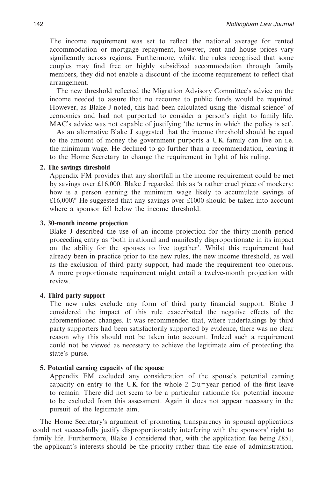The income requirement was set to reflect the national average for rented accommodation or mortgage repayment, however, rent and house prices vary significantly across regions. Furthermore, whilst the rules recognised that some couples may find free or highly subsidized accommodation through family members, they did not enable a discount of the income requirement to reflect that arrangement.

The new threshold reflected the Migration Advisory Committee's advice on the income needed to assure that no recourse to public funds would be required. However, as Blake J noted, this had been calculated using the 'dismal science' of economics and had not purported to consider a person's right to family life. MAC's advice was not capable of justifying 'the terms in which the policy is set'.

As an alternative Blake J suggested that the income threshold should be equal to the amount of money the government purports a UK family can live on i.e. the minimum wage. He declined to go further than a recommendation, leaving it to the Home Secretary to change the requirement in light of his ruling.

# **2. The savings threshold**

Appendix FM provides that any shortfall in the income requirement could be met by savings over £16,000. Blake J regarded this as 'a rather cruel piece of mockery: how is a person earning the minimum wage likely to accumulate savings of £16,000?' He suggested that any savings over £1000 should be taken into account where a sponsor fell below the income threshold.

# **3. 30-month income projection**

Blake J described the use of an income projection for the thirty-month period proceeding entry as 'both irrational and manifestly disproportionate in its impact on the ability for the spouses to live together'. Whilst this requirement had already been in practice prior to the new rules, the new income threshold, as well as the exclusion of third party support, had made the requirement too onerous. A more proportionate requirement might entail a twelve-month projection with review.

# **4. Third party support**

The new rules exclude any form of third party financial support. Blake J considered the impact of this rule exacerbated the negative effects of the aforementioned changes. It was recommended that, where undertakings by third party supporters had been satisfactorily supported by evidence, there was no clear reason why this should not be taken into account. Indeed such a requirement could not be viewed as necessary to achieve the legitimate aim of protecting the state's purse.

# **5. Potential earning capacity of the spouse**

Appendix FM excluded any consideration of the spouse's potential earning capacity on entry to the UK for the whole 2  $\exists u = \text{year period of the first leave}$ to remain. There did not seem to be a particular rationale for potential income to be excluded from this assessment. Again it does not appear necessary in the pursuit of the legitimate aim.

The Home Secretary's argument of promoting transparency in spousal applications could not successfully justify disproportionately interfering with the sponsors' right to family life. Furthermore, Blake J considered that, with the application fee being £851, the applicant's interests should be the priority rather than the ease of administration.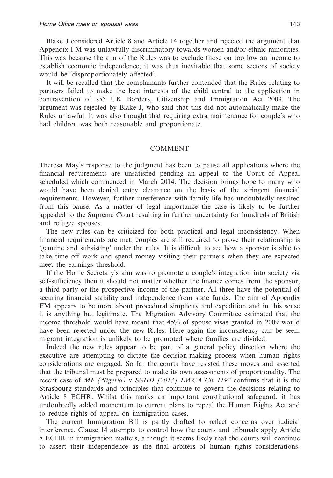Blake J considered Article 8 and Article 14 together and rejected the argument that Appendix FM was unlawfully discriminatory towards women and/or ethnic minorities. This was because the aim of the Rules was to exclude those on too low an income to establish economic independence; it was thus inevitable that some sectors of society would be 'disproportionately affected'.

It will be recalled that the complainants further contended that the Rules relating to partners failed to make the best interests of the child central to the application in contravention of s55 UK Borders, Citizenship and Immigration Act 2009. The argument was rejected by Blake J, who said that this did not automatically make the Rules unlawful. It was also thought that requiring extra maintenance for couple's who had children was both reasonable and proportionate.

#### COMMENT

Theresa May's response to the judgment has been to pause all applications where the financial requirements are unsatisfied pending an appeal to the Court of Appeal scheduled which commenced in March 2014. The decision brings hope to many who would have been denied entry clearance on the basis of the stringent financial requirements. However, further interference with family life has undoubtedly resulted from this pause. As a matter of legal importance the case is likely to be further appealed to the Supreme Court resulting in further uncertainty for hundreds of British and refugee spouses.

The new rules can be criticized for both practical and legal inconsistency. When financial requirements are met, couples are still required to prove their relationship is 'genuine and subsisting' under the rules. It is difficult to see how a sponsor is able to take time off work and spend money visiting their partners when they are expected meet the earnings threshold.

If the Home Secretary's aim was to promote a couple's integration into society via self-sufficiency then it should not matter whether the finance comes from the sponsor, a third party or the prospective income of the partner. All three have the potential of securing financial stability and independence from state funds. The aim of Appendix FM appears to be more about procedural simplicity and expedition and in this sense it is anything but legitimate. The Migration Advisory Committee estimated that the income threshold would have meant that 45% of spouse visas granted in 2009 would have been rejected under the new Rules. Here again the inconsistency can be seen, migrant integration is unlikely to be promoted where families are divided.

Indeed the new rules appear to be part of a general policy direction where the executive are attempting to dictate the decision-making process when human rights considerations are engaged. So far the courts have resisted these moves and asserted that the tribunal must be prepared to make its own assessments of proportionality. The recent case of *MF (Nigeria)* v *SSHD [2013] EWCA Civ 1192* confirms that it is the Strasbourg standards and principles that continue to govern the decisions relating to Article 8 ECHR. Whilst this marks an important constitutional safeguard, it has undoubtedly added momentum to current plans to repeal the Human Rights Act and to reduce rights of appeal on immigration cases.

The current Immigration Bill is partly drafted to reflect concerns over judicial interference. Clause 14 attempts to control how the courts and tribunals apply Article 8 ECHR in immigration matters, although it seems likely that the courts will continue to assert their independence as the final arbiters of human rights considerations.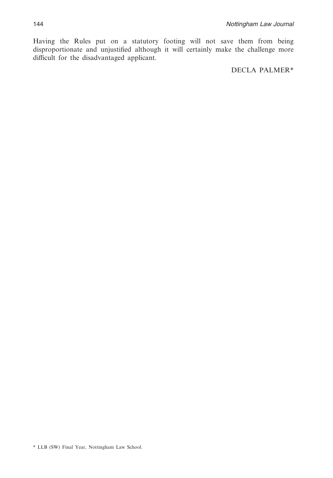Having the Rules put on a statutory footing will not save them from being disproportionate and unjustified although it will certainly make the challenge more difficult for the disadvantaged applicant.

DECLA PALMER\*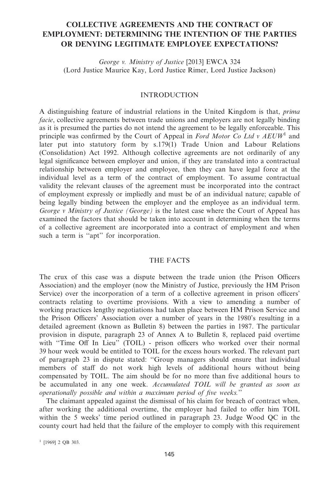# **COLLECTIVE AGREEMENTS AND THE CONTRACT OF EMPLOYMENT: DETERMINING THE INTENTION OF THE PARTIES OR DENYING LEGITIMATE EMPLOYEE EXPECTATIONS?**

*George v. Ministry of Justice* [2013] EWCA 324 (Lord Justice Maurice Kay, Lord Justice Rimer, Lord Justice Jackson)

#### INTRODUCTION

A distinguishing feature of industrial relations in the United Kingdom is that, *prima facie*, collective agreements between trade unions and employers are not legally binding as it is presumed the parties do not intend the agreement to be legally enforceable. This principle was confirmed by the Court of Appeal in *Ford Motor Co Ltd v AEUW*<sup>1</sup> and later put into statutory form by s.179(1) Trade Union and Labour Relations (Consolidation) Act 1992. Although collective agreements are not ordinarily of any legal significance between employer and union, if they are translated into a contractual relationship between employer and employee, then they can have legal force at the individual level as a term of the contract of employment. To assume contractual validity the relevant clauses of the agreement must be incorporated into the contract of employment expressly or impliedly and must be of an individual nature; capable of being legally binding between the employer and the employee as an individual term. *George v Ministry of Justice (George)* is the latest case where the Court of Appeal has examined the factors that should be taken into account in determining when the terms of a collective agreement are incorporated into a contract of employment and when such a term is "apt" for incorporation.

# THE FACTS

The crux of this case was a dispute between the trade union (the Prison Officers Association) and the employer (now the Ministry of Justice, previously the HM Prison Service) over the incorporation of a term of a collective agreement in prison officers' contracts relating to overtime provisions. With a view to amending a number of working practices lengthy negotiations had taken place between HM Prison Service and the Prison Officers' Association over a number of years in the 1980's resulting in a detailed agreement (known as Bulletin 8) between the parties in 1987. The particular provision in dispute, paragraph 23 of Annex A to Bulletin 8, replaced paid overtime with "Time Off In Lieu" (TOIL) - prison officers who worked over their normal 39 hour week would be entitled to TOIL for the excess hours worked. The relevant part of paragraph 23 in dispute stated: ''Group managers should ensure that individual members of staff do not work high levels of additional hours without being compensated by TOIL. The aim should be for no more than five additional hours to be accumulated in any one week. *Accumulated TOIL will be granted as soon as operationally possible and within a maximum period of five weeks.*''

The claimant appealed against the dismissal of his claim for breach of contract when, after working the additional overtime, the employer had failed to offer him TOIL within the 5 weeks' time period outlined in paragraph 23. Judge Wood QC in the county court had held that the failure of the employer to comply with this requirement

<sup>&</sup>lt;sup>1</sup> [1969] 2 QB 303.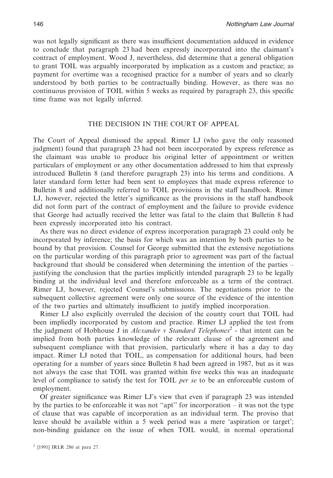was not legally significant as there was insufficient documentation adduced in evidence to conclude that paragraph 23 had been expressly incorporated into the claimant's contract of employment. Wood J, nevertheless, did determine that a general obligation to grant TOIL was arguably incorporated by implication as a custom and practice; as payment for overtime was a recognised practice for a number of years and so clearly understood by both parties to be contractually binding. However, as there was no continuous provision of TOIL within 5 weeks as required by paragraph 23, this specific time frame was not legally inferred.

### THE DECISION IN THE COURT OF APPEAL

The Court of Appeal dismissed the appeal. Rimer LJ (who gave the only reasoned judgment) found that paragraph 23 had not been incorporated by express reference as the claimant was unable to produce his original letter of appointment or written particulars of employment or any other documentation addressed to him that expressly introduced Bulletin 8 (and therefore paragraph 23) into his terms and conditions. A later standard form letter had been sent to employees that made express reference to Bulletin 8 and additionally referred to TOIL provisions in the staff handbook. Rimer LJ, however, rejected the letter's significance as the provisions in the staff handbook did not form part of the contract of employment and the failure to provide evidence that George had actually received the letter was fatal to the claim that Bulletin 8 had been expressly incorporated into his contract.

As there was no direct evidence of express incorporation paragraph 23 could only be incorporated by inference; the basis for which was an intention by both parties to be bound by that provision. Counsel for George submitted that the extensive negotiations on the particular wording of this paragraph prior to agreement was part of the factual background that should be considered when determining the intention of the parties – justifying the conclusion that the parties implicitly intended paragraph 23 to be legally binding at the individual level and therefore enforceable as a term of the contract. Rimer LJ, however, rejected Counsel's submissions. The negotiations prior to the subsequent collective agreement were only one source of the evidence of the intention of the two parties and ultimately insufficient to justify implied incorporation.

Rimer LJ also explicitly overruled the decision of the county court that TOIL had been impliedly incorporated by custom and practice. Rimer LJ applied the test from the judgment of Hobhouse J in *Alexander v Standard Telephones*<sup>2</sup> - that intent can be implied from both parties knowledge of the relevant clause of the agreement and subsequent compliance with that provision, particularly where it has a day to day impact. Rimer LJ noted that TOIL, as compensation for additional hours, had been operating for a number of years since Bulletin 8 had been agreed in 1987, but as it was not always the case that TOIL was granted within five weeks this was an inadequate level of compliance to satisfy the test for TOIL *per se* to be an enforceable custom of employment.

Of greater significance was Rimer LJ's view that even if paragraph 23 was intended by the parties to be enforceable it was not "apt" for incorporation – it was not the type of clause that was capable of incorporation as an individual term. The proviso that leave should be available within a 5 week period was a mere 'aspiration or target'; non-binding guidance on the issue of when TOIL would, in normal operational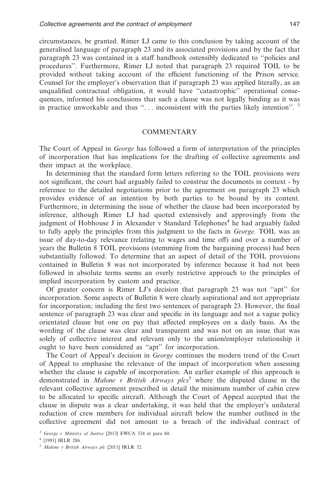circumstances, be granted. Rimer LJ came to this conclusion by taking account of the generalised language of paragraph 23 and its associated provisions and by the fact that paragraph 23 was contained in a staff handbook ostensibly dedicated to ''policies and procedures''. Furthermore, Rimer LJ noted that paragraph 23 required TOIL to be provided without taking account of the efficient functioning of the Prison service. Counsel for the employer's observation that if paragraph 23 was applied literally, as an unqualified contractual obligation, it would have ''catastrophic'' operational consequences, informed his conclusions that such a clause was not legally binding as it was in practice unworkable and thus  $\cdot\cdot\cdot$ ... inconsistent with the parties likely intention $\cdot\cdot\cdot$ .<sup>3</sup>

#### COMMENTARY

The Court of Appeal in *George* has followed a form of interpretation of the principles of incorporation that has implications for the drafting of collective agreements and their impact at the workplace.

In determining that the standard form letters referring to the TOIL provisions were not significant, the court had arguably failed to construe the documents in context - by reference to the detailed negotiations prior to the agreement on paragraph 23 which provides evidence of an intention by both parties to be bound by its content. Furthermore, in determining the issue of whether the clause had been incorporated by inference, although Rimer LJ had quoted extensively and approvingly from the judgment of Hobhouse J in Alexander v Standard Telephones<sup>4</sup> he had arguably failed to fully apply the principles from this judgment to the facts in *George.* TOIL was an issue of day-to-day relevance (relating to wages and time off) and over a number of years the Bulletin 8 TOIL provisions (stemming from the bargaining process) had been substantially followed. To determine that an aspect of detail of the TOIL provisions contained in Bulletin 8 was not incorporated by inference because it had not been followed in absolute terms seems an overly restrictive approach to the principles of implied incorporation by custom and practice.

Of greater concern is Rimer LJ's decision that paragraph 23 was not ''apt'' for incorporation. Some aspects of Bulletin 8 were clearly aspirational and not appropriate for incorporation; including the first two sentences of paragraph 23. However, the final sentence of paragraph 23 was clear and specific in its language and not a vague policy orientated clause but one on pay that affected employees on a daily basis. As the wording of the clause was clear and transparent and was not on an issue that was solely of collective interest and relevant only to the union/employer relationship it ought to have been considered as ''apt'' for incorporation.

The Court of Appeal's decision in *George* continues the modern trend of the Court of Appeal to emphasise the relevance of the impact of incorporation when assessing whether the clause is capable of incorporation. An earlier example of this approach is demonstrated in *Malone v British Airways plcs*<sup>5</sup> where the disputed clause in the relevant collective agreement prescribed in detail the minimum number of cabin crew to be allocated to specific aircraft. Although the Court of Appeal accepted that the clause in dispute was a clear undertaking, it was held that the employer's unilateral reduction of crew members for individual aircraft below the number outlined in the collective agreement did not amount to a breach of the individual contract of

<sup>3</sup> *George v Ministry of Justice* [2013] EWCA 324 at para 60.

<sup>4</sup> [1991] IRLR 286.

<sup>5</sup> *Malone v British Airways plc* [2011] IRLR 32.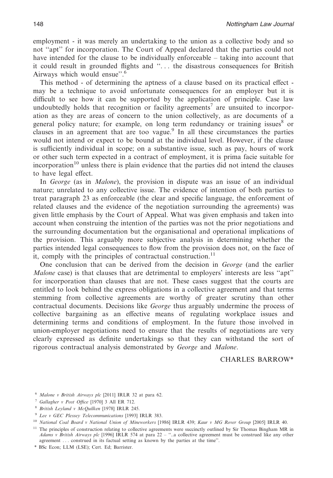employment - it was merely an undertaking to the union as a collective body and so not ''apt'' for incorporation. The Court of Appeal declared that the parties could not have intended for the clause to be individually enforceable – taking into account that it could result in grounded flights and ''. . . the disastrous consequences for British Airways which would ensue''.6

This method - of determining the aptness of a clause based on its practical effect may be a technique to avoid unfortunate consequences for an employer but it is difficult to see how it can be supported by the application of principle. Case law undoubtedly holds that recognition or facility agreements<sup>7</sup> are unsuited to incorporation as they are areas of concern to the union collectively, as are documents of a general policy nature; for example, on long term redundancy or training issues<sup>8</sup> or clauses in an agreement that are too vague.<sup>9</sup> In all these circumstances the parties would not intend or expect to be bound at the individual level. However, if the clause is sufficiently individual in scope; on a substantive issue, such as pay, hours of work or other such term expected in a contract of employment, it is prima facie suitable for incorporation $10$  unless there is plain evidence that the parties did not intend the clauses to have legal effect.

In *George* (as in *Malone*), the provision in dispute was an issue of an individual nature; unrelated to any collective issue. The evidence of intention of both parties to treat paragraph 23 as enforceable (the clear and specific language, the enforcement of related clauses and the evidence of the negotiation surrounding the agreements) was given little emphasis by the Court of Appeal. What was given emphasis and taken into account when construing the intention of the parties was not the prior negotiations and the surrounding documentation but the organisational and operational implications of the provision. This arguably more subjective analysis in determining whether the parties intended legal consequences to flow from the provision does not, on the face of it, comply with the principles of contractual construction.<sup>11</sup>

One conclusion that can be derived from the decision in *George* (and the earlier *Malone* case) is that clauses that are detrimental to employers' interests are less ''apt'' for incorporation than clauses that are not. These cases suggest that the courts are entitled to look behind the express obligations in a collective agreement and that terms stemming from collective agreements are worthy of greater scrutiny than other contractual documents. Decisions like *George* thus arguably undermine the process of collective bargaining as an effective means of regulating workplace issues and determining terms and conditions of employment. In the future those involved in union-employer negotiations need to ensure that the results of negotiations are very clearly expressed as definite undertakings so that they can withstand the sort of rigorous contractual analysis demonstrated by *George* and *Malone*.

CHARLES BARROW\*

- <sup>6</sup> *Malone v British Airways plc* [2011] IRLR 32 at para 62.
- <sup>7</sup> *Gallagher v Post Office* [1970] 3 All ER 712.
- <sup>8</sup> *British Leyland v McQuilken* [1978] IRLR 245.
- <sup>9</sup> *Lee v GEC Plessey Telecommunications* [1993] IRLR 383.
- <sup>10</sup> *National Coal Board v National Union of Mineworkers* [1986] IRLR 439; *Kaur v MG Rover Group* [2005] IRLR 40.

 $11$  The principles of construction relating to collective agreements were succinctly outlined by Sir Thomas Bingham MR in *Adams v British Airways plc* [1996] IRLR 574 at para 22 – ''..a collective agreement must be construed like any other agreement . . . construed in its factual setting as known by the parties at the time''.

<sup>\*</sup> BSc Econ; LLM (LSE); Cert. Ed; Barrister.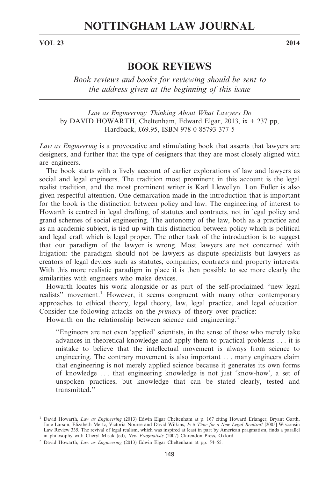# **NOTTINGHAM LAW JOURNAL**

**VOL 23 2014**

# **BOOK REVIEWS**

*Book reviews and books for reviewing should be sent to the address given at the beginning of this issue*

*Law as Engineering: Thinking About What Lawyers Do* by DAVID HOWARTH, Cheltenham, Edward Elgar, 2013, ix + 237 pp, Hardback, £69.95, ISBN 978 0 85793 377 5

*Law as Engineering* is a provocative and stimulating book that asserts that lawyers are designers, and further that the type of designers that they are most closely aligned with are engineers.

The book starts with a lively account of earlier explorations of law and lawyers as social and legal engineers. The tradition most prominent in this account is the legal realist tradition, and the most prominent writer is Karl Llewellyn. Lon Fuller is also given respectful attention. One demarcation made in the introduction that is important for the book is the distinction between policy and law. The engineering of interest to Howarth is centred in legal drafting, of statutes and contracts, not in legal policy and grand schemes of social engineering. The autonomy of the law, both as a practice and as an academic subject, is tied up with this distinction between policy which is political and legal craft which is legal proper. The other task of the introduction is to suggest that our paradigm of the lawyer is wrong. Most lawyers are not concerned with litigation: the paradigm should not be lawyers as dispute specialists but lawyers as creators of legal devices such as statutes, companies, contracts and property interests. With this more realistic paradigm in place it is then possible to see more clearly the similarities with engineers who make devices.

Howarth locates his work alongside or as part of the self-proclaimed ''new legal realists" movement.<sup>1</sup> However, it seems congruent with many other contemporary approaches to ethical theory, legal theory, law, legal practice, and legal education. Consider the following attacks on the *primacy* of theory over practice:

Howarth on the relationship between science and engineering:<sup>2</sup>

''Engineers are not even 'applied' scientists, in the sense of those who merely take advances in theoretical knowledge and apply them to practical problems . . . it is mistake to believe that the intellectual movement is always from science to engineering. The contrary movement is also important . . . many engineers claim that engineering is not merely applied science because it generates its own forms of knowledge . . . that engineering knowledge is not just 'know-how', a set of unspoken practices, but knowledge that can be stated clearly, tested and transmitted.''

<sup>1</sup> David Howarth, *Law as Engineering* (2013) Edwin Elgar Cheltenham at p. 167 citing Howard Erlanger, Bryant Garth, Jane Larson, Elizabeth Mertz, Victoria Nourse and David Wilkins, *Is it Time for a New Legal Realism?* [2005] Wisconsin Law Review 335. The revival of legal realism, which was inspired at least in part by American pragmatism, finds a parallel in philosophy with Cheryl Misak (ed), *New Pragmatists* (2007) Clarendon Press, Oxford.

<sup>2</sup> David Howarth, *Law as Engineering* (2013) Edwin Elgar Cheltenham at pp. 54–55.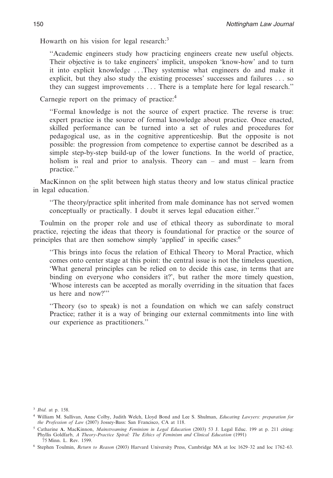Howarth on his vision for legal research: $3$ 

''Academic engineers study how practicing engineers create new useful objects. Their objective is to take engineers' implicit, unspoken 'know-how' and to turn it into explicit knowledge . . .They systemise what engineers do and make it explicit, but they also study the existing processes' successes and failures . . . so they can suggest improvements . . . There is a template here for legal research.''

Carnegie report on the primacy of practice:<sup>4</sup>

''Formal knowledge is not the source of expert practice. The reverse is true: expert practice is the source of formal knowledge about practice. Once enacted, skilled performance can be turned into a set of rules and procedures for pedagogical use, as in the cognitive apprenticeship. But the opposite is not possible: the progression from competence to expertise cannot be described as a simple step-by-step build-up of the lower functions. In the world of practice, holism is real and prior to analysis. Theory can – and must – learn from practice.''

MacKinnon on the split between high status theory and low status clinical practice in legal education.

''The theory/practice split inherited from male dominance has not served women conceptually or practically. I doubt it serves legal education either.''

Toulmin on the proper role and use of ethical theory as subordinate to moral practice, rejecting the ideas that theory is foundational for practice or the source of principles that are then somehow simply 'applied' in specific cases:<sup>6</sup>

''This brings into focus the relation of Ethical Theory to Moral Practice, which comes onto center stage at this point: the central issue is not the timeless question, 'What general principles can be relied on to decide this case, in terms that are binding on everyone who considers it?', but rather the more timely question, 'Whose interests can be accepted as morally overriding in the situation that faces us here and now?'''

''Theory (so to speak) is not a foundation on which we can safely construct Practice; rather it is a way of bringing our external commitments into line with our experience as practitioners.''

<sup>3</sup> *Ibid*. at p. 158.

<sup>4</sup> William M. Sullivan, Anne Colby, Judith Welch, Lloyd Bond and Lee S. Shulman, *Educating Lawyers: preparation for the Profession of Law* (2007) Jossey-Bass: San Francisco, CA at 118.

<sup>5</sup> Catharine **A.** MacKinnon, *Mainstreaming Feminism in Legal Education* (2003) 53 J. Legal Educ. 199 at p. 211 citing: Phyllis Goldfarb, *A Theory-Practice Spiral: The Ethics of Feminism and Clinical Education* (1991) 75 Minn. L. Rev. 1599.

<sup>6</sup> Stephen Toulmin, *Return to Reason* (2003) Harvard University Press, Cambridge MA at loc 1629–32 and loc 1762–63.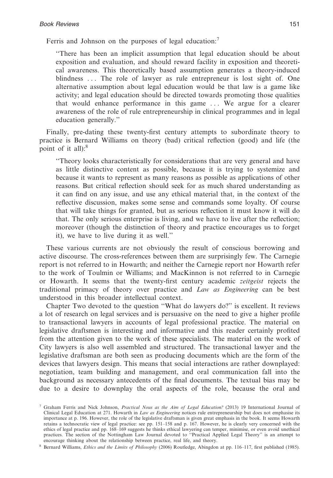Ferris and Johnson on the purposes of legal education:<sup>7</sup>

''There has been an implicit assumption that legal education should be about exposition and evaluation, and should reward facility in exposition and theoretical awareness. This theoretically based assumption generates a theory-induced blindness . . . The role of lawyer as rule entrepreneur is lost sight of. One alternative assumption about legal education would be that law is a game like activity; and legal education should be directed towards promoting those qualities that would enhance performance in this game . . . We argue for a clearer awareness of the role of rule entrepreneurship in clinical programmes and in legal education generally.''

Finally, pre-dating these twenty-first century attempts to subordinate theory to practice is Bernard Williams on theory (bad) critical reflection (good) and life (the point of it all):<sup>8</sup>

''Theory looks characteristically for considerations that are very general and have as little distinctive content as possible, because it is trying to systemize and because it wants to represent as many reasons as possible as applications of other reasons. But critical reflection should seek for as much shared understanding as it can find on any issue, and use any ethical material that, in the context of the reflective discussion, makes some sense and commands some loyalty. Of course that will take things for granted, but as serious reflection it must know it will do that. The only serious enterprise is living, and we have to live after the reflection; moreover (though the distinction of theory and practice encourages us to forget it), we have to live during it as well.''

These various currents are not obviously the result of conscious borrowing and active discourse. The cross-references between them are surprisingly few. The Carnegie report is not referred to in Howarth; and neither the Carnegie report nor Howarth refer to the work of Toulmin or Williams; and MacKinnon is not referred to in Carnegie or Howarth. It seems that the twenty-first century academic *zeitgeist* rejects the traditional primacy of theory over practice and *Law as Engineering* can be best understood in this broader intellectual context.

Chapter Two devoted to the question ''What do lawyers do?'' is excellent. It reviews a lot of research on legal services and is persuasive on the need to give a higher profile to transactional lawyers in accounts of legal professional practice. The material on legislative draftsmen is interesting and informative and this reader certainly profited from the attention given to the work of these specialists. The material on the work of City lawyers is also well assembled and structured. The transactional lawyer and the legislative draftsman are both seen as producing documents which are the form of the devices that lawyers design. This means that social interactions are rather downplayed: negotiation, team building and management, and oral communication fall into the background as necessary antecedents of the final documents. The textual bias may be due to a desire to downplay the oral aspects of the role, because the oral and

<sup>8</sup> Bernard Williams, *Ethics and the Limits of Philosophy* (2006) Routledge, Abingdon at pp. 116–117, first published (1985).

<sup>7</sup> Graham Ferris and Nick Johnson, *Practical Nous as the Aim of Legal Education?* (2013) 19 International Journal of Clinical Legal Education at 271. Howarth in *Law as Engineering* notices rule entrepreneurship but does not emphasise its importance at p. 196. However, the role of the legislative draftsman is given great emphasis in the book. It seems Howarth retains a technocratic view of legal practice: see pp. 151–158 and p. 167. However, he is clearly very concerned with the ethics of legal practice and pp. 168–169 suggests he thinks ethical lawyering can temper, minimise, or even avoid unethical practices. The section of the Nottingham Law Journal devoted to ''Practical Applied Legal Theory'' is an attempt to encourage thinking about the relationship between practice, real life, and theory.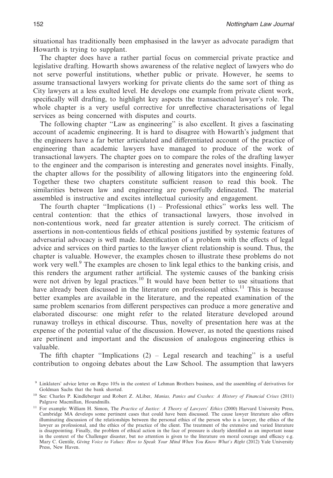situational has traditionally been emphasised in the lawyer as advocate paradigm that Howarth is trying to supplant.

The chapter does have a rather partial focus on commercial private practice and legislative drafting. Howarth shows awareness of the relative neglect of lawyers who do not serve powerful institutions, whether public or private. However, he seems to assume transactional lawyers working for private clients do the same sort of thing as City lawyers at a less exulted level. He develops one example from private client work, specifically will drafting, to highlight key aspects the transactional lawyer's role. The whole chapter is a very useful corrective for unreflective characterisations of legal services as being concerned with disputes and courts.

The following chapter ''Law as engineering'' is also excellent. It gives a fascinating account of academic engineering. It is hard to disagree with Howarth's judgment that the engineers have a far better articulated and differentiated account of the practice of engineering than academic lawyers have managed to produce of the work of transactional lawyers. The chapter goes on to compare the roles of the drafting lawyer to the engineer and the comparison is interesting and generates novel insights. Finally, the chapter allows for the possibility of allowing litigators into the engineering fold. Together these two chapters constitute sufficient reason to read this book. The similarities between law and engineering are powerfully delineated. The material assembled is instructive and excites intellectual curiosity and engagement.

The fourth chapter "Implications  $(1)$  – Professional ethics" works less well. The central contention: that the ethics of transactional lawyers, those involved in non-contentious work, need far greater attention is surely correct. The criticism of assertions in non-contentious fields of ethical positions justified by systemic features of adversarial advocacy is well made. Identification of a problem with the effects of legal advice and services on third parties to the lawyer client relationship is sound. Thus, the chapter is valuable. However, the examples chosen to illustrate these problems do not work very well.<sup>9</sup> The examples are chosen to link legal ethics to the banking crisis, and this renders the argument rather artificial. The systemic causes of the banking crisis were not driven by legal practices.<sup>10</sup> It would have been better to use situations that have already been discussed in the literature on professional ethics.<sup>11</sup> This is because better examples are available in the literature, and the repeated examination of the same problem scenarios from different perspectives can produce a more generative and elaborated discourse: one might refer to the related literature developed around runaway trolleys in ethical discourse. Thus, novelty of presentation here was at the expense of the potential value of the discussion. However, as noted the questions raised are pertinent and important and the discussion of analogous engineering ethics is valuable.

The fifth chapter "Implications  $(2)$  – Legal research and teaching" is a useful contribution to ongoing debates about the Law School. The assumption that lawyers

<sup>9</sup> Linklaters' advice letter on Repo 105s in the context of Lehman Brothers business, and the assembling of derivatives for Goldman Sachs that the bank shorted.

<sup>10</sup> See: Charles P. Kindleberger and Robert Z. ALiber, *Manias, Panics and Crashes: A History of Financial Crises* (2011) Palgrave Macmillan, Houndmills.

<sup>11</sup> For example: William H. Simon, The *Practice of Justice: A Theory of Lawyers' Ethics* (2000) Harvard University Press, Cambridge MA develops some pertinent cases that could have been discussed. The cause lawyer literature also offers illuminating discussion of the relationships between the personal ethics of the person who is a lawyer, the ethics of the lawyer as professional, and the ethics of the practice of the client. The treatment of the extensive and varied literature is disappointing. Finally, the problem of ethical action in the face of pressure is clearly identified as an important issue in the context of the Challenger disaster, but no attention is given to the literature on moral courage and efficacy e.g. Mary C. Gentile, *Giving Voice to Values: How to Speak Your Mind When You Know What's Right* (2012) Yale University Press, New Haven.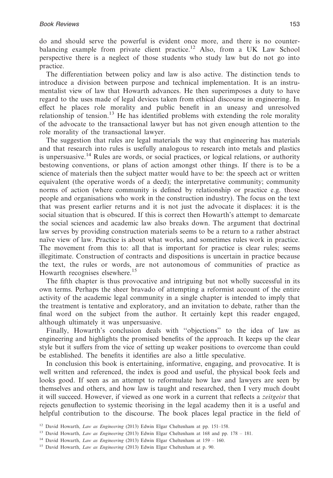do and should serve the powerful is evident once more, and there is no counterbalancing example from private client practice.<sup>12</sup> Also, from a UK Law School perspective there is a neglect of those students who study law but do not go into practice.

The differentiation between policy and law is also active. The distinction tends to introduce a division between purpose and technical implementation. It is an instrumentalist view of law that Howarth advances. He then superimposes a duty to have regard to the uses made of legal devices taken from ethical discourse in engineering. In effect he places role morality and public benefit in an uneasy and unresolved relationship of tension.<sup>13</sup> He has identified problems with extending the role morality of the advocate to the transactional lawyer but has not given enough attention to the role morality of the transactional lawyer.

The suggestion that rules are legal materials the way that engineering has materials and that research into rules is usefully analogous to research into metals and plastics is unpersuasive.<sup>14</sup> Rules are words, or social practices, or logical relations, or authority bestowing conventions, or plans of action amongst other things. If there is to be a science of materials then the subject matter would have to be: the speech act or written equivalent (the operative words of a deed); the interpretative community; community norms of action (where community is defined by relationship or practice e.g. those people and organisations who work in the construction industry). The focus on the text that was present earlier returns and it is not just the advocate it displaces: it is the social situation that is obscured. If this is correct then Howarth's attempt to demarcate the social sciences and academic law also breaks down. The argument that doctrinal law serves by providing construction materials seems to be a return to a rather abstract naïve view of law. Practice is about what works, and sometimes rules work in practice. The movement from this to: all that is important for practice is clear rules; seems illegitimate. Construction of contracts and dispositions is uncertain in practice because the text, the rules or words, are not autonomous of communities of practice as Howarth recognises elsewhere.<sup>15</sup>

The fifth chapter is thus provocative and intriguing but not wholly successful in its own terms. Perhaps the sheer bravado of attempting a reformist account of the entire activity of the academic legal community in a single chapter is intended to imply that the treatment is tentative and exploratory, and an invitation to debate, rather than the final word on the subject from the author. It certainly kept this reader engaged, although ultimately it was unpersuasive.

Finally, Howarth's conclusion deals with ''objections'' to the idea of law as engineering and highlights the promised benefits of the approach. It keeps up the clear style but it suffers from the vice of setting up weaker positions to overcome than could be established. The benefits it identifies are also a little speculative.

In conclusion this book is entertaining, informative, engaging, and provocative. It is well written and referenced, the index is good and useful, the physical book feels and looks good. If seen as an attempt to reformulate how law and lawyers are seen by themselves and others, and how law is taught and researched, then I very much doubt it will succeed. However, if viewed as one work in a current that reflects a *zeitgeist* that rejects genuflection to systemic theorising in the legal academy then it is a useful and helpful contribution to the discourse. The book places legal practice in the field of

<sup>12</sup> David Howarth, *Law as Engineering* (2013) Edwin Elgar Cheltenham at pp. 151–158.

<sup>13</sup> David Howarth, *Law as Engineering* (2013) Edwin Elgar Cheltenham at 168 and pp. 178 – 181.

<sup>14</sup> David Howarth, *Law as Engineering* (2013) Edwin Elgar Cheltenham at 159 – 160.

<sup>15</sup> David Howarth, *Law as Engineering* (2013) Edwin Elgar Cheltenham at p. 90.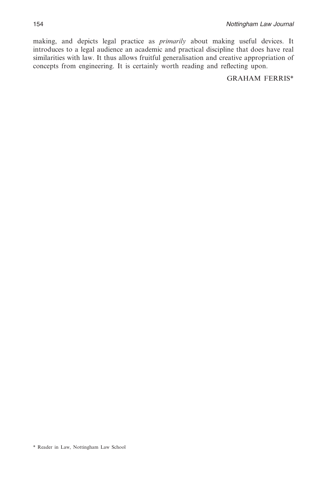making, and depicts legal practice as *primarily* about making useful devices. It introduces to a legal audience an academic and practical discipline that does have real similarities with law. It thus allows fruitful generalisation and creative appropriation of concepts from engineering. It is certainly worth reading and reflecting upon.

GRAHAM FERRIS\*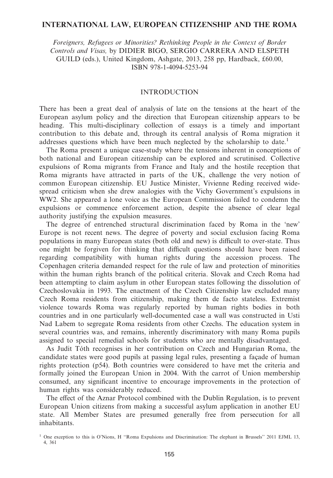#### **INTERNATIONAL LAW, EUROPEAN CITIZENSHIP AND THE ROMA**

*Foreigners, Refugees or Minorities? Rethinking People in the Context of Border Controls and Visas,* by DIDIER BIGO, SERGIO CARRERA AND ELSPETH GUILD (eds.), United Kingdom, Ashgate, 2013, 258 pp, Hardback, £60.00, ISBN 978-1-4094-5253-94

# INTRODUCTION

There has been a great deal of analysis of late on the tensions at the heart of the European asylum policy and the direction that European citizenship appears to be heading. This multi-disciplinary collection of essays is a timely and important contribution to this debate and, through its central analysis of Roma migration it addresses questions which have been much neglected by the scholarship to date.<sup>1</sup>

The Roma present a unique case-study where the tensions inherent in conceptions of both national and European citizenship can be explored and scrutinised. Collective expulsions of Roma migrants from France and Italy and the hostile reception that Roma migrants have attracted in parts of the UK, challenge the very notion of common European citizenship. EU Justice Minister, Vivienne Reding received widespread criticism when she drew analogies with the Vichy Government's expulsions in WW2. She appeared a lone voice as the European Commission failed to condemn the expulsions or commence enforcement action, despite the absence of clear legal authority justifying the expulsion measures.

The degree of entrenched structural discrimination faced by Roma in the 'new' Europe is not recent news. The degree of poverty and social exclusion facing Roma populations in many European states (both old and new) is difficult to over-state. Thus one might be forgiven for thinking that difficult questions should have been raised regarding compatibility with human rights during the accession process. The Copenhagen criteria demanded respect for the rule of law and protection of minorities within the human rights branch of the political criteria. Slovak and Czech Roma had been attempting to claim asylum in other European states following the dissolution of Czechoslovakia in 1993. The enactment of the Czech Citizenship law excluded many Czech Roma residents from citizenship, making them de facto stateless. Extremist violence towards Roma was regularly reported by human rights bodies in both countries and in one particularly well-documented case a wall was constructed in Usti Nad Labem to segregate Roma residents from other Czechs. The education system in several countries was, and remains, inherently discriminatory with many Roma pupils assigned to special remedial schools for students who are mentally disadvantaged.

As Judit Tóth recognises in her contribution on Czech and Hungarian Roma, the candidate states were good pupils at passing legal rules, presenting a façade of human rights protection (p54). Both countries were considered to have met the criteria and formally joined the European Union in 2004. With the carrot of Union membership consumed, any significant incentive to encourage improvements in the protection of human rights was considerably reduced.

The effect of the Aznar Protocol combined with the Dublin Regulation, is to prevent European Union citizens from making a successful asylum application in another EU state. All Member States are presumed generally free from persecution for all inhabitants.

<sup>&</sup>lt;sup>1</sup> One exception to this is O'Nions, H "Roma Expulsions and Discrimination: The elephant in Brussels" 2011 EJML 13, 4, 361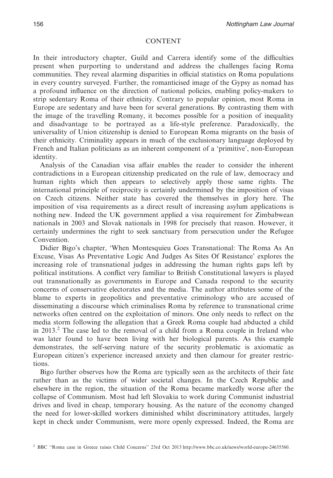#### CONTENT

In their introductory chapter, Guild and Carrera identify some of the difficulties present when purporting to understand and address the challenges facing Roma communities. They reveal alarming disparities in official statistics on Roma populations in every country surveyed. Further, the romanticised image of the Gypsy as nomad has a profound influence on the direction of national policies, enabling policy-makers to strip sedentary Roma of their ethnicity. Contrary to popular opinion, most Roma in Europe are sedentary and have been for several generations. By contrasting them with the image of the travelling Romany, it becomes possible for a position of inequality and disadvantage to be portrayed as a life-style preference. Paradoxically, the universality of Union citizenship is denied to European Roma migrants on the basis of their ethnicity. Criminality appears in much of the exclusionary language deployed by French and Italian politicians as an inherent component of a 'primitive', non-European identity.

Analysis of the Canadian visa affair enables the reader to consider the inherent contradictions in a European citizenship predicated on the rule of law, democracy and human rights which then appears to selectively apply those same rights. The international principle of reciprocity is certainly undermined by the imposition of visas on Czech citizens. Neither state has covered the themselves in glory here. The imposition of visa requirements as a direct result of increasing asylum applications is nothing new. Indeed the UK government applied a visa requirement for Zimbabwean nationals in 2003 and Slovak nationals in 1998 for precisely that reason. However, it certainly undermines the right to seek sanctuary from persecution under the Refugee **Convention** 

Didier Bigo's chapter, 'When Montesquieu Goes Transnational: The Roma As An Excuse, Visas As Preventative Logic And Judges As Sites Of Resistance' explores the increasing role of transnational judges in addressing the human rights gaps left by political institutions. A conflict very familiar to British Constitutional lawyers is played out transnationally as governments in Europe and Canada respond to the security concerns of conservative electorates and the media. The author attributes some of the blame to experts in geopolitics and preventative criminology who are accused of disseminating a discourse which criminalises Roma by reference to transnational crime networks often centred on the exploitation of minors. One only needs to reflect on the media storm following the allegation that a Greek Roma couple had abducted a child in  $2013<sup>2</sup>$ . The case led to the removal of a child from a Roma couple in Ireland who was later found to have been living with her biological parents. As this example demonstrates, the self-serving nature of the security problematic is axiomatic as European citizen's experience increased anxiety and then clamour for greater restrictions.

Bigo further observes how the Roma are typically seen as the architects of their fate rather than as the victims of wider societal changes. In the Czech Republic and elsewhere in the region, the situation of the Roma became markedly worse after the collapse of Communism. Most had left Slovakia to work during Communist industrial drives and lived in cheap, temporary housing. As the nature of the economy changed the need for lower-skilled workers diminished whilst discriminatory attitudes, largely kept in check under Communism, were more openly expressed. Indeed, the Roma are

<sup>2</sup> BBC ''Roma case in Greece raises Child Concerns'' 23rd Oct 2013 http://www.bbc.co.uk/news/world-europe-24635560.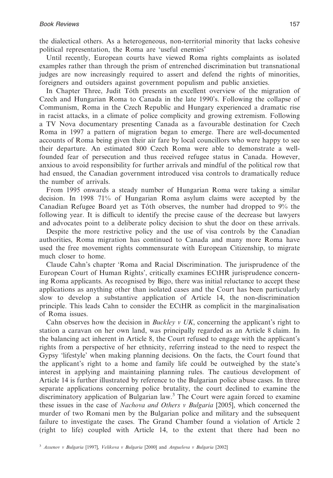the dialectical others. As a heterogeneous, non-territorial minority that lacks cohesive political representation, the Roma are 'useful enemies'

Until recently, European courts have viewed Roma rights complaints as isolated examples rather than through the prism of entrenched discrimination but transnational judges are now increasingly required to assert and defend the rights of minorities, foreigners and outsiders against government populism and public anxieties.

In Chapter Three, Judit Tóth presents an excellent overview of the migration of Czech and Hungarian Roma to Canada in the late 1990's. Following the collapse of Communism, Roma in the Czech Republic and Hungary experienced a dramatic rise in racist attacks, in a climate of police complicity and growing extremism. Following a TV Nova documentary presenting Canada as a favourable destination for Czech Roma in 1997 a pattern of migration began to emerge. There are well-documented accounts of Roma being given their air fare by local councillors who were happy to see their departure. An estimated 800 Czech Roma were able to demonstrate a wellfounded fear of persecution and thus received refugee status in Canada. However, anxious to avoid responsibility for further arrivals and mindful of the political row that had ensued, the Canadian government introduced visa controls to dramatically reduce the number of arrivals.

From 1995 onwards a steady number of Hungarian Roma were taking a similar decision. In 1998 71% of Hungarian Roma asylum claims were accepted by the Canadian Refugee Board yet as Tóth observes, the number had dropped to 9% the following year. It is difficult to identify the precise cause of the decrease but lawyers and advocates point to a deliberate policy decision to shut the door on these arrivals.

Despite the more restrictive policy and the use of visa controls by the Canadian authorities, Roma migration has continued to Canada and many more Roma have used the free movement rights commensurate with European Citizenship, to migrate much closer to home.

Claude Cahn's chapter 'Roma and Racial Discrimination. The jurisprudence of the European Court of Human Rights', critically examines ECtHR jurisprudence concerning Roma applicants. As recognised by Bigo, there was initial reluctance to accept these applications as anything other than isolated cases and the Court has been particularly slow to develop a substantive application of Article 14, the non-discrimination principle. This leads Cahn to consider the ECtHR as complicit in the marginalisation of Roma issues.

Cahn observes how the decision in *Buckley v UK*, concerning the applicant's right to station a caravan on her own land, was principally regarded as an Article 8 claim. In the balancing act inherent in Article 8, the Court refused to engage with the applicant's rights from a perspective of her ethnicity, referring instead to the need to respect the Gypsy 'lifestyle' when making planning decisions. On the facts, the Court found that the applicant's right to a home and family life could be outweighed by the state's interest in applying and maintaining planning rules. The cautious development of Article 14 is further illustrated by reference to the Bulgarian police abuse cases. In three separate applications concerning police brutality, the court declined to examine the discriminatory application of Bulgarian law.<sup>3</sup> The Court were again forced to examine these issues in the case of *Nachova and Others v Bulgaria* [2005], which concerned the murder of two Romani men by the Bulgarian police and military and the subsequent failure to investigate the cases. The Grand Chamber found a violation of Article 2 (right to life) coupled with Article 14, to the extent that there had been no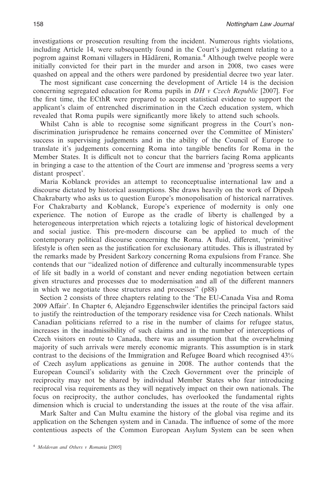investigations or prosecution resulting from the incident. Numerous rights violations, including Article 14, were subsequently found in the Court's judgement relating to a pogrom against Romani villagers in Hãdãreni, Romania.4 Although twelve people were initially convicted for their part in the murder and arson in 2008, two cases were quashed on appeal and the others were pardoned by presidential decree two year later.

The most significant case concerning the development of Article 14 is the decision concerning segregated education for Roma pupils in *DH v Czech Republic* [2007]. For the first time, the ECthR were prepared to accept statistical evidence to support the applicant's claim of entrenched discrimination in the Czech education system, which revealed that Roma pupils were significantly more likely to attend such schools.

Whilst Cahn is able to recognise some significant progress in the Court's nondiscrimination jurisprudence he remains concerned over the Committee of Ministers' success in supervising judgements and in the ability of the Council of Europe to translate it's judgements concerning Roma into tangible benefits for Roma in the Member States. It is difficult not to concur that the barriers facing Roma applicants in bringing a case to the attention of the Court are immense and 'progress seems a very distant prospect'.

Maria Koblanck provides an attempt to reconceptualise international law and a discourse dictated by historical assumptions. She draws heavily on the work of Dipesh Chakrabarty who asks us to question Europe's monopolisation of historical narratives. For Chakrabarty and Koblanck, Europe's experience of modernity is only one experience. The notion of Europe as the cradle of liberty is challenged by a heterogeneous interpretation which rejects a totalizing logic of historical development and social justice. This pre-modern discourse can be applied to much of the contemporary political discourse concerning the Roma. A fluid, different, 'primitive' lifestyle is often seen as the justification for exclusionary attitudes. This is illustrated by the remarks made by President Sarkozy concerning Roma expulsions from France. She contends that our ''idealized notion of difference and culturally incommensurable types of life sit badly in a world of constant and never ending negotiation between certain given structures and processes due to modernisation and all of the different manners in which we negotiate those structures and processes'' (p88)

Section 2 consists of three chapters relating to the 'The EU-Canada Visa and Roma 2009 Affair'. In Chapter 6, Alejandro Eggenschwiler identifies the principal factors said to justify the reintroduction of the temporary residence visa for Czech nationals. Whilst Canadian politicians referred to a rise in the number of claims for refugee status, increases in the inadmissibility of such claims and in the number of interceptions of Czech visitors en route to Canada, there was an assumption that the overwhelming majority of such arrivals were merely economic migrants. This assumption is in stark contrast to the decisions of the Immigration and Refugee Board which recognised 43% of Czech asylum applications as genuine in 2008. The author contends that the European Council's solidarity with the Czech Government over the principle of reciprocity may not be shared by individual Member States who fear introducing reciprocal visa requirements as they will negatively impact on their own nationals. The focus on reciprocity, the author concludes, has overlooked the fundamental rights dimension which is crucial to understanding the issues at the route of the visa affair.

Mark Salter and Can Multu examine the history of the global visa regime and its application on the Schengen system and in Canada. The influence of some of the more contentious aspects of the Common European Asylum System can be seen when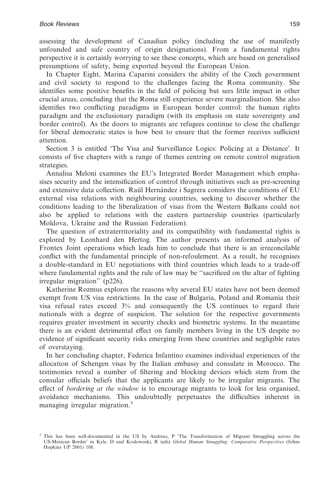assessing the development of Canadian policy (including the use of manifestly unfounded and safe country of origin designations). From a fundamental rights perspective it is certainly worrying to see these concepts, which are based on generalised presumptions of safety, being exported beyond the European Union.

In Chapter Eight, Marina Caparini considers the ability of the Czech government and civil society to respond to the challenges facing the Roma community. She identifies some positive benefits in the field of policing but sees little impact in other crucial areas, concluding that the Roma still experience severe marginalisation. She also identifies two conflicting paradigms in European border control: the human rights paradigm and the exclusionary paradigm (with its emphasis on state sovereignty and border control). As the doors to migrants are refugees continue to close the challenge for liberal democratic states is how best to ensure that the former receives sufficient attention.

Section 3 is entitled 'The Visa and Surveillance Logics: Policing at a Distance'. It consists of five chapters with a range of themes centring on remote control migration strategies.

Annalisa Meloni examines the EU's Integrated Border Management which emphasises security and the intensification of control through initiatives such as pre-screening and extensive data collection. Raül Hernández i Sagrera considers the conditions of EU external visa relations with neighbouring countries, seeking to discover whether the conditions leading to the liberalization of visas from the Western Balkans could not also be applied to relations with the eastern partnership countries (particularly Moldova, Ukraine and the Russian Federation).

The question of extraterritoriality and its compatibility with fundamental rights is explored by Leonhard den Hertog. The author presents an informed analysis of Frontex Joint operations which leads him to conclude that there is an irreconcilable conflict with the fundamental principle of non-refoulement. As a result, he recognises a double-standard in EU negotiations with third countries which leads to a trade-off where fundamental rights and the rule of law may be ''sacrificed on the altar of fighting irregular migration'' (p226).

Katherine Rozmus explores the reasons why several EU states have not been deemed exempt from US visa restrictions. In the case of Bulgaria, Poland and Romania their visa refusal rates exceed 3% and consequently the US continues to regard their nationals with a degree of suspicion. The solution for the respective governments requires greater investment in security checks and biometric systems. In the meantime there is an evident detrimental effect on family members living in the US despite no evidence of significant security risks emerging from these countries and negligible rates of overstaying.

In her concluding chapter, Federica Infantino examines individual experiences of the allocation of Schengen visas by the Italian embassy and consulate in Morocco. The testimonies reveal a number of filtering and blocking devices which stem from the consular officials beliefs that the applicants are likely to be irregular migrants. The effect of *bordering at the window* is to encourage migrants to look for less organised, avoidance mechanisms. This undoubtedly perpetuates the difficulties inherent in managing irregular migration.<sup>5</sup>

<sup>5</sup> This has been well-documented in the US by Andreas, P 'The Transformation of Migrant Smuggling across the US-Mexican Border' in Kyle, D and Koslowoski, R (eds) *Global Human Smuggling: Comparative Perspectives* (Johns Hopkins UP 2001) 108.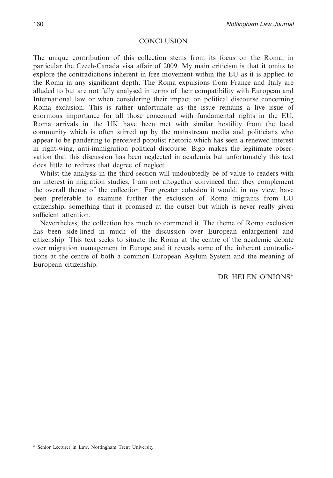#### **CONCLUSION**

The unique contribution of this collection stems from its focus on the Roma, in particular the Czech-Canada visa affair of 2009. My main criticism is that it omits to explore the contradictions inherent in free movement within the EU as it is applied to the Roma in any significant depth. The Roma expulsions from France and Italy are alluded to but are not fully analysed in terms of their compatibility with European and International law or when considering their impact on political discourse concerning Roma exclusion. This is rather unfortunate as the issue remains a live issue of enormous importance for all those concerned with fundamental rights in the EU. Roma arrivals in the UK have been met with similar hostility from the local community which is often stirred up by the mainstream media and politicians who appear to be pandering to perceived populist rhetoric which has seen a renewed interest in right-wing, anti-immigration political discourse. Bigo makes the legitimate observation that this discussion has been neglected in academia but unfortunately this text does little to redress that degree of neglect.

Whilst the analysis in the third section will undoubtedly be of value to readers with an interest in migration studies, I am not altogether convinced that they complement the overall theme of the collection. For greater cohesion it would, in my view, have been preferable to examine further the exclusion of Roma migrants from EU citizenship; something that it promised at the outset but which is never really given sufficient attention.

Nevertheless, the collection has much to commend it. The theme of Roma exclusion has been side-lined in much of the discussion over European enlargement and citizenship. This text seeks to situate the Roma at the centre of the academic debate over migration management in Europe and it reveals some of the inherent contradictions at the centre of both a common European Asylum System and the meaning of European citizenship.

DR HELEN O'NIONS\*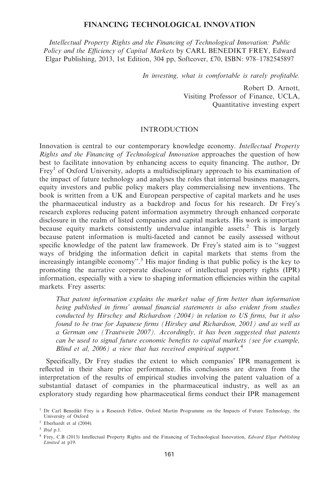#### **FINANCING TECHNOLOGICAL INNOVATION**

*Intellectual Property Rights and the Financing of Technological Innovation: Public Policy and the Efficiency of Capital Markets* by CARL BENEDIKT FREY, Edward Elgar Publishing, 2013, 1st Edition, 304 pp, Softcover, £70, ISBN: 978–1782545897

*In investing, what is comfortable is rarely profitable.*

Robert D. Arnott, Visiting Professor of Finance, UCLA, Quantitative investing expert

#### INTRODUCTION

Innovation is central to our contemporary knowledge economy. *Intellectual Property Rights and the Financing of Technological Innovation* approaches the question of how best to facilitate innovation by enhancing access to equity financing. The author, Dr  $Frey<sup>1</sup>$  of Oxford University, adopts a multidisciplinary approach to his examination of the impact of future technology and analyses the roles that internal business managers, equity investors and public policy makers play commercialising new inventions. The book is written from a UK and European perspective of capital markets and he uses the pharmaceutical industry as a backdrop and focus for his research. Dr Frey's research explores reducing patent information asymmetry through enhanced corporate disclosure in the realm of listed companies and capital markets. His work is important because equity markets consistently undervalue intangible assets.<sup>2</sup> This is largely because patent information is multi-faceted and cannot be easily assessed without specific knowledge of the patent law framework. Dr Frey's stated aim is to ''suggest ways of bridging the information deficit in capital markets that stems from the increasingly intangible economy".<sup>3</sup> His major finding is that public policy is the key to promoting the narrative corporate disclosure of intellectual property rights (IPR) information, especially with a view to shaping information efficiencies within the capital markets. Frey asserts:

*That patent information explains the market value of firm better than information being published in firms' annual financial statements is also evident from studies conducted by Hirschey and Richardson (2004) in relation to US firms, but it also found to be true for Japanese firms (Hirshey and Richardson, 2001) and as well as a German one (Trautwein 2007). Accordingly, it has been suggested that patents can be used to signal future economic benefits to capital markets (see for example, Blind et al, 2006) a view that has received empirical support.*<sup>4</sup>

Specifically, Dr Frey studies the extent to which companies' IPR management is reflected in their share price performance. His conclusions are drawn from the interpretation of the results of empirical studies involving the patent valuation of a substantial dataset of companies in the pharmaceutical industry, as well as an exploratory study regarding how pharmaceutical firms conduct their IPR management

<sup>&</sup>lt;sup>1</sup> Dr Carl Benedikt Frey is a Research Fellow, Oxford Martin Programme on the Impacts of Future Technology, the University of Oxford

<sup>2</sup> Eberhardt et al (2004).

<sup>3</sup> *Ibid* p.1.

<sup>4</sup> Frey, C.B (2013) Intellectual Property Rights and the Financing of Technological Innovation, *Edward Elgar Publishing Limited* at p19.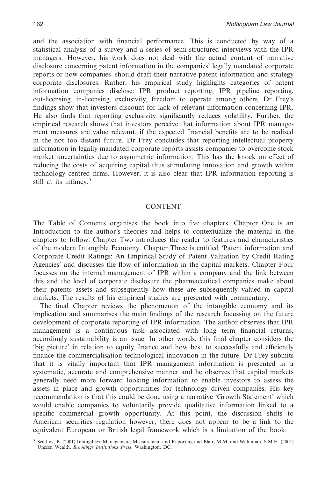and the association with financial performance. This is conducted by way of a statistical analysis of a survey and a series of semi-structured interviews with the IPR managers. However, his work does not deal with the actual content of narrative disclosure concerning patent information in the companies' legally mandated corporate reports or how companies' should draft their narrative patent information and strategy corporate disclosures. Rather, his empirical study highlights categories of patent information companies disclose: IPR product reporting, IPR pipeline reporting, out-licensing, in-licensing, exclusivity, freedom to operate among others. Dr Frey's findings show that investors discount for lack of relevant information concerning IPR. He also finds that reporting exclusivity significantly reduces volatility. Further, the empirical research shows that investors perceive that information about IPR management measures are value relevant, if the expected financial benefits are to be realised in the not too distant future. Dr Frey concludes that reporting intellectual property information in legally mandated corporate reports assists companies to overcome stock market uncertainties due to asymmetric information. This has the knock on effect of reducing the costs of acquiring capital thus stimulating innovation and growth within technology centred firms. However, it is also clear that IPR information reporting is still at its infancy.<sup>5</sup>

#### CONTENT

The Table of Contents organises the book into five chapters. Chapter One is an Introduction to the author's theories and helps to contextualize the material in the chapters to follow. Chapter Two introduces the reader to features and characteristics of the modern Intangible Economy. Chapter Three is entitled 'Patent information and Corporate Credit Ratings: An Empirical Study of Patent Valuation by Credit Rating Agencies' and discusses the flow of information in the capital markets. Chapter Four focusses on the internal management of IPR within a company and the link between this and the level of corporate disclosure the pharmaceutical companies make about their patents assets and subsequently how these are subsequently valued in capital markets. The results of his empirical studies are presented with commentary.

The final Chapter reviews the phenomenon of the intangible economy and its implication and summarises the main findings of the research focussing on the future development of corporate reporting of IPR information. The author observes that IPR management is a continuous task associated with long term financial returns, accordingly sustainability is an issue. In other words, this final chapter considers the 'big picture' in relation to equity finance and how best to successfully and efficiently finance the commercialisation technological innovation in the future. Dr Frey submits that it is vitally important that IPR management information is presented in a systematic, accurate and comprehensive manner and he observes that capital markets generally need more forward looking information to enable investors to assess the assets in place and growth opportunities for technology driven companies. His key recommendation is that this could be done using a narrative 'Growth Statement' which would enable companies to voluntarily provide qualitative information linked to a specific commercial growth opportunity. At this point, the discussion shifts to American securities regulation however, there does not appear to be a link to the equivalent European or British legal framework which is a limitation of the book.

<sup>5</sup> See Lev, B. (2001) Intangibles: Management, Measurement and Reporting and Blair, M.M. and Walmman, S.M.H. (2001) Unseen Wealth, *Brookings Institutions Press*, Washington, DC.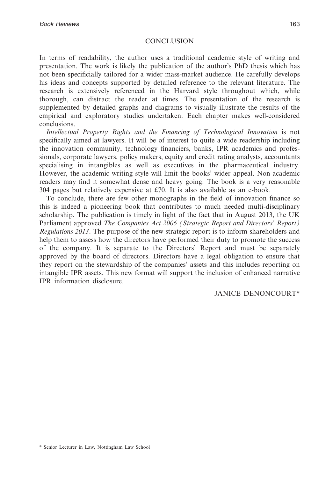# **CONCLUSION**

In terms of readability, the author uses a traditional academic style of writing and presentation. The work is likely the publication of the author's PhD thesis which has not been specificially tailored for a wider mass-market audience. He carefully develops his ideas and concepts supported by detailed reference to the relevant literature. The research is extensively referenced in the Harvard style throughout which, while thorough, can distract the reader at times. The presentation of the research is supplemented by detailed graphs and diagrams to visually illustrate the results of the empirical and exploratory studies undertaken. Each chapter makes well-considered conclusions.

*Intellectual Property Rights and the Financing of Technological Innovation* is not specifically aimed at lawyers. It will be of interest to quite a wide readership including the innovation community, technology financiers, banks, IPR academics and professionals, corporate lawyers, policy makers, equity and credit rating analysts, accountants specialising in intangibles as well as executives in the pharmaceutical industry. However, the academic writing style will limit the books' wider appeal. Non-academic readers may find it somewhat dense and heavy going. The book is a very reasonable 304 pages but relatively expensive at £70. It is also available as an e-book.

To conclude, there are few other monographs in the field of innovation finance so this is indeed a pioneering book that contributes to much needed multi-disciplinary scholarship. The publication is timely in light of the fact that in August 2013, the UK Parliament approved *The Companies Act 2006 (Strategic Report and Directors' Report) Regulations 2013*. The purpose of the new strategic report is to inform shareholders and help them to assess how the directors have performed their duty to promote the success of the company. It is separate to the Directors' Report and must be separately approved by the board of directors. Directors have a legal obligation to ensure that they report on the stewardship of the companies' assets and this includes reporting on intangible IPR assets. This new format will support the inclusion of enhanced narrative IPR information disclosure.

# JANICE DENONCOURT\*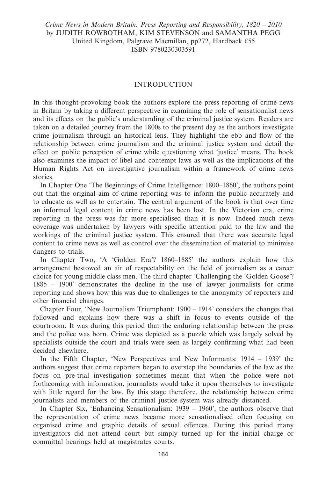*Crime News in Modern Britain: Press Reporting and Responsibility, 1820 – 2010* by JUDITH ROWBOTHAM, KIM STEVENSON and SAMANTHA PEGG United Kingdom, Palgrave Macmillan, pp272, Hardback £55 ISBN 9780230303591

#### INTRODUCTION

In this thought-provoking book the authors explore the press reporting of crime news in Britain by taking a different perspective in examining the role of sensationalist news and its effects on the public's understanding of the criminal justice system. Readers are taken on a detailed journey from the 1800s to the present day as the authors investigate crime journalism through an historical lens. They highlight the ebb and flow of the relationship between crime journalism and the criminal justice system and detail the effect on public perception of crime while questioning what 'justice' means. The book also examines the impact of libel and contempt laws as well as the implications of the Human Rights Act on investigative journalism within a framework of crime news stories.

In Chapter One 'The Beginnings of Crime Intelligence: 1800–1860', the authors point out that the original aim of crime reporting was to inform the public accurately and to educate as well as to entertain. The central argument of the book is that over time an informed legal content in crime news has been lost. In the Victorian era, crime reporting in the press was far more specialised than it is now. Indeed much news coverage was undertaken by lawyers with specific attention paid to the law and the workings of the criminal justice system. This ensured that there was accurate legal content to crime news as well as control over the dissemination of material to minimise dangers to trials.

In Chapter Two, 'A 'Golden Era'? 1860–1885' the authors explain how this arrangement bestowed an air of respectability on the field of journalism as a career choice for young middle class men. The third chapter 'Challenging the 'Golden Goose'? 1885 – 1900' demonstrates the decline in the use of lawyer journalists for crime reporting and shows how this was due to challenges to the anonymity of reporters and other financial changes.

Chapter Four, 'New Journalism Triumphant: 1900 – 1914' considers the changes that followed and explains how there was a shift in focus to events outside of the courtroom. It was during this period that the enduring relationship between the press and the police was born. Crime was depicted as a puzzle which was largely solved by specialists outside the court and trials were seen as largely confirming what had been decided elsewhere.

In the Fifth Chapter, 'New Perspectives and New Informants: 1914 – 1939' the authors suggest that crime reporters began to overstep the boundaries of the law as the focus on pre-trial investigation sometimes meant that when the police were not forthcoming with information, journalists would take it upon themselves to investigate with little regard for the law. By this stage therefore, the relationship between crime journalists and members of the criminal justice system was already distanced.

In Chapter Six, 'Enhancing Sensationalism: 1939 – 1960', the authors observe that the representation of crime news became more sensationalised often focusing on organised crime and graphic details of sexual offences. During this period many investigators did not attend court but simply turned up for the initial charge or committal hearings held at magistrates courts.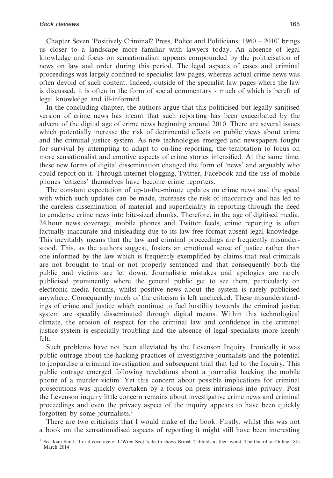Chapter Seven 'Positively Criminal? Press, Police and Politicians: 1960 – 2010' brings us closer to a landscape more familiar with lawyers today. An absence of legal knowledge and focus on sensationalism appears compounded by the politicisation of news on law and order during this period. The legal aspects of cases and criminal proceedings was largely confined to specialist law pages, whereas actual crime news was often devoid of such content. Indeed, outside of the specialist law pages where the law is discussed, it is often in the form of social commentary - much of which is bereft of legal knowledge and ill-informed.

In the concluding chapter, the authors argue that this politicised but legally sanitised version of crime news has meant that such reporting has been exacerbated by the advent of the digital age of crime news beginning around 2010. There are several issues which potentially increase the risk of detrimental effects on public views about crime and the criminal justice system. As new technologies emerged and newspapers fought for survival by attempting to adapt to on-line reporting, the temptation to focus on more sensationalist and emotive aspects of crime stories intensified. At the same time, these new forms of digital dissemination changed the form of 'news' and arguably who could report on it. Through internet blogging, Twitter, Facebook and the use of mobile phones 'citizens' themselves have become crime reporters.

The constant expectation of up-to-the-minute updates on crime news and the speed with which such updates can be made, increases the risk of inaccuracy and has led to the careless dissemination of material and superficiality in reporting through the need to condense crime news into bite-sized chunks. Therefore, in the age of digitised media, 24 hour news coverage, mobile phones and Twitter feeds, crime reporting is often factually inaccurate and misleading due to its law free format absent legal knowledge. This inevitably means that the law and criminal proceedings are frequently misunderstood. This, as the authors suggest, fosters an emotional sense of justice rather than one informed by the law which is frequently exemplified by claims that real criminals are not brought to trial or not properly sentenced and that consequently both the public and victims are let down. Journalistic mistakes and apologies are rarely publicised prominently where the general public get to see them, particularly on electronic media forums, whilst positive news about the system is rarely publicised anywhere. Consequently much of the criticism is left unchecked. These misunderstandings of crime and justice which continue to fuel hostility towards the criminal justice system are speedily disseminated through digital means. Within this technological climate, the erosion of respect for the criminal law and confidence in the criminal justice system is especially troubling and the absence of legal specialists more keenly felt.

Such problems have not been alleviated by the Levenson Inquiry. Ironically it was public outrage about the hacking practices of investigative journalists and the potential to jeopardise a criminal investigation and subsequent trial that led to the Inquiry. This public outrage emerged following revelations about a journalist hacking the mobile phone of a murder victim. Yet this concern about possible implications for criminal prosecutions was quickly overtaken by a focus on press intrusions into privacy. Post the Levenson inquiry little concern remains about investigative crime news and criminal proceedings and even the privacy aspect of the inquiry appears to have been quickly forgotten by some journalists.<sup>1</sup>

There are two criticisms that I would make of the book. Firstly, whilst this was not a book on the sensationalised aspects of reporting it might still have been interesting

<sup>&</sup>lt;sup>1</sup> See Joan Smith 'Lurid coverage of L'Wren Scott's death shows British Tabloids at their worst' The Guardian Online 18th March 2014